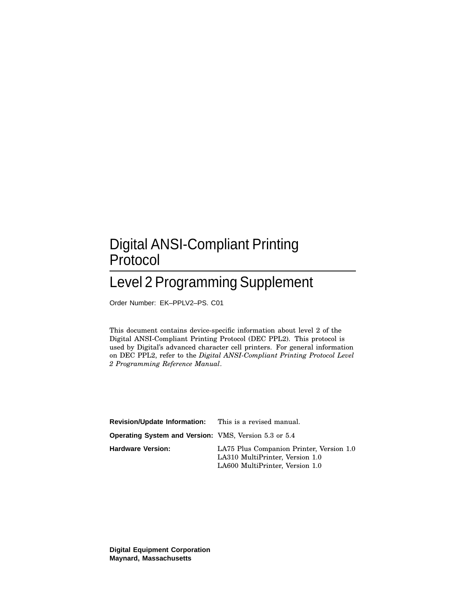# Digital ANSI-Compliant Printing Protocol

# Level 2 Programming Supplement

Order Number: EK–PPLV2–PS. C01

This document contains device-specific information about level 2 of the Digital ANSI-Compliant Printing Protocol (DEC PPL2). This protocol is used by Digital's advanced character cell printers. For general information on DEC PPL2, refer to the *Digital ANSI-Compliant Printing Protocol Level 2 Programming Reference Manual*.

| <b>Revision/Update Information:</b> This is a revised manual. |                                                                             |
|---------------------------------------------------------------|-----------------------------------------------------------------------------|
| <b>Operating System and Version:</b> VMS, Version 5.3 or 5.4  |                                                                             |
| <b>Hardware Version:</b>                                      | LA75 Plus Companion Printer, Version 1.0<br>LA310 MultiPrinter, Version 1.0 |
|                                                               | LA600 MultiPrinter, Version 1.0                                             |

**Digital Equipment Corporation Maynard, Massachusetts**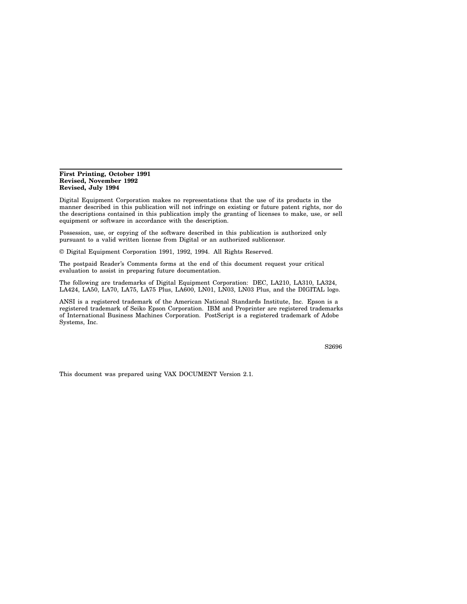#### **First Printing, October 1991 Revised, November 1992 Revised, July 1994**

Digital Equipment Corporation makes no representations that the use of its products in the manner described in this publication will not infringe on existing or future patent rights, nor do the descriptions contained in this publication imply the granting of licenses to make, use, or sell equipment or software in accordance with the description.

Possession, use, or copying of the software described in this publication is authorized only pursuant to a valid written license from Digital or an authorized sublicensor.

© Digital Equipment Corporation 1991, 1992, 1994. All Rights Reserved.

The postpaid Reader's Comments forms at the end of this document request your critical evaluation to assist in preparing future documentation.

The following are trademarks of Digital Equipment Corporation: DEC, LA210, LA310, LA324, LA424, LA50, LA70, LA75, LA75 Plus, LA600, LN01, LN03, LN03 Plus, and the DIGITAL logo.

ANSI is a registered trademark of the American National Standards Institute, Inc. Epson is a registered trademark of Seiko Epson Corporation. IBM and Proprinter are registered trademarks of International Business Machines Corporation. PostScript is a registered trademark of Adobe Systems, Inc.

S2696

This document was prepared using VAX DOCUMENT Version 2.1.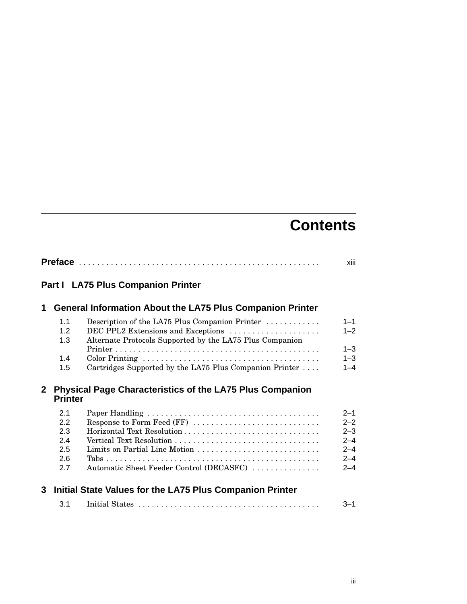# **Contents**

|  |  |  |  |  |  |  |  |  |  |  |  |  |  |  |  |  |  |  | <br>XIII |
|--|--|--|--|--|--|--|--|--|--|--|--|--|--|--|--|--|--|--|----------|
|  |  |  |  |  |  |  |  |  |  |  |  |  |  |  |  |  |  |  |          |

# **Part I LA75 Plus Companion Printer**

### **1 General Information About the LA75 Plus Companion Printer**

| 1.1 | Description of the LA75 Plus Companion Printer           | $1 - 1$ |
|-----|----------------------------------------------------------|---------|
| 1.2 | DEC PPL2 Extensions and Exceptions                       | $1 - 2$ |
| 1.3 | Alternate Protocols Supported by the LA75 Plus Companion |         |
|     |                                                          | $1 - 3$ |
| 1.4 |                                                          | $1 - 3$ |
| 1.5 | Cartridges Supported by the LA75 Plus Companion Printer  | $1 - 4$ |

#### **2 Physical Page Characteristics of the LA75 Plus Companion Printer**

| 2.1           | $2 - 1$ |
|---------------|---------|
| $2.2^{\circ}$ | $2 - 2$ |
| 2.3           | $2 - 3$ |
| 24            | $2 - 4$ |
| 2.5           | $2 - 4$ |
| -2.6          | $2 - 4$ |
| 27            |         |
|               |         |

## **3 Initial State Values for the LA75 Plus Companion Printer**

| 3.1 |  |  |
|-----|--|--|
|-----|--|--|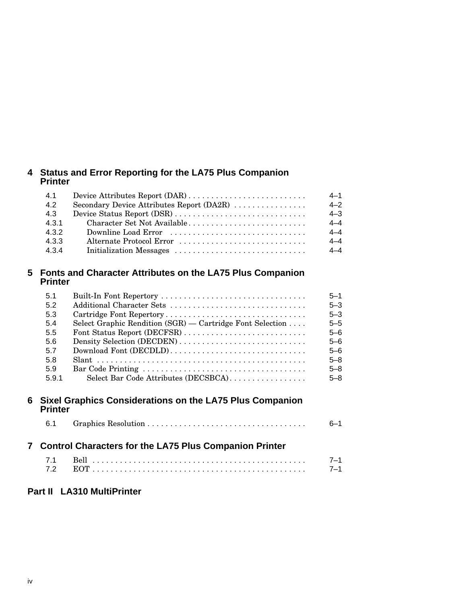#### **4 Status and Error Reporting for the LA75 Plus Companion Printer**

| 4.1   |                                           | $4 - 1$ |
|-------|-------------------------------------------|---------|
| 4.2   | Secondary Device Attributes Report (DA2R) | $4 - 2$ |
| 4.3   |                                           | $4 - 3$ |
| 4.3.1 |                                           | $4 - 4$ |
| 4.3.2 |                                           | $4 - 4$ |
| 4.3.3 | Alternate Protocol Error                  | $4 - 4$ |
| 4.3.4 |                                           | 4–4     |

### **5 Fonts and Character Attributes on the LA75 Plus Companion Printer**

|   | 5.1                        | Built-In Font Repertory                                       | $5 - 1$ |  |  |  |  |  |  |
|---|----------------------------|---------------------------------------------------------------|---------|--|--|--|--|--|--|
|   | 5.2                        | Additional Character Sets                                     | $5 - 3$ |  |  |  |  |  |  |
|   | 5.3                        | Cartridge Font Repertory                                      | $5 - 3$ |  |  |  |  |  |  |
|   | 5.4                        | Select Graphic Rendition (SGR) - Cartridge Font Selection     | $5 - 5$ |  |  |  |  |  |  |
|   | 5.5                        | Font Status Report (DECFSR)                                   | $5 - 6$ |  |  |  |  |  |  |
|   | 5.6                        |                                                               | $5 - 6$ |  |  |  |  |  |  |
|   | 5.7                        | Download Font (DECDLD)                                        | $5 - 6$ |  |  |  |  |  |  |
|   | 5.8                        |                                                               | $5 - 8$ |  |  |  |  |  |  |
|   | 5.9                        |                                                               | $5 - 8$ |  |  |  |  |  |  |
|   | 5.9.1                      | Select Bar Code Attributes (DECSBCA)                          | $5 - 8$ |  |  |  |  |  |  |
| 6 | <b>Printer</b>             | Sixel Graphics Considerations on the LA75 Plus Companion      |         |  |  |  |  |  |  |
|   | 6.1                        |                                                               | $6 - 1$ |  |  |  |  |  |  |
| 7 |                            | <b>Control Characters for the LA75 Plus Companion Printer</b> |         |  |  |  |  |  |  |
|   | 7.1                        |                                                               | $7 - 1$ |  |  |  |  |  |  |
|   | 7.2                        |                                                               | $7 - 1$ |  |  |  |  |  |  |
|   | Part II LA310 MultiPrinter |                                                               |         |  |  |  |  |  |  |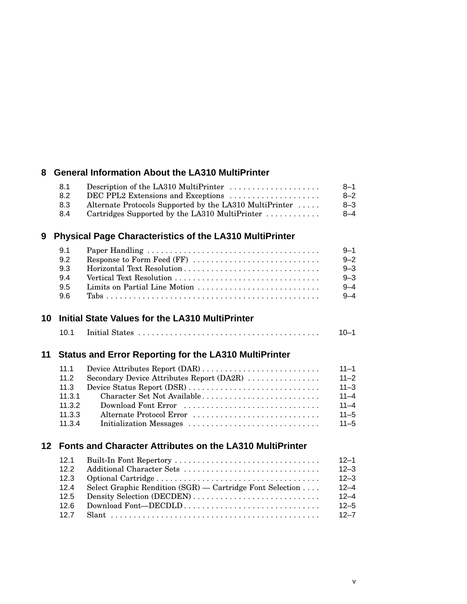#### **8 General Information About the LA310 MultiPrinter**

| $8 - 1$ |
|---------|
| $8 - 2$ |
| $8 - 3$ |
| $8 - 4$ |
|         |

# **9 Physical Page Characteristics of the LA310 MultiPrinter**

| 9.1 |                            | $9 - 1$ |
|-----|----------------------------|---------|
| 9.2 |                            | $9 - 2$ |
| 9.3 | Horizontal Text Resolution | $9 - 3$ |
| 94  |                            | $9 - 3$ |
| 9.5 |                            | $9 - 4$ |
| 9.6 |                            | $9 - 4$ |

#### **10 Initial State Values for the LA310 MultiPrinter**

| 10.1 |  |  |  |
|------|--|--|--|
|------|--|--|--|

### **11 Status and Error Reporting for the LA310 MultiPrinter**

|        |                                           | $11 - 1$ |
|--------|-------------------------------------------|----------|
| 11.2   | Secondary Device Attributes Report (DA2R) | $11 - 2$ |
| 11.3   |                                           | $11 - 3$ |
| 11.3.1 |                                           | $11 - 4$ |
| 11.3.2 |                                           | $11 - 4$ |
| 11.3.3 |                                           | $11 - 5$ |
| 11.3.4 |                                           | $11 - 5$ |

### **12 Fonts and Character Attributes on the LA310 MultiPrinter**

|      |                                                           | $12 - 1$ |
|------|-----------------------------------------------------------|----------|
| 12.2 | Additional Character Sets                                 | $12 - 3$ |
| 12.3 |                                                           | $12 - 3$ |
| 12.4 | Select Graphic Rendition (SGR) — Cartridge Font Selection | $12 - 4$ |
| 12.5 | Density Selection (DECDEN)                                | $12 - 4$ |
| 12.6 |                                                           | $12 - 5$ |
|      |                                                           | $12 - 7$ |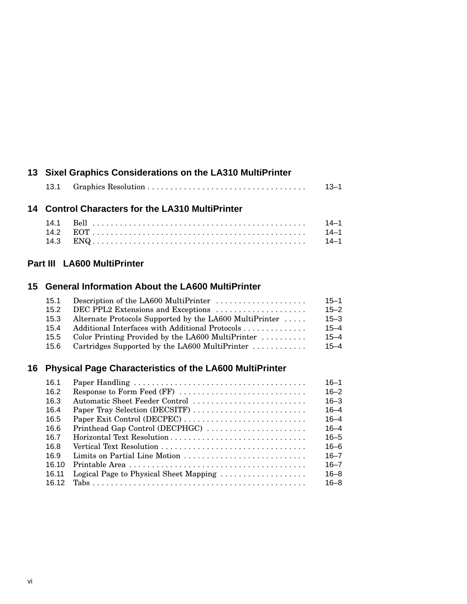| 13 Sixel Graphics Considerations on the LA310 MultiPrinter |                                                  |                      |  |
|------------------------------------------------------------|--------------------------------------------------|----------------------|--|
|                                                            |                                                  | $13 - 1$             |  |
|                                                            | 14 Control Characters for the LA310 MultiPrinter |                      |  |
| 14 1<br>14.2                                               |                                                  | $14 - 1$<br>$14 - 1$ |  |

# **Part III LA600 MultiPrinter**

# **15 General Information About the LA600 MultiPrinter**

| 15.1 | Description of the LA600 MultiPrinter $\dots\dots\dots\dots\dots\dots$ | $15 - 1$ |
|------|------------------------------------------------------------------------|----------|
| 15.2 | DEC PPL2 Extensions and Exceptions                                     | $15 - 2$ |
| 15.3 | Alternate Protocols Supported by the LA600 MultiPrinter                | $15 - 3$ |
| 15.4 | Additional Interfaces with Additional Protocols                        | $15 - 4$ |
| 15.5 | Color Printing Provided by the LA600 MultiPrinter $\dots\dots\dots$    | $15 - 4$ |
| 15.6 | Cartridges Supported by the LA600 MultiPrinter $\dots\dots\dots\dots$  | $15 - 4$ |

# **16 Physical Page Characteristics of the LA600 MultiPrinter**

| 16.1  |                                        | $16 - 1$ |
|-------|----------------------------------------|----------|
| 16.2  | Response to Form Feed (FF)             | $16 - 2$ |
| 16.3  | Automatic Sheet Feeder Control         | $16 - 3$ |
| 16.4  | Paper Tray Selection (DECSITF)         | $16 - 4$ |
| 16.5  | Paper Exit Control (DECPEC)            | $16 - 4$ |
| 16.6  | Printhead Gap Control (DECPHGC)        | $16 - 4$ |
| 16.7  | Horizontal Text Resolution             | $16 - 5$ |
| 16.8  |                                        | $16 - 6$ |
| 16.9  |                                        | $16 - 7$ |
| 16.10 |                                        | $16 - 7$ |
| 16.11 | Logical Page to Physical Sheet Mapping | $16 - 8$ |
| 16.12 |                                        | $16 - 8$ |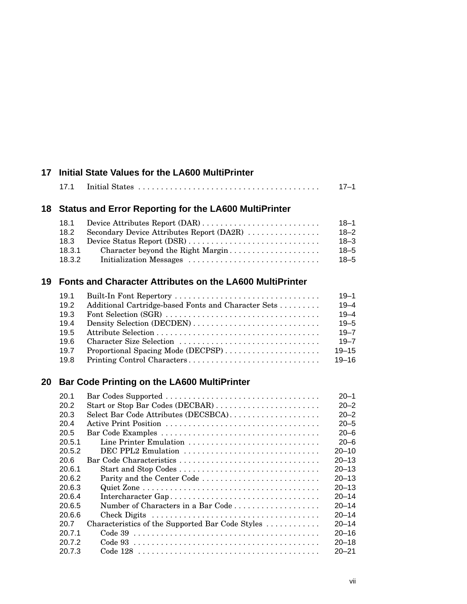| 17 |                                                                                                                    | <b>Initial State Values for the LA600 MultiPrinter</b>                                                                                                                                                                                         |                                                                                                                                                                 |
|----|--------------------------------------------------------------------------------------------------------------------|------------------------------------------------------------------------------------------------------------------------------------------------------------------------------------------------------------------------------------------------|-----------------------------------------------------------------------------------------------------------------------------------------------------------------|
|    | 17.1                                                                                                               |                                                                                                                                                                                                                                                | $17 - 1$                                                                                                                                                        |
| 18 |                                                                                                                    | <b>Status and Error Reporting for the LA600 MultiPrinter</b>                                                                                                                                                                                   |                                                                                                                                                                 |
|    | 18.1<br>18.2<br>18.3<br>18.3.1<br>18.3.2                                                                           | Device Attributes Report (DAR)<br>Secondary Device Attributes Report (DA2R)<br>Device Status Report (DSR)<br>Character beyond the Right Margin<br>Initialization Messages                                                                      | $18 - 1$<br>$18 - 2$<br>$18 - 3$<br>$18 - 5$<br>$18 - 5$                                                                                                        |
| 19 |                                                                                                                    | <b>Fonts and Character Attributes on the LA600 MultiPrinter</b>                                                                                                                                                                                |                                                                                                                                                                 |
|    | 19.1<br>19.2<br>19.3<br>19.4<br>19.5<br>19.6<br>19.7<br>19.8                                                       | Built-In Font Repertory<br>Additional Cartridge-based Fonts and Character Sets<br>Font Selection (SGR)<br>Character Size Selection<br>Printing Control Characters                                                                              | $19 - 1$<br>$19 - 4$<br>$19 - 4$<br>$19 - 5$<br>$19 - 7$<br>$19 - 7$<br>$19 - 15$<br>$19 - 16$                                                                  |
| 20 |                                                                                                                    | <b>Bar Code Printing on the LA600 MultiPrinter</b>                                                                                                                                                                                             |                                                                                                                                                                 |
|    | 20.1<br>20.2<br>20.3<br>20.4<br>20.5<br>20.5.1<br>20.5.2<br>20.6<br>20.6.1<br>20.6.2<br>20.6.3<br>20.6.4<br>20.6.5 | Start or Stop Bar Codes (DECBAR)<br>Select Bar Code Attributes (DECSBCA)<br>Line Printer Emulation<br>DEC PPL2 Emulation<br>Bar Code Characteristics<br>Parity and the Center Code<br>Intercharacter Gap<br>Number of Characters in a Bar Code | $20 - 1$<br>$20 - 2$<br>$20 - 2$<br>$20 - 5$<br>$20 - 6$<br>$20 - 6$<br>$20 - 10$<br>$20 - 13$<br>$20 - 13$<br>$20 - 13$<br>$20 - 13$<br>$20 - 14$<br>$20 - 14$ |
|    | 20.6.6<br>20.7<br>20.7.1<br>20.7.2<br>20.7.3                                                                       | Characteristics of the Supported Bar Code Styles                                                                                                                                                                                               | $20 - 14$<br>$20 - 14$<br>$20 - 16$<br>$20 - 18$<br>$20 - 21$                                                                                                   |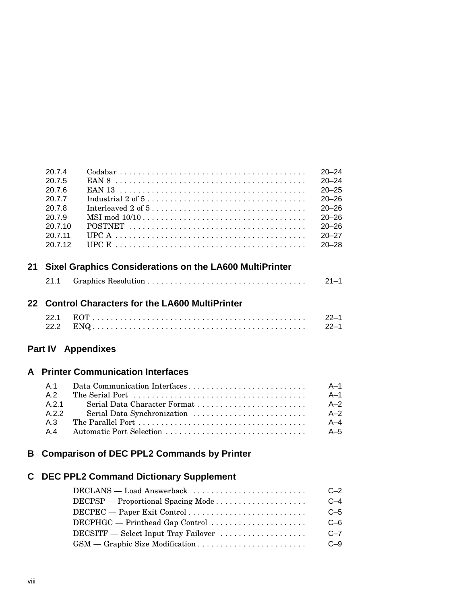| 20.7.5<br>20.7.6<br>Industrial 2 of $5 \ldots \ldots \ldots \ldots \ldots \ldots \ldots \ldots \ldots \ldots$<br>20.7.7<br>Interleaved 2 of $5, \ldots, \ldots, \ldots, \ldots, \ldots, \ldots, \ldots, \ldots, \ldots$<br>20.7.8<br>20.7.9<br>20.7.10<br>20.7.11<br>20.7.12<br><b>Sixel Graphics Considerations on the LA600 MultiPrinter</b><br>21<br>21.1<br><b>Control Characters for the LA600 MultiPrinter</b><br>22<br>$22 - 1$<br>22.1<br>22.2<br><b>Part IV Appendixes</b><br><b>Printer Communication Interfaces</b><br>A<br>Data Communication Interfaces<br>A.1<br>A.2<br>$A-1$<br>$A-2$<br>A.2.1<br>Serial Data Character Format<br>A.2.2<br>Serial Data Synchronization<br>$A-2$ | 20.7.4 |                                                                                                  | $20 - 24$ |
|------------------------------------------------------------------------------------------------------------------------------------------------------------------------------------------------------------------------------------------------------------------------------------------------------------------------------------------------------------------------------------------------------------------------------------------------------------------------------------------------------------------------------------------------------------------------------------------------------------------------------------------------------------------------------------------------|--------|--------------------------------------------------------------------------------------------------|-----------|
|                                                                                                                                                                                                                                                                                                                                                                                                                                                                                                                                                                                                                                                                                                |        |                                                                                                  | $20 - 24$ |
|                                                                                                                                                                                                                                                                                                                                                                                                                                                                                                                                                                                                                                                                                                |        |                                                                                                  | $20 - 25$ |
|                                                                                                                                                                                                                                                                                                                                                                                                                                                                                                                                                                                                                                                                                                |        |                                                                                                  | $20 - 26$ |
|                                                                                                                                                                                                                                                                                                                                                                                                                                                                                                                                                                                                                                                                                                |        |                                                                                                  | $20 - 26$ |
|                                                                                                                                                                                                                                                                                                                                                                                                                                                                                                                                                                                                                                                                                                |        |                                                                                                  | $20 - 26$ |
|                                                                                                                                                                                                                                                                                                                                                                                                                                                                                                                                                                                                                                                                                                |        |                                                                                                  | $20 - 26$ |
|                                                                                                                                                                                                                                                                                                                                                                                                                                                                                                                                                                                                                                                                                                |        |                                                                                                  | $20 - 27$ |
|                                                                                                                                                                                                                                                                                                                                                                                                                                                                                                                                                                                                                                                                                                |        |                                                                                                  | $20 - 28$ |
|                                                                                                                                                                                                                                                                                                                                                                                                                                                                                                                                                                                                                                                                                                |        |                                                                                                  |           |
|                                                                                                                                                                                                                                                                                                                                                                                                                                                                                                                                                                                                                                                                                                |        |                                                                                                  | $21 - 1$  |
|                                                                                                                                                                                                                                                                                                                                                                                                                                                                                                                                                                                                                                                                                                |        |                                                                                                  |           |
|                                                                                                                                                                                                                                                                                                                                                                                                                                                                                                                                                                                                                                                                                                |        |                                                                                                  |           |
|                                                                                                                                                                                                                                                                                                                                                                                                                                                                                                                                                                                                                                                                                                |        |                                                                                                  | $22 - 1$  |
|                                                                                                                                                                                                                                                                                                                                                                                                                                                                                                                                                                                                                                                                                                |        |                                                                                                  |           |
|                                                                                                                                                                                                                                                                                                                                                                                                                                                                                                                                                                                                                                                                                                |        |                                                                                                  |           |
|                                                                                                                                                                                                                                                                                                                                                                                                                                                                                                                                                                                                                                                                                                |        |                                                                                                  | $A-1$     |
|                                                                                                                                                                                                                                                                                                                                                                                                                                                                                                                                                                                                                                                                                                |        |                                                                                                  |           |
|                                                                                                                                                                                                                                                                                                                                                                                                                                                                                                                                                                                                                                                                                                |        |                                                                                                  |           |
|                                                                                                                                                                                                                                                                                                                                                                                                                                                                                                                                                                                                                                                                                                |        |                                                                                                  |           |
|                                                                                                                                                                                                                                                                                                                                                                                                                                                                                                                                                                                                                                                                                                | A.3    | The Parallel Port $\ldots \ldots \ldots \ldots \ldots \ldots \ldots \ldots \ldots \ldots \ldots$ | $A-4$     |

# **B Comparison of DEC PPL2 Commands by Printer**

# **C DEC PPL2 Command Dictionary Supplement**

| $DECLANS - Load$ Answerback $\ldots \ldots \ldots \ldots \ldots \ldots$ | $C-2$   |
|-------------------------------------------------------------------------|---------|
|                                                                         | $C-4$   |
| $DECPEC - Paper Ext1 Control \n \n \n \n \n \n$                         | $C-5$   |
|                                                                         | $C - 6$ |
| DECSITF — Select Input Tray Failover                                    | $C-7$   |
|                                                                         | $C-9$   |
|                                                                         |         |

A.4 Automatic Port Selection . . . . . . . . . . . . . . . . . . . . . . . . . . . . . . . A–5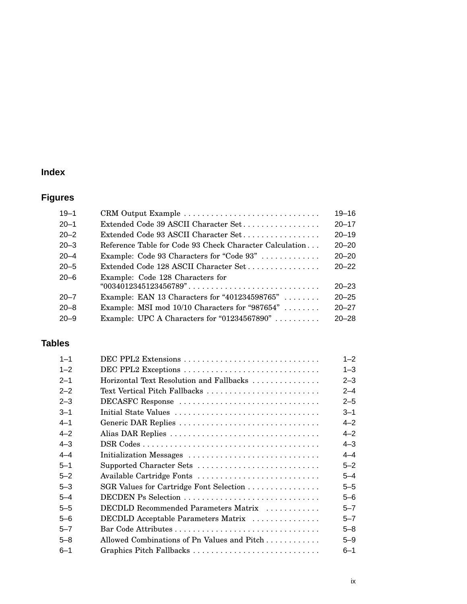# **Index**

# **Figures**

| $19 - 1$ | CRM Output Example                                                                                   | $19 - 16$ |
|----------|------------------------------------------------------------------------------------------------------|-----------|
| $20 - 1$ | Extended Code 39 ASCII Character Set                                                                 | $20 - 17$ |
| $20 - 2$ | Extended Code 93 ASCII Character Set                                                                 | $20 - 19$ |
| $20 - 3$ | Reference Table for Code 93 Check Character Calculation                                              | $20 - 20$ |
| $20 - 4$ | Example: Code 93 Characters for "Code 93"                                                            | $20 - 20$ |
| $20 - 5$ | Extended Code 128 ASCII Character Set                                                                | $20 - 22$ |
| $20 - 6$ | Example: Code 128 Characters for                                                                     |           |
|          | $"0034012345123456789" \ldots \ldots \ldots \ldots \ldots \ldots \ldots \ldots \ldots \ldots \ldots$ | $20 - 23$ |
| $20 - 7$ | Example: EAN 13 Characters for $401234598765$ "                                                      | $20 - 25$ |
| $20 - 8$ | Example: MSI mod $10/10$ Characters for "987654"                                                     | $20 - 27$ |
| $20 - 9$ | Example: UPC A Characters for "01234567890" $\ldots$                                                 | $20 - 28$ |

# **Tables**

| $1 - 1$ |                                             | $1 - 2$ |
|---------|---------------------------------------------|---------|
| $1 - 2$ |                                             | $1 - 3$ |
| $2 - 1$ | Horizontal Text Resolution and Fallbacks    | $2 - 3$ |
| $2 - 2$ | Text Vertical Pitch Fallbacks               | $2 - 4$ |
| $2 - 3$ | DECASFC Response                            | $2 - 5$ |
| $3 - 1$ | Initial State Values                        | $3 - 1$ |
| $4 - 1$ | Generic DAR Replies                         | $4 - 2$ |
| $4 - 2$ | Alias DAR Replies                           | $4 - 2$ |
| $4 - 3$ |                                             | $4 - 3$ |
| $4 - 4$ | Initialization Messages                     | $4 - 4$ |
| $5 - 1$ | Supported Character Sets                    | $5 - 2$ |
| $5 - 2$ | Available Cartridge Fonts                   | $5 - 4$ |
| $5 - 3$ | SGR Values for Cartridge Font Selection     | $5 - 5$ |
| $5 - 4$ | DECDEN Ps Selection                         | $5 - 6$ |
| $5 - 5$ | DECDLD Recommended Parameters Matrix        | $5 - 7$ |
| $5 - 6$ | DECDLD Acceptable Parameters Matrix         | $5 - 7$ |
| $5 - 7$ |                                             | $5 - 8$ |
| $5 - 8$ | Allowed Combinations of Pn Values and Pitch | $5 - 9$ |
| $6 - 1$ | Graphics Pitch Fallbacks                    | $6 - 1$ |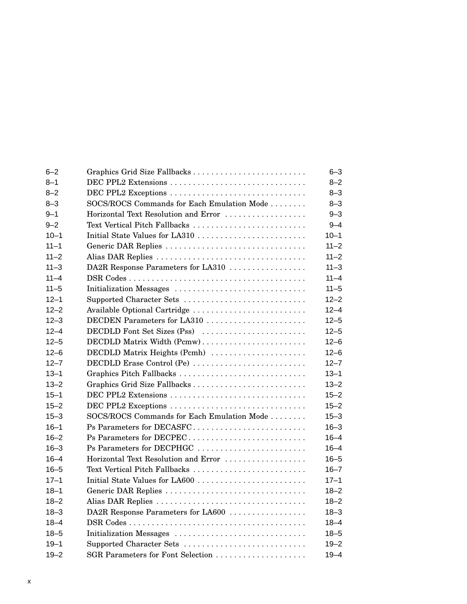| $6 - 2$  |                                            | $6 - 3$  |
|----------|--------------------------------------------|----------|
| $8 - 1$  | DEC PPL2 Extensions                        | $8 - 2$  |
| $8 - 2$  |                                            | $8 - 3$  |
| $8 - 3$  | SOCS/ROCS Commands for Each Emulation Mode | $8 - 3$  |
| $9 - 1$  | Horizontal Text Resolution and Error       | $9 - 3$  |
| $9 - 2$  | Text Vertical Pitch Fallbacks              | $9 - 4$  |
| $10 - 1$ | Initial State Values for LA310             | $10 - 1$ |
| $11 - 1$ | Generic DAR Replies                        | $11 - 2$ |
| $11 - 2$ | Alias DAR Replies                          | $11 - 2$ |
| $11 - 3$ | DA2R Response Parameters for LA310         | $11 - 3$ |
| $11 - 4$ |                                            | $11 - 4$ |
| $11 - 5$ | Initialization Messages                    | $11 - 5$ |
| $12 - 1$ | Supported Character Sets                   | $12 - 2$ |
| $12 - 2$ | Available Optional Cartridge               | $12 - 4$ |
| $12 - 3$ | DECDEN Parameters for LA310                | $12 - 5$ |
| $12 - 4$ | DECDLD Font Set Sizes (Pss)                | $12 - 5$ |
| $12 - 5$ | DECDLD Matrix Width (Pcmw)                 | $12 - 6$ |
| $12 - 6$ | DECDLD Matrix Heights (Pcmh)               | $12 - 6$ |
| $12 - 7$ | DECDLD Erase Control (Pe)                  | $12 - 7$ |
| $13 - 1$ | Graphics Pitch Fallbacks                   | $13 - 1$ |
| $13 - 2$ | Graphics Grid Size Fallbacks               | $13 - 2$ |
| $15 - 1$ |                                            | $15 - 2$ |
| $15 - 2$ | DEC PPL2 Exceptions                        | $15 - 2$ |
| $15 - 3$ | SOCS/ROCS Commands for Each Emulation Mode | $15 - 3$ |
| $16 - 1$ | Ps Parameters for DECASFC                  | $16 - 3$ |
| $16 - 2$ | Ps Parameters for DECPEC                   | $16 - 4$ |
| $16 - 3$ | Ps Parameters for DECPHGC                  | $16 - 4$ |
| $16 - 4$ | Horizontal Text Resolution and Error       | $16 - 5$ |
| $16 - 5$ | Text Vertical Pitch Fallbacks              | $16 - 7$ |
| $17 - 1$ |                                            | $17 - 1$ |
| $18 - 1$ | Generic DAR Replies                        | $18 - 2$ |
| $18 - 2$ | Alias DAR Replies                          | $18 - 2$ |
| $18 - 3$ | DA2R Response Parameters for LA600         | $18 - 3$ |
| $18 - 4$ |                                            | $18 - 4$ |
| $18 - 5$ | Initialization Messages                    | $18 - 5$ |
| $19 - 1$ | Supported Character Sets                   | $19 - 2$ |
| $19 - 2$ | SGR Parameters for Font Selection          | $19 - 4$ |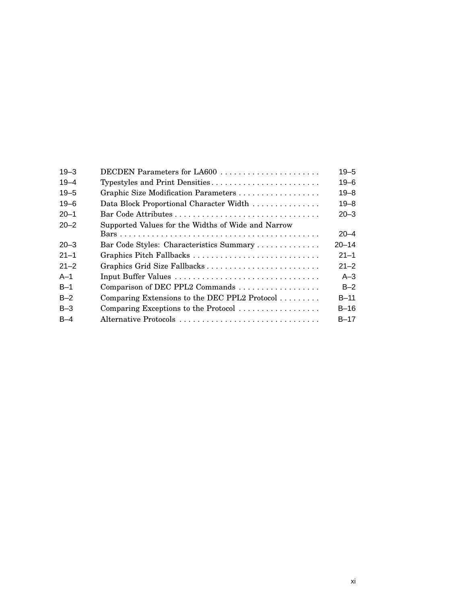| $19 - 3$ | DECDEN Parameters for LA600                                 | $19 - 5$    |
|----------|-------------------------------------------------------------|-------------|
| $19 - 4$ | Typestyles and Print Densities                              | $19 - 6$    |
| $19 - 5$ | Graphic Size Modification Parameters                        | $19 - 8$    |
| $19 - 6$ | Data Block Proportional Character Width                     | $19 - 8$    |
| $20 - 1$ |                                                             | $20 - 3$    |
| $20 - 2$ | Supported Values for the Widths of Wide and Narrow          |             |
|          |                                                             | $20 - 4$    |
| $20 - 3$ | Bar Code Styles: Characteristics Summary                    | $20 - 14$   |
| $21 - 1$ | Graphics Pitch Fallbacks                                    | $21 - 1$    |
| $21 - 2$ |                                                             | $21 - 2$    |
| $A-1$    |                                                             | $A - 3$     |
| $B-1$    | Comparison of DEC PPL2 Commands                             | $B-2$       |
| $B-2$    | Comparing Extensions to the DEC PPL2 Protocol $\dots \dots$ | <b>B-11</b> |
| $B-3$    | Comparing Exceptions to the Protocol                        | $B-16$      |
| $B-4$    | Alternative Protocols                                       | $B-17$      |
|          |                                                             |             |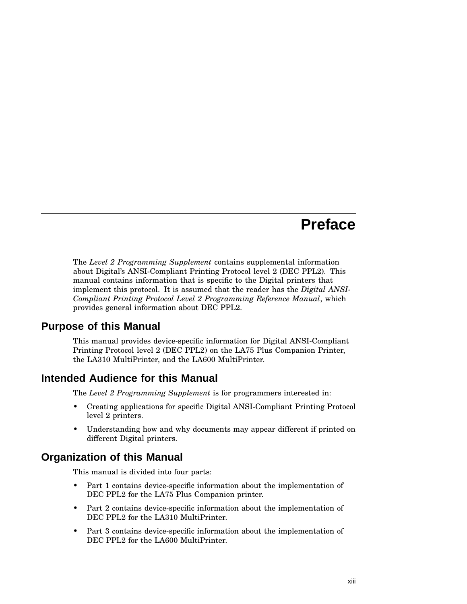# **Preface**

The *Level 2 Programming Supplement* contains supplemental information about Digital's ANSI-Compliant Printing Protocol level 2 (DEC PPL2). This manual contains information that is specific to the Digital printers that implement this protocol. It is assumed that the reader has the *Digital ANSI-Compliant Printing Protocol Level 2 Programming Reference Manual*, which provides general information about DEC PPL2.

# **Purpose of this Manual**

This manual provides device-specific information for Digital ANSI-Compliant Printing Protocol level 2 (DEC PPL2) on the LA75 Plus Companion Printer, the LA310 MultiPrinter, and the LA600 MultiPrinter.

# **Intended Audience for this Manual**

The *Level 2 Programming Supplement* is for programmers interested in:

- Creating applications for specific Digital ANSI-Compliant Printing Protocol level 2 printers.
- Understanding how and why documents may appear different if printed on different Digital printers.

# **Organization of this Manual**

This manual is divided into four parts:

- Part 1 contains device-specific information about the implementation of DEC PPL2 for the LA75 Plus Companion printer.
- Part 2 contains device-specific information about the implementation of DEC PPL2 for the LA310 MultiPrinter.
- Part 3 contains device-specific information about the implementation of DEC PPL2 for the LA600 MultiPrinter.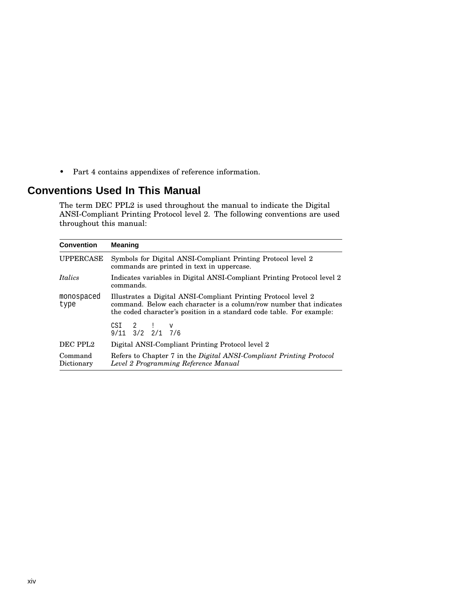• Part 4 contains appendixes of reference information.

# **Conventions Used In This Manual**

The term DEC PPL2 is used throughout the manual to indicate the Digital ANSI-Compliant Printing Protocol level 2. The following conventions are used throughout this manual:

| <b>Convention</b>     | <b>Meaning</b>                                                                                                                                                                                                 |  |  |
|-----------------------|----------------------------------------------------------------------------------------------------------------------------------------------------------------------------------------------------------------|--|--|
| <b>UPPERCASE</b>      | Symbols for Digital ANSI-Compliant Printing Protocol level 2<br>commands are printed in text in uppercase.                                                                                                     |  |  |
| Italics               | Indicates variables in Digital ANSI-Compliant Printing Protocol level 2<br>commands.                                                                                                                           |  |  |
| monospaced<br>type    | Illustrates a Digital ANSI-Compliant Printing Protocol level 2<br>command. Below each character is a column/row number that indicates<br>the coded character's position in a standard code table. For example: |  |  |
|                       | $CSI$ 2 ! $V$<br>$9/11$ $3/2$ $2/1$ $7/6$                                                                                                                                                                      |  |  |
| DEC PPL2              | Digital ANSI-Compliant Printing Protocol level 2                                                                                                                                                               |  |  |
| Command<br>Dictionary | Refers to Chapter 7 in the Digital ANSI-Compliant Printing Protocol<br>Level 2 Programming Reference Manual                                                                                                    |  |  |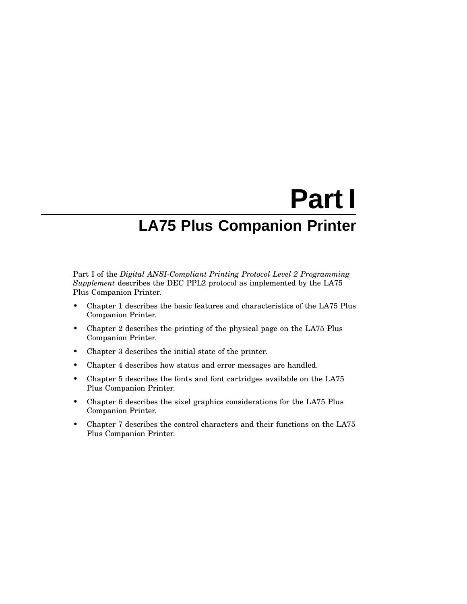# **Part I LA75 Plus Companion Printer**

Part I of the *Digital ANSI-Compliant Printing Protocol Level 2 Programming Supplement* describes the DEC PPL2 protocol as implemented by the LA75 Plus Companion Printer.

- Chapter 1 describes the basic features and characteristics of the LA75 Plus Companion Printer.
- Chapter 2 describes the printing of the physical page on the LA75 Plus Companion Printer.
- Chapter 3 describes the initial state of the printer.
- Chapter 4 describes how status and error messages are handled.
- Chapter 5 describes the fonts and font cartridges available on the LA75 Plus Companion Printer.
- Chapter 6 describes the sixel graphics considerations for the LA75 Plus Companion Printer.
- Chapter 7 describes the control characters and their functions on the LA75 Plus Companion Printer.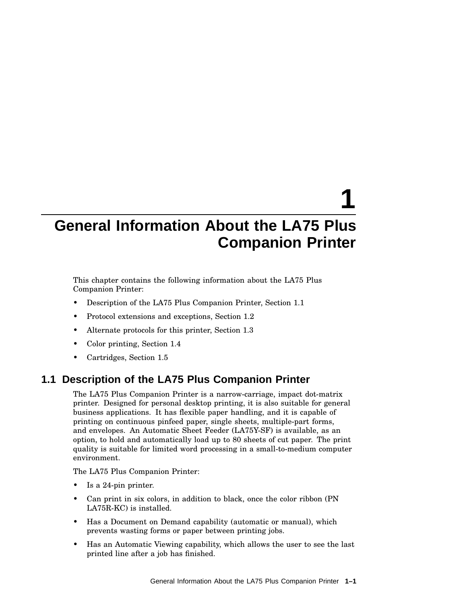# **1**

# **General Information About the LA75 Plus Companion Printer**

This chapter contains the following information about the LA75 Plus Companion Printer:

- Description of the LA75 Plus Companion Printer, Section 1.1
- Protocol extensions and exceptions, Section 1.2
- Alternate protocols for this printer, Section 1.3
- Color printing, Section 1.4
- Cartridges, Section 1.5

# **1.1 Description of the LA75 Plus Companion Printer**

The LA75 Plus Companion Printer is a narrow-carriage, impact dot-matrix printer. Designed for personal desktop printing, it is also suitable for general business applications. It has flexible paper handling, and it is capable of printing on continuous pinfeed paper, single sheets, multiple-part forms, and envelopes. An Automatic Sheet Feeder (LA75Y-SF) is available, as an option, to hold and automatically load up to 80 sheets of cut paper. The print quality is suitable for limited word processing in a small-to-medium computer environment.

The LA75 Plus Companion Printer:

- Is a 24-pin printer.
- Can print in six colors, in addition to black, once the color ribbon (PN LA75R-KC) is installed.
- Has a Document on Demand capability (automatic or manual), which prevents wasting forms or paper between printing jobs.
- Has an Automatic Viewing capability, which allows the user to see the last printed line after a job has finished.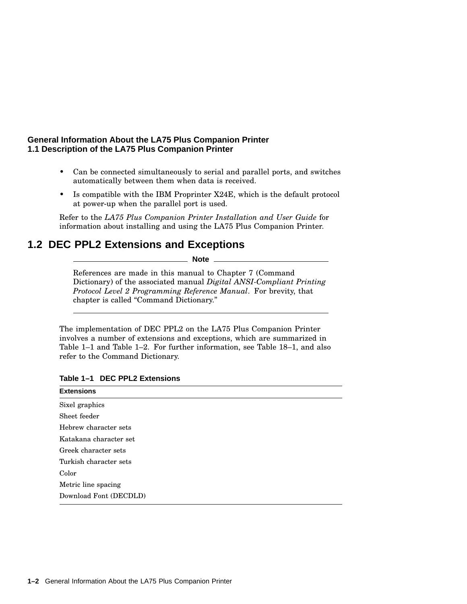#### **General Information About the LA75 Plus Companion Printer 1.1 Description of the LA75 Plus Companion Printer**

- Can be connected simultaneously to serial and parallel ports, and switches automatically between them when data is received.
- Is compatible with the IBM Proprinter X24E, which is the default protocol at power-up when the parallel port is used.

Refer to the *LA75 Plus Companion Printer Installation and User Guide* for information about installing and using the LA75 Plus Companion Printer.

# **1.2 DEC PPL2 Extensions and Exceptions**

**Note**

References are made in this manual to Chapter 7 (Command Dictionary) of the associated manual *Digital ANSI-Compliant Printing Protocol Level 2 Programming Reference Manual*. For brevity, that chapter is called "Command Dictionary."

The implementation of DEC PPL2 on the LA75 Plus Companion Printer involves a number of extensions and exceptions, which are summarized in Table 1–1 and Table 1–2. For further information, see Table 18–1, and also refer to the Command Dictionary.

| Table 1-1 DEC PPL2 Extensions |  |
|-------------------------------|--|
|-------------------------------|--|

| <b>Extensions</b>      |  |
|------------------------|--|
| Sixel graphics         |  |
| Sheet feeder           |  |
| Hebrew character sets  |  |
| Katakana character set |  |
| Greek character sets   |  |
| Turkish character sets |  |
| Color                  |  |
| Metric line spacing    |  |
| Download Font (DECDLD) |  |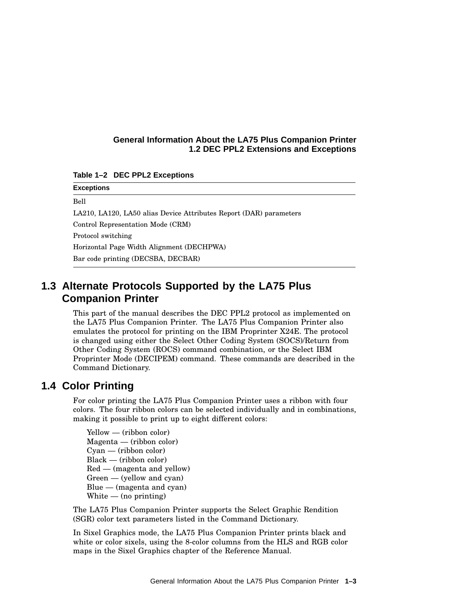#### **General Information About the LA75 Plus Companion Printer 1.2 DEC PPL2 Extensions and Exceptions**

**Table 1–2 DEC PPL2 Exceptions**

| <b>Exceptions</b>                                                  |
|--------------------------------------------------------------------|
| Bell                                                               |
| LA210, LA120, LA50 alias Device Attributes Report (DAR) parameters |
| Control Representation Mode (CRM)                                  |
| Protocol switching                                                 |
| Horizontal Page Width Alignment (DECHPWA)                          |
| Bar code printing (DECSBA, DECBAR)                                 |

# **1.3 Alternate Protocols Supported by the LA75 Plus Companion Printer**

This part of the manual describes the DEC PPL2 protocol as implemented on the LA75 Plus Companion Printer. The LA75 Plus Companion Printer also emulates the protocol for printing on the IBM Proprinter X24E. The protocol is changed using either the Select Other Coding System (SOCS)/Return from Other Coding System (ROCS) command combination, or the Select IBM Proprinter Mode (DECIPEM) command. These commands are described in the Command Dictionary.

# **1.4 Color Printing**

For color printing the LA75 Plus Companion Printer uses a ribbon with four colors. The four ribbon colors can be selected individually and in combinations, making it possible to print up to eight different colors:

Yellow — (ribbon color) Magenta — (ribbon color) Cyan — (ribbon color) Black — (ribbon color) Red — (magenta and yellow) Green — (yellow and cyan)  $Blue - (magenta and cyan)$ White  $-$  (no printing)

The LA75 Plus Companion Printer supports the Select Graphic Rendition (SGR) color text parameters listed in the Command Dictionary.

In Sixel Graphics mode, the LA75 Plus Companion Printer prints black and white or color sixels, using the 8-color columns from the HLS and RGB color maps in the Sixel Graphics chapter of the Reference Manual.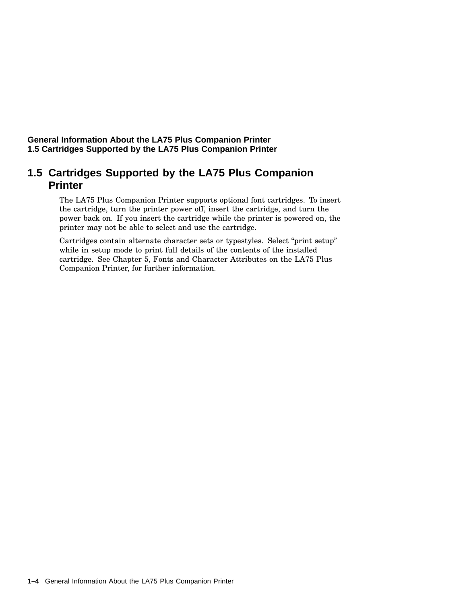**General Information About the LA75 Plus Companion Printer 1.5 Cartridges Supported by the LA75 Plus Companion Printer**

# **1.5 Cartridges Supported by the LA75 Plus Companion Printer**

The LA75 Plus Companion Printer supports optional font cartridges. To insert the cartridge, turn the printer power off, insert the cartridge, and turn the power back on. If you insert the cartridge while the printer is powered on, the printer may not be able to select and use the cartridge.

Cartridges contain alternate character sets or typestyles. Select "print setup" while in setup mode to print full details of the contents of the installed cartridge. See Chapter 5, Fonts and Character Attributes on the LA75 Plus Companion Printer, for further information.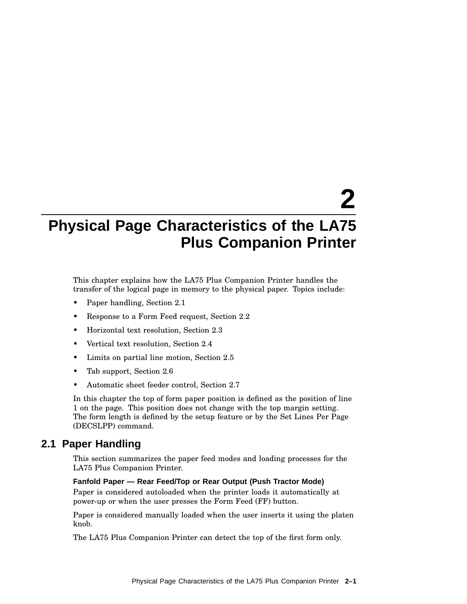# **2 Physical Page Characteristics of the LA75 Plus Companion Printer**

This chapter explains how the LA75 Plus Companion Printer handles the transfer of the logical page in memory to the physical paper. Topics include:

- Paper handling, Section 2.1
- Response to a Form Feed request, Section 2.2
- Horizontal text resolution, Section 2.3
- Vertical text resolution, Section 2.4
- Limits on partial line motion, Section 2.5
- Tab support, Section 2.6
- Automatic sheet feeder control, Section 2.7

In this chapter the top of form paper position is defined as the position of line 1 on the page. This position does not change with the top margin setting. The form length is defined by the setup feature or by the Set Lines Per Page (DECSLPP) command.

#### **2.1 Paper Handling**

This section summarizes the paper feed modes and loading processes for the LA75 Plus Companion Printer.

#### **Fanfold Paper — Rear Feed/Top or Rear Output (Push Tractor Mode)**

Paper is considered autoloaded when the printer loads it automatically at power-up or when the user presses the Form Feed (FF) button.

Paper is considered manually loaded when the user inserts it using the platen knob.

The LA75 Plus Companion Printer can detect the top of the first form only.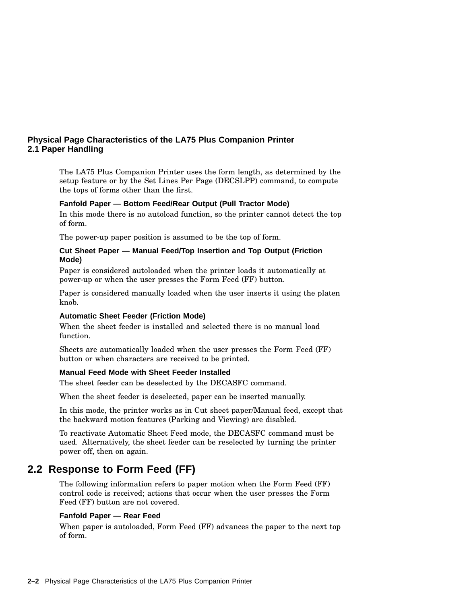#### **Physical Page Characteristics of the LA75 Plus Companion Printer 2.1 Paper Handling**

The LA75 Plus Companion Printer uses the form length, as determined by the setup feature or by the Set Lines Per Page (DECSLPP) command, to compute the tops of forms other than the first.

#### **Fanfold Paper — Bottom Feed/Rear Output (Pull Tractor Mode)**

In this mode there is no autoload function, so the printer cannot detect the top of form.

The power-up paper position is assumed to be the top of form.

#### **Cut Sheet Paper — Manual Feed/Top Insertion and Top Output (Friction Mode)**

Paper is considered autoloaded when the printer loads it automatically at power-up or when the user presses the Form Feed (FF) button.

Paper is considered manually loaded when the user inserts it using the platen knob.

#### **Automatic Sheet Feeder (Friction Mode)**

When the sheet feeder is installed and selected there is no manual load function.

Sheets are automatically loaded when the user presses the Form Feed (FF) button or when characters are received to be printed.

#### **Manual Feed Mode with Sheet Feeder Installed**

The sheet feeder can be deselected by the DECASFC command.

When the sheet feeder is deselected, paper can be inserted manually.

In this mode, the printer works as in Cut sheet paper/Manual feed, except that the backward motion features (Parking and Viewing) are disabled.

To reactivate Automatic Sheet Feed mode, the DECASFC command must be used. Alternatively, the sheet feeder can be reselected by turning the printer power off, then on again.

### **2.2 Response to Form Feed (FF)**

The following information refers to paper motion when the Form Feed (FF) control code is received; actions that occur when the user presses the Form Feed (FF) button are not covered.

#### **Fanfold Paper — Rear Feed**

When paper is autoloaded, Form Feed (FF) advances the paper to the next top of form.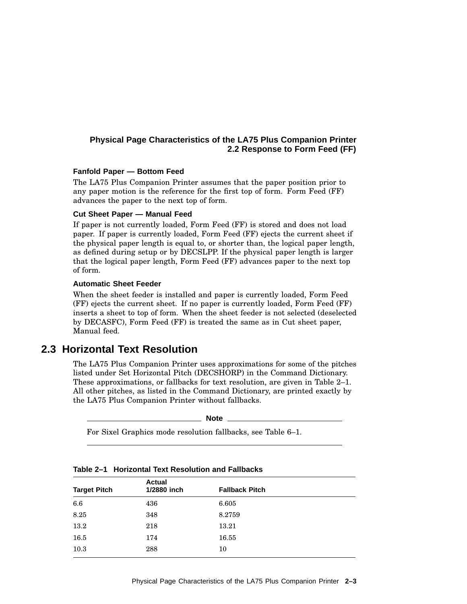#### **Physical Page Characteristics of the LA75 Plus Companion Printer 2.2 Response to Form Feed (FF)**

#### **Fanfold Paper — Bottom Feed**

The LA75 Plus Companion Printer assumes that the paper position prior to any paper motion is the reference for the first top of form. Form Feed (FF) advances the paper to the next top of form.

#### **Cut Sheet Paper — Manual Feed**

If paper is not currently loaded, Form Feed (FF) is stored and does not load paper. If paper is currently loaded, Form Feed (FF) ejects the current sheet if the physical paper length is equal to, or shorter than, the logical paper length, as defined during setup or by DECSLPP. If the physical paper length is larger that the logical paper length, Form Feed (FF) advances paper to the next top of form.

#### **Automatic Sheet Feeder**

When the sheet feeder is installed and paper is currently loaded, Form Feed (FF) ejects the current sheet. If no paper is currently loaded, Form Feed (FF) inserts a sheet to top of form. When the sheet feeder is not selected (deselected by DECASFC), Form Feed (FF) is treated the same as in Cut sheet paper, Manual feed.

## **2.3 Horizontal Text Resolution**

The LA75 Plus Companion Printer uses approximations for some of the pitches listed under Set Horizontal Pitch (DECSHORP) in the Command Dictionary. These approximations, or fallbacks for text resolution, are given in Table 2–1. All other pitches, as listed in the Command Dictionary, are printed exactly by the LA75 Plus Companion Printer without fallbacks.

**Note**

For Sixel Graphics mode resolution fallbacks, see Table 6–1.

|                     | <b>Actual</b> |                       |  |
|---------------------|---------------|-----------------------|--|
| <b>Target Pitch</b> | 1/2880 inch   | <b>Fallback Pitch</b> |  |
| 6.6                 | 436           | 6.605                 |  |
| 8.25                | 348           | 8.2759                |  |
| 13.2                | 218           | 13.21                 |  |
| 16.5                | 174           | 16.55                 |  |
| 10.3                | 288           | 10                    |  |

**Table 2–1 Horizontal Text Resolution and Fallbacks**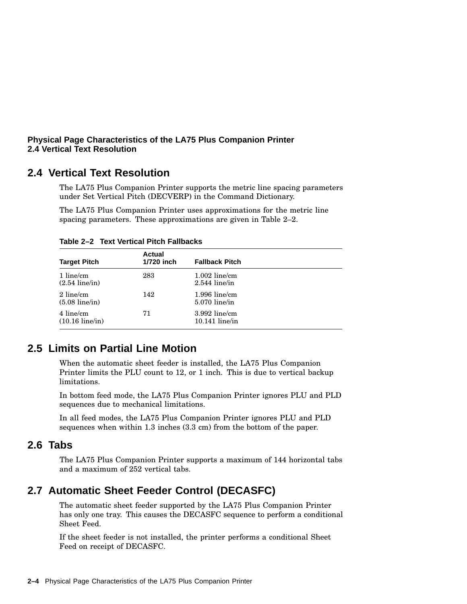#### **Physical Page Characteristics of the LA75 Plus Companion Printer 2.4 Vertical Text Resolution**

### **2.4 Vertical Text Resolution**

The LA75 Plus Companion Printer supports the metric line spacing parameters under Set Vertical Pitch (DECVERP) in the Command Dictionary.

The LA75 Plus Companion Printer uses approximations for the metric line spacing parameters. These approximations are given in Table 2–2.

| 1981 1981 1991 1991 1992 1994   |                      |                                     |  |
|---------------------------------|----------------------|-------------------------------------|--|
| <b>Target Pitch</b>             | Actual<br>1/720 inch | <b>Fallback Pitch</b>               |  |
| $1$ line/cm<br>$(2.54$ line/in) | 283                  | $1.002$ line/cm<br>$2.544$ line/in  |  |
| 2 line/cm<br>$(5.08$ line/in)   | 142                  | $1.996$ line/cm<br>$5.070$ line/in  |  |
| 4 line/cm<br>$(10.16$ line/in)  | 71                   | $3.992$ line/cm<br>$10.141$ line/in |  |

**Table 2–2 Text Vertical Pitch Fallbacks**

# **2.5 Limits on Partial Line Motion**

When the automatic sheet feeder is installed, the LA75 Plus Companion Printer limits the PLU count to 12, or 1 inch. This is due to vertical backup limitations.

In bottom feed mode, the LA75 Plus Companion Printer ignores PLU and PLD sequences due to mechanical limitations.

In all feed modes, the LA75 Plus Companion Printer ignores PLU and PLD sequences when within 1.3 inches (3.3 cm) from the bottom of the paper.

### **2.6 Tabs**

The LA75 Plus Companion Printer supports a maximum of 144 horizontal tabs and a maximum of 252 vertical tabs.

# **2.7 Automatic Sheet Feeder Control (DECASFC)**

The automatic sheet feeder supported by the LA75 Plus Companion Printer has only one tray. This causes the DECASFC sequence to perform a conditional Sheet Feed.

If the sheet feeder is not installed, the printer performs a conditional Sheet Feed on receipt of DECASFC.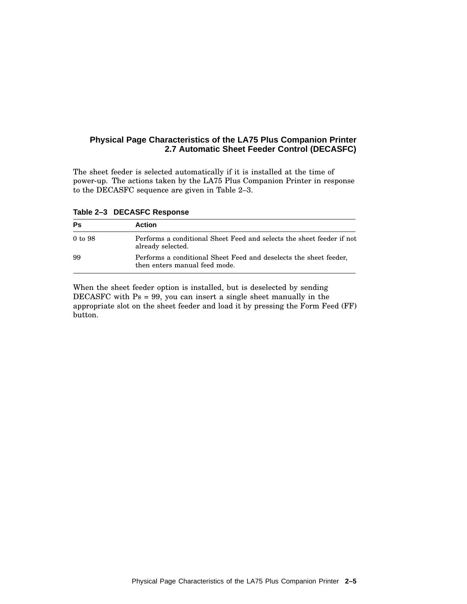#### **Physical Page Characteristics of the LA75 Plus Companion Printer 2.7 Automatic Sheet Feeder Control (DECASFC)**

The sheet feeder is selected automatically if it is installed at the time of power-up. The actions taken by the LA75 Plus Companion Printer in response to the DECASFC sequence are given in Table 2–3.

|  | Table 2-3 DECASFC Response |  |
|--|----------------------------|--|
|--|----------------------------|--|

| Ps      | <b>Action</b>                                                                                      |
|---------|----------------------------------------------------------------------------------------------------|
| 0 to 98 | Performs a conditional Sheet Feed and selects the sheet feeder if not<br>already selected.         |
| 99      | Performs a conditional Sheet Feed and deselects the sheet feeder,<br>then enters manual feed mode. |

When the sheet feeder option is installed, but is deselected by sending DECASFC with Ps = 99, you can insert a single sheet manually in the appropriate slot on the sheet feeder and load it by pressing the Form Feed (FF) button.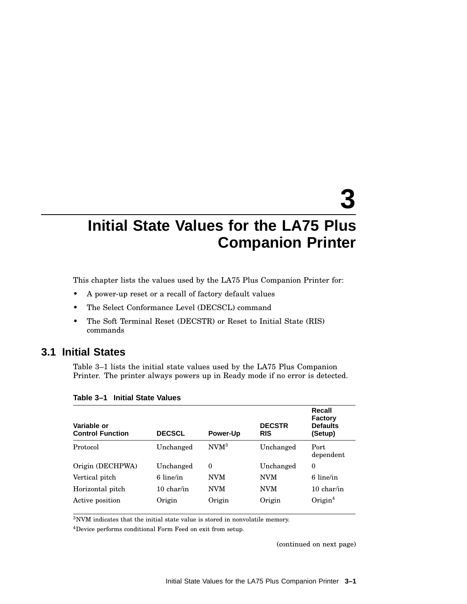# **3**

# **Initial State Values for the LA75 Plus Companion Printer**

This chapter lists the values used by the LA75 Plus Companion Printer for:

- A power-up reset or a recall of factory default values
- The Select Conformance Level (DECSCL) command
- The Soft Terminal Reset (DECSTR) or Reset to Initial State (RIS) commands

#### **3.1 Initial States**

Table 3–1 lists the initial state values used by the LA75 Plus Companion Printer. The printer always powers up in Ready mode if no error is detected.

| Variable or<br><b>Control Function</b> | <b>DECSCL</b> | Power-Up         | <b>DECSTR</b><br><b>RIS</b> | Recall<br><b>Factory</b><br><b>Defaults</b><br>(Setup) |
|----------------------------------------|---------------|------------------|-----------------------------|--------------------------------------------------------|
| Protocol                               | Unchanged     | NVM <sup>3</sup> | Unchanged                   | Port.<br>dependent                                     |
| Origin (DECHPWA)                       | Unchanged     | $\Omega$         | Unchanged                   | $\theta$                                               |
| Vertical pitch                         | 6 line/in     | <b>NVM</b>       | <b>NVM</b>                  | 6 line/in                                              |
| Horizontal pitch                       | $10$ char/in  | <b>NVM</b>       | <b>NVM</b>                  | $10$ char/in                                           |
| Active position                        | Origin        | Origin           | Origin                      | $O$ rigin $4$                                          |

**Table 3–1 Initial State Values**

 $\rm ^3NVM$  indicates that the initial state value is stored in nonvolatile memory.

<sup>4</sup>Device performs conditional Form Feed on exit from setup.

(continued on next page)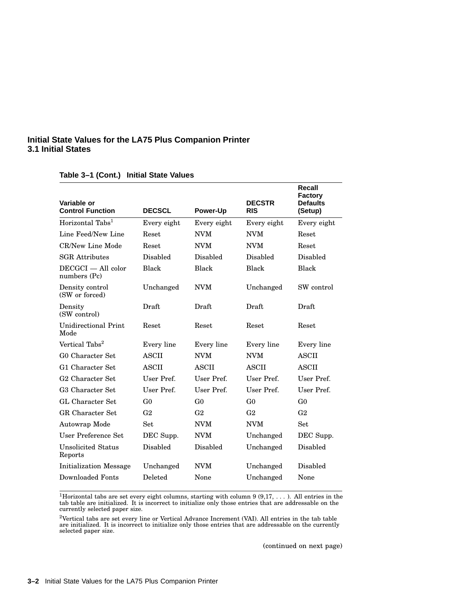#### **Initial State Values for the LA75 Plus Companion Printer 3.1 Initial States**

| Variable or<br><b>Control Function</b> | <b>DECSCL</b>  |                | <b>DECSTR</b><br><b>RIS</b> | Recall<br><b>Factory</b><br><b>Defaults</b> |
|----------------------------------------|----------------|----------------|-----------------------------|---------------------------------------------|
|                                        |                | Power-Up       |                             | (Setup)                                     |
| Horizontal Tabs <sup>1</sup>           | Every eight    | Every eight    | Every eight                 | Every eight                                 |
| Line Feed/New Line                     | Reset          | <b>NVM</b>     | <b>NVM</b>                  | Reset                                       |
| CR/New Line Mode                       | Reset          | <b>NVM</b>     | <b>NVM</b>                  | Reset                                       |
| <b>SGR</b> Attributes                  | Disabled       | Disabled       | Disabled                    | Disabled                                    |
| DECGCI - All color<br>numbers (Pc)     | Black          | Black          | Black                       | Black                                       |
| Density control<br>(SW or forced)      | Unchanged      | <b>NVM</b>     | Unchanged                   | SW control                                  |
| Density<br>(SW control)                | Draft          | Draft          | Draft                       | Draft                                       |
| <b>Unidirectional Print</b><br>Mode    | Reset          | Reset          | Reset                       | Reset                                       |
| Vertical Tabs <sup>2</sup>             | Every line     | Every line     | Every line                  | Every line                                  |
| G0 Character Set                       | <b>ASCII</b>   | <b>NVM</b>     | <b>NVM</b>                  | <b>ASCII</b>                                |
| G1 Character Set                       | <b>ASCIL</b>   | <b>ASCII</b>   | <b>ASCII</b>                | <b>ASCII</b>                                |
| G <sub>2</sub> Character Set           | User Pref.     | User Pref.     | User Pref.                  | User Pref.                                  |
| G3 Character Set                       | User Pref.     | User Pref.     | User Pref.                  | User Pref.                                  |
| GL Character Set                       | G <sub>0</sub> | G <sub>0</sub> | G <sub>0</sub>              | G <sub>0</sub>                              |
| <b>GR</b> Character Set                | G <sub>2</sub> | G <sub>2</sub> | G <sub>2</sub>              | G <sub>2</sub>                              |
| Autowrap Mode                          | Set            | <b>NVM</b>     | <b>NVM</b>                  | Set                                         |
| User Preference Set                    | DEC Supp.      | <b>NVM</b>     | Unchanged                   | DEC Supp.                                   |
| <b>Unsolicited Status</b><br>Reports   | Disabled       | Disabled       | Unchanged                   | Disabled                                    |
| <b>Initialization Message</b>          | Unchanged      | <b>NVM</b>     | Unchanged                   | Disabled                                    |
| Downloaded Fonts                       | Deleted        | None           | Unchanged                   | None                                        |

#### **Table 3–1 (Cont.) Initial State Values**

<sup>1</sup>Horizontal tabs are set every eight columns, starting with column  $9(9,17,...)$ . All entries in the tab table are initialized. It is incorrect to initialize only those entries that are addressable on the currently selecte

<sup>2</sup>Vertical tabs are set every line or Vertical Advance Increment (VAI). All entries in the tab table are initialized. It is incorrect to initialize only those entries that are addressable on the currently selected paper size.

(continued on next page)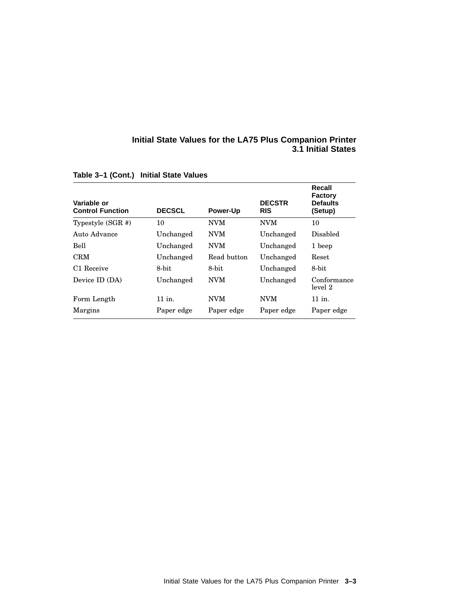#### **Initial State Values for the LA75 Plus Companion Printer 3.1 Initial States**

| Variable or<br><b>Control Function</b> | <b>DECSCL</b> | Power-Up    | <b>DECSTR</b><br><b>RIS</b> | Recall<br><b>Factory</b><br><b>Defaults</b><br>(Setup) |
|----------------------------------------|---------------|-------------|-----------------------------|--------------------------------------------------------|
| Typestyle (SGR #)                      | 10            | <b>NVM</b>  | <b>NVM</b>                  | 10                                                     |
| Auto Advance                           | Unchanged     | <b>NVM</b>  | Unchanged                   | Disabled                                               |
| Bell                                   | Unchanged     | <b>NVM</b>  | Unchanged                   | 1 beep                                                 |
| <b>CRM</b>                             | Unchanged     | Read button | Unchanged                   | Reset                                                  |
| C <sub>1</sub> Receive                 | 8-bit         | 8-bit       | Unchanged                   | 8-bit                                                  |
| Device ID (DA)                         | Unchanged     | <b>NVM</b>  | Unchanged                   | Conformance<br>level 2                                 |
| Form Length                            | 11 in.        | <b>NVM</b>  | <b>NVM</b>                  | 11 in.                                                 |
| Margins                                | Paper edge    | Paper edge  | Paper edge                  | Paper edge                                             |

#### **Table 3–1 (Cont.) Initial State Values**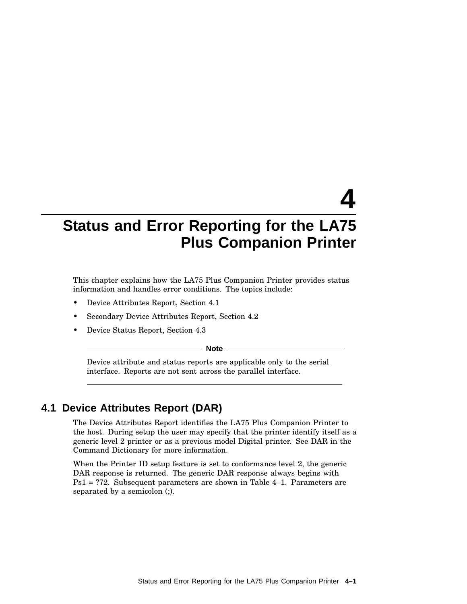# **4**

# **Status and Error Reporting for the LA75 Plus Companion Printer**

This chapter explains how the LA75 Plus Companion Printer provides status information and handles error conditions. The topics include:

- Device Attributes Report, Section 4.1
- Secondary Device Attributes Report, Section 4.2
- Device Status Report, Section 4.3

#### **Note**

Device attribute and status reports are applicable only to the serial interface. Reports are not sent across the parallel interface.

# **4.1 Device Attributes Report (DAR)**

The Device Attributes Report identifies the LA75 Plus Companion Printer to the host. During setup the user may specify that the printer identify itself as a generic level 2 printer or as a previous model Digital printer. See DAR in the Command Dictionary for more information.

When the Printer ID setup feature is set to conformance level 2, the generic DAR response is returned. The generic DAR response always begins with Ps1 = ?72. Subsequent parameters are shown in Table 4–1. Parameters are separated by a semicolon (;).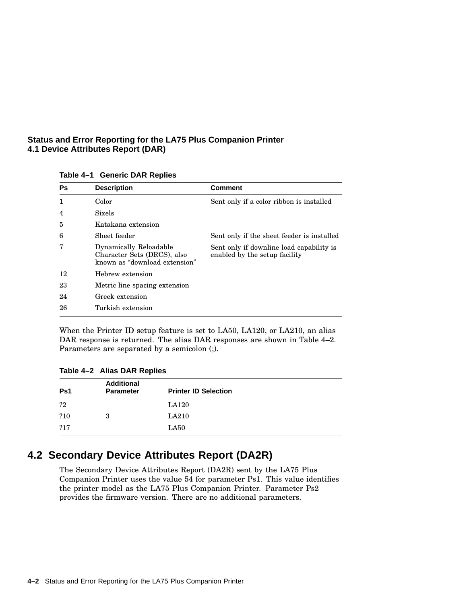#### **Status and Error Reporting for the LA75 Plus Companion Printer 4.1 Device Attributes Report (DAR)**

| <b>Description</b>                                                                     | <b>Comment</b>                                                            |
|----------------------------------------------------------------------------------------|---------------------------------------------------------------------------|
| Color                                                                                  | Sent only if a color ribbon is installed                                  |
| <b>Sixels</b>                                                                          |                                                                           |
| Katakana extension                                                                     |                                                                           |
| Sheet feeder                                                                           | Sent only if the sheet feeder is installed                                |
| Dynamically Reloadable<br>Character Sets (DRCS), also<br>known as "download extension" | Sent only if downline load capability is<br>enabled by the setup facility |
| Hebrew extension                                                                       |                                                                           |
| Metric line spacing extension                                                          |                                                                           |
| Greek extension                                                                        |                                                                           |
| Turkish extension                                                                      |                                                                           |
|                                                                                        |                                                                           |

**Table 4–1 Generic DAR Replies**

When the Printer ID setup feature is set to LA50, LA120, or LA210, an alias DAR response is returned. The alias DAR responses are shown in Table 4–2. Parameters are separated by a semicolon (;).

**Table 4–2 Alias DAR Replies**

| Ps1 | <b>Additional</b><br><b>Parameter</b> | <b>Printer ID Selection</b> |
|-----|---------------------------------------|-----------------------------|
| ?2  |                                       | LA120                       |
| ?10 | 3                                     | LA210                       |
| ?17 |                                       | LA50                        |

# **4.2 Secondary Device Attributes Report (DA2R)**

The Secondary Device Attributes Report (DA2R) sent by the LA75 Plus Companion Printer uses the value  $54$  for parameter Ps1. This value identifies the printer model as the LA75 Plus Companion Printer. Parameter Ps2 provides the firmware version. There are no additional parameters.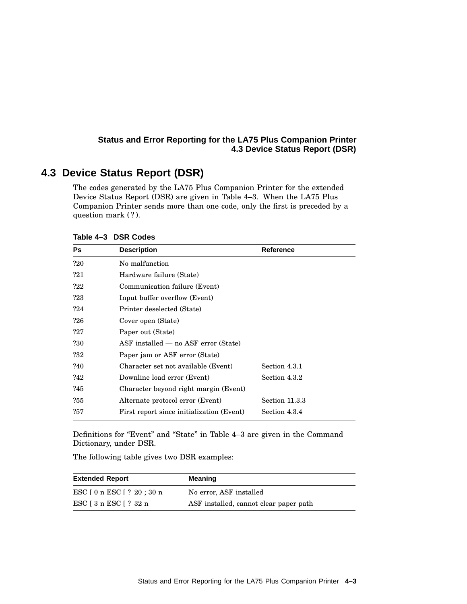#### **Status and Error Reporting for the LA75 Plus Companion Printer 4.3 Device Status Report (DSR)**

# **4.3 Device Status Report (DSR)**

The codes generated by the LA75 Plus Companion Printer for the extended Device Status Report (DSR) are given in Table 4–3. When the LA75 Plus Companion Printer sends more than one code, only the first is preceded by a question mark (?).

| <b>Ps</b> | <b>Description</b>                                 | <b>Reference</b> |
|-----------|----------------------------------------------------|------------------|
| ?20       | No malfunction                                     |                  |
| ?21       | Hardware failure (State)                           |                  |
| ?22       | Communication failure (Event)                      |                  |
| ?23       | Input buffer overflow (Event)                      |                  |
| ?24       | Printer deselected (State)                         |                  |
| ?26       | Cover open (State)                                 |                  |
| ?27       | Paper out (State)                                  |                  |
| ?30       | ASF installed — no ASF error (State)               |                  |
| ?32       | Paper jam or ASF error (State)                     |                  |
| ?40       | Character set not available (Event)                | Section 4.3.1    |
| ?42       | Section 4.3.2<br>Downline load error (Event)       |                  |
| ?45       | Character beyond right margin (Event)              |                  |
| ?55       | Section 11.3.3<br>Alternate protocol error (Event) |                  |
| ?57       | First report since initialization (Event)          | Section 4.3.4    |

**Table 4–3 DSR Codes**

Definitions for "Event" and "State" in Table 4-3 are given in the Command Dictionary, under DSR.

The following table gives two DSR examples:

| <b>Extended Report</b>                           | <b>Meaning</b>                         |
|--------------------------------------------------|----------------------------------------|
| ESC $\lceil 0 \ln \text{ESC} \rceil$ ? 20 : 30 n | No error, ASF installed                |
| ESC $\lceil 3 n$ ESC $\lceil ? 32 n \rceil$      | ASF installed, cannot clear paper path |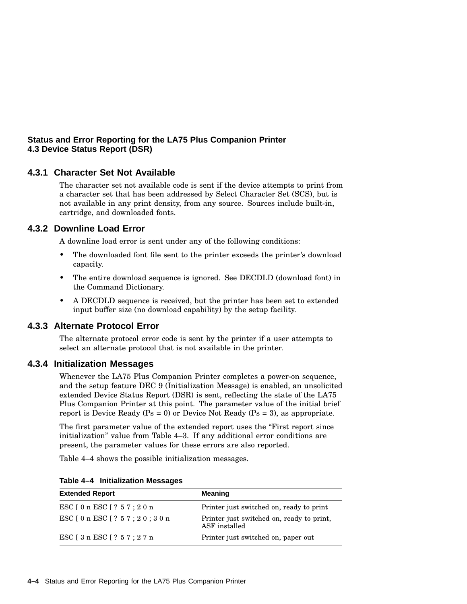#### **Status and Error Reporting for the LA75 Plus Companion Printer 4.3 Device Status Report (DSR)**

#### **4.3.1 Character Set Not Available**

The character set not available code is sent if the device attempts to print from a character set that has been addressed by Select Character Set (SCS), but is not available in any print density, from any source. Sources include built-in, cartridge, and downloaded fonts.

#### **4.3.2 Downline Load Error**

A downline load error is sent under any of the following conditions:

- The downloaded font file sent to the printer exceeds the printer's download capacity.
- The entire download sequence is ignored. See DECDLD (download font) in the Command Dictionary.
- A DECDLD sequence is received, but the printer has been set to extended input buffer size (no download capability) by the setup facility.

#### **4.3.3 Alternate Protocol Error**

The alternate protocol error code is sent by the printer if a user attempts to select an alternate protocol that is not available in the printer.

#### **4.3.4 Initialization Messages**

Whenever the LA75 Plus Companion Printer completes a power-on sequence, and the setup feature DEC 9 (Initialization Message) is enabled, an unsolicited extended Device Status Report (DSR) is sent, reflecting the state of the LA75 Plus Companion Printer at this point. The parameter value of the initial brief report is Device Ready ( $Ps = 0$ ) or Device Not Ready ( $Ps = 3$ ), as appropriate.

The first parameter value of the extended report uses the "First report since" initialization'' value from Table 4–3. If any additional error conditions are present, the parameter values for these errors are also reported.

Table 4–4 shows the possible initialization messages.

| <b>Extended Report</b>                                | <b>Meaning</b>                                             |
|-------------------------------------------------------|------------------------------------------------------------|
| ESC $\lceil 0 \ln \text{ESC} \rceil$ ? 57 ; 20 n      | Printer just switched on, ready to print                   |
| ESC $\lceil 0 \ln \text{ESC} \rceil$ ? 57 ; 20 ; 30 n | Printer just switched on, ready to print,<br>ASF installed |
| $\text{ESC}$ [ 3 n $\text{ESC}$ [ ? 5 7 ; 2 7 n       | Printer just switched on, paper out                        |

**Table 4–4 Initialization Messages**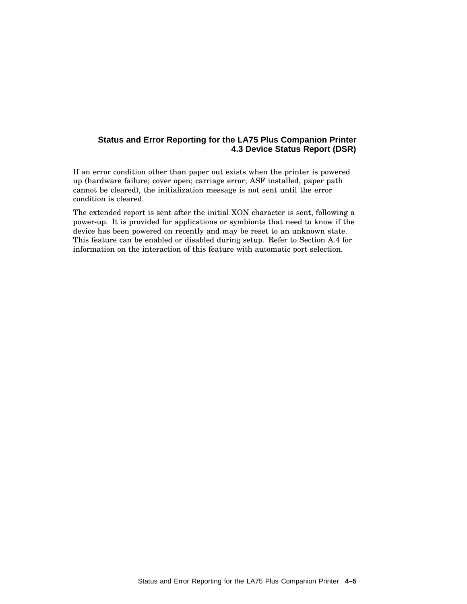#### **Status and Error Reporting for the LA75 Plus Companion Printer 4.3 Device Status Report (DSR)**

If an error condition other than paper out exists when the printer is powered up (hardware failure; cover open; carriage error; ASF installed, paper path cannot be cleared), the initialization message is not sent until the error condition is cleared.

The extended report is sent after the initial XON character is sent, following a power-up. It is provided for applications or symbionts that need to know if the device has been powered on recently and may be reset to an unknown state. This feature can be enabled or disabled during setup. Refer to Section A.4 for information on the interaction of this feature with automatic port selection.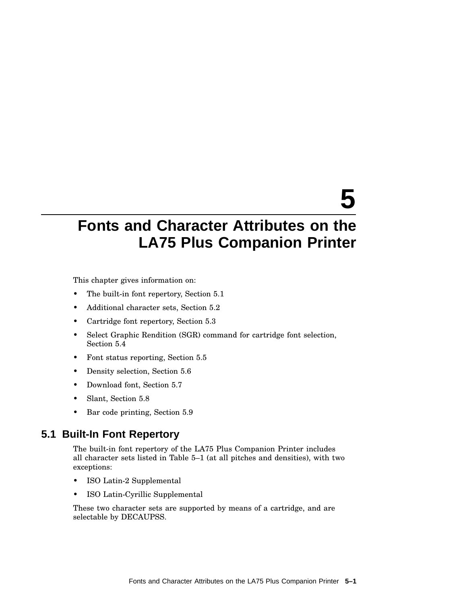# **5**

# **Fonts and Character Attributes on the LA75 Plus Companion Printer**

This chapter gives information on:

- The built-in font repertory, Section 5.1
- Additional character sets, Section 5.2
- Cartridge font repertory, Section 5.3
- Select Graphic Rendition (SGR) command for cartridge font selection, Section 5.4
- Font status reporting, Section 5.5
- Density selection, Section 5.6
- Download font, Section 5.7
- Slant, Section 5.8
- Bar code printing, Section 5.9

# **5.1 Built-In Font Repertory**

The built-in font repertory of the LA75 Plus Companion Printer includes all character sets listed in Table 5–1 (at all pitches and densities), with two exceptions:

- ISO Latin-2 Supplemental
- ISO Latin-Cyrillic Supplemental

These two character sets are supported by means of a cartridge, and are selectable by DECAUPSS.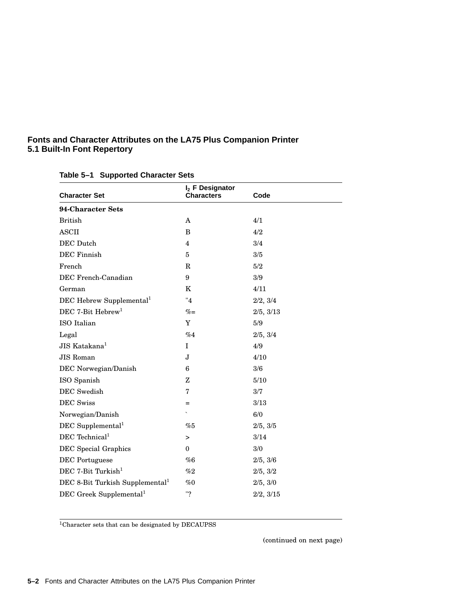# **Fonts and Character Attributes on the LA75 Plus Companion Printer 5.1 Built-In Font Repertory**

| <b>Character Set</b>                        | I <sub>2</sub> F Designator<br><b>Characters</b> | Code      |
|---------------------------------------------|--------------------------------------------------|-----------|
| 94-Character Sets                           |                                                  |           |
| <b>British</b>                              | A                                                | 4/1       |
| <b>ASCII</b>                                | B                                                | 4/2       |
| DEC Dutch                                   | $\overline{4}$                                   | 3/4       |
| DEC Finnish                                 | 5                                                | 3/5       |
| French                                      | $\mathbf R$                                      | 5/2       |
| DEC French-Canadian                         | 9                                                | 3/9       |
| German                                      | $\bf K$                                          | 4/11      |
| DEC Hebrew Supplemental <sup>1</sup>        | "4"                                              | 2/2, 3/4  |
| DEC 7-Bit Hebrew <sup>1</sup>               | $\% =$                                           | 2/5, 3/13 |
| ISO Italian                                 | Y                                                | 5/9       |
| Legal                                       | %4                                               | 2/5, 3/4  |
| JIS Katakana <sup>1</sup>                   | $\mathbf I$                                      | 4/9       |
| JIS Roman                                   | J                                                | 4/10      |
| DEC Norwegian/Danish                        | 6                                                | 3/6       |
| ISO Spanish                                 | Z                                                | 5/10      |
| DEC Swedish                                 | 7                                                | 3/7       |
| DEC Swiss                                   | $=$                                              | 3/13      |
| Norwegian/Danish                            |                                                  | 6/0       |
| DEC Supplemental <sup>1</sup>               | %5                                               | 2/5, 3/5  |
| DEC Technical <sup>1</sup>                  | $\,>$                                            | 3/14      |
| DEC Special Graphics                        | $\theta$                                         | 3/0       |
| <b>DEC</b> Portuguese                       | %6                                               | 2/5, 3/6  |
| DEC 7-Bit Turkish $1$                       | %2                                               | 2/5, 3/2  |
| DEC 8-Bit Turkish Supplemental <sup>1</sup> | $%$ 0                                            | 2/5, 3/0  |
| $DEC$ Greek Supplemental <sup>1</sup>       | "?                                               | 2/2, 3/15 |

# **Table 5–1 Supported Character Sets**

 $^1$ Character sets that can be designated by DECAUPSS  $^1$ 

(continued on next page)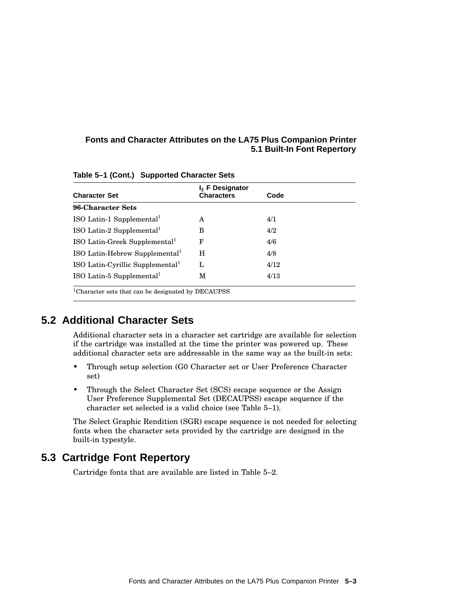# **Fonts and Character Attributes on the LA75 Plus Companion Printer 5.1 Built-In Font Repertory**

| <b>Character Set</b>                         | $I2 F$ Designator<br><b>Characters</b> | Code |
|----------------------------------------------|----------------------------------------|------|
| 96-Character Sets                            |                                        |      |
| ISO Latin-1 Supplemental <sup>1</sup>        | A                                      | 4/1  |
| ISO Latin-2 Supplemental <sup>1</sup>        | B                                      | 4/2  |
| ISO Latin-Greek Supplemental <sup>1</sup>    | F                                      | 4/6  |
| ISO Latin-Hebrew Supplemental <sup>1</sup>   | н                                      | 4/8  |
| ISO Latin-Cyrillic Supplemental <sup>1</sup> | L                                      | 4/12 |
| ISO Latin-5 Supplemental <sup>1</sup>        | М                                      | 4/13 |

**Table 5–1 (Cont.) Supported Character Sets**

# **5.2 Additional Character Sets**

Additional character sets in a character set cartridge are available for selection if the cartridge was installed at the time the printer was powered up. These additional character sets are addressable in the same way as the built-in sets:

- Through setup selection (G0 Character set or User Preference Character set)
- Through the Select Character Set (SCS) escape sequence or the Assign User Preference Supplemental Set (DECAUPSS) escape sequence if the character set selected is a valid choice (see Table 5–1).

The Select Graphic Rendition (SGR) escape sequence is not needed for selecting fonts when the character sets provided by the cartridge are designed in the built-in typestyle.

# **5.3 Cartridge Font Repertory**

Cartridge fonts that are available are listed in Table 5–2.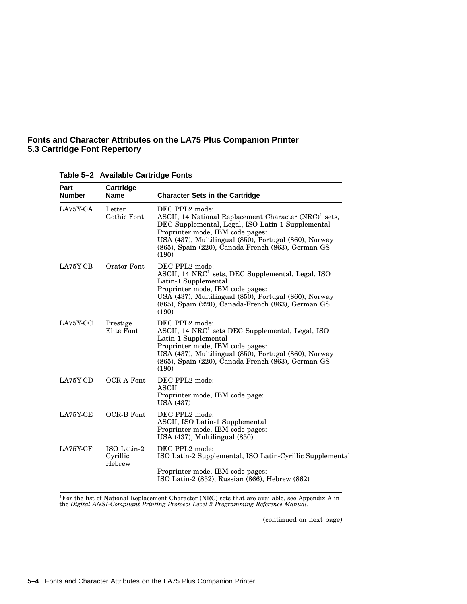#### **Fonts and Character Attributes on the LA75 Plus Companion Printer 5.3 Cartridge Font Repertory**

| Part<br><b>Number</b> | Cartridge<br><b>Name</b>          | <b>Character Sets in the Cartridge</b>                                                                                                                                                                                                                                                      |
|-----------------------|-----------------------------------|---------------------------------------------------------------------------------------------------------------------------------------------------------------------------------------------------------------------------------------------------------------------------------------------|
| LA75Y-CA              | Letter<br>Gothic Font             | DEC PPL2 mode:<br>ASCII, 14 National Replacement Character $(NRC)^1$ sets,<br>DEC Supplemental, Legal, ISO Latin-1 Supplemental<br>Proprinter mode, IBM code pages:<br>USA (437), Multilingual (850), Portugal (860), Norway<br>(865), Spain (220), Canada-French (863), German GS<br>(190) |
| $LA75Y-CB$            | Orator Font                       | DEC PPL2 mode:<br>ASCII, 14 NRC <sup>1</sup> sets, DEC Supplemental, Legal, ISO<br>Latin-1 Supplemental<br>Proprinter mode, IBM code pages:<br>USA (437), Multilingual (850), Portugal (860), Norway<br>(865), Spain (220), Canada-French (863), German GS<br>(190)                         |
| $LA75Y-CC$            | Prestige<br>Elite Font            | DEC PPL2 mode:<br>ASCII, 14 $NRC1$ sets DEC Supplemental, Legal, ISO<br>Latin-1 Supplemental<br>Proprinter mode, IBM code pages:<br>USA (437), Multilingual (850), Portugal (860), Norway<br>(865), Spain (220), Canada-French (863), German GS<br>(190)                                    |
| LA75YCD               | OCR-A Font                        | DEC PPL2 mode:<br><b>ASCII</b><br>Proprinter mode, IBM code page:<br><b>USA (437)</b>                                                                                                                                                                                                       |
| LA75Y-CE              | OCR-B Font                        | DEC PPL2 mode:<br>ASCII, ISO Latin-1 Supplemental<br>Proprinter mode, IBM code pages:<br>USA (437), Multilingual (850)                                                                                                                                                                      |
| $LA75Y-CF$            | ISO Latin-2<br>Cyrillic<br>Hebrew | DEC PPL2 mode:<br>ISO Latin-2 Supplemental, ISO Latin-Cyrillic Supplemental                                                                                                                                                                                                                 |
|                       |                                   | Proprinter mode, IBM code pages:<br>ISO Latin-2 (852), Russian (866), Hebrew (862)                                                                                                                                                                                                          |

#### **Table 5–2 Available Cartridge Fonts**

<sup>1</sup>For the list of National Replacement Character (NRC) sets that are available, see Appendix A in the *Digital ANSI-Compliant Printing Protocol Level 2 Programming Reference Manual*.

(continued on next page)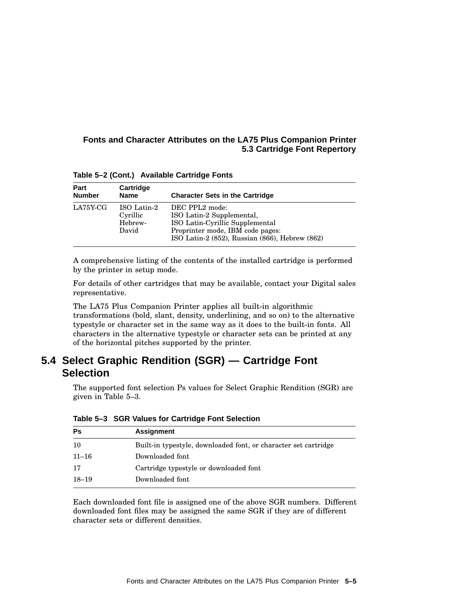## **Fonts and Character Attributes on the LA75 Plus Companion Printer 5.3 Cartridge Font Repertory**

| Part<br><b>Number</b> | Cartridge<br><b>Name</b>                    | <b>Character Sets in the Cartridge</b>                                                                                                                               |
|-----------------------|---------------------------------------------|----------------------------------------------------------------------------------------------------------------------------------------------------------------------|
| LA75Y-CG              | ISO Latin-2<br>Cyrillic<br>Hebrew-<br>David | DEC PPL2 mode:<br>ISO Latin-2 Supplemental,<br>ISO Latin-Cyrillic Supplemental<br>Proprinter mode, IBM code pages:<br>ISO Latin-2 (852), Russian (866), Hebrew (862) |

**Table 5–2 (Cont.) Available Cartridge Fonts**

A comprehensive listing of the contents of the installed cartridge is performed by the printer in setup mode.

For details of other cartridges that may be available, contact your Digital sales representative.

The LA75 Plus Companion Printer applies all built-in algorithmic transformations (bold, slant, density, underlining, and so on) to the alternative typestyle or character set in the same way as it does to the built-in fonts. All characters in the alternative typestyle or character sets can be printed at any of the horizontal pitches supported by the printer.

# **5.4 Select Graphic Rendition (SGR) — Cartridge Font Selection**

The supported font selection Ps values for Select Graphic Rendition (SGR) are given in Table 5–3.

| Ps            | <b>Assignment</b>                                               |
|---------------|-----------------------------------------------------------------|
| <sup>10</sup> | Built-in typestyle, downloaded font, or character set cartridge |
| $11 - 16$     | Downloaded font                                                 |
| -17           | Cartridge typestyle or downloaded font                          |
| $18 - 19$     | Downloaded font                                                 |

**Table 5–3 SGR Values for Cartridge Font Selection**

Each downloaded font file is assigned one of the above SGR numbers. Different downloaded font files may be assigned the same SGR if they are of different character sets or different densities.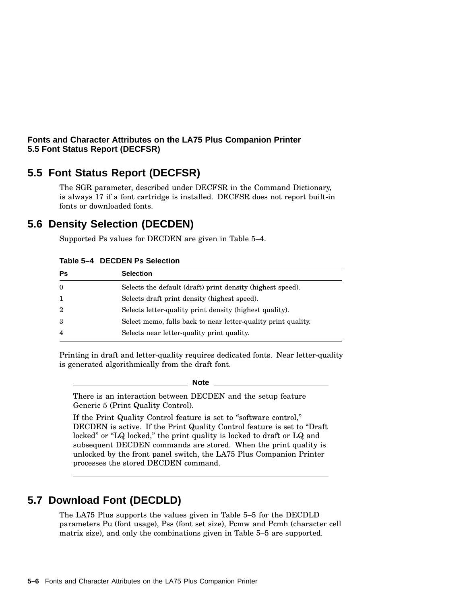## **Fonts and Character Attributes on the LA75 Plus Companion Printer 5.5 Font Status Report (DECFSR)**

# **5.5 Font Status Report (DECFSR)**

The SGR parameter, described under DECFSR in the Command Dictionary, is always 17 if a font cartridge is installed. DECFSR does not report built-in fonts or downloaded fonts.

# **5.6 Density Selection (DECDEN)**

Supported Ps values for DECDEN are given in Table 5–4.

| Ps             | <b>Selection</b>                                              |
|----------------|---------------------------------------------------------------|
| $\mathbf{0}$   | Selects the default (draft) print density (highest speed).    |
| -1             | Selects draft print density (highest speed).                  |
| $\overline{2}$ | Selects letter-quality print density (highest quality).       |
| 3              | Select memo, falls back to near letter-quality print quality. |
| $\overline{4}$ | Selects near letter-quality print quality.                    |

#### **Table 5–4 DECDEN Ps Selection**

Printing in draft and letter-quality requires dedicated fonts. Near letter-quality is generated algorithmically from the draft font.

**Note**

There is an interaction between DECDEN and the setup feature Generic 5 (Print Quality Control).

If the Print Quality Control feature is set to ''software control,'' DECDEN is active. If the Print Quality Control feature is set to "Draft" locked" or "LQ locked," the print quality is locked to draft or LQ and subsequent DECDEN commands are stored. When the print quality is unlocked by the front panel switch, the LA75 Plus Companion Printer processes the stored DECDEN command.

# **5.7 Download Font (DECDLD)**

The LA75 Plus supports the values given in Table 5–5 for the DECDLD parameters Pu (font usage), Pss (font set size), Pcmw and Pcmh (character cell matrix size), and only the combinations given in Table 5–5 are supported.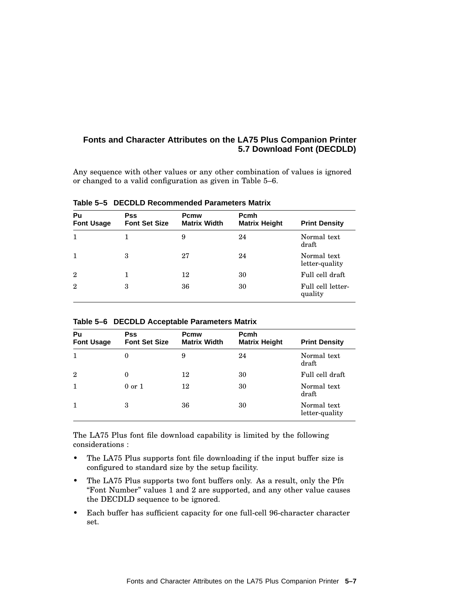### **Fonts and Character Attributes on the LA75 Plus Companion Printer 5.7 Download Font (DECDLD)**

Any sequence with other values or any other combination of values is ignored or changed to a valid configuration as given in Table 5–6.

| Pu<br><b>Font Usage</b> | <b>Pss</b><br><b>Font Set Size</b> | Pcmw<br><b>Matrix Width</b> | Pcmh<br><b>Matrix Height</b> | <b>Print Density</b>          |
|-------------------------|------------------------------------|-----------------------------|------------------------------|-------------------------------|
|                         |                                    | 9                           | 24                           | Normal text<br>$dr$ aft       |
|                         | 3                                  | 27                          | 24                           | Normal text<br>letter-quality |
| $\overline{2}$          | 1                                  | 12                          | 30                           | Full cell draft               |
| $\mathbf{2}$            | 3                                  | 36                          | 30                           | Full cell letter-<br>quality  |

**Table 5–5 DECDLD Recommended Parameters Matrix**

|  |  |  | Table 5-6 DECDLD Acceptable Parameters Matrix |  |
|--|--|--|-----------------------------------------------|--|
|--|--|--|-----------------------------------------------|--|

| Pu<br><b>Font Usage</b> | <b>Pss</b><br><b>Font Set Size</b> | <b>Pcmw</b><br><b>Matrix Width</b> | Pcmh<br><b>Matrix Height</b> | <b>Print Density</b>          |
|-------------------------|------------------------------------|------------------------------------|------------------------------|-------------------------------|
| 1                       | 0                                  | 9                                  | 24                           | Normal text<br>draft          |
| $\overline{2}$          | $\theta$                           | 12                                 | 30                           | Full cell draft               |
| $\mathbf{1}$            | $0 \text{ or } 1$                  | 12                                 | 30                           | Normal text<br>draft          |
| 1                       | 3                                  | 36                                 | 30                           | Normal text<br>letter-quality |

The LA75 Plus font file download capability is limited by the following considerations :

- The LA75 Plus supports font file downloading if the input buffer size is configured to standard size by the setup facility.
- The LA75 Plus supports two font buffers only. As a result, only the Pf*n* ''Font Number'' values 1 and 2 are supported, and any other value causes the DECDLD sequence to be ignored.
- Each buffer has sufficient capacity for one full-cell 96-character character set.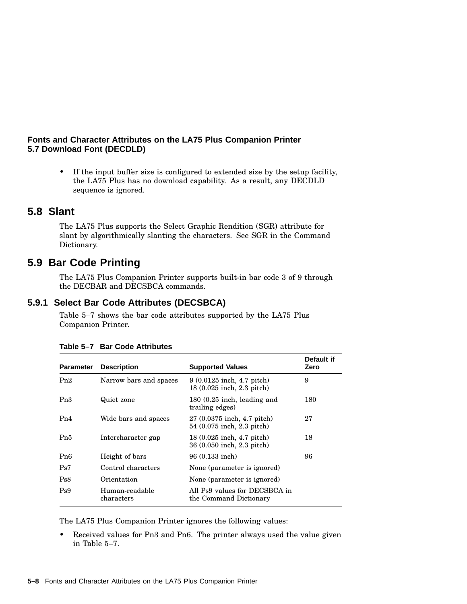### **Fonts and Character Attributes on the LA75 Plus Companion Printer 5.7 Download Font (DECDLD)**

• If the input buffer size is configured to extended size by the setup facility, the LA75 Plus has no download capability. As a result, any DECDLD sequence is ignored.

# **5.8 Slant**

The LA75 Plus supports the Select Graphic Rendition (SGR) attribute for slant by algorithmically slanting the characters. See SGR in the Command Dictionary.

# **5.9 Bar Code Printing**

The LA75 Plus Companion Printer supports built-in bar code 3 of 9 through the DECBAR and DECSBCA commands.

# **5.9.1 Select Bar Code Attributes (DECSBCA)**

Table 5–7 shows the bar code attributes supported by the LA75 Plus Companion Printer.

| <b>Parameter</b> | <b>Description</b>           | <b>Supported Values</b>                                     | Default if<br>Zero |
|------------------|------------------------------|-------------------------------------------------------------|--------------------|
| Pn2              | Narrow bars and spaces       | $9(0.0125$ inch, $4.7$ pitch)<br>18 (0.025 inch, 2.3 pitch) | 9                  |
| Pn3              | Quiet zone                   | $180(0.25$ inch, leading and<br>trailing edges)             | 180                |
| Pn4              | Wide bars and spaces         | 27 (0.0375 inch, 4.7 pitch)<br>54 (0.075 inch, 2.3 pitch)   | 27                 |
| Pn5              | Intercharacter gap           | 18 (0.025 inch, 4.7 pitch)<br>36 (0.050 inch, 2.3 pitch)    | 18                 |
| Pn <sub>6</sub>  | Height of bars               | 96 (0.133 inch)                                             | 96                 |
| Ps7              | Control characters           | None (parameter is ignored)                                 |                    |
| Ps8              | Orientation                  | None (parameter is ignored)                                 |                    |
| Ps9              | Human-readable<br>characters | All Ps9 values for DECSBCA in<br>the Command Dictionary     |                    |

**Table 5–7 Bar Code Attributes**

The LA75 Plus Companion Printer ignores the following values:

• Received values for Pn3 and Pn6. The printer always used the value given in Table 5–7.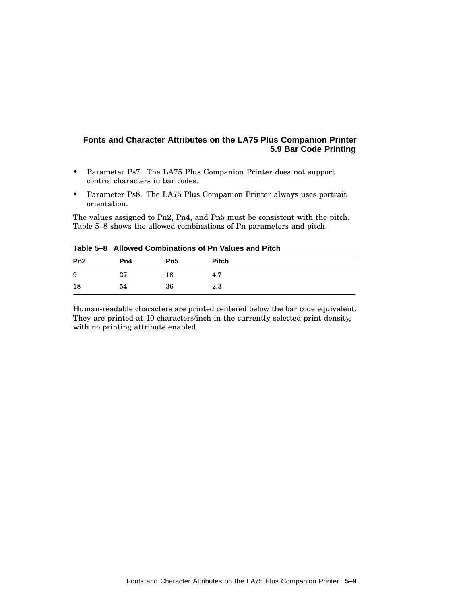## **Fonts and Character Attributes on the LA75 Plus Companion Printer 5.9 Bar Code Printing**

- Parameter Ps7. The LA75 Plus Companion Printer does not support control characters in bar codes.
- Parameter Ps8. The LA75 Plus Companion Printer always uses portrait orientation.

The values assigned to Pn2, Pn4, and Pn5 must be consistent with the pitch. Table 5–8 shows the allowed combinations of Pn parameters and pitch.

| Pn <sub>2</sub> | Pn4 | Pn <sub>5</sub> | <b>Pitch</b> |  |
|-----------------|-----|-----------------|--------------|--|
| 9               | 27  | 18              | 4.7          |  |
| 18              | 54  | 36              | 2.3          |  |

**Table 5–8 Allowed Combinations of Pn Values and Pitch**

Human-readable characters are printed centered below the bar code equivalent. They are printed at 10 characters/inch in the currently selected print density, with no printing attribute enabled.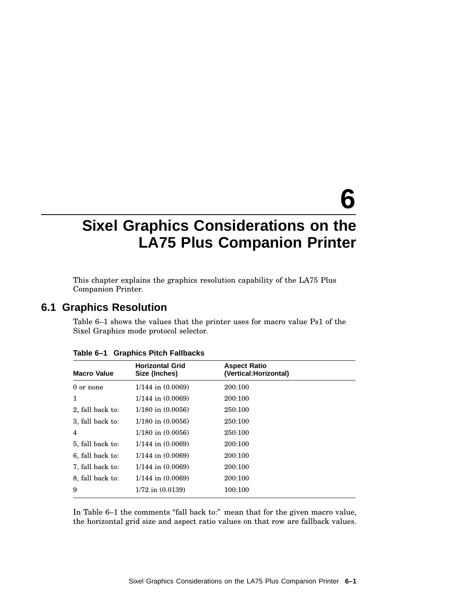# **6**

# **Sixel Graphics Considerations on the LA75 Plus Companion Printer**

This chapter explains the graphics resolution capability of the LA75 Plus Companion Printer.

# **6.1 Graphics Resolution**

Table 6–1 shows the values that the printer uses for macro value Ps1 of the Sixel Graphics mode protocol selector.

| <b>Macro Value</b> | <b>Horizontal Grid</b><br>Size (Inches) | <b>Aspect Ratio</b><br>(Vertical: Horizontal) |  |
|--------------------|-----------------------------------------|-----------------------------------------------|--|
| 0 or none          | $1/144$ in $(0.0069)$                   | 200:100                                       |  |
| 1                  | $1/144$ in $(0.0069)$                   | 200:100                                       |  |
| 2, fall back to:   | $1/180$ in $(0.0056)$                   | 250:100                                       |  |
| 3, fall back to:   | $1/180$ in $(0.0056)$                   | 250:100                                       |  |
| 4                  | $1/180$ in $(0.0056)$                   | 250:100                                       |  |
| 5, fall back to:   | $1/144$ in $(0.0069)$                   | 200:100                                       |  |
| 6, fall back to:   | $1/144$ in $(0.0069)$                   | 200:100                                       |  |
| 7, fall back to:   | $1/144$ in $(0.0069)$                   | 200:100                                       |  |
| 8, fall back to:   | $1/144$ in $(0.0069)$                   | 200:100                                       |  |
| 9                  | $1/72$ in $(0.0139)$                    | 100:100                                       |  |

**Table 6–1 Graphics Pitch Fallbacks**

In Table 6–1 the comments "fall back to:" mean that for the given macro value, the horizontal grid size and aspect ratio values on that row are fallback values.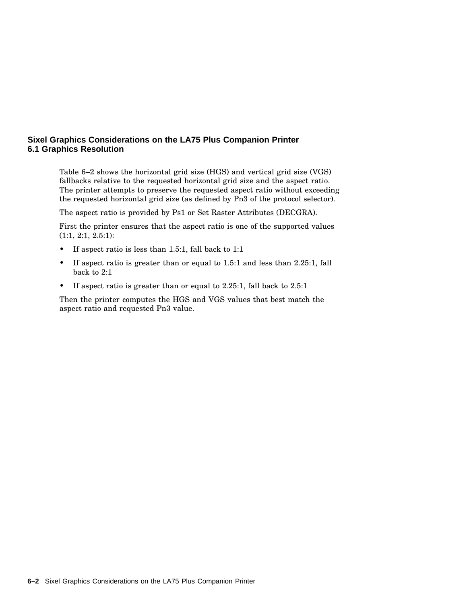### **Sixel Graphics Considerations on the LA75 Plus Companion Printer 6.1 Graphics Resolution**

Table 6–2 shows the horizontal grid size (HGS) and vertical grid size (VGS) fallbacks relative to the requested horizontal grid size and the aspect ratio. The printer attempts to preserve the requested aspect ratio without exceeding the requested horizontal grid size (as defined by Pn3 of the protocol selector).

The aspect ratio is provided by Ps1 or Set Raster Attributes (DECGRA).

First the printer ensures that the aspect ratio is one of the supported values (1:1, 2:1, 2.5:1):

- If aspect ratio is less than 1.5:1, fall back to 1:1
- If aspect ratio is greater than or equal to 1.5:1 and less than 2.25:1, fall back to 2:1
- If aspect ratio is greater than or equal to 2.25:1, fall back to 2.5:1

Then the printer computes the HGS and VGS values that best match the aspect ratio and requested Pn3 value.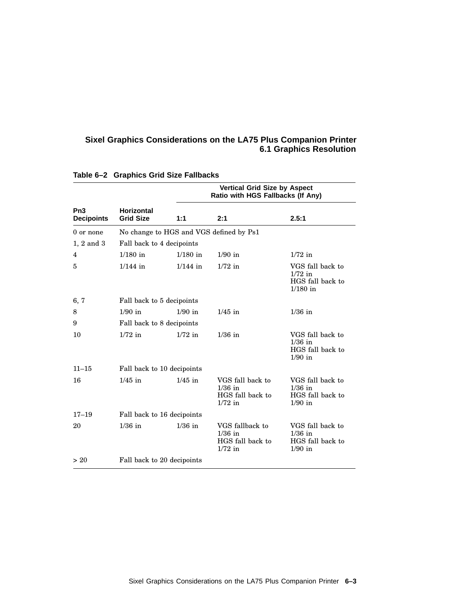## **Sixel Graphics Considerations on the LA75 Plus Companion Printer 6.1 Graphics Resolution**

|                                      |                                         |            | <b>Vertical Grid Size by Aspect</b><br>Ratio with HGS Fallbacks (If Any) |                                                                 |  |  |
|--------------------------------------|-----------------------------------------|------------|--------------------------------------------------------------------------|-----------------------------------------------------------------|--|--|
| Pn <sub>3</sub><br><b>Decipoints</b> | <b>Horizontal</b><br><b>Grid Size</b>   | 1:1        | 2:1                                                                      | 2.5:1                                                           |  |  |
| 0 or none                            | No change to HGS and VGS defined by Ps1 |            |                                                                          |                                                                 |  |  |
| $1, 2$ and $3$                       | Fall back to 4 decipoints               |            |                                                                          |                                                                 |  |  |
| 4                                    | $1/180$ in                              | $1/180$ in | $1/90$ in                                                                | $1/72$ in                                                       |  |  |
| 5                                    | $1/144$ in                              | $1/144$ in | $1/72$ in                                                                | VGS fall back to<br>$1/72$ in<br>HGS fall back to<br>$1/180$ in |  |  |
| 6, 7                                 | Fall back to 5 decipoints               |            |                                                                          |                                                                 |  |  |
| 8                                    | $1/90$ in                               | $1/90$ in  | $1/45$ in                                                                | $1/36$ in                                                       |  |  |
| 9                                    | Fall back to 8 decipoints               |            |                                                                          |                                                                 |  |  |
| 10                                   | $1/72$ in                               | $1/72$ in  | $1/36$ in                                                                | VGS fall back to<br>$1/36$ in<br>HGS fall back to<br>$1/90$ in  |  |  |
| $11 - 15$                            | Fall back to 10 decipoints              |            |                                                                          |                                                                 |  |  |
| 16                                   | $1/45$ in                               | $1/45$ in  | VGS fall back to<br>$1/36$ in<br>HGS fall back to<br>$1/72$ in           | VGS fall back to<br>$1/36$ in<br>HGS fall back to<br>$1/90$ in  |  |  |
| $17 - 19$                            | Fall back to 16 decipoints              |            |                                                                          |                                                                 |  |  |
| 20                                   | $1/36$ in                               | $1/36$ in  | VGS fallback to<br>$1/36$ in<br>HGS fall back to<br>$1/72$ in            | VGS fall back to<br>$1/36$ in<br>HGS fall back to<br>$1/90$ in  |  |  |
| >20                                  | Fall back to 20 decipoints              |            |                                                                          |                                                                 |  |  |

#### **Table 6–2 Graphics Grid Size Fallbacks**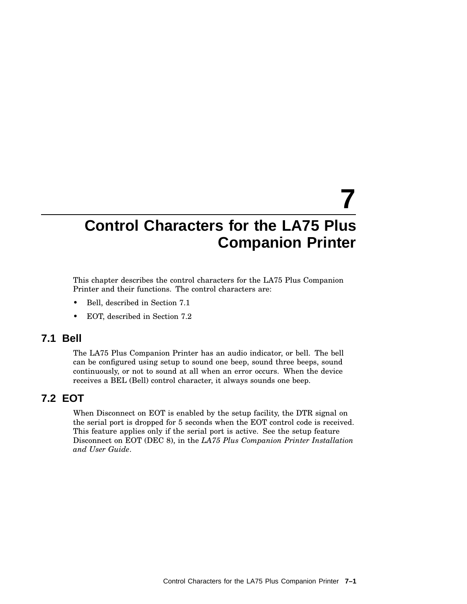# **Control Characters for the LA75 Plus Companion Printer**

**7**

This chapter describes the control characters for the LA75 Plus Companion Printer and their functions. The control characters are:

- Bell, described in Section 7.1
- EOT, described in Section 7.2

# **7.1 Bell**

The LA75 Plus Companion Printer has an audio indicator, or bell. The bell can be configured using setup to sound one beep, sound three beeps, sound continuously, or not to sound at all when an error occurs. When the device receives a BEL (Bell) control character, it always sounds one beep.

# **7.2 EOT**

When Disconnect on EOT is enabled by the setup facility, the DTR signal on the serial port is dropped for 5 seconds when the EOT control code is received. This feature applies only if the serial port is active. See the setup feature Disconnect on EOT (DEC 8), in the *LA75 Plus Companion Printer Installation and User Guide*.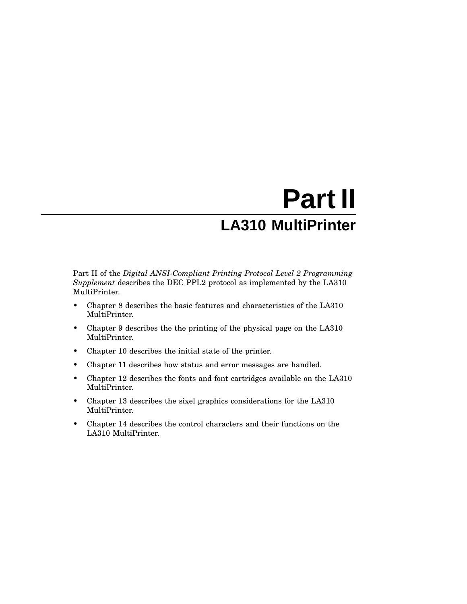# **Part II LA310 MultiPrinter**

Part II of the *Digital ANSI-Compliant Printing Protocol Level 2 Programming Supplement* describes the DEC PPL2 protocol as implemented by the LA310 MultiPrinter.

- Chapter 8 describes the basic features and characteristics of the LA310 MultiPrinter.
- Chapter 9 describes the the printing of the physical page on the LA310 MultiPrinter.
- Chapter 10 describes the initial state of the printer.
- Chapter 11 describes how status and error messages are handled.
- Chapter 12 describes the fonts and font cartridges available on the LA310 MultiPrinter.
- Chapter 13 describes the sixel graphics considerations for the LA310 MultiPrinter.
- Chapter 14 describes the control characters and their functions on the LA310 MultiPrinter.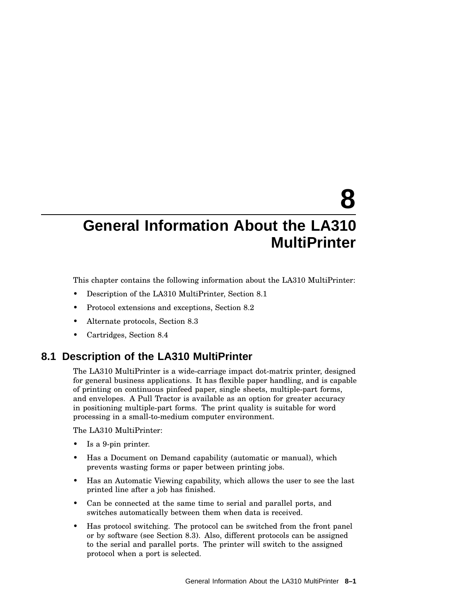# **8**

# **General Information About the LA310 MultiPrinter**

This chapter contains the following information about the LA310 MultiPrinter:

- Description of the LA310 MultiPrinter, Section 8.1
- Protocol extensions and exceptions, Section 8.2
- Alternate protocols, Section 8.3
- Cartridges, Section 8.4

# **8.1 Description of the LA310 MultiPrinter**

The LA310 MultiPrinter is a wide-carriage impact dot-matrix printer, designed for general business applications. It has flexible paper handling, and is capable of printing on continuous pinfeed paper, single sheets, multiple-part forms, and envelopes. A Pull Tractor is available as an option for greater accuracy in positioning multiple-part forms. The print quality is suitable for word processing in a small-to-medium computer environment.

The LA310 MultiPrinter:

- Is a 9-pin printer.
- Has a Document on Demand capability (automatic or manual), which prevents wasting forms or paper between printing jobs.
- Has an Automatic Viewing capability, which allows the user to see the last printed line after a job has finished.
- Can be connected at the same time to serial and parallel ports, and switches automatically between them when data is received.
- Has protocol switching. The protocol can be switched from the front panel or by software (see Section 8.3). Also, different protocols can be assigned to the serial and parallel ports. The printer will switch to the assigned protocol when a port is selected.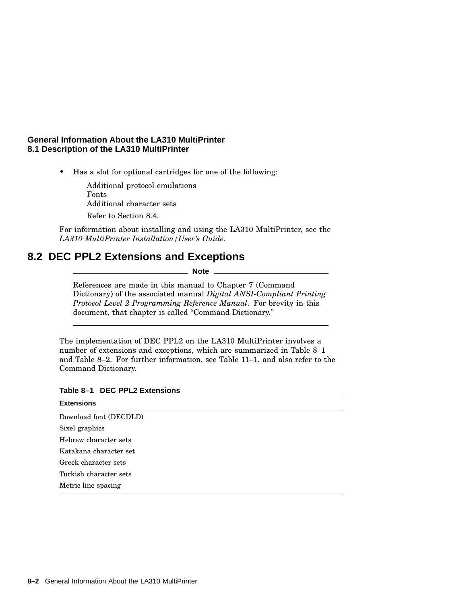#### **General Information About the LA310 MultiPrinter 8.1 Description of the LA310 MultiPrinter**

• Has a slot for optional cartridges for one of the following:

Additional protocol emulations Fonts Additional character sets Refer to Section 8.4.

For information about installing and using the LA310 MultiPrinter, see the *LA310 MultiPrinter Installation/User's Guide*.

# **8.2 DEC PPL2 Extensions and Exceptions**

**Note**

References are made in this manual to Chapter 7 (Command Dictionary) of the associated manual *Digital ANSI-Compliant Printing Protocol Level 2 Programming Reference Manual*. For brevity in this document, that chapter is called "Command Dictionary."

The implementation of DEC PPL2 on the LA310 MultiPrinter involves a number of extensions and exceptions, which are summarized in Table 8–1 and Table 8–2. For further information, see Table 11–1, and also refer to the Command Dictionary.

|  |  | Table 8-1 DEC PPL2 Extensions |
|--|--|-------------------------------|
|--|--|-------------------------------|

| <b>Extensions</b>      |
|------------------------|
| Download font (DECDLD) |
| Sixel graphics         |
| Hebrew character sets  |
| Katakana character set |
| Greek character sets   |
| Turkish character sets |
| Metric line spacing    |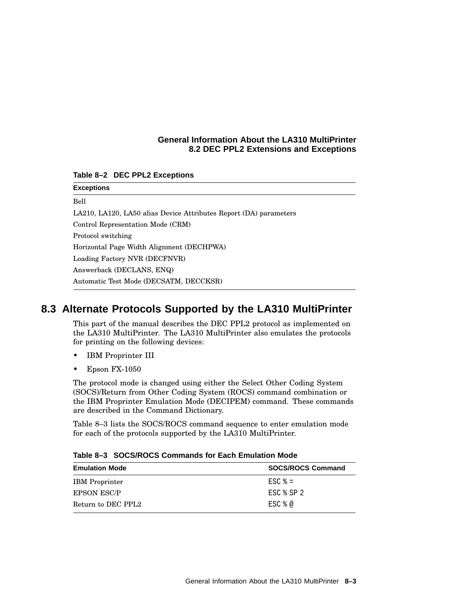#### **General Information About the LA310 MultiPrinter 8.2 DEC PPL2 Extensions and Exceptions**

**Table 8–2 DEC PPL2 Exceptions**

| <b>Exceptions</b>                                                 |
|-------------------------------------------------------------------|
| Bell                                                              |
| LA210, LA120, LA50 alias Device Attributes Report (DA) parameters |
| Control Representation Mode (CRM)                                 |
| Protocol switching                                                |
| Horizontal Page Width Alignment (DECHPWA)                         |
| Loading Factory NVR (DECFNVR)                                     |
| Answerback (DECLANS, ENQ)                                         |
| Automatic Test Mode (DECSATM, DECCKSR)                            |

# **8.3 Alternate Protocols Supported by the LA310 MultiPrinter**

This part of the manual describes the DEC PPL2 protocol as implemented on the LA310 MultiPrinter. The LA310 MultiPrinter also emulates the protocols for printing on the following devices:

- IBM Proprinter III
- Epson FX-1050

The protocol mode is changed using either the Select Other Coding System (SOCS)/Return from Other Coding System (ROCS) command combination or the IBM Proprinter Emulation Mode (DECIPEM) command. These commands are described in the Command Dictionary.

Table 8–3 lists the SOCS/ROCS command sequence to enter emulation mode for each of the protocols supported by the LA310 MultiPrinter.

#### **Table 8–3 SOCS/ROCS Commands for Each Emulation Mode**

| <b>Emulation Mode</b> | <b>SOCS/ROCS Command</b>   |  |
|-----------------------|----------------------------|--|
| <b>IBM</b> Proprinter | $\text{ESC }$ $\text{R}$ = |  |
| <b>EPSON ESC/P</b>    | ESC % SP 2                 |  |
| Return to DEC PPL2    | ESC % @                    |  |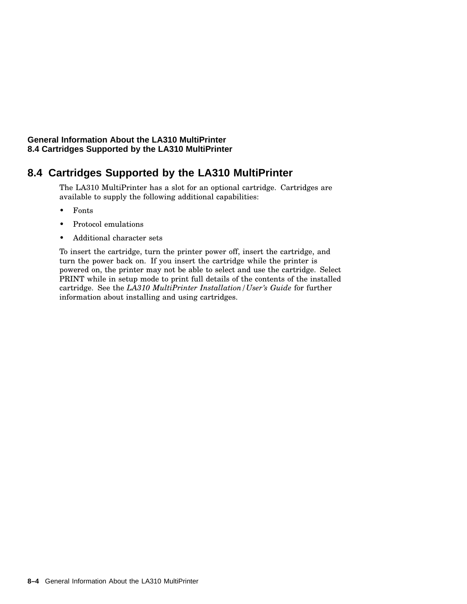#### **General Information About the LA310 MultiPrinter 8.4 Cartridges Supported by the LA310 MultiPrinter**

# **8.4 Cartridges Supported by the LA310 MultiPrinter**

The LA310 MultiPrinter has a slot for an optional cartridge. Cartridges are available to supply the following additional capabilities:

- Fonts
- Protocol emulations
- Additional character sets

To insert the cartridge, turn the printer power off, insert the cartridge, and turn the power back on. If you insert the cartridge while the printer is powered on, the printer may not be able to select and use the cartridge. Select PRINT while in setup mode to print full details of the contents of the installed cartridge. See the *LA310 MultiPrinter Installation/User's Guide* for further information about installing and using cartridges.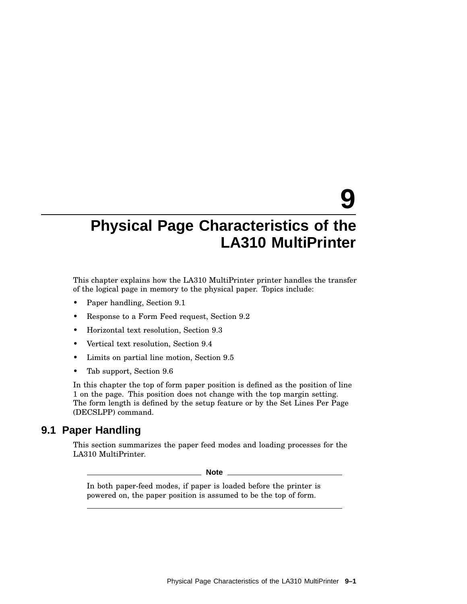# **9**

# **Physical Page Characteristics of the LA310 MultiPrinter**

This chapter explains how the LA310 MultiPrinter printer handles the transfer of the logical page in memory to the physical paper. Topics include:

- Paper handling, Section 9.1
- Response to a Form Feed request, Section 9.2
- Horizontal text resolution, Section 9.3
- Vertical text resolution, Section 9.4
- Limits on partial line motion, Section 9.5
- Tab support, Section 9.6

In this chapter the top of form paper position is defined as the position of line 1 on the page. This position does not change with the top margin setting. The form length is defined by the setup feature or by the Set Lines Per Page (DECSLPP) command.

# **9.1 Paper Handling**

This section summarizes the paper feed modes and loading processes for the LA310 MultiPrinter.

**Note**

In both paper-feed modes, if paper is loaded before the printer is powered on, the paper position is assumed to be the top of form.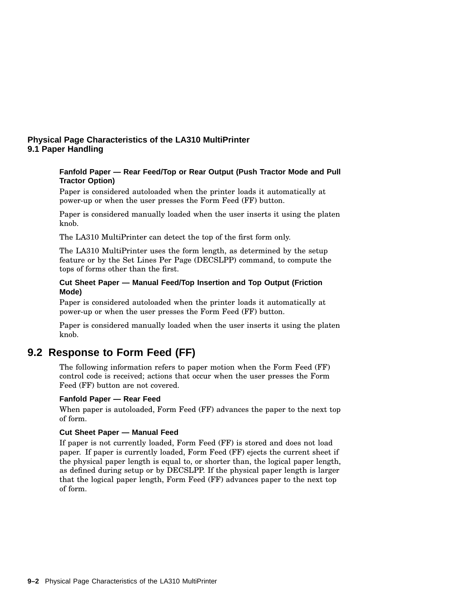#### **Physical Page Characteristics of the LA310 MultiPrinter 9.1 Paper Handling**

#### **Fanfold Paper — Rear Feed/Top or Rear Output (Push Tractor Mode and Pull Tractor Option)**

Paper is considered autoloaded when the printer loads it automatically at power-up or when the user presses the Form Feed (FF) button.

Paper is considered manually loaded when the user inserts it using the platen knob.

The LA310 MultiPrinter can detect the top of the first form only.

The LA310 MultiPrinter uses the form length, as determined by the setup feature or by the Set Lines Per Page (DECSLPP) command, to compute the tops of forms other than the first.

#### **Cut Sheet Paper — Manual Feed/Top Insertion and Top Output (Friction Mode)**

Paper is considered autoloaded when the printer loads it automatically at power-up or when the user presses the Form Feed (FF) button.

Paper is considered manually loaded when the user inserts it using the platen knob.

# **9.2 Response to Form Feed (FF)**

The following information refers to paper motion when the Form Feed (FF) control code is received; actions that occur when the user presses the Form Feed (FF) button are not covered.

#### **Fanfold Paper — Rear Feed**

When paper is autoloaded, Form Feed (FF) advances the paper to the next top of form.

#### **Cut Sheet Paper — Manual Feed**

If paper is not currently loaded, Form Feed (FF) is stored and does not load paper. If paper is currently loaded, Form Feed (FF) ejects the current sheet if the physical paper length is equal to, or shorter than, the logical paper length, as defined during setup or by DECSLPP. If the physical paper length is larger that the logical paper length, Form Feed (FF) advances paper to the next top of form.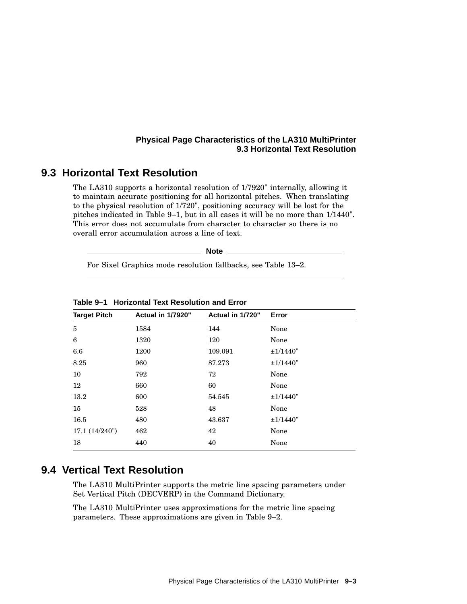#### **Physical Page Characteristics of the LA310 MultiPrinter 9.3 Horizontal Text Resolution**

# **9.3 Horizontal Text Resolution**

The LA310 supports a horizontal resolution of 1/7920" internally, allowing it to maintain accurate positioning for all horizontal pitches. When translating to the physical resolution of 1/720", positioning accuracy will be lost for the pitches indicated in Table 9–1, but in all cases it will be no more than 1/1440". This error does not accumulate from character to character so there is no overall error accumulation across a line of text.

**Note**

For Sixel Graphics mode resolution fallbacks, see Table 13–2.

| <b>Target Pitch</b> | Actual in 1/7920" | Actual in 1/720" | Error    |
|---------------------|-------------------|------------------|----------|
| 5                   | 1584              | 144              | None     |
| 6                   | 1320              | 120              | None     |
| 6.6                 | 1200              | 109.091          | ±1/1440" |
| 8.25                | 960               | 87.273           | ±1/1440" |
| 10                  | 792               | 72               | None     |
| 12                  | 660               | 60               | None     |
| 13.2                | 600               | 54.545           | ±1/1440" |
| 15                  | 528               | 48               | None     |
| 16.5                | 480               | 43.637           | ±1/1440" |
| 17.1(14/240")       | 462               | 42               | None     |
| 18                  | 440               | 40               | None     |

**Table 9–1 Horizontal Text Resolution and Error**

# **9.4 Vertical Text Resolution**

The LA310 MultiPrinter supports the metric line spacing parameters under Set Vertical Pitch (DECVERP) in the Command Dictionary.

The LA310 MultiPrinter uses approximations for the metric line spacing parameters. These approximations are given in Table 9–2.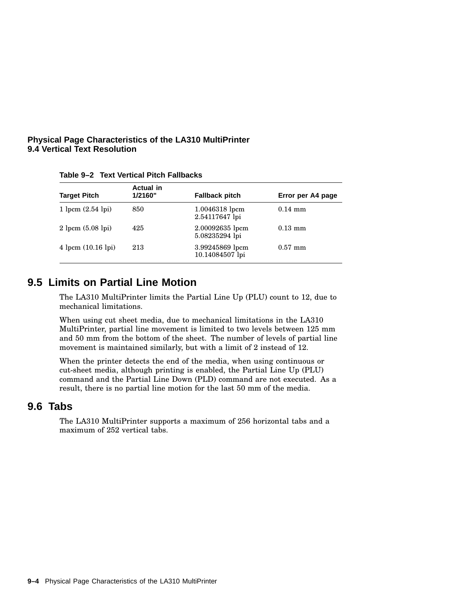#### **Physical Page Characteristics of the LA310 MultiPrinter 9.4 Vertical Text Resolution**

| <b>Target Pitch</b>                  | Actual in<br>1/2160" | <b>Fallback pitch</b>              | Error per A4 page |
|--------------------------------------|----------------------|------------------------------------|-------------------|
| 1 lpcm $(2.54 \text{ lpi})$          | 850                  | 1.0046318 lpcm<br>2.54117647 lpi   | $0.14$ mm         |
| $2 \text{ lpcm} (5.08 \text{ lpi})$  | 425                  | 2.00092635 lpcm<br>5.08235294 lpi  | $0.13$ mm         |
| $4 \text{ lpcm} (10.16 \text{ lpi})$ | 213                  | 3.99245869 lpcm<br>10.14084507 lpi | $0.57$ mm         |

**Table 9–2 Text Vertical Pitch Fallbacks**

# **9.5 Limits on Partial Line Motion**

The LA310 MultiPrinter limits the Partial Line Up (PLU) count to 12, due to mechanical limitations.

When using cut sheet media, due to mechanical limitations in the LA310 MultiPrinter, partial line movement is limited to two levels between 125 mm and 50 mm from the bottom of the sheet. The number of levels of partial line movement is maintained similarly, but with a limit of 2 instead of 12.

When the printer detects the end of the media, when using continuous or cut-sheet media, although printing is enabled, the Partial Line Up (PLU) command and the Partial Line Down (PLD) command are not executed. As a result, there is no partial line motion for the last 50 mm of the media.

# **9.6 Tabs**

The LA310 MultiPrinter supports a maximum of 256 horizontal tabs and a maximum of 252 vertical tabs.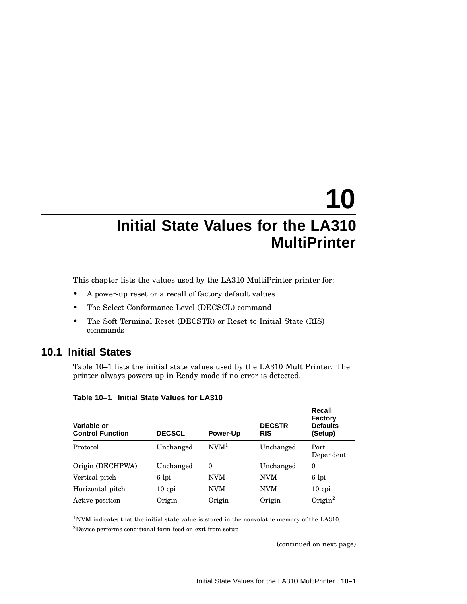# **10 Initial State Values for the LA310 MultiPrinter**

This chapter lists the values used by the LA310 MultiPrinter printer for:

- A power-up reset or a recall of factory default values
- The Select Conformance Level (DECSCL) command
- The Soft Terminal Reset (DECSTR) or Reset to Initial State (RIS) commands

# **10.1 Initial States**

Table 10–1 lists the initial state values used by the LA310 MultiPrinter. The printer always powers up in Ready mode if no error is detected.

| Variable or<br><b>Control Function</b> | <b>DECSCL</b> | Power-Up         | <b>DECSTR</b><br><b>RIS</b> | Recall<br><b>Factory</b><br><b>Defaults</b><br>(Setup) |
|----------------------------------------|---------------|------------------|-----------------------------|--------------------------------------------------------|
| Protocol                               | Unchanged     | NVM <sup>1</sup> | Unchanged                   | Port.<br>Dependent                                     |
| Origin (DECHPWA)                       | Unchanged     | $\theta$         | Unchanged                   | $\theta$                                               |
| Vertical pitch                         | 6 lpi         | <b>NVM</b>       | <b>NVM</b>                  | 6 lpi                                                  |
| Horizontal pitch                       | $10$ cpi      | <b>NVM</b>       | <b>NVM</b>                  | $10$ cpi                                               |
| Active position                        | Origin        | Origin           | Origin                      | $O$ rigin $^2$                                         |

**Table 10–1 Initial State Values for LA310**

 $^1\rm NVM$  indicates that the initial state value is stored in the nonvolatile memory of the LA310.

<sup>2</sup>Device performs conditional form feed on exit from setup

(continued on next page)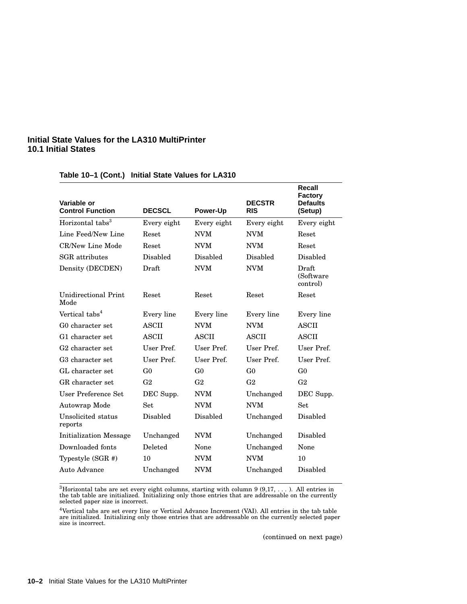#### **Initial State Values for the LA310 MultiPrinter 10.1 Initial States**

| Variable or<br><b>Control Function</b> | <b>DECSCL</b>  | Power-Up       | <b>DECSTR</b><br><b>RIS</b> | Recall<br><b>Factory</b><br><b>Defaults</b><br>(Setup) |
|----------------------------------------|----------------|----------------|-----------------------------|--------------------------------------------------------|
| Horizontal tabs <sup>3</sup>           | Every eight    | Every eight    | Every eight                 | Every eight                                            |
| Line Feed/New Line                     | Reset          | <b>NVM</b>     | <b>NVM</b>                  | Reset                                                  |
| CR/New Line Mode                       | Reset          | <b>NVM</b>     | <b>NVM</b>                  | Reset                                                  |
| <b>SGR</b> attributes                  | Disabled       | Disabled       | Disabled                    | Disabled                                               |
| Density (DECDEN)                       | Draft          | <b>NVM</b>     | <b>NVM</b>                  | Draft<br>(Software)<br>control)                        |
| Unidirectional Print<br>Mode           | Reset          | Reset          | Reset                       | Reset                                                  |
| Vertical tabs <sup>4</sup>             | Every line     | Every line     | Every line                  | Every line                                             |
| G0 character set                       | <b>ASCII</b>   | <b>NVM</b>     | <b>NVM</b>                  | <b>ASCII</b>                                           |
| G1 character set                       | <b>ASCII</b>   | <b>ASCII</b>   | <b>ASCII</b>                | <b>ASCII</b>                                           |
| G <sub>2</sub> character set           | User Pref.     | User Pref.     | User Pref.                  | User Pref.                                             |
| G <sub>3</sub> character set           | User Pref.     | User Pref.     | User Pref.                  | User Pref.                                             |
| GL character set                       | G <sub>0</sub> | G <sub>0</sub> | G <sub>0</sub>              | G <sub>0</sub>                                         |
| GR character set                       | G <sub>2</sub> | G <sub>2</sub> | G <sub>2</sub>              | G <sub>2</sub>                                         |
| User Preference Set                    | DEC Supp.      | <b>NVM</b>     | Unchanged                   | DEC Supp.                                              |
| Autowrap Mode                          | <b>Set</b>     | <b>NVM</b>     | <b>NVM</b>                  | Set.                                                   |
| Unsolicited status<br>reports          | Disabled       | Disabled       | Unchanged                   | Disabled                                               |
| <b>Initialization Message</b>          | Unchanged      | <b>NVM</b>     | Unchanged                   | <b>Disabled</b>                                        |
| Downloaded fonts                       | Deleted        | None           | Unchanged                   | None                                                   |
| Typestyle $(SGR \#)$                   | 10             | <b>NVM</b>     | <b>NVM</b>                  | 10                                                     |
| Auto Advance                           | Unchanged      | <b>NVM</b>     | Unchanged                   | Disabled                                               |

#### **Table 10–1 (Cont.) Initial State Values for LA310**

 ${}^{3}$ Horizontal tabs are set every eight columns, starting with column 9 (9,17, . . . ). All entries in the tab table are initialized. Initializing only those entries that are addressable on the currently selected paper

<sup>4</sup>Vertical tabs are set every line or Vertical Advance Increment (VAI). All entries in the tab table are initialized. Initializing only those entries that are addressable on the currently selected paper size is incorrect.

(continued on next page)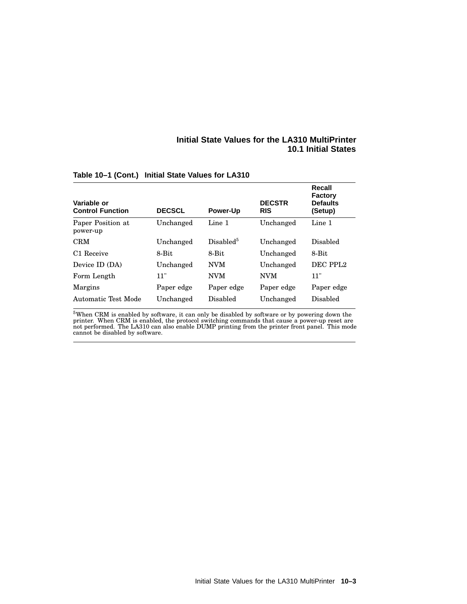## **Initial State Values for the LA310 MultiPrinter 10.1 Initial States**

| Variable or<br><b>Control Function</b> | <b>DECSCL</b> | Power-Up              | <b>DECSTR</b><br><b>RIS</b> | Recall<br><b>Factory</b><br><b>Defaults</b><br>(Setup) |
|----------------------------------------|---------------|-----------------------|-----------------------------|--------------------------------------------------------|
| Paper Position at<br>power-up          | Unchanged     | Line 1                | Unchanged                   | Line 1                                                 |
| <b>CRM</b>                             | Unchanged     | Disabled <sup>5</sup> | Unchanged                   | Disabled                                               |
| C <sub>1</sub> Receive                 | 8-Bit         | 8-Bit                 | Unchanged                   | 8-Bit                                                  |
| Device ID (DA)                         | Unchanged     | <b>NVM</b>            | Unchanged                   | DEC PPL <sub>2</sub>                                   |
| Form Length                            | 11"           | <b>NVM</b>            | <b>NVM</b>                  | 11"                                                    |
| Margins                                | Paper edge    | Paper edge            | Paper edge                  | Paper edge                                             |
| Automatic Test Mode                    | Unchanged     | Disabled              | Unchanged                   | Disabled                                               |

#### **Table 10–1 (Cont.) Initial State Values for LA310**

<sup>5</sup>When CRM is enabled by software, it can only be disabled by software or by powering down the printer. When CRM is enabled, the protocol switching commands that cause a power-up reset are not performed. The LA310 can also enable DUMP printing from the printer front panel. This mode cannot be disabled by software.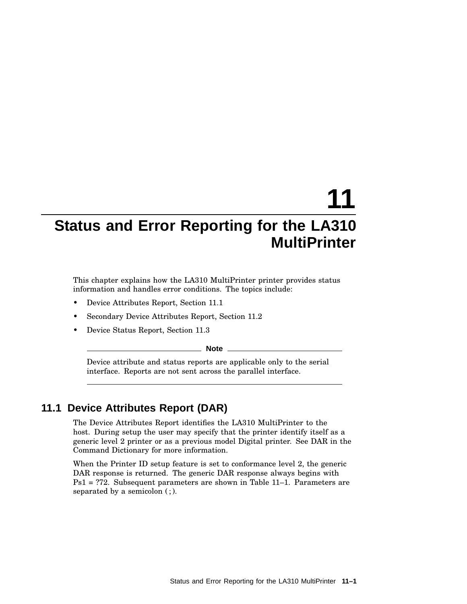# **11 Status and Error Reporting for the LA310 MultiPrinter**

This chapter explains how the LA310 MultiPrinter printer provides status information and handles error conditions. The topics include:

- Device Attributes Report, Section 11.1
- Secondary Device Attributes Report, Section 11.2
- Device Status Report, Section 11.3

#### **Note**

Device attribute and status reports are applicable only to the serial interface. Reports are not sent across the parallel interface.

# **11.1 Device Attributes Report (DAR)**

The Device Attributes Report identifies the LA310 MultiPrinter to the host. During setup the user may specify that the printer identify itself as a generic level 2 printer or as a previous model Digital printer. See DAR in the Command Dictionary for more information.

When the Printer ID setup feature is set to conformance level 2, the generic DAR response is returned. The generic DAR response always begins with Ps1 = ?72. Subsequent parameters are shown in Table 11–1. Parameters are separated by a semicolon (; ).

Status and Error Reporting for the LA310 MultiPrinter **11–1**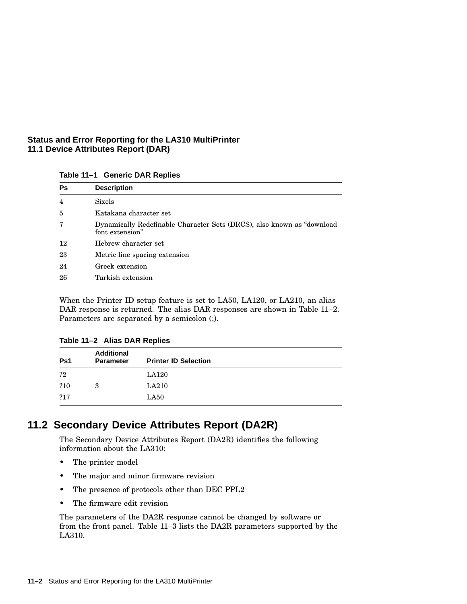#### **Status and Error Reporting for the LA310 MultiPrinter 11.1 Device Attributes Report (DAR)**

**Table 11–1 Generic DAR Replies**

| Ps             | <b>Description</b>                                                                        |
|----------------|-------------------------------------------------------------------------------------------|
| $\overline{4}$ | Sixels                                                                                    |
| 5              | Katakana character set                                                                    |
| 7              | Dynamically Redefinable Character Sets (DRCS), also known as "download<br>font extension" |
| 12             | Hebrew character set                                                                      |
| 23             | Metric line spacing extension                                                             |
| 24             | Greek extension                                                                           |
| 26             | Turkish extension                                                                         |

When the Printer ID setup feature is set to LA50, LA120, or LA210, an alias DAR response is returned. The alias DAR responses are shown in Table 11–2. Parameters are separated by a semicolon (;).

**Table 11–2 Alias DAR Replies**

| Ps1 | <b>Additional</b><br><b>Parameter</b> | <b>Printer ID Selection</b> |
|-----|---------------------------------------|-----------------------------|
| ?2  |                                       | LA120                       |
| ?10 | 3                                     | LA210                       |
| ?17 |                                       | LA50                        |

# **11.2 Secondary Device Attributes Report (DA2R)**

The Secondary Device Attributes Report (DA2R) identifies the following information about the LA310:

- The printer model
- The major and minor firmware revision
- The presence of protocols other than DEC PPL2
- The firmware edit revision

The parameters of the DA2R response cannot be changed by software or from the front panel. Table 11–3 lists the DA2R parameters supported by the LA310.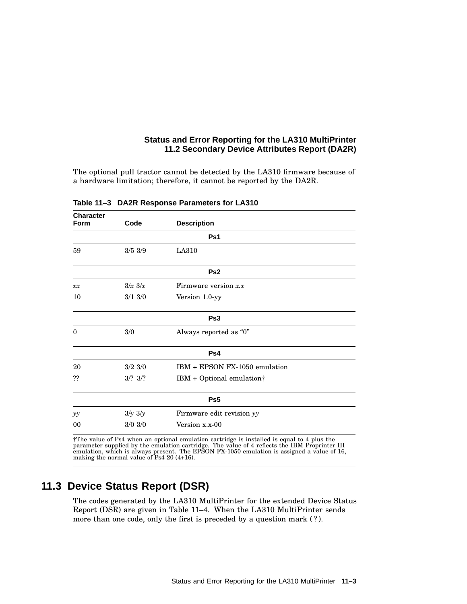#### **Status and Error Reporting for the LA310 MultiPrinter 11.2 Secondary Device Attributes Report (DA2R)**

The optional pull tractor cannot be detected by the LA310 firmware because of a hardware limitation; therefore, it cannot be reported by the DA2R.

| <b>Character</b><br>Form  | Code        | <b>Description</b>            |  |  |
|---------------------------|-------------|-------------------------------|--|--|
| Ps1                       |             |                               |  |  |
| 59                        | 3/53/9      | LA310                         |  |  |
|                           |             | Ps <sub>2</sub>               |  |  |
| x x                       | $3/x$ $3/x$ | Firmware version $x.x$        |  |  |
| 10                        | 3/13/0      | Version 1.0-yy                |  |  |
|                           |             | Ps3                           |  |  |
| $\theta$                  | 3/0         | Always reported as "0"        |  |  |
|                           |             | Ps4                           |  |  |
| 20                        | $3/2$ $3/0$ | IBM + EPSON FX-1050 emulation |  |  |
| ??                        | 3/? 3/?     | IBM + Optional emulation†     |  |  |
|                           |             | Ps <sub>5</sub>               |  |  |
| $\mathcal{Y} \mathcal{Y}$ | $3/y$ $3/y$ | Firmware edit revision yy     |  |  |
| 00                        | 3/0.3/0     | Version x.x-00                |  |  |

**Table 11–3 DA2R Response Parameters for LA310**

†The value of Ps4 when an optional emulation cartridge is installed is equal to 4 plus the parameter supplied by the emulation cartridge. The value of 4 reflects the IBM Proprinter III emulation, which is always present. The EPSON FX-1050 emulation is assigned a value of 16, making the normal value of Ps4 20 (4+16).

# **11.3 Device Status Report (DSR)**

The codes generated by the LA310 MultiPrinter for the extended Device Status Report (DSR) are given in Table 11–4. When the LA310 MultiPrinter sends more than one code, only the first is preceded by a question mark (?).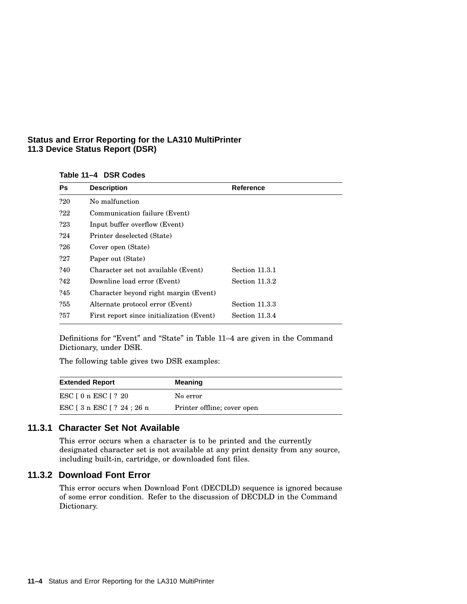## **Status and Error Reporting for the LA310 MultiPrinter 11.3 Device Status Report (DSR)**

| <b>Ps</b> | <b>Description</b>                        | <b>Reference</b> |  |
|-----------|-------------------------------------------|------------------|--|
| ?20       | No malfunction                            |                  |  |
| ?22       | Communication failure (Event)             |                  |  |
| ?23       | Input buffer overflow (Event)             |                  |  |
| ?24       | Printer deselected (State)                |                  |  |
| ?26       | Cover open (State)                        |                  |  |
| ?27       | Paper out (State)                         |                  |  |
| ?40       | Character set not available (Event)       | Section 11.3.1   |  |
| ?42       | Downline load error (Event)               | Section $11.3.2$ |  |
| ?45       | Character beyond right margin (Event)     |                  |  |
| ?55       | Alternate protocol error (Event)          | Section 11.3.3   |  |
| ?57       | First report since initialization (Event) | Section 11.3.4   |  |

Definitions for "Event" and "State" in Table 11-4 are given in the Command Dictionary, under DSR.

The following table gives two DSR examples:

| <b>Extended Report</b>                    | Meaning                     |
|-------------------------------------------|-----------------------------|
| ESC $\lceil 0 n$ ESC $\lceil ? 20 \rceil$ | No error                    |
| ESC $\lceil 3 n$ ESC $\rceil$ ? 24 : 26 n | Printer offline; cover open |

# **11.3.1 Character Set Not Available**

This error occurs when a character is to be printed and the currently designated character set is not available at any print density from any source, including built-in, cartridge, or downloaded font files.

# **11.3.2 Download Font Error**

This error occurs when Download Font (DECDLD) sequence is ignored because of some error condition. Refer to the discussion of DECDLD in the Command Dictionary.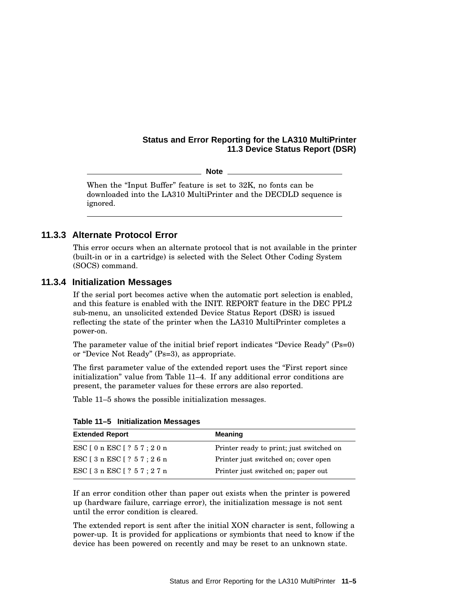#### **Status and Error Reporting for the LA310 MultiPrinter 11.3 Device Status Report (DSR)**

**Note**

When the "Input Buffer" feature is set to 32K, no fonts can be downloaded into the LA310 MultiPrinter and the DECDLD sequence is ignored.

# **11.3.3 Alternate Protocol Error**

This error occurs when an alternate protocol that is not available in the printer (built-in or in a cartridge) is selected with the Select Other Coding System (SOCS) command.

#### **11.3.4 Initialization Messages**

If the serial port becomes active when the automatic port selection is enabled, and this feature is enabled with the INIT. REPORT feature in the DEC PPL2 sub-menu, an unsolicited extended Device Status Report (DSR) is issued reflecting the state of the printer when the LA310 MultiPrinter completes a power-on.

The parameter value of the initial brief report indicates "Device Ready"  $(P_s=0)$ or ''Device Not Ready'' (Ps=3), as appropriate.

The first parameter value of the extended report uses the "First report since initialization'' value from Table 11–4. If any additional error conditions are present, the parameter values for these errors are also reported.

Table 11–5 shows the possible initialization messages.

| <b>Extended Report</b>                           | <b>Meaning</b>                           |
|--------------------------------------------------|------------------------------------------|
| ESC $\lceil 0 \ln \text{ESC} \rceil$ ? 57 ; 20 n | Printer ready to print; just switched on |
| ESC $\lceil 3n$ ESC $\rceil$ ? 57 ; 26 n         | Printer just switched on; cover open     |
| $\text{ESC}$ [ 3 n $\text{ESC}$ [ ? 5 7 ; 2 7 n  | Printer just switched on; paper out      |

**Table 11–5 Initialization Messages**

If an error condition other than paper out exists when the printer is powered up (hardware failure, carriage error), the initialization message is not sent until the error condition is cleared.

The extended report is sent after the initial XON character is sent, following a power-up. It is provided for applications or symbionts that need to know if the device has been powered on recently and may be reset to an unknown state.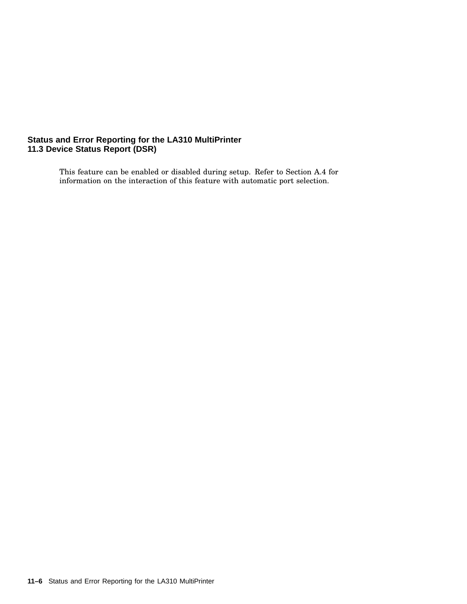#### **Status and Error Reporting for the LA310 MultiPrinter 11.3 Device Status Report (DSR)**

This feature can be enabled or disabled during setup. Refer to Section A.4 for information on the interaction of this feature with automatic port selection.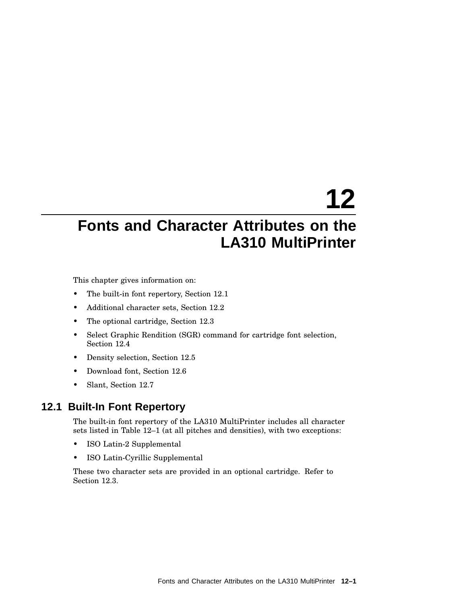# **12**

# **Fonts and Character Attributes on the LA310 MultiPrinter**

This chapter gives information on:

- The built-in font repertory, Section 12.1
- Additional character sets, Section 12.2
- The optional cartridge, Section 12.3
- Select Graphic Rendition (SGR) command for cartridge font selection, Section 12.4
- Density selection, Section 12.5
- Download font, Section 12.6
- Slant, Section 12.7

## **12.1 Built-In Font Repertory**

The built-in font repertory of the LA310 MultiPrinter includes all character sets listed in Table 12–1 (at all pitches and densities), with two exceptions:

- ISO Latin-2 Supplemental
- ISO Latin-Cyrillic Supplemental

These two character sets are provided in an optional cartridge. Refer to Section 12.3.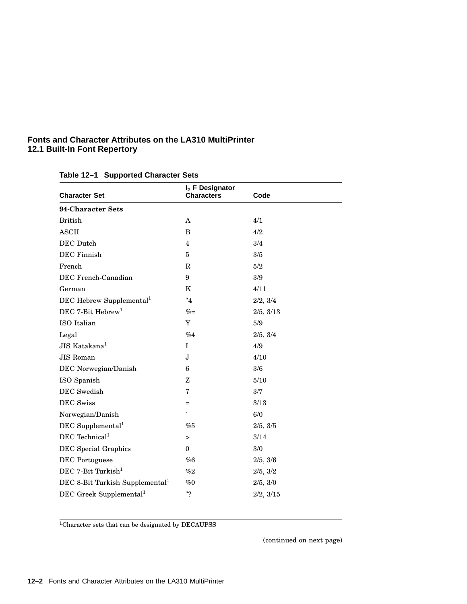## **Fonts and Character Attributes on the LA310 MultiPrinter 12.1 Built-In Font Repertory**

| <b>Character Set</b>                        | I <sub>2</sub> F Designator<br><b>Characters</b> | Code      |
|---------------------------------------------|--------------------------------------------------|-----------|
| 94-Character Sets                           |                                                  |           |
| <b>British</b>                              | A                                                | 4/1       |
| <b>ASCII</b>                                | B                                                | 4/2       |
| DEC Dutch                                   | $\overline{4}$                                   | 3/4       |
| DEC Finnish                                 | 5                                                | 3/5       |
| French                                      | $\mathbf R$                                      | 5/2       |
| DEC French-Canadian                         | 9                                                | 3/9       |
| German                                      | K                                                | 4/11      |
| DEC Hebrew Supplemental <sup>1</sup>        | "4"                                              | 2/2, 3/4  |
| DEC 7-Bit Hebrew <sup>1</sup>               | $\% =$                                           | 2/5, 3/13 |
| ISO Italian                                 | Y                                                | 5/9       |
| Legal                                       | %4                                               | 2/5, 3/4  |
| JIS Katakana <sup>1</sup>                   | $\mathbf I$                                      | 4/9       |
| JIS Roman                                   | J                                                | 4/10      |
| DEC Norwegian/Danish                        | 6                                                | 3/6       |
| ISO Spanish                                 | Z                                                | 5/10      |
| DEC Swedish                                 | 7                                                | 3/7       |
| <b>DEC Swiss</b>                            | $=$                                              | 3/13      |
| Norwegian/Danish                            |                                                  | 6/0       |
| DEC Supplemental <sup>1</sup>               | %5                                               | 2/5, 3/5  |
| DEC Technical <sup>1</sup>                  | $\, >$                                           | 3/14      |
| <b>DEC</b> Special Graphics                 | $\mathbf{0}$                                     | 3/0       |
| <b>DEC</b> Portuguese                       | %6                                               | 2/5, 3/6  |
| DEC 7-Bit Turkish $1$                       | $\%2$                                            | 2/5, 3/2  |
| DEC 8-Bit Turkish Supplemental <sup>1</sup> | $%$ <sup>0</sup>                                 | 2/5, 3/0  |
| $DEC$ Greek Supplemental <sup>1</sup>       | "?                                               | 2/2, 3/15 |

# **Table 12–1 Supported Character Sets**

 $^1$ Character sets that can be designated by DECAUPSS  $^1$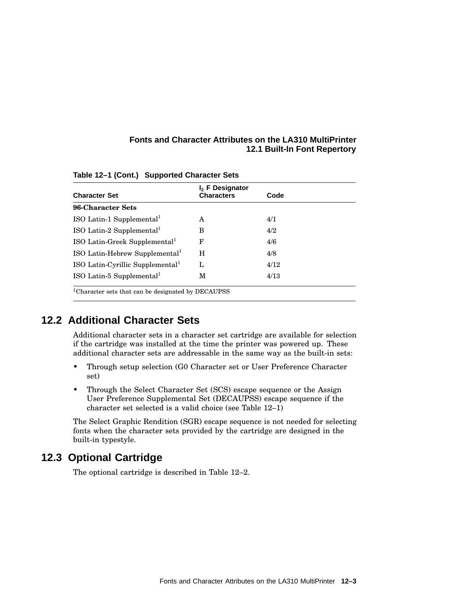#### **Fonts and Character Attributes on the LA310 MultiPrinter 12.1 Built-In Font Repertory**

| <b>Character Set</b>                         | $I2 F$ Designator<br><b>Characters</b> | Code |  |
|----------------------------------------------|----------------------------------------|------|--|
| 96-Character Sets                            |                                        |      |  |
| ISO Latin-1 Supplemental <sup>1</sup>        | A                                      | 4/1  |  |
| ISO Latin-2 Supplemental <sup>1</sup>        | B                                      | 4/2  |  |
| ISO Latin-Greek Supplemental <sup>1</sup>    | F                                      | 4/6  |  |
| ISO Latin-Hebrew Supplemental <sup>1</sup>   | H                                      | 4/8  |  |
| ISO Latin-Cyrillic Supplemental <sup>1</sup> | L                                      | 4/12 |  |
| ISO Latin-5 Supplemental <sup>1</sup>        | М                                      | 4/13 |  |

**Table 12–1 (Cont.) Supported Character Sets**

# **12.2 Additional Character Sets**

Additional character sets in a character set cartridge are available for selection if the cartridge was installed at the time the printer was powered up. These additional character sets are addressable in the same way as the built-in sets:

- Through setup selection (G0 Character set or User Preference Character set)
- Through the Select Character Set (SCS) escape sequence or the Assign User Preference Supplemental Set (DECAUPSS) escape sequence if the character set selected is a valid choice (see Table 12–1)

The Select Graphic Rendition (SGR) escape sequence is not needed for selecting fonts when the character sets provided by the cartridge are designed in the built-in typestyle.

# **12.3 Optional Cartridge**

The optional cartridge is described in Table 12–2.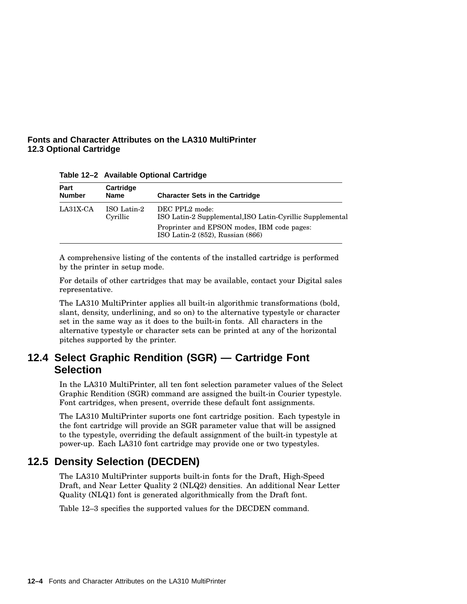#### **Fonts and Character Attributes on the LA310 MultiPrinter 12.3 Optional Cartridge**

| Part<br><b>Number</b> | Cartridge<br><b>Name</b> | <b>Character Sets in the Cartridge</b>                                          |
|-----------------------|--------------------------|---------------------------------------------------------------------------------|
| LA31X-CA              | ISO Latin-2<br>Cyrillic  | DEC PPL2 mode:<br>ISO Latin-2 Supplemental, ISO Latin-Cyrillic Supplemental     |
|                       |                          | Proprinter and EPSON modes, IBM code pages:<br>ISO Latin-2 (852), Russian (866) |

**Table 12–2 Available Optional Cartridge**

A comprehensive listing of the contents of the installed cartridge is performed by the printer in setup mode.

For details of other cartridges that may be available, contact your Digital sales representative.

The LA310 MultiPrinter applies all built-in algorithmic transformations (bold, slant, density, underlining, and so on) to the alternative typestyle or character set in the same way as it does to the built-in fonts. All characters in the alternative typestyle or character sets can be printed at any of the horizontal pitches supported by the printer.

# **12.4 Select Graphic Rendition (SGR) — Cartridge Font Selection**

In the LA310 MultiPrinter, all ten font selection parameter values of the Select Graphic Rendition (SGR) command are assigned the built-in Courier typestyle. Font cartridges, when present, override these default font assignments.

The LA310 MultiPrinter suports one font cartridge position. Each typestyle in the font cartridge will provide an SGR parameter value that will be assigned to the typestyle, overriding the default assignment of the built-in typestyle at power-up. Each LA310 font cartridge may provide one or two typestyles.

# **12.5 Density Selection (DECDEN)**

The LA310 MultiPrinter supports built-in fonts for the Draft, High-Speed Draft, and Near Letter Quality 2 (NLQ2) densities. An additional Near Letter Quality (NLQ1) font is generated algorithmically from the Draft font.

Table 12–3 specifies the supported values for the DECDEN command.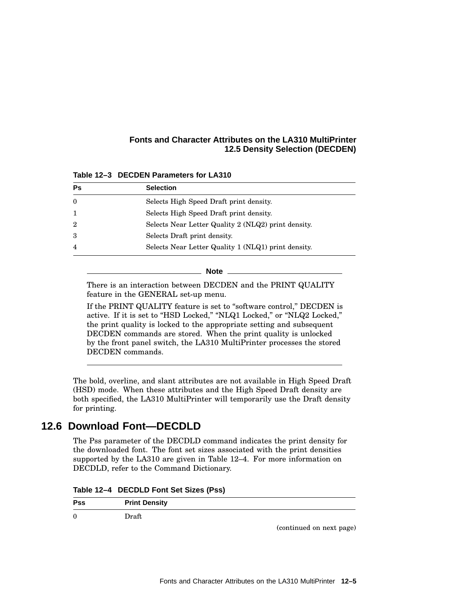#### **Fonts and Character Attributes on the LA310 MultiPrinter 12.5 Density Selection (DECDEN)**

| Ps<br><b>Selection</b> |                                                     |
|------------------------|-----------------------------------------------------|
| $\bf{0}$               | Selects High Speed Draft print density.             |
|                        | Selects High Speed Draft print density.             |
| $\overline{2}$         | Selects Near Letter Quality 2 (NLQ2) print density. |
| 3                      | Selects Draft print density.                        |
| $\overline{4}$         | Selects Near Letter Quality 1 (NLQ1) print density. |

**Table 12–3 DECDEN Parameters for LA310**

**Note**

There is an interaction between DECDEN and the PRINT QUALITY feature in the GENERAL set-up menu.

If the PRINT QUALITY feature is set to "software control," DECDEN is active. If it is set to "HSD Locked," "NLQ1 Locked," or "NLQ2 Locked," the print quality is locked to the appropriate setting and subsequent DECDEN commands are stored. When the print quality is unlocked by the front panel switch, the LA310 MultiPrinter processes the stored DECDEN commands.

The bold, overline, and slant attributes are not available in High Speed Draft (HSD) mode. When these attributes and the High Speed Draft density are both specified, the LA310 MultiPrinter will temporarily use the Draft density for printing.

# **12.6 Download Font—DECDLD**

The Pss parameter of the DECDLD command indicates the print density for the downloaded font. The font set sizes associated with the print densities supported by the LA310 are given in Table 12–4. For more information on DECDLD, refer to the Command Dictionary.

**Table 12–4 DECDLD Font Set Sizes (Pss)**

| <b>Pss</b> | <b>Print Density</b>                                                                      |                          |
|------------|-------------------------------------------------------------------------------------------|--------------------------|
| $\theta$   | $\operatorname*{Draft}% \nolimits_{\Delta}\left( t\right) =\operatorname*{Draft}(\Delta)$ |                          |
|            |                                                                                           | (continued on next page) |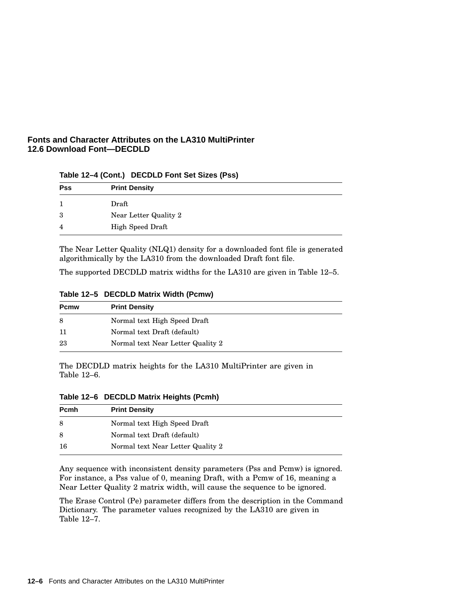#### **Fonts and Character Attributes on the LA310 MultiPrinter 12.6 Download Font—DECDLD**

#### **Table 12–4 (Cont.) DECDLD Font Set Sizes (Pss)**

| <b>Pss</b>     | <b>Print Density</b>  |
|----------------|-----------------------|
| 1              | Draft                 |
| 3              | Near Letter Quality 2 |
| $\overline{4}$ | High Speed Draft      |

The Near Letter Quality (NLQ1) density for a downloaded font file is generated algorithmically by the LA310 from the downloaded Draft font file.

The supported DECDLD matrix widths for the LA310 are given in Table 12–5.

**Table 12–5 DECDLD Matrix Width (Pcmw)**

| Pcmw | <b>Print Density</b>              |
|------|-----------------------------------|
| 8    | Normal text High Speed Draft      |
| -11  | Normal text Draft (default)       |
| 23   | Normal text Near Letter Quality 2 |

The DECDLD matrix heights for the LA310 MultiPrinter are given in Table 12–6.

**Table 12–6 DECDLD Matrix Heights (Pcmh)**

| Pcmh | <b>Print Density</b>              |
|------|-----------------------------------|
| 8    | Normal text High Speed Draft      |
| 8    | Normal text Draft (default)       |
| 16   | Normal text Near Letter Quality 2 |

Any sequence with inconsistent density parameters (Pss and Pcmw) is ignored. For instance, a Pss value of 0, meaning Draft, with a Pcmw of 16, meaning a Near Letter Quality 2 matrix width, will cause the sequence to be ignored.

The Erase Control (Pe) parameter differs from the description in the Command Dictionary. The parameter values recognized by the LA310 are given in Table 12–7.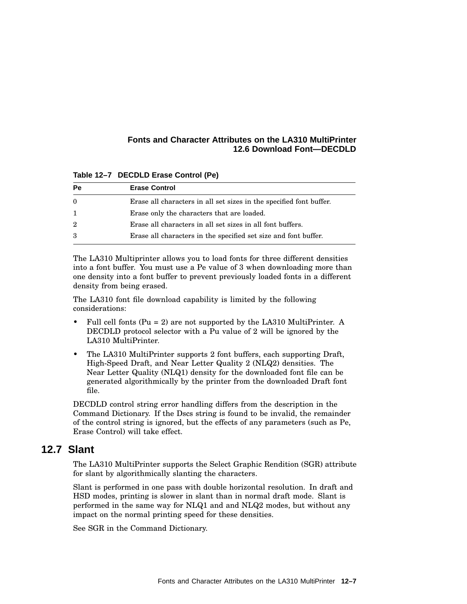### **Fonts and Character Attributes on the LA310 MultiPrinter 12.6 Download Font—DECDLD**

**Table 12–7 DECDLD Erase Control (Pe)**

| Pe             | <b>Erase Control</b>                                                |
|----------------|---------------------------------------------------------------------|
| $\theta$       | Erase all characters in all set sizes in the specified font buffer. |
| 1              | Erase only the characters that are loaded.                          |
| $\overline{2}$ | Erase all characters in all set sizes in all font buffers.          |
| 3              | Erase all characters in the specified set size and font buffer.     |

The LA310 Multiprinter allows you to load fonts for three different densities into a font buffer. You must use a Pe value of 3 when downloading more than one density into a font buffer to prevent previously loaded fonts in a different density from being erased.

The LA310 font file download capability is limited by the following considerations:

- Full cell fonts ( $Pu = 2$ ) are not supported by the LA310 MultiPrinter. A DECDLD protocol selector with a Pu value of 2 will be ignored by the LA310 MultiPrinter.
- The LA310 MultiPrinter supports 2 font buffers, each supporting Draft, High-Speed Draft, and Near Letter Quality 2 (NLQ2) densities. The Near Letter Quality (NLQ1) density for the downloaded font file can be generated algorithmically by the printer from the downloaded Draft font file.

DECDLD control string error handling differs from the description in the Command Dictionary. If the Dscs string is found to be invalid, the remainder of the control string is ignored, but the effects of any parameters (such as Pe, Erase Control) will take effect.

# **12.7 Slant**

The LA310 MultiPrinter supports the Select Graphic Rendition (SGR) attribute for slant by algorithmically slanting the characters.

Slant is performed in one pass with double horizontal resolution. In draft and HSD modes, printing is slower in slant than in normal draft mode. Slant is performed in the same way for NLQ1 and and NLQ2 modes, but without any impact on the normal printing speed for these densities.

See SGR in the Command Dictionary.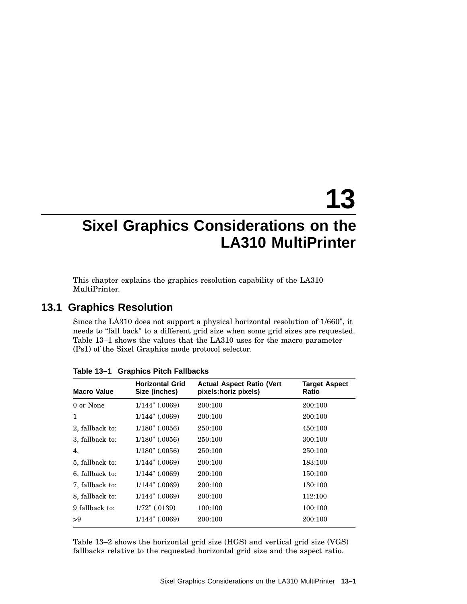# **13**

# **Sixel Graphics Considerations on the LA310 MultiPrinter**

This chapter explains the graphics resolution capability of the LA310 MultiPrinter.

# **13.1 Graphics Resolution**

Since the LA310 does not support a physical horizontal resolution of 1/660", it needs to "fall back" to a different grid size when some grid sizes are requested. Table 13–1 shows the values that the LA310 uses for the macro parameter (Ps1) of the Sixel Graphics mode protocol selector.

| <b>Macro Value</b> | <b>Horizontal Grid</b><br>Size (inches) | <b>Actual Aspect Ratio (Vert</b><br>pixels:horiz pixels) | <b>Target Aspect</b><br>Ratio |
|--------------------|-----------------------------------------|----------------------------------------------------------|-------------------------------|
| 0 or None          | $1/144$ " $(.0069)$                     | 200:100                                                  | 200:100                       |
| 1                  | $1/144$ " (.0069)                       | 200:100                                                  | 200:100                       |
| 2, fallback to:    | $1/180$ " (.0056)                       | 250:100                                                  | 450:100                       |
| 3, fallback to:    | $1/180$ " (.0056)                       | 250:100                                                  | 300:100                       |
| 4,                 | $1/180$ " (.0056)                       | 250:100                                                  | 250:100                       |
| 5, fallback to:    | $1/144$ " $(.0069)$                     | 200:100                                                  | 183:100                       |
| 6, fallback to:    | $1/144$ " $(.0069)$                     | 200:100                                                  | 150:100                       |
| 7, fallback to:    | $1/144$ " $(.0069)$                     | 200:100                                                  | 130:100                       |
| 8, fallback to:    | $1/144$ " $(.0069)$                     | 200:100                                                  | 112:100                       |
| 9 fallback to:     | $1/72$ " $(.0139)$                      | 100:100                                                  | 100:100                       |
| >9                 | $1/144$ " (.0069)                       | 200:100                                                  | 200:100                       |

**Table 13–1 Graphics Pitch Fallbacks**

Table 13–2 shows the horizontal grid size (HGS) and vertical grid size (VGS) fallbacks relative to the requested horizontal grid size and the aspect ratio.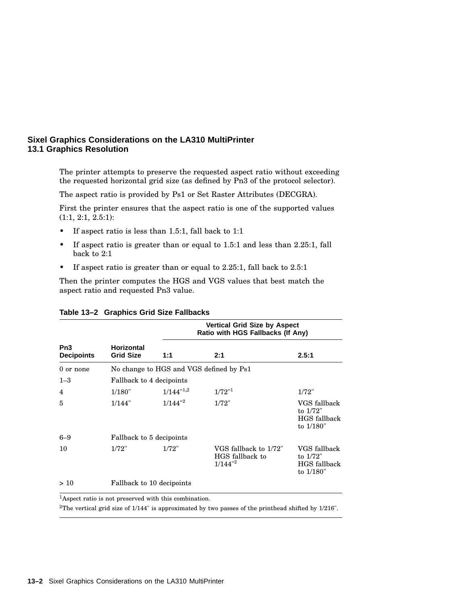#### **Sixel Graphics Considerations on the LA310 MultiPrinter 13.1 Graphics Resolution**

The printer attempts to preserve the requested aspect ratio without exceeding the requested horizontal grid size (as defined by Pn3 of the protocol selector).

The aspect ratio is provided by Ps1 or Set Raster Attributes (DECGRA).

First the printer ensures that the aspect ratio is one of the supported values (1:1, 2:1, 2.5:1):

- If aspect ratio is less than 1.5:1, fall back to 1:1
- If aspect ratio is greater than or equal to 1.5:1 and less than 2.25:1, fall back to 2:1
- If aspect ratio is greater than or equal to 2.25:1, fall back to 2.5:1

Then the printer computes the HGS and VGS values that best match the aspect ratio and requested Pn3 value.

|                          |                                |                                         | <b>Vertical Grid Size by Aspect</b><br>Ratio with HGS Fallbacks (If Any) |                                                         |  |
|--------------------------|--------------------------------|-----------------------------------------|--------------------------------------------------------------------------|---------------------------------------------------------|--|
| Pn3<br><b>Decipoints</b> | Horizontal<br><b>Grid Size</b> | 1:1                                     | 2:1                                                                      | 2.5:1                                                   |  |
| 0 or none                |                                | No change to HGS and VGS defined by Ps1 |                                                                          |                                                         |  |
| $1 - 3$                  |                                | Fallback to 4 decipoints                |                                                                          |                                                         |  |
| 4                        | 1/180"                         | $1/144$ " <sup>1,2</sup>                | $1/72"$ <sup>1</sup>                                                     | 1/72"                                                   |  |
| 5                        | 1/144"                         | $1/144$ <sup>"2</sup>                   | 1/72"                                                                    | VGS fallback<br>to 1/72"<br>HGS fallback<br>to $1/180"$ |  |
| $6-9$                    | Fallback to 5 decipoints       |                                         |                                                                          |                                                         |  |
| 10                       | 1/72"                          | 1/72"                                   | VGS fallback to 1/72"<br>HGS fallback to<br>$1/144$ " <sup>2</sup>       | VGS fallback<br>to 1/72"<br>HGS fallback<br>to $1/180"$ |  |
| >10                      | Fallback to 10 decipoints      |                                         |                                                                          |                                                         |  |

#### **Table 13–2 Graphics Grid Size Fallbacks**

<sup>1</sup>Aspect ratio is not preserved with this combination.

<sup>2</sup>The vertical grid size of  $1/144$ " is approximated by two passes of the printhead shifted by  $1/216$ ".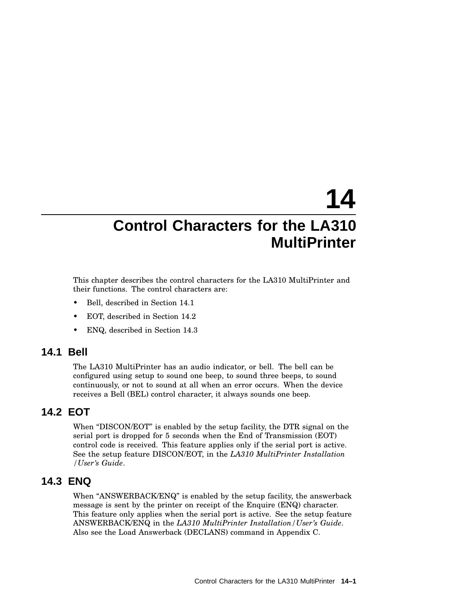# **14 Control Characters for the LA310 MultiPrinter**

This chapter describes the control characters for the LA310 MultiPrinter and their functions. The control characters are:

- Bell, described in Section 14.1
- EOT, described in Section 14.2
- ENQ, described in Section 14.3

## **14.1 Bell**

The LA310 MultiPrinter has an audio indicator, or bell. The bell can be configured using setup to sound one beep, to sound three beeps, to sound continuously, or not to sound at all when an error occurs. When the device receives a Bell (BEL) control character, it always sounds one beep.

# **14.2 EOT**

When "DISCON/EOT" is enabled by the setup facility, the DTR signal on the serial port is dropped for 5 seconds when the End of Transmission (EOT) control code is received. This feature applies only if the serial port is active. See the setup feature DISCON/EOT, in the *LA310 MultiPrinter Installation /User's Guide*.

## **14.3 ENQ**

When "ANSWERBACK/ENQ" is enabled by the setup facility, the answerback message is sent by the printer on receipt of the Enquire (ENQ) character. This feature only applies when the serial port is active. See the setup feature ANSWERBACK/ENQ in the *LA310 MultiPrinter Installation/User's Guide*. Also see the Load Answerback (DECLANS) command in Appendix C.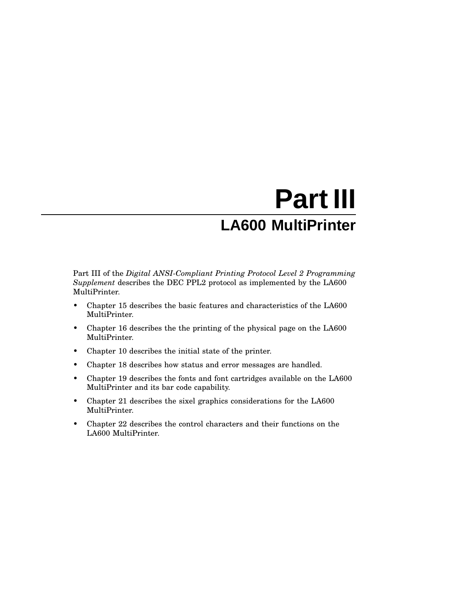# **Part III LA600 MultiPrinter**

Part III of the *Digital ANSI-Compliant Printing Protocol Level 2 Programming Supplement* describes the DEC PPL2 protocol as implemented by the LA600 MultiPrinter.

- Chapter 15 describes the basic features and characteristics of the LA600 MultiPrinter.
- Chapter 16 describes the the printing of the physical page on the LA600 MultiPrinter.
- Chapter 10 describes the initial state of the printer.
- Chapter 18 describes how status and error messages are handled.
- Chapter 19 describes the fonts and font cartridges available on the LA600 MultiPrinter and its bar code capability.
- Chapter 21 describes the sixel graphics considerations for the LA600 MultiPrinter.
- Chapter 22 describes the control characters and their functions on the LA600 MultiPrinter.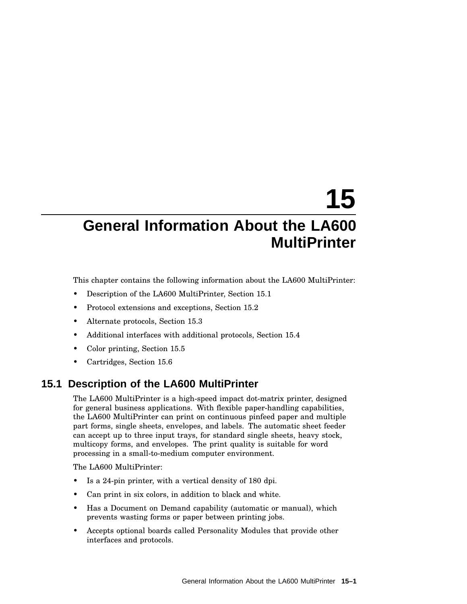# **15 General Information About the LA600 MultiPrinter**

This chapter contains the following information about the LA600 MultiPrinter:

- Description of the LA600 MultiPrinter, Section 15.1
- Protocol extensions and exceptions, Section 15.2
- Alternate protocols, Section 15.3
- Additional interfaces with additional protocols, Section 15.4
- Color printing, Section 15.5
- Cartridges, Section 15.6

# **15.1 Description of the LA600 MultiPrinter**

The LA600 MultiPrinter is a high-speed impact dot-matrix printer, designed for general business applications. With flexible paper-handling capabilities, the LA600 MultiPrinter can print on continuous pinfeed paper and multiple part forms, single sheets, envelopes, and labels. The automatic sheet feeder can accept up to three input trays, for standard single sheets, heavy stock, multicopy forms, and envelopes. The print quality is suitable for word processing in a small-to-medium computer environment.

The LA600 MultiPrinter:

- Is a 24-pin printer, with a vertical density of 180 dpi.
- Can print in six colors, in addition to black and white.
- Has a Document on Demand capability (automatic or manual), which prevents wasting forms or paper between printing jobs.
- Accepts optional boards called Personality Modules that provide other interfaces and protocols.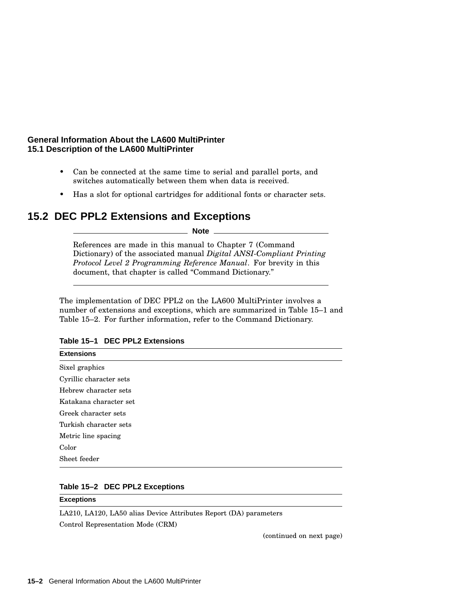#### **General Information About the LA600 MultiPrinter 15.1 Description of the LA600 MultiPrinter**

- Can be connected at the same time to serial and parallel ports, and switches automatically between them when data is received.
- Has a slot for optional cartridges for additional fonts or character sets.

# **15.2 DEC PPL2 Extensions and Exceptions**

#### **Note**

References are made in this manual to Chapter 7 (Command Dictionary) of the associated manual *Digital ANSI-Compliant Printing Protocol Level 2 Programming Reference Manual*. For brevity in this document, that chapter is called "Command Dictionary."

The implementation of DEC PPL2 on the LA600 MultiPrinter involves a number of extensions and exceptions, which are summarized in Table 15–1 and Table 15–2. For further information, refer to the Command Dictionary.

| <b>Extensions</b>       |  |
|-------------------------|--|
| Sixel graphics          |  |
| Cyrillic character sets |  |
| Hebrew character sets   |  |
| Katakana character set  |  |
| Greek character sets    |  |
| Turkish character sets  |  |
| Metric line spacing     |  |
| Color                   |  |
| Sheet feeder            |  |
|                         |  |

| Table 15-1 DEC PPL2 Extensions |  |  |
|--------------------------------|--|--|
|--------------------------------|--|--|

#### **Exceptions**

LA210, LA120, LA50 alias Device Attributes Report (DA) parameters Control Representation Mode (CRM)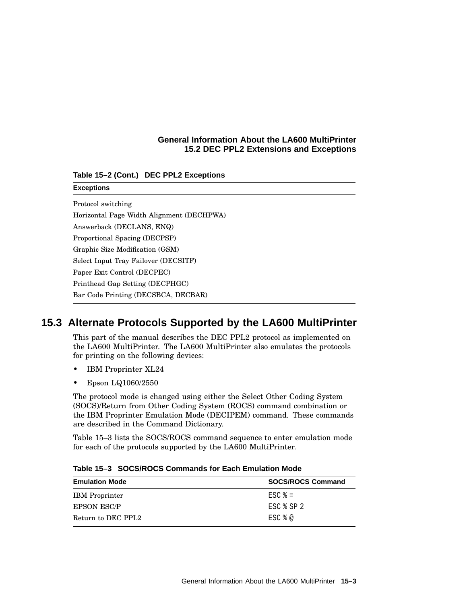#### **General Information About the LA600 MultiPrinter 15.2 DEC PPL2 Extensions and Exceptions**

#### **Table 15–2 (Cont.) DEC PPL2 Exceptions**

| <b>Exceptions</b>                         |  |  |  |
|-------------------------------------------|--|--|--|
| Protocol switching                        |  |  |  |
| Horizontal Page Width Alignment (DECHPWA) |  |  |  |
| Answerback (DECLANS, ENQ)                 |  |  |  |
| Proportional Spacing (DECPSP)             |  |  |  |
| Graphic Size Modification (GSM)           |  |  |  |
| Select Input Tray Failover (DECSITF)      |  |  |  |
| Paper Exit Control (DECPEC)               |  |  |  |
| Printhead Gap Setting (DECPHGC)           |  |  |  |
| Bar Code Printing (DECSBCA, DECBAR)       |  |  |  |
|                                           |  |  |  |

# **15.3 Alternate Protocols Supported by the LA600 MultiPrinter**

This part of the manual describes the DEC PPL2 protocol as implemented on the LA600 MultiPrinter. The LA600 MultiPrinter also emulates the protocols for printing on the following devices:

- IBM Proprinter XL24
- Epson LQ1060/2550

The protocol mode is changed using either the Select Other Coding System (SOCS)/Return from Other Coding System (ROCS) command combination or the IBM Proprinter Emulation Mode (DECIPEM) command. These commands are described in the Command Dictionary.

Table 15–3 lists the SOCS/ROCS command sequence to enter emulation mode for each of the protocols supported by the LA600 MultiPrinter.

| Table 15–3 SOCS/ROCS Commands for Each Emulation Mode |  |  |  |  |  |  |
|-------------------------------------------------------|--|--|--|--|--|--|
|-------------------------------------------------------|--|--|--|--|--|--|

| <b>Emulation Mode</b> | <b>SOCS/ROCS Command</b>   |
|-----------------------|----------------------------|
| <b>IBM</b> Proprinter | $\text{ESC }$ $\text{R}$ = |
| <b>EPSON ESC/P</b>    | $RSC$ $%$ SP $2$           |
| Return to DEC PPL2    | $FSC \approx \omega$       |
|                       |                            |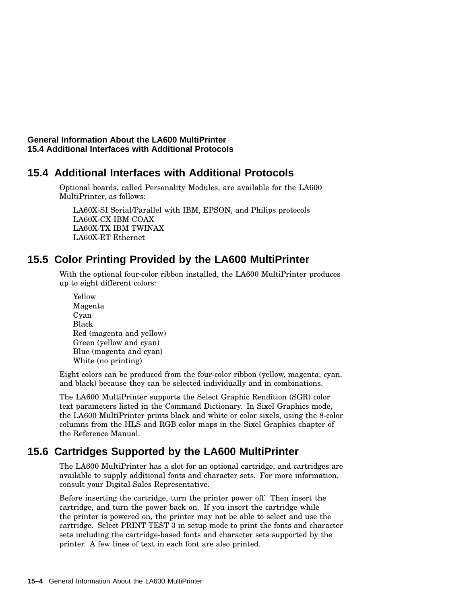#### **General Information About the LA600 MultiPrinter 15.4 Additional Interfaces with Additional Protocols**

# **15.4 Additional Interfaces with Additional Protocols**

Optional boards, called Personality Modules, are available for the LA600 MultiPrinter, as follows:

LA60X-SI Serial/Parallel with IBM, EPSON, and Philips protocols LA60X-CX IBM COAX LA60X-TX IBM TWINAX LA60X-ET Ethernet

# **15.5 Color Printing Provided by the LA600 MultiPrinter**

With the optional four-color ribbon installed, the LA600 MultiPrinter produces up to eight different colors:

Yellow Magenta Cyan Black Red (magenta and yellow) Green (yellow and cyan) Blue (magenta and cyan) White (no printing)

Eight colors can be produced from the four-color ribbon (yellow, magenta, cyan, and black) because they can be selected individually and in combinations.

The LA600 MultiPrinter supports the Select Graphic Rendition (SGR) color text parameters listed in the Command Dictionary. In Sixel Graphics mode, the LA600 MultiPrinter prints black and white or color sixels, using the 8-color columns from the HLS and RGB color maps in the Sixel Graphics chapter of the Reference Manual.

# **15.6 Cartridges Supported by the LA600 MultiPrinter**

The LA600 MultiPrinter has a slot for an optional cartridge, and cartridges are available to supply additional fonts and character sets. For more information, consult your Digital Sales Representative.

Before inserting the cartridge, turn the printer power off. Then insert the cartridge, and turn the power back on. If you insert the cartridge while the printer is powered on, the printer may not be able to select and use the cartridge. Select PRINT TEST 3 in setup mode to print the fonts and character sets including the cartridge-based fonts and character sets supported by the printer. A few lines of text in each font are also printed.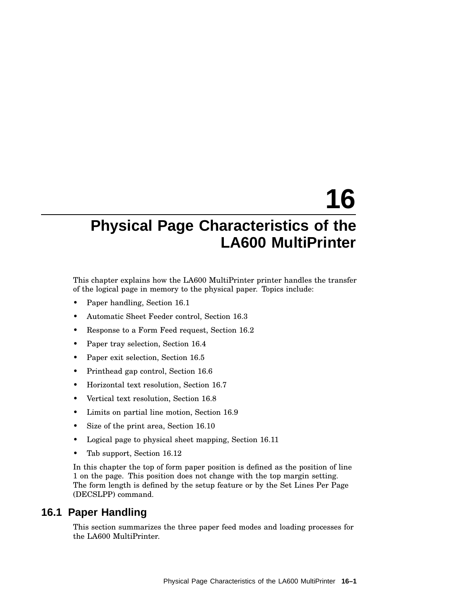# **16**

# **Physical Page Characteristics of the LA600 MultiPrinter**

This chapter explains how the LA600 MultiPrinter printer handles the transfer of the logical page in memory to the physical paper. Topics include:

- Paper handling, Section 16.1
- Automatic Sheet Feeder control, Section 16.3
- Response to a Form Feed request, Section 16.2
- Paper tray selection, Section 16.4
- Paper exit selection, Section 16.5
- Printhead gap control, Section 16.6
- Horizontal text resolution, Section 16.7
- Vertical text resolution, Section 16.8
- Limits on partial line motion, Section 16.9
- Size of the print area, Section 16.10
- Logical page to physical sheet mapping, Section 16.11
- Tab support, Section 16.12

In this chapter the top of form paper position is defined as the position of line 1 on the page. This position does not change with the top margin setting. The form length is defined by the setup feature or by the Set Lines Per Page (DECSLPP) command.

# **16.1 Paper Handling**

This section summarizes the three paper feed modes and loading processes for the LA600 MultiPrinter.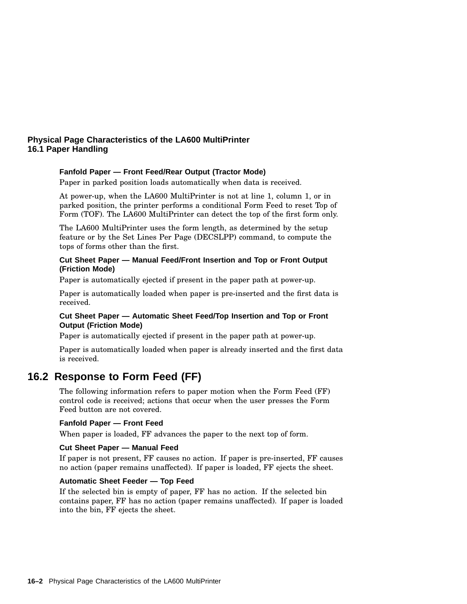#### **Physical Page Characteristics of the LA600 MultiPrinter 16.1 Paper Handling**

#### **Fanfold Paper — Front Feed/Rear Output (Tractor Mode)**

Paper in parked position loads automatically when data is received.

At power-up, when the LA600 MultiPrinter is not at line 1, column 1, or in parked position, the printer performs a conditional Form Feed to reset Top of Form (TOF). The LA600 MultiPrinter can detect the top of the first form only.

The LA600 MultiPrinter uses the form length, as determined by the setup feature or by the Set Lines Per Page (DECSLPP) command, to compute the tops of forms other than the first.

#### **Cut Sheet Paper — Manual Feed/Front Insertion and Top or Front Output (Friction Mode)**

Paper is automatically ejected if present in the paper path at power-up.

Paper is automatically loaded when paper is pre-inserted and the first data is received.

#### **Cut Sheet Paper — Automatic Sheet Feed/Top Insertion and Top or Front Output (Friction Mode)**

Paper is automatically ejected if present in the paper path at power-up.

Paper is automatically loaded when paper is already inserted and the first data is received.

# **16.2 Response to Form Feed (FF)**

The following information refers to paper motion when the Form Feed (FF) control code is received; actions that occur when the user presses the Form Feed button are not covered.

#### **Fanfold Paper — Front Feed**

When paper is loaded, FF advances the paper to the next top of form.

#### **Cut Sheet Paper — Manual Feed**

If paper is not present, FF causes no action. If paper is pre-inserted, FF causes no action (paper remains unaffected). If paper is loaded, FF ejects the sheet.

#### **Automatic Sheet Feeder — Top Feed**

If the selected bin is empty of paper, FF has no action. If the selected bin contains paper, FF has no action (paper remains unaffected). If paper is loaded into the bin, FF ejects the sheet.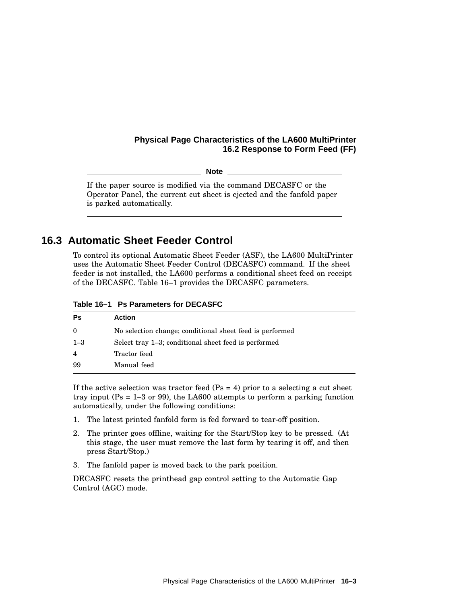#### **Physical Page Characteristics of the LA600 MultiPrinter 16.2 Response to Form Feed (FF)**

**Note**

If the paper source is modified via the command DECASFC or the Operator Panel, the current cut sheet is ejected and the fanfold paper is parked automatically.

# **16.3 Automatic Sheet Feeder Control**

To control its optional Automatic Sheet Feeder (ASF), the LA600 MultiPrinter uses the Automatic Sheet Feeder Control (DECASFC) command. If the sheet feeder is not installed, the LA600 performs a conditional sheet feed on receipt of the DECASFC. Table 16–1 provides the DECASFC parameters.

| Ps             | <b>Action</b>                                            |
|----------------|----------------------------------------------------------|
| $\theta$       | No selection change; conditional sheet feed is performed |
| $1 - 3$        | Select tray 1–3; conditional sheet feed is performed     |
| $\overline{4}$ | Tractor feed                                             |
| 99             | Manual feed                                              |

**Table 16–1 Ps Parameters for DECASFC**

If the active selection was tractor feed  $(Ps = 4)$  prior to a selecting a cut sheet tray input ( $Ps = 1-3$  or 99), the LA600 attempts to perform a parking function automatically, under the following conditions:

- 1. The latest printed fanfold form is fed forward to tear-off position.
- 2. The printer goes offline, waiting for the Start/Stop key to be pressed. (At this stage, the user must remove the last form by tearing it off, and then press Start/Stop.)
- 3. The fanfold paper is moved back to the park position.

DECASFC resets the printhead gap control setting to the Automatic Gap Control (AGC) mode.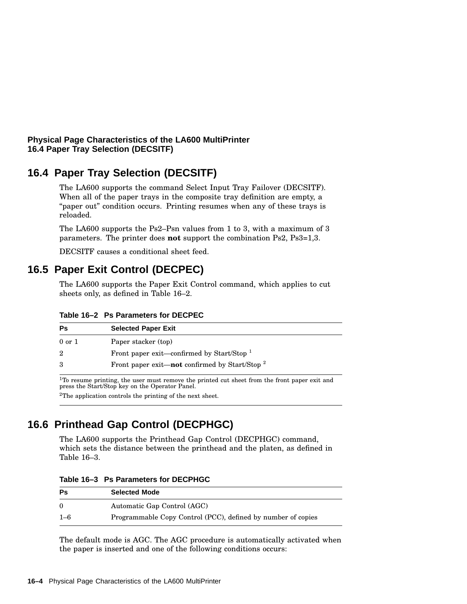**Physical Page Characteristics of the LA600 MultiPrinter 16.4 Paper Tray Selection (DECSITF)**

# **16.4 Paper Tray Selection (DECSITF)**

The LA600 supports the command Select Input Tray Failover (DECSITF). When all of the paper trays in the composite tray definition are empty, a ''paper out'' condition occurs. Printing resumes when any of these trays is reloaded.

The LA600 supports the Ps2–Psn values from 1 to 3, with a maximum of 3 parameters. The printer does **not** support the combination Ps2, Ps3=1,3.

DECSITF causes a conditional sheet feed.

# **16.5 Paper Exit Control (DECPEC)**

The LA600 supports the Paper Exit Control command, which applies to cut sheets only, as defined in Table 16–2.

| Table 16-2 Ps Parameters for DECPEC |
|-------------------------------------|
|-------------------------------------|

| Ps                | <b>Selected Paper Exit</b>                                                  |
|-------------------|-----------------------------------------------------------------------------|
| $0 \text{ or } 1$ | Paper stacker (top)                                                         |
|                   | Front paper exit—confirmed by Start/Stop $^1$                               |
|                   | Front paper exit—not confirmed by Start/Stop $^2$                           |
|                   | $\mathbf{m}$ . The set of the set of $\mathbf{m}$ , the set of $\mathbf{m}$ |

 $1$ To resume printing, the user must remove the printed cut sheet from the front paper exit and press the Start/Stop key on the Operator Panel.

<sup>2</sup>The application controls the printing of the next sheet.

# **16.6 Printhead Gap Control (DECPHGC)**

The LA600 supports the Printhead Gap Control (DECPHGC) command, which sets the distance between the printhead and the platen, as defined in Table 16–3.

**Table 16–3 Ps Parameters for DECPHGC**

| Ps       | <b>Selected Mode</b>                                         |
|----------|--------------------------------------------------------------|
| $\Omega$ | Automatic Gap Control (AGC)                                  |
| $1 - 6$  | Programmable Copy Control (PCC), defined by number of copies |

The default mode is AGC. The AGC procedure is automatically activated when the paper is inserted and one of the following conditions occurs: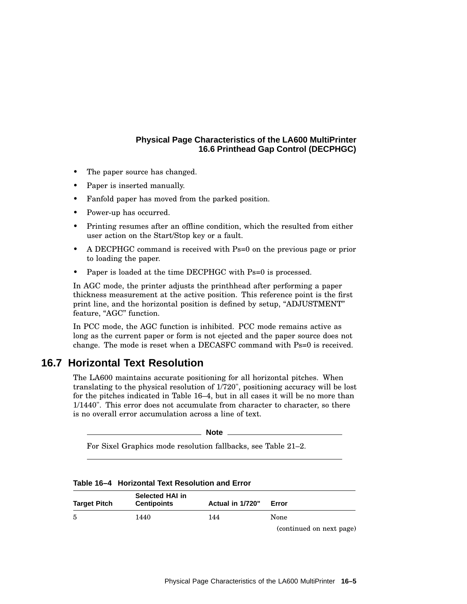### **Physical Page Characteristics of the LA600 MultiPrinter 16.6 Printhead Gap Control (DECPHGC)**

- The paper source has changed.
- Paper is inserted manually.
- Fanfold paper has moved from the parked position.
- Power-up has occurred.
- Printing resumes after an offline condition, which the resulted from either user action on the Start/Stop key or a fault.
- A DECPHGC command is received with Ps=0 on the previous page or prior to loading the paper.
- Paper is loaded at the time DECPHGC with Ps=0 is processed.

In AGC mode, the printer adjusts the printhhead after performing a paper thickness measurement at the active position. This reference point is the first print line, and the horizontal position is defined by setup, ''ADJUSTMENT'' feature, "AGC" function.

In PCC mode, the AGC function is inhibited. PCC mode remains active as long as the current paper or form is not ejected and the paper source does not change. The mode is reset when a DECASFC command with Ps=0 is received.

## **16.7 Horizontal Text Resolution**

The LA600 maintains accurate positioning for all horizontal pitches. When translating to the physical resolution of 1/720", positioning accuracy will be lost for the pitches indicated in Table 16–4, but in all cases it will be no more than 1/1440". This error does not accumulate from character to character, so there is no overall error accumulation across a line of text.

**Note**

For Sixel Graphics mode resolution fallbacks, see Table 21–2.

| <b>Target Pitch</b> | Selected HAI in<br><b>Centipoints</b> | Actual in 1/720" | Error                    |
|---------------------|---------------------------------------|------------------|--------------------------|
| -5                  | 1440                                  | 144              | None                     |
|                     |                                       |                  | (continued on next page) |

**Table 16–4 Horizontal Text Resolution and Error**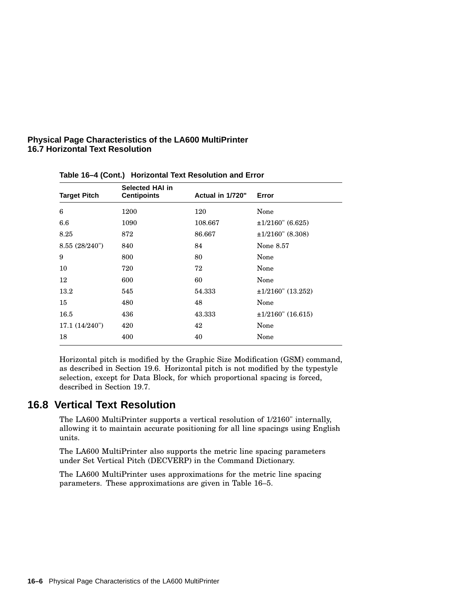### **Physical Page Characteristics of the LA600 MultiPrinter 16.7 Horizontal Text Resolution**

| <b>Target Pitch</b> | <b>Selected HAI in</b><br><b>Centipoints</b> | Actual in 1/720" | Error                   |
|---------------------|----------------------------------------------|------------------|-------------------------|
| 6                   | 1200                                         | 120              | None                    |
| 6.6                 | 1090                                         | 108.667          | $\pm 1/2160$ " (6.625)  |
| 8.25                | 872                                          | 86.667           | $\pm 1/2160$ " (8.308)  |
| 8.55(28/240")       | 840                                          | 84               | None 8.57               |
| 9                   | 800                                          | 80               | None                    |
| 10                  | 720                                          | 72               | None                    |
| 12                  | 600                                          | 60               | None                    |
| 13.2                | 545                                          | 54.333           | $\pm 1/2160$ " (13.252) |
| 15                  | 480                                          | 48               | None                    |
| 16.5                | 436                                          | 43.333           | $\pm 1/2160$ " (16.615) |
| 17.1 (14/240")      | 420                                          | 42               | None                    |
| 18                  | 400                                          | 40               | None                    |

**Table 16–4 (Cont.) Horizontal Text Resolution and Error**

Horizontal pitch is modified by the Graphic Size Modification (GSM) command, as described in Section 19.6. Horizontal pitch is not modified by the typestyle selection, except for Data Block, for which proportional spacing is forced, described in Section 19.7.

# **16.8 Vertical Text Resolution**

The LA600 MultiPrinter supports a vertical resolution of 1/2160" internally, allowing it to maintain accurate positioning for all line spacings using English units.

The LA600 MultiPrinter also supports the metric line spacing parameters under Set Vertical Pitch (DECVERP) in the Command Dictionary.

The LA600 MultiPrinter uses approximations for the metric line spacing parameters. These approximations are given in Table 16–5.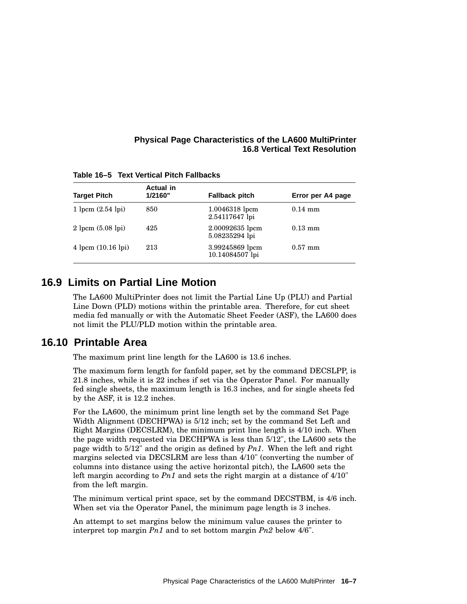#### **Physical Page Characteristics of the LA600 MultiPrinter 16.8 Vertical Text Resolution**

| <b>Target Pitch</b>                  | Actual in<br>1/2160" | <b>Fallback pitch</b>              | Error per A4 page |
|--------------------------------------|----------------------|------------------------------------|-------------------|
| 1 lpcm $(2.54 \text{ lpi})$          | 850                  | 1.0046318 lpcm<br>2.54117647 lpi   | $0.14$ mm         |
| $2 \text{ lpcm} (5.08 \text{ lpi})$  | 425                  | 2.00092635 lpcm<br>5.08235294 lpi  | $0.13 \text{ mm}$ |
| $4 \text{ lpcm} (10.16 \text{ lpi})$ | 213                  | 3.99245869 lpcm<br>10.14084507 lpi | $0.57$ mm         |

**Table 16–5 Text Vertical Pitch Fallbacks**

# **16.9 Limits on Partial Line Motion**

The LA600 MultiPrinter does not limit the Partial Line Up (PLU) and Partial Line Down (PLD) motions within the printable area. Therefore, for cut sheet media fed manually or with the Automatic Sheet Feeder (ASF), the LA600 does not limit the PLU/PLD motion within the printable area.

# **16.10 Printable Area**

The maximum print line length for the LA600 is 13.6 inches.

The maximum form length for fanfold paper, set by the command DECSLPP, is 21.8 inches, while it is 22 inches if set via the Operator Panel. For manually fed single sheets, the maximum length is 16.3 inches, and for single sheets fed by the ASF, it is 12.2 inches.

For the LA600, the minimum print line length set by the command Set Page Width Alignment (DECHPWA) is 5/12 inch; set by the command Set Left and Right Margins (DECSLRM), the minimum print line length is 4/10 inch. When the page width requested via DECHPWA is less than 5/12", the LA600 sets the page width to 5/12" and the origin as defined by *Pn1*. When the left and right margins selected via DECSLRM are less than 4/10" (converting the number of columns into distance using the active horizontal pitch), the LA600 sets the left margin according to *Pn1* and sets the right margin at a distance of 4/10" from the left margin.

The minimum vertical print space, set by the command DECSTBM, is 4/6 inch. When set via the Operator Panel, the minimum page length is 3 inches.

An attempt to set margins below the minimum value causes the printer to interpret top margin *Pn1* and to set bottom margin *Pn2* below 4/6".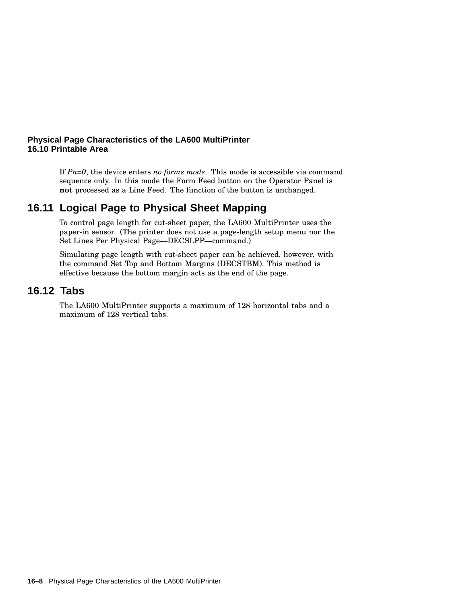#### **Physical Page Characteristics of the LA600 MultiPrinter 16.10 Printable Area**

If *Pn=0*, the device enters *no forms mode*. This mode is accessible via command sequence only. In this mode the Form Feed button on the Operator Panel is **not** processed as a Line Feed. The function of the button is unchanged.

# **16.11 Logical Page to Physical Sheet Mapping**

To control page length for cut-sheet paper, the LA600 MultiPrinter uses the paper-in sensor. (The printer does not use a page-length setup menu nor the Set Lines Per Physical Page—DECSLPP—command.)

Simulating page length with cut-sheet paper can be achieved, however, with the command Set Top and Bottom Margins (DECSTBM). This method is effective because the bottom margin acts as the end of the page.

# **16.12 Tabs**

The LA600 MultiPrinter supports a maximum of 128 horizontal tabs and a maximum of 128 vertical tabs.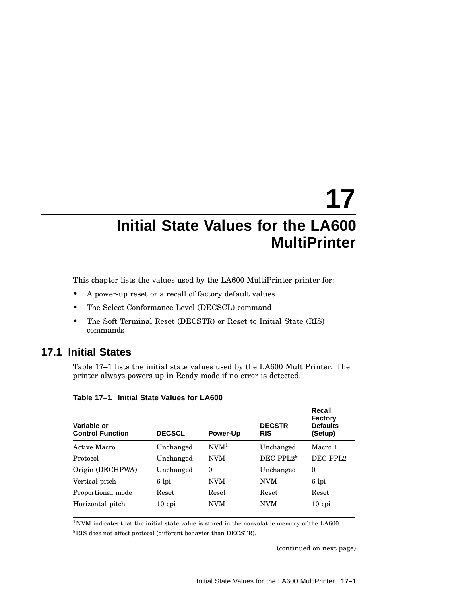# **17 Initial State Values for the LA600 MultiPrinter**

This chapter lists the values used by the LA600 MultiPrinter printer for:

- A power-up reset or a recall of factory default values
- The Select Conformance Level (DECSCL) command
- The Soft Terminal Reset (DECSTR) or Reset to Initial State (RIS) commands

# **17.1 Initial States**

Table 17–1 lists the initial state values used by the LA600 MultiPrinter. The printer always powers up in Ready mode if no error is detected.

| Variable or<br><b>Control Function</b> | <b>DECSCL</b> | Power-Up         | <b>DECSTR</b><br><b>RIS</b> | Recall<br><b>Factory</b><br><b>Defaults</b><br>(Setup) |
|----------------------------------------|---------------|------------------|-----------------------------|--------------------------------------------------------|
| Active Macro                           | Unchanged     | NVM <sup>1</sup> | Unchanged                   | Macro 1                                                |
| Protocol                               | Unchanged     | <b>NVM</b>       | DEC PPL2 <sup>8</sup>       | DEC PPL <sub>2</sub>                                   |
| Origin (DECHPWA)                       | Unchanged     | $\theta$         | Unchanged                   | $\theta$                                               |
| Vertical pitch                         | 6 lpi         | <b>NVM</b>       | <b>NVM</b>                  | 6 lpi                                                  |
| Proportional mode                      | Reset         | Reset            | <b>Reset</b>                | Reset                                                  |
| Horizontal pitch                       | $10$ cpi      | <b>NVM</b>       | <b>NVM</b>                  | $10$ cpi                                               |

**Table 17–1 Initial State Values for LA600**

 $^1\rm{NVM}$  indicates that the initial state value is stored in the nonvolatile memory of the LA600.

<sup>8</sup>RIS does not affect protocol (different behavior than DECSTR).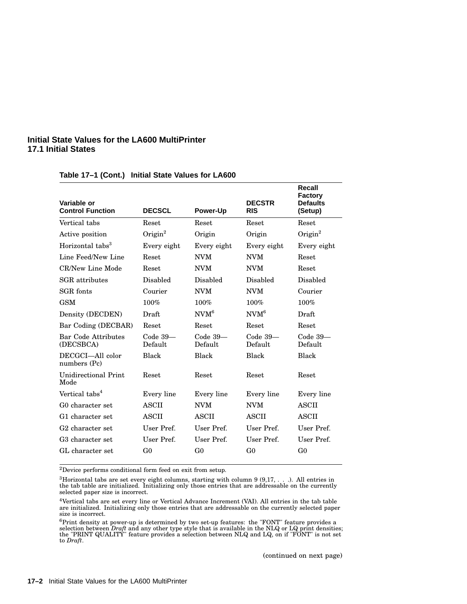#### **Initial State Values for the LA600 MultiPrinter 17.1 Initial States**

| Variable or                             |                       |                       | <b>DECSTR</b>         | Recall<br><b>Factory</b><br><b>Defaults</b> |
|-----------------------------------------|-----------------------|-----------------------|-----------------------|---------------------------------------------|
| <b>Control Function</b>                 | <b>DECSCL</b>         | Power-Up              | <b>RIS</b>            | (Setup)                                     |
| Vertical tabs                           | Reset                 | Reset                 | Reset                 | Reset                                       |
| Active position                         | $\text{Original}^2$   | Origin                | Origin                | $\text{Original}^2$                         |
| Horizontal tabs <sup>3</sup>            | Every eight           | Every eight           | Every eight           | Every eight                                 |
| Line Feed/New Line                      | Reset                 | <b>NVM</b>            | <b>NVM</b>            | Reset                                       |
| CR/New Line Mode                        | Reset                 | <b>NVM</b>            | <b>NVM</b>            | Reset                                       |
| <b>SGR</b> attributes                   | Disabled              | Disabled              | Disabled              | Disabled                                    |
| SGR fonts                               | Courier               | <b>NVM</b>            | <b>NVM</b>            | Courier                                     |
| <b>GSM</b>                              | 100%                  | 100%                  | 100%                  | 100%                                        |
| Density (DECDEN)                        | Draft                 | NVM <sup>6</sup>      | NVM <sup>6</sup>      | Draft                                       |
| Bar Coding (DECBAR)                     | Reset                 | Reset                 | Reset                 | Reset                                       |
| <b>Bar Code Attributes</b><br>(DECSBCA) | $Code 39-$<br>Default | $Code 39-$<br>Default | $Code 39-$<br>Default | $Code 39-$<br>Default                       |
| DECGCI-All color<br>numbers (Pc)        | Black                 | Black                 | Black                 | Black                                       |
| <b>Unidirectional Print</b><br>Mode     | Reset                 | Reset                 | Reset                 | Reset                                       |
| Vertical tabs <sup>4</sup>              | Every line            | Every line            | Every line            | Every line                                  |
| G0 character set                        | <b>ASCII</b>          | <b>NVM</b>            | <b>NVM</b>            | <b>ASCII</b>                                |
| G1 character set                        | <b>ASCII</b>          | <b>ASCII</b>          | <b>ASCII</b>          | <b>ASCII</b>                                |
| G <sub>2</sub> character set            | User Pref.            | User Pref.            | User Pref.            | User Pref.                                  |
| G <sub>3</sub> character set            | User Pref.            | User Pref.            | User Pref.            | User Pref.                                  |
| GL character set                        | G <sub>0</sub>        | G <sub>0</sub>        | G <sub>0</sub>        | G <sub>0</sub>                              |

#### **Table 17–1 (Cont.) Initial State Values for LA600**

 ${\rm ^2D}$ evice performs conditional form feed on exit from setup.

 ${}^{3}$ Horizontal tabs are set every eight columns, starting with column 9 (9,17, . . .). All entries in the tab table are initialized. Initializing only those entries that are addressable on the currently selected paper size is incorrect.

<sup>4</sup>Vertical tabs are set every line or Vertical Advance Increment (VAI). All entries in the tab table are initialized. Initializing only those entries that are addressable on the currently selected paper size is incorrect.

 $6$ Print density at power-up is determined by two set-up features: the "FONT" feature provides a selection between *Draft* and any other type style that is available in the NLQ or LQ print densities; the "PRINT QUALITY" feature provides a selection between NLQ and LQ, on if "FONT" is not set to *Draft*.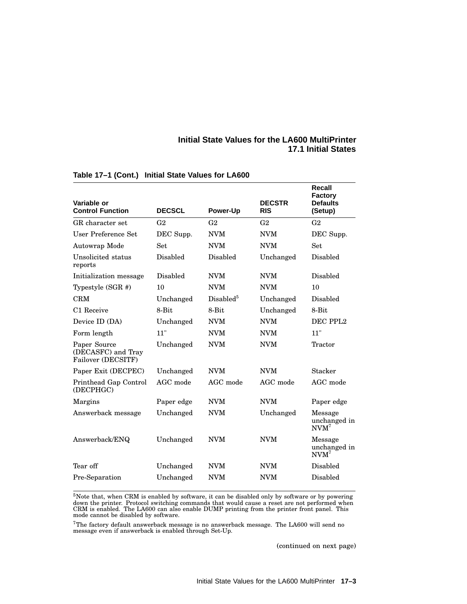## **Initial State Values for the LA600 MultiPrinter 17.1 Initial States**

|                                                          |                |                       |                             | Recall<br><b>Factory</b>                    |
|----------------------------------------------------------|----------------|-----------------------|-----------------------------|---------------------------------------------|
| Variable or<br><b>Control Function</b>                   | <b>DECSCL</b>  | Power-Up              | <b>DECSTR</b><br><b>RIS</b> | <b>Defaults</b><br>(Setup)                  |
| GR character set                                         | G <sub>2</sub> | G <sub>2</sub>        | G <sub>2</sub>              | G <sub>2</sub>                              |
| User Preference Set                                      | DEC Supp.      | <b>NVM</b>            | <b>NVM</b>                  | DEC Supp.                                   |
| Autowrap Mode                                            | <b>Set</b>     | <b>NVM</b>            | <b>NVM</b>                  | <b>Set</b>                                  |
| Unsolicited status<br>reports                            | Disabled       | Disabled              | Unchanged                   | Disabled                                    |
| Initialization message                                   | Disabled       | <b>NVM</b>            | <b>NVM</b>                  | Disabled                                    |
| Typestyle $(SGR \#)$                                     | 10             | <b>NVM</b>            | <b>NVM</b>                  | 10                                          |
| <b>CRM</b>                                               | Unchanged      | Disabled <sup>5</sup> | Unchanged                   | Disabled                                    |
| C1 Receive                                               | 8-Bit          | 8-Bit                 | Unchanged                   | 8-Bit                                       |
| Device ID (DA)                                           | Unchanged      | <b>NVM</b>            | <b>NVM</b>                  | DEC PPL <sub>2</sub>                        |
| Form length                                              | 11"            | <b>NVM</b>            | <b>NVM</b>                  | 11"                                         |
| Paper Source<br>(DECASFC) and Tray<br>Failover (DECSITF) | Unchanged      | <b>NVM</b>            | <b>NVM</b>                  | Tractor                                     |
| Paper Exit (DECPEC)                                      | Unchanged      | <b>NVM</b>            | <b>NVM</b>                  | <b>Stacker</b>                              |
| Printhead Gap Control<br>(DECPHGC)                       | AGC mode       | AGC mode              | AGC mode                    | AGC mode                                    |
| Margins                                                  | Paper edge     | <b>NVM</b>            | <b>NVM</b>                  | Paper edge                                  |
| Answerback message                                       | Unchanged      | <b>NVM</b>            | Unchanged                   | Message<br>unchanged in<br>NVM <sup>7</sup> |
| Answerback/ENQ                                           | Unchanged      | <b>NVM</b>            | <b>NVM</b>                  | Message<br>unchanged in<br>NVM <sup>7</sup> |
| Tear off                                                 | Unchanged      | <b>NVM</b>            | <b>NVM</b>                  | Disabled                                    |
| Pre-Separation                                           | Unchanged      | <b>NVM</b>            | <b>NVM</b>                  | Disabled                                    |

#### **Table 17–1 (Cont.) Initial State Values for LA600**

<sup>5</sup>Note that, when CRM is enabled by software, it can be disabled only by software or by powering down the printer. Protocol switching commands that would cause a reset are not performed when CRM is enabled. The LA600 can also enable DUMP printing from the printer front panel. This mode cannot be disabled by software.

 ${\rm ^7The}$  factory default answerback message is no answerback message. The LA600 will send no message even if answerback is enabled through Set-Up.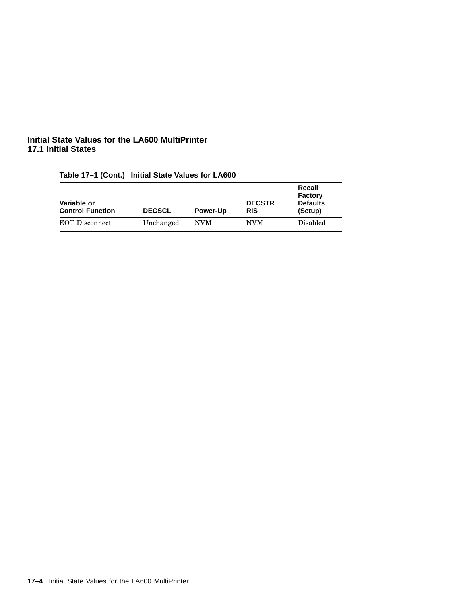### **Initial State Values for the LA600 MultiPrinter 17.1 Initial States**

| Variable or<br><b>Control Function</b> | <b>DECSCL</b> | <b>Power-Up</b> | <b>DECSTR</b><br><b>RIS</b> | Recall<br><b>Factory</b><br><b>Defaults</b><br>(Setup) |
|----------------------------------------|---------------|-----------------|-----------------------------|--------------------------------------------------------|
| <b>EOT</b> Disconnect                  | Unchanged     | <b>NVM</b>      | <b>NVM</b>                  | Disabled                                               |

**Table 17–1 (Cont.) Initial State Values for LA600**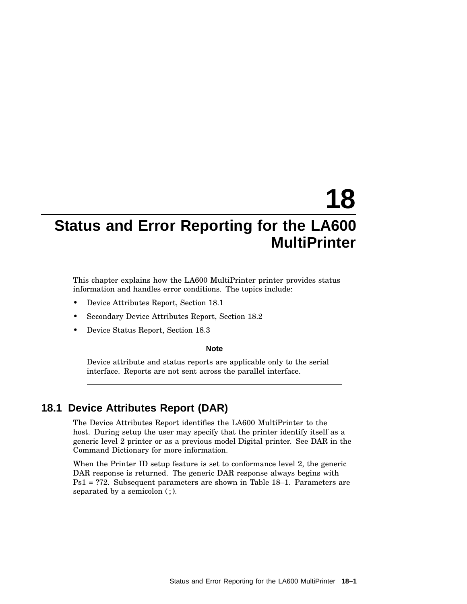# **18**

# **Status and Error Reporting for the LA600 MultiPrinter**

This chapter explains how the LA600 MultiPrinter printer provides status information and handles error conditions. The topics include:

- Device Attributes Report, Section 18.1
- Secondary Device Attributes Report, Section 18.2
- Device Status Report, Section 18.3

#### **Note**

Device attribute and status reports are applicable only to the serial interface. Reports are not sent across the parallel interface.

# **18.1 Device Attributes Report (DAR)**

The Device Attributes Report identifies the LA600 MultiPrinter to the host. During setup the user may specify that the printer identify itself as a generic level 2 printer or as a previous model Digital printer. See DAR in the Command Dictionary for more information.

When the Printer ID setup feature is set to conformance level 2, the generic DAR response is returned. The generic DAR response always begins with Ps1 = ?72. Subsequent parameters are shown in Table 18–1. Parameters are separated by a semicolon (; ).

Status and Error Reporting for the LA600 MultiPrinter **18–1**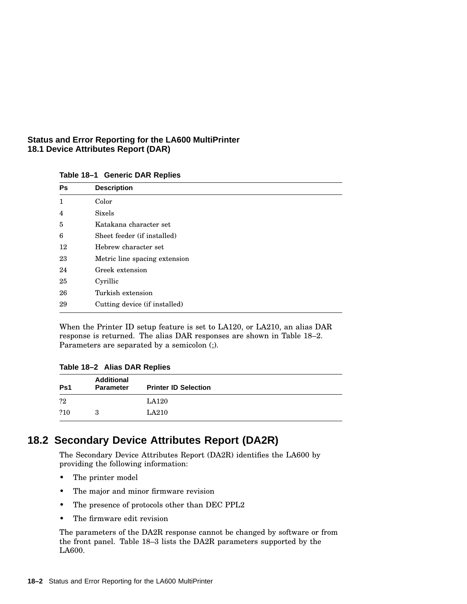#### **Status and Error Reporting for the LA600 MultiPrinter 18.1 Device Attributes Report (DAR)**

| Ps           | <b>Description</b>            |
|--------------|-------------------------------|
| $\mathbf{1}$ | Color                         |
| 4            | <b>Sixels</b>                 |
| 5            | Katakana character set        |
| 6            | Sheet feeder (if installed)   |
| 12           | Hebrew character set          |
| 23           | Metric line spacing extension |
| 24           | Greek extension               |
| 25           | Cyrillic                      |
| 26           | Turkish extension             |
| 29           | Cutting device (if installed) |

**Table 18–1 Generic DAR Replies**

When the Printer ID setup feature is set to LA120, or LA210, an alias DAR response is returned. The alias DAR responses are shown in Table 18–2. Parameters are separated by a semicolon (;).

**Table 18–2 Alias DAR Replies**

| Ps1 | <b>Additional</b><br><b>Parameter</b> | <b>Printer ID Selection</b> |  |
|-----|---------------------------------------|-----------------------------|--|
| ?2  |                                       | LA120                       |  |
| ?10 | 3                                     | LA210                       |  |

# **18.2 Secondary Device Attributes Report (DA2R)**

The Secondary Device Attributes Report (DA2R) identifies the LA600 by providing the following information:

- The printer model
- The major and minor firmware revision
- The presence of protocols other than DEC PPL2
- The firmware edit revision

The parameters of the DA2R response cannot be changed by software or from the front panel. Table 18–3 lists the DA2R parameters supported by the LA600.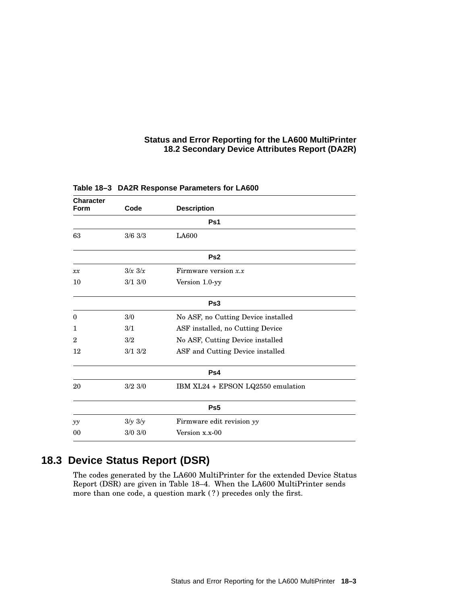## **Status and Error Reporting for the LA600 MultiPrinter 18.2 Secondary Device Attributes Report (DA2R)**

| <b>Character</b><br>Form  | Code        | <b>Description</b>                  |  |  |  |
|---------------------------|-------------|-------------------------------------|--|--|--|
|                           | Ps1         |                                     |  |  |  |
| 63                        | 3/63/3      | <b>LA600</b>                        |  |  |  |
|                           |             | Ps <sub>2</sub>                     |  |  |  |
| x x                       | $3/x$ $3/x$ | Firmware version $x.x$              |  |  |  |
| 10                        | 3/13/0      | Version 1.0-yy                      |  |  |  |
|                           |             | Ps3                                 |  |  |  |
| $\theta$                  | 3/0         | No ASF, no Cutting Device installed |  |  |  |
| 1                         | 3/1         | ASF installed, no Cutting Device    |  |  |  |
| $\overline{2}$            | 3/2         | No ASF, Cutting Device installed    |  |  |  |
| 12                        | 3/13/2      | ASF and Cutting Device installed    |  |  |  |
|                           |             | Ps4                                 |  |  |  |
| 20                        | 3/23/0      | IBM XL24 + EPSON LQ2550 emulation   |  |  |  |
|                           |             | Ps <sub>5</sub>                     |  |  |  |
| $\mathcal{Y} \mathcal{Y}$ | $3/y$ $3/y$ | Firmware edit revision yy           |  |  |  |
| 00                        | 3/0.3/0     | Version x.x-00                      |  |  |  |

#### **Table 18–3 DA2R Response Parameters for LA600**

# **18.3 Device Status Report (DSR)**

The codes generated by the LA600 MultiPrinter for the extended Device Status Report (DSR) are given in Table 18–4. When the LA600 MultiPrinter sends more than one code, a question mark (?) precedes only the first.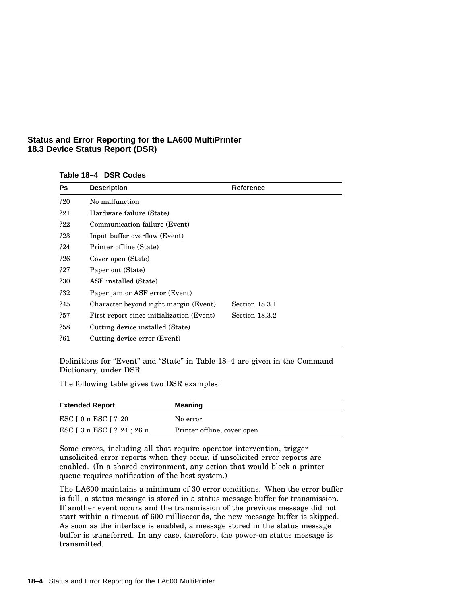### **Status and Error Reporting for the LA600 MultiPrinter 18.3 Device Status Report (DSR)**

| Table 18-4 DSR Codes |  |  |
|----------------------|--|--|
|----------------------|--|--|

| Ps  | <b>Description</b>                        | <b>Reference</b> |
|-----|-------------------------------------------|------------------|
| ?20 | No malfunction                            |                  |
| ?21 | Hardware failure (State)                  |                  |
| ?22 | Communication failure (Event)             |                  |
| ?23 | Input buffer overflow (Event)             |                  |
| ?24 | Printer offline (State)                   |                  |
| ?26 | Cover open (State)                        |                  |
| ?27 | Paper out (State)                         |                  |
| ?30 | ASF installed (State)                     |                  |
| ?32 | Paper jam or ASF error (Event)            |                  |
| ?45 | Character beyond right margin (Event)     | Section 18.3.1   |
| ?57 | First report since initialization (Event) | Section 18.3.2   |
| ?58 | Cutting device installed (State)          |                  |
| ?61 | Cutting device error (Event)              |                  |
|     |                                           |                  |

Definitions for "Event" and "State" in Table 18-4 are given in the Command Dictionary, under DSR.

The following table gives two DSR examples:

| <b>Extended Report</b>                                                       | <b>Meaning</b>              |
|------------------------------------------------------------------------------|-----------------------------|
| ESC $\lceil 0 n$ ESC $\lceil ? 20 \rceil$                                    | No error                    |
| ESC $\lceil 3 \text{ n }$ ESC $\lceil ? \text{ } 24 \text{ : } 26 \text{ n}$ | Printer offline; cover open |

Some errors, including all that require operator intervention, trigger unsolicited error reports when they occur, if unsolicited error reports are enabled. (In a shared environment, any action that would block a printer queue requires notification of the host system.)

The LA600 maintains a minimum of 30 error conditions. When the error buffer is full, a status message is stored in a status message buffer for transmission. If another event occurs and the transmission of the previous message did not start within a timeout of 600 milliseconds, the new message buffer is skipped. As soon as the interface is enabled, a message stored in the status message buffer is transferred. In any case, therefore, the power-on status message is transmitted.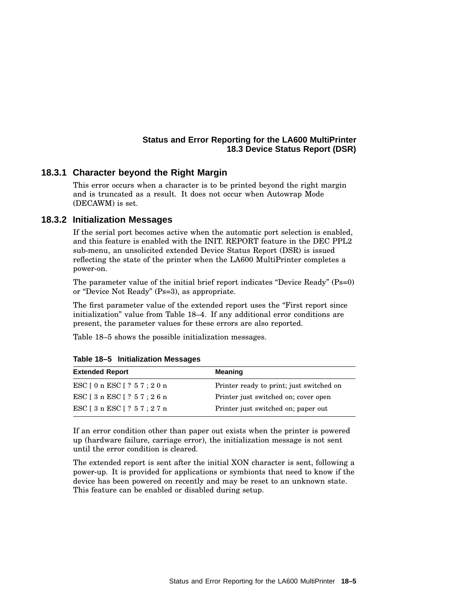#### **Status and Error Reporting for the LA600 MultiPrinter 18.3 Device Status Report (DSR)**

### **18.3.1 Character beyond the Right Margin**

This error occurs when a character is to be printed beyond the right margin and is truncated as a result. It does not occur when Autowrap Mode (DECAWM) is set.

#### **18.3.2 Initialization Messages**

If the serial port becomes active when the automatic port selection is enabled, and this feature is enabled with the INIT. REPORT feature in the DEC PPL2 sub-menu, an unsolicited extended Device Status Report (DSR) is issued reflecting the state of the printer when the LA600 MultiPrinter completes a power-on.

The parameter value of the initial brief report indicates "Device Ready"  $(Ps=0)$ or ''Device Not Ready'' (Ps=3), as appropriate.

The first parameter value of the extended report uses the "First report since initialization'' value from Table 18–4. If any additional error conditions are present, the parameter values for these errors are also reported.

Table 18–5 shows the possible initialization messages.

| <b>Extended Report</b>                           | <b>Meaning</b>                           |
|--------------------------------------------------|------------------------------------------|
| ESC $\lceil 0 \ln \text{ESC} \rceil$ ? 57 ; 20 n | Printer ready to print; just switched on |
| ESC $\lceil 3n$ ESC $\rceil$ ? 57 ; 26 n         | Printer just switched on; cover open     |
| ESC $\lceil 3 n$ ESC $\rceil$ ? 57 ; 27 n        | Printer just switched on; paper out      |

## **Table 18–5 Initialization Messages**

If an error condition other than paper out exists when the printer is powered up (hardware failure, carriage error), the initialization message is not sent until the error condition is cleared.

The extended report is sent after the initial XON character is sent, following a power-up. It is provided for applications or symbionts that need to know if the device has been powered on recently and may be reset to an unknown state. This feature can be enabled or disabled during setup.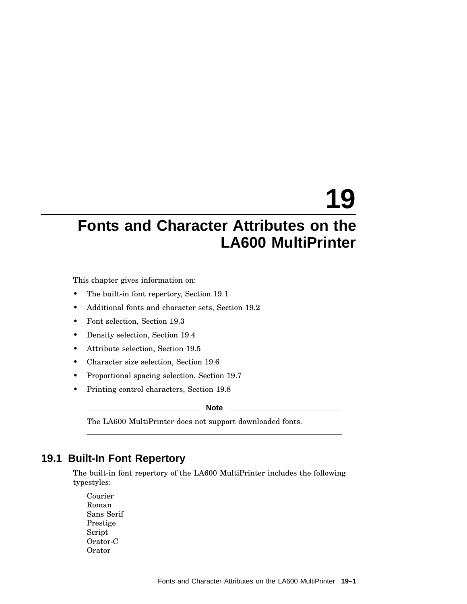# **19**

# **Fonts and Character Attributes on the LA600 MultiPrinter**

This chapter gives information on:

- The built-in font repertory, Section 19.1
- Additional fonts and character sets, Section 19.2
- Font selection, Section 19.3
- Density selection, Section 19.4
- Attribute selection, Section 19.5
- Character size selection, Section 19.6
- Proportional spacing selection, Section 19.7
- Printing control characters, Section 19.8

**Note**

The LA600 MultiPrinter does not support downloaded fonts.

# **19.1 Built-In Font Repertory**

The built-in font repertory of the LA600 MultiPrinter includes the following typestyles:

Courier Roman Sans Serif Prestige Script Orator-C **Orator**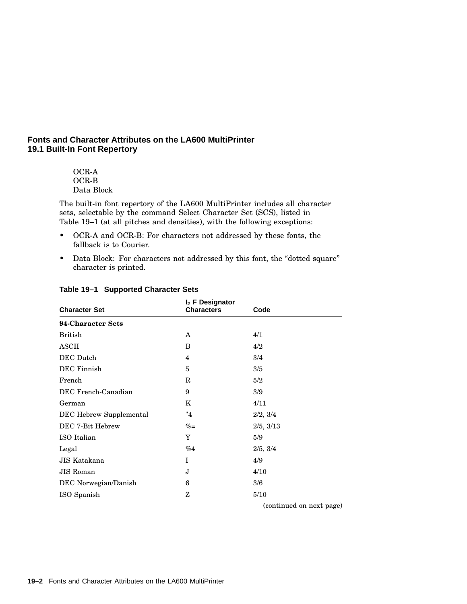#### **Fonts and Character Attributes on the LA600 MultiPrinter 19.1 Built-In Font Repertory**

OCR-A OCR-B Data Block

The built-in font repertory of the LA600 MultiPrinter includes all character sets, selectable by the command Select Character Set (SCS), listed in Table 19–1 (at all pitches and densities), with the following exceptions:

- OCR-A and OCR-B: For characters not addressed by these fonts, the fallback is to Courier.
- Data Block: For characters not addressed by this font, the "dotted square" character is printed.

| <b>Character Set</b>    | I <sub>2</sub> F Designator<br><b>Characters</b> | Code                     |
|-------------------------|--------------------------------------------------|--------------------------|
| 94-Character Sets       |                                                  |                          |
| <b>British</b>          | A                                                | 4/1                      |
| ASCII                   | B                                                | 4/2                      |
| DEC Dutch               | 4                                                | 3/4                      |
| <b>DEC</b> Finnish      | 5                                                | 3/5                      |
| French                  | R                                                | 5/2                      |
| DEC French-Canadian     | 9                                                | 3/9                      |
| German                  | K                                                | 4/11                     |
| DEC Hebrew Supplemental | "4"                                              | 2/2, 3/4                 |
| DEC 7-Bit Hebrew        | $\% =$                                           | 2/5, 3/13                |
| ISO Italian             | Y                                                | 5/9                      |
| Legal                   | %4                                               | 2/5, 3/4                 |
| JIS Katakana            | I                                                | 4/9                      |
| <b>JIS Roman</b>        | J                                                | 4/10                     |
| DEC Norwegian/Danish    | 6                                                | 3/6                      |
| ISO Spanish             | Z                                                | 5/10                     |
|                         |                                                  | (continued on next page) |

#### **Table 19–1 Supported Character Sets**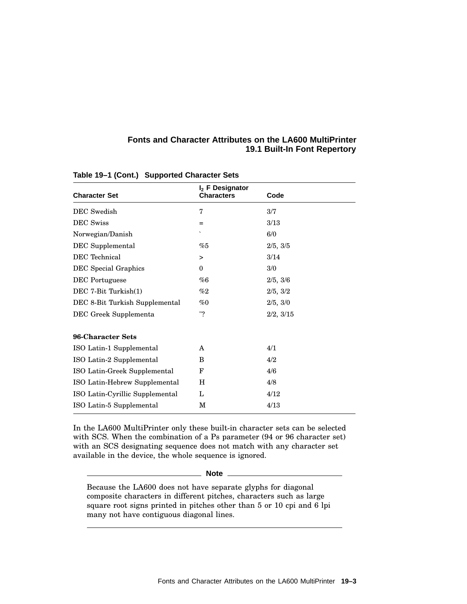#### **Fonts and Character Attributes on the LA600 MultiPrinter 19.1 Built-In Font Repertory**

| <b>Character Set</b>            | $I2$ F Designator<br><b>Characters</b> | Code      |
|---------------------------------|----------------------------------------|-----------|
| DEC Swedish                     | 7                                      | 3/7       |
| DEC Swiss                       | $=$                                    | 3/13      |
| Norwegian/Danish                |                                        | 6/0       |
| DEC Supplemental                | %5                                     | 2/5, 3/5  |
| <b>DEC</b> Technical            | >                                      | 3/14      |
| DEC Special Graphics            | $\Omega$                               | 3/0       |
| <b>DEC</b> Portuguese           | %6                                     | 2/5, 3/6  |
| DEC 7-Bit Turkish(1)            | %2                                     | 2/5, 3/2  |
| DEC 8-Bit Turkish Supplemental  | $\%0$                                  | 2/5, 3/0  |
| DEC Greek Supplementa           | "?                                     | 2/2, 3/15 |
| 96-Character Sets               |                                        |           |
| ISO Latin-1 Supplemental        | A                                      | 4/1       |
| ISO Latin-2 Supplemental        | B                                      | 4/2       |
| ISO Latin-Greek Supplemental    | F                                      | 4/6       |
| ISO Latin-Hebrew Supplemental   | н                                      | 4/8       |
| ISO Latin-Cyrillic Supplemental | L                                      | 4/12      |
| ISO Latin-5 Supplemental        | М                                      | 4/13      |

#### **Table 19–1 (Cont.) Supported Character Sets**

In the LA600 MultiPrinter only these built-in character sets can be selected with SCS. When the combination of a Ps parameter (94 or 96 character set) with an SCS designating sequence does not match with any character set available in the device, the whole sequence is ignored.

**Note** \_

Because the LA600 does not have separate glyphs for diagonal composite characters in different pitches, characters such as large square root signs printed in pitches other than 5 or 10 cpi and 6 lpi many not have contiguous diagonal lines.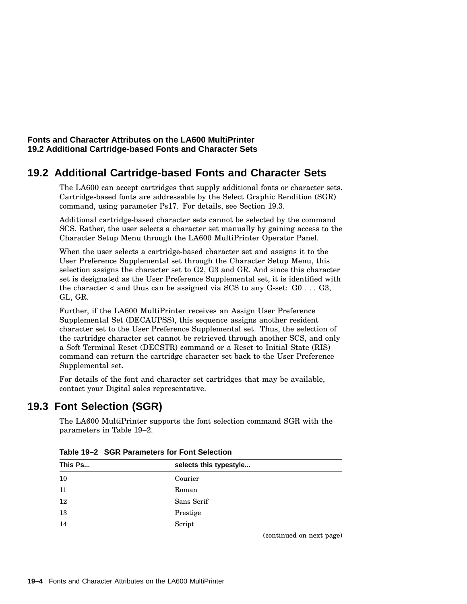#### **Fonts and Character Attributes on the LA600 MultiPrinter 19.2 Additional Cartridge-based Fonts and Character Sets**

# **19.2 Additional Cartridge-based Fonts and Character Sets**

The LA600 can accept cartridges that supply additional fonts or character sets. Cartridge-based fonts are addressable by the Select Graphic Rendition (SGR) command, using parameter Ps17. For details, see Section 19.3.

Additional cartridge-based character sets cannot be selected by the command SCS. Rather, the user selects a character set manually by gaining access to the Character Setup Menu through the LA600 MultiPrinter Operator Panel.

When the user selects a cartridge-based character set and assigns it to the User Preference Supplemental set through the Character Setup Menu, this selection assigns the character set to G2, G3 and GR. And since this character set is designated as the User Preference Supplemental set, it is identified with the character  $\lt$  and thus can be assigned via SCS to any G-set: G0 . . . G3, GL, GR.

Further, if the LA600 MultiPrinter receives an Assign User Preference Supplemental Set (DECAUPSS), this sequence assigns another resident character set to the User Preference Supplemental set. Thus, the selection of the cartridge character set cannot be retrieved through another SCS, and only a Soft Terminal Reset (DECSTR) command or a Reset to Initial State (RIS) command can return the cartridge character set back to the User Preference Supplemental set.

For details of the font and character set cartridges that may be available, contact your Digital sales representative.

# **19.3 Font Selection (SGR)**

The LA600 MultiPrinter supports the font selection command SGR with the parameters in Table 19–2.

| This Ps | selects this typestyle   |
|---------|--------------------------|
| 10      | Courier                  |
| 11      | Roman                    |
| 12      | Sans Serif               |
| 13      | Prestige                 |
| 14      | Script                   |
|         | (continued on next page) |

**Table 19–2 SGR Parameters for Font Selection**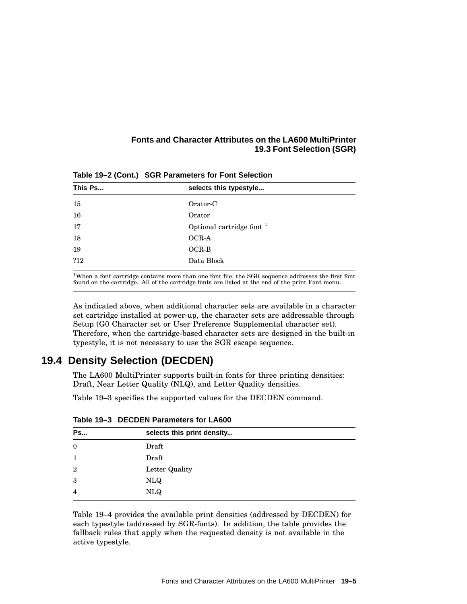#### **Fonts and Character Attributes on the LA600 MultiPrinter 19.3 Font Selection (SGR)**

| selects this typestyle      |  |
|-----------------------------|--|
| Orator-C                    |  |
| Orator                      |  |
| Optional cartridge font $1$ |  |
| OCR-A                       |  |
| $OCR-B$                     |  |
| Data Block                  |  |
|                             |  |

**Table 19–2 (Cont.) SGR Parameters for Font Selection**

<sup>1</sup>When a font cartridge contains more than one font file, the SGR sequence addresses the first font found on the cartridge. All of the cartridge fonts are listed at the end of the print Font menu.

As indicated above, when additional character sets are available in a character set cartridge installed at power-up, the character sets are addressable through Setup (G0 Character set or User Preference Supplemental character set). Therefore, when the cartridge-based character sets are designed in the built-in typestyle, it is not necessary to use the SGR escape sequence.

# **19.4 Density Selection (DECDEN)**

The LA600 MultiPrinter supports built-in fonts for three printing densities: Draft, Near Letter Quality (NLQ), and Letter Quality densities.

Table 19–3 specifies the supported values for the DECDEN command.

| <b>Ps</b>      | selects this print density |
|----------------|----------------------------|
| $\mathbf{0}$   | Draft                      |
| $\mathbf{1}$   | Draft                      |
| $\overline{2}$ | Letter Quality             |
| 3              | <b>NLQ</b>                 |
| $\overline{4}$ | <b>NLQ</b>                 |

**Table 19–3 DECDEN Parameters for LA600**

Table 19–4 provides the available print densities (addressed by DECDEN) for each typestyle (addressed by SGR-fonts). In addition, the table provides the fallback rules that apply when the requested density is not available in the active typestyle.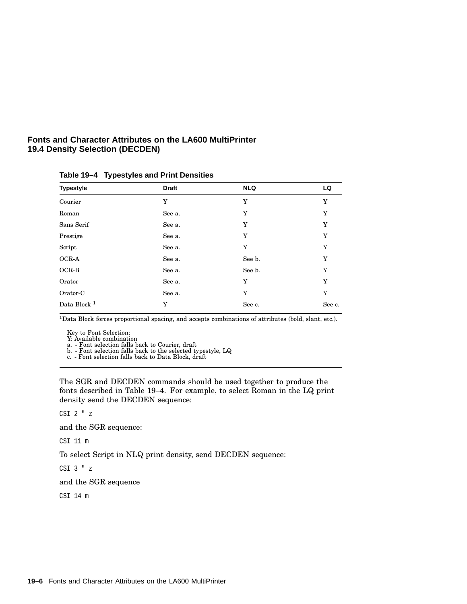#### **Fonts and Character Attributes on the LA600 MultiPrinter 19.4 Density Selection (DECDEN)**

| <b>Typestyle</b>        | <b>Draft</b> | <b>NLQ</b> | LQ     |
|-------------------------|--------------|------------|--------|
| Courier                 | Y            | Y          | Y      |
| Roman                   | See a.       | Y          | Y      |
| Sans Serif              | See a.       | Y          | Y      |
| Prestige                | See a.       | Y          | Y      |
| Script                  | See a.       | Y          | Y      |
| OCR-A                   | See a.       | See b.     | Y      |
| OCR-B                   | See a.       | See b.     | Y      |
| Orator                  | See a.       | Y          | Y      |
| Orator-C                | See a.       | Y          | Y      |
| Data Block <sup>1</sup> | Y            | See c.     | See c. |

**Table 19–4 Typestyles and Print Densities**

<sup>1</sup>Data Block forces proportional spacing, and accepts combinations of attributes (bold, slant, etc.).

Key to Font Selection:

Y: Available combination

a. - Font selection falls back to Courier, draft b. - Font selection falls back to the selected typestyle, LQ c. - Font selection falls back to Data Block, draft

The SGR and DECDEN commands should be used together to produce the fonts described in Table 19–4. For example, to select Roman in the LQ print density send the DECDEN sequence:

CSI 2 " z

and the SGR sequence:

CSI 11 m

To select Script in NLQ print density, send DECDEN sequence:

CSI 3 " z

and the SGR sequence

CSI 14 m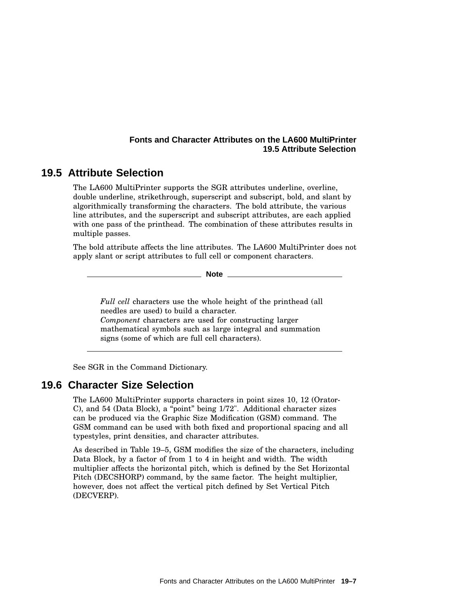#### **Fonts and Character Attributes on the LA600 MultiPrinter 19.5 Attribute Selection**

# **19.5 Attribute Selection**

The LA600 MultiPrinter supports the SGR attributes underline, overline, double underline, strikethrough, superscript and subscript, bold, and slant by algorithmically transforming the characters. The bold attribute, the various line attributes, and the superscript and subscript attributes, are each applied with one pass of the printhead. The combination of these attributes results in multiple passes.

The bold attribute affects the line attributes. The LA600 MultiPrinter does not apply slant or script attributes to full cell or component characters.

**Note**

*Full cell* characters use the whole height of the printhead (all needles are used) to build a character. *Component* characters are used for constructing larger mathematical symbols such as large integral and summation signs (some of which are full cell characters).

See SGR in the Command Dictionary.

#### **19.6 Character Size Selection**

The LA600 MultiPrinter supports characters in point sizes 10, 12 (Orator-C), and 54 (Data Block), a ''point'' being 1/72". Additional character sizes can be produced via the Graphic Size Modification (GSM) command. The GSM command can be used with both fixed and proportional spacing and all typestyles, print densities, and character attributes.

As described in Table 19–5, GSM modifies the size of the characters, including Data Block, by a factor of from 1 to 4 in height and width. The width multiplier affects the horizontal pitch, which is defined by the Set Horizontal Pitch (DECSHORP) command, by the same factor. The height multiplier, however, does not affect the vertical pitch defined by Set Vertical Pitch (DECVERP).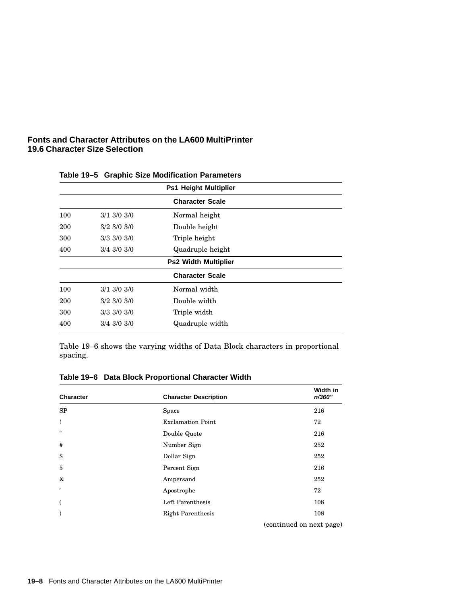|     | <b>Ps1 Height Multiplier</b> |                             |  |
|-----|------------------------------|-----------------------------|--|
|     |                              | <b>Character Scale</b>      |  |
| 100 | 3/13/03/0                    | Normal height               |  |
| 200 | $3/2$ $3/0$ $3/0$            | Double height               |  |
| 300 | $3/3$ $3/0$ $3/0$            | Triple height               |  |
| 400 | $3/4$ $3/0$ $3/0$            | Quadruple height            |  |
|     |                              | <b>Ps2 Width Multiplier</b> |  |
|     |                              | <b>Character Scale</b>      |  |
| 100 | 3/13/03/0                    | Normal width                |  |
| 200 | $3/2$ $3/0$ $3/0$            | Double width                |  |
| 300 | $3/3$ $3/0$ $3/0$            | Triple width                |  |
| 400 | $3/4$ $3/0$ $3/0$            | Quadruple width             |  |

#### **Table 19–5 Graphic Size Modification Parameters**

Table 19–6 shows the varying widths of Data Block characters in proportional spacing.

| <b>Character</b> | <b>Character Description</b> | Wid<br>n/36 |
|------------------|------------------------------|-------------|
| SP               | Space                        | 216         |
| Ţ                | <b>Exclamation Point</b>     | 72          |
| $\mathbf{H}$     | Double Quote                 | 216         |
| #                | Number Sign                  | 252         |
| \$               | Dollar Sign                  | 252         |
| 5                | Percent Sign                 | 216         |

& Ampersand 252  $\bullet$  <br/> Apostrophe  $$72$ ( Left Parenthesis 108 ) Right Parenthesis 108

**Table 19–6 Data Block Proportional Character Width**

(continued on next page)

**Width in n/360"**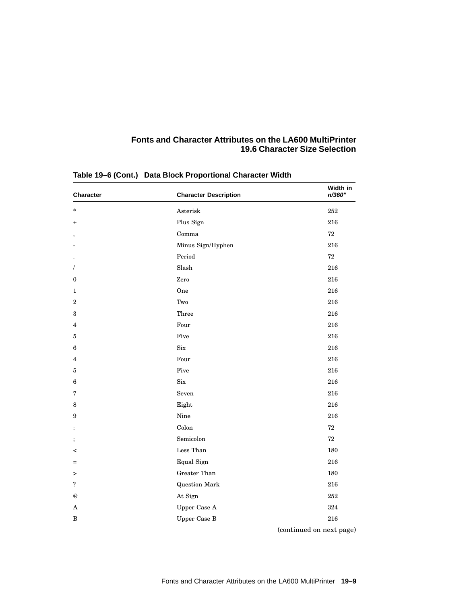| Character          | <b>Character Description</b>  | Width in<br>n/360"          |
|--------------------|-------------------------------|-----------------------------|
| $\star$            | Asterisk                      | 252                         |
| +                  | Plus Sign                     | 216                         |
| ,                  | Comma                         | $\sqrt{72}$                 |
|                    | Minus Sign/Hyphen             | 216                         |
| ٠                  | Period                        | $\sqrt{72}$                 |
| $\prime$           | Slash                         | 216                         |
| 0                  | Zero                          | 216                         |
| 1                  | One                           | 216                         |
| $\overline{2}$     | Two                           | 216                         |
| 3                  | Three                         | 216                         |
| 4                  | Four                          | 216                         |
| $\bf 5$            | Five                          | 216                         |
| 6                  | Six                           | 216                         |
| 4                  | Four                          | 216                         |
| 5                  | Five                          | 216                         |
| 6                  | Six                           | 216                         |
| 7                  | Seven                         | 216                         |
| 8                  | Eight                         | $\bf 216$                   |
| 9                  | Nine                          | 216                         |
| :                  | $\mathop{\rm Colon}\nolimits$ | $\sqrt{72}$                 |
| ;                  | Semicolon                     | 72                          |
| $\,<\,$            | Less Than                     | 180                         |
| $=$                | Equal Sign                    | 216                         |
| >                  | Greater Than                  | 180                         |
| $\overline{\cdot}$ | Question Mark                 | 216                         |
| @                  | At Sign                       | $252\,$                     |
| A                  | Upper Case A                  | 324                         |
| $\bf{B}$           | Upper Case B                  | 216                         |
|                    |                               | $1.444$ and $1.444$<br>$-4$ |

**Table 19–6 (Cont.) Data Block Proportional Character Width**

(continued on next page)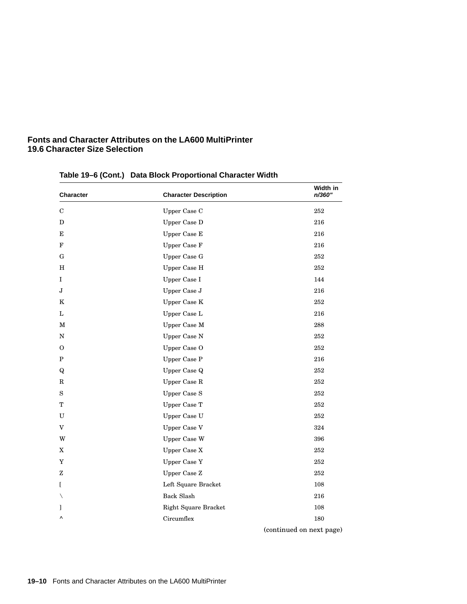| Character | <b>Character Description</b> | Width in<br>n/360"       |
|-----------|------------------------------|--------------------------|
| C         | Upper Case C                 | 252                      |
| D         | Upper Case D                 | 216                      |
| Е         | Upper Case E                 | 216                      |
| F         | Upper Case F                 | 216                      |
| G         | Upper Case G                 | 252                      |
| н         | Upper Case H                 | 252                      |
| I         | Upper Case I                 | 144                      |
| J         | Upper Case J                 | 216                      |
| K         | Upper Case K                 | 252                      |
| L         | Upper Case L                 | 216                      |
| м         | Upper Case M                 | 288                      |
| N         | Upper Case ${\cal N}$        | 252                      |
| O         | Upper Case O                 | 252                      |
| P         | Upper Case P                 | 216                      |
| Q         | Upper Case Q                 | 252                      |
| R         | Upper Case R                 | 252                      |
| S         | <b>Upper Case S</b>          | 252                      |
| т         | Upper Case T                 | 252                      |
| U         | Upper Case U                 | 252                      |
| V         | Upper Case V                 | 324                      |
| W         | Upper Case W                 | 396                      |
| X         | Upper Case X                 | 252                      |
| Y         | Upper Case Y                 | 252                      |
| Ζ         | Upper Case Z                 | 252                      |
| ſ         | Left Square Bracket          | 108                      |
| ╲         | <b>Back Slash</b>            | 216                      |
| 1         | Right Square Bracket         | 108                      |
| Λ         | Circumflex                   | 180                      |
|           |                              | (continued on next page) |

#### **Table 19–6 (Cont.) Data Block Proportional Character Width**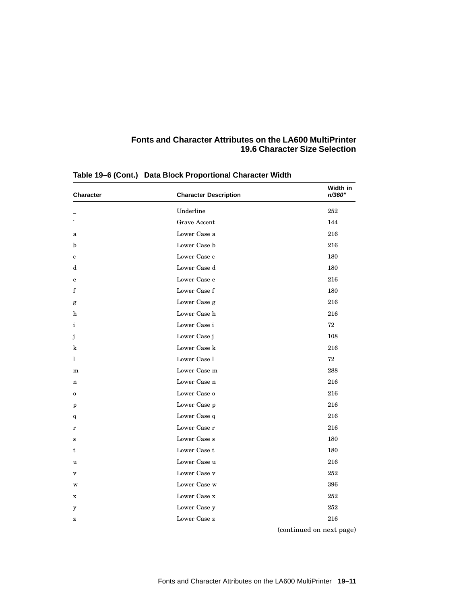| <b>Character</b> | <b>Character Description</b> | Width in<br>n/360"            |
|------------------|------------------------------|-------------------------------|
|                  | Underline                    | 252                           |
|                  | Grave Accent                 | 144                           |
| a                | Lower Case a                 | 216                           |
| $\mathbf b$      | Lower Case b                 | 216                           |
| $\mathbf c$      | Lower Case c                 | 180                           |
| d                | Lower Case d                 | 180                           |
| e                | Lower Case e                 | 216                           |
| f                | Lower Case f                 | 180                           |
| g                | Lower Case g                 | 216                           |
| h                | Lower Case h                 | 216                           |
| i                | Lower Case i                 | 72                            |
| j                | Lower Case j                 | 108                           |
| k                | Lower Case k                 | 216                           |
| 1                | Lower Case 1                 | 72                            |
| m                | Lower Case m                 | 288                           |
| n                | Lower Case n                 | 216                           |
| $\mathbf 0$      | Lower Case o                 | 216                           |
| p                | Lower Case p                 | 216                           |
| q                | Lower Case q                 | 216                           |
| r                | Lower Case r                 | 216                           |
| s                | Lower Case s                 | 180                           |
| t                | Lower Case t                 | 180                           |
| u                | Lower Case u                 | 216                           |
| v                | Lower Case v                 | 252                           |
| W                | Lower Case w                 | 396                           |
| x                | Lower Case x                 | 252                           |
| у                | Lower Case y                 | 252                           |
| z                | Lower Case z                 | 216                           |
|                  |                              | $\lambda$ $\lambda$<br>$\sim$ |

**Table 19–6 (Cont.) Data Block Proportional Character Width**

(continued on next page)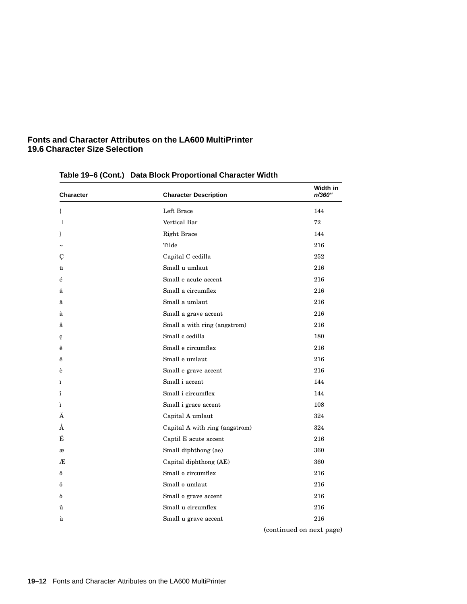| Left Brace<br>144<br>{<br>Vertical Bar<br>72<br>1<br>}<br><b>Right Brace</b><br>144<br>Tilde<br>216<br>$\tilde{ }$<br>Capital C cedilla<br>252<br>Ç<br>Small u umlaut<br>216<br>ü<br>Small e acute accent<br>216<br>é | Width in |
|-----------------------------------------------------------------------------------------------------------------------------------------------------------------------------------------------------------------------|----------|
|                                                                                                                                                                                                                       |          |
|                                                                                                                                                                                                                       |          |
|                                                                                                                                                                                                                       |          |
|                                                                                                                                                                                                                       |          |
|                                                                                                                                                                                                                       |          |
|                                                                                                                                                                                                                       |          |
|                                                                                                                                                                                                                       |          |
| Small a circumflex<br>216<br>â                                                                                                                                                                                        |          |
| Small a umlaut<br>216<br>ä                                                                                                                                                                                            |          |
| Small a grave accent<br>216<br>à                                                                                                                                                                                      |          |
| Small a with ring (angstrom)<br>å<br>216                                                                                                                                                                              |          |
| Small c cedilla<br>180<br>ç                                                                                                                                                                                           |          |
| Small e circumflex<br>216<br>ê                                                                                                                                                                                        |          |
| Small e umlaut<br>216<br>ë                                                                                                                                                                                            |          |
| Small e grave accent<br>216<br>è                                                                                                                                                                                      |          |
| Small i accent<br>ï<br>144                                                                                                                                                                                            |          |
| Small i circumflex<br>î<br>144                                                                                                                                                                                        |          |
| Small i grace accent<br>ì<br>108                                                                                                                                                                                      |          |
| Ä<br>Capital A umlaut<br>324                                                                                                                                                                                          |          |
| Å<br>Capital A with ring (angstrom)<br>324                                                                                                                                                                            |          |
| É<br>Captil E acute accent<br>216                                                                                                                                                                                     |          |
| Small diphthong (ae)<br>360<br>æ                                                                                                                                                                                      |          |
| Capital diphthong (AE)<br>360<br>Æ                                                                                                                                                                                    |          |
| Small o circumflex<br>216<br>ô                                                                                                                                                                                        |          |
| Small o umlaut<br>216<br>ö                                                                                                                                                                                            |          |
| 216<br>Small o grave accent<br>ò                                                                                                                                                                                      |          |
| Small u circumflex<br>216<br>û                                                                                                                                                                                        |          |
| Small u grave accent<br>216<br>ù                                                                                                                                                                                      |          |

#### **Table 19–6 (Cont.) Data Block Proportional Character Width**

(continued on next page)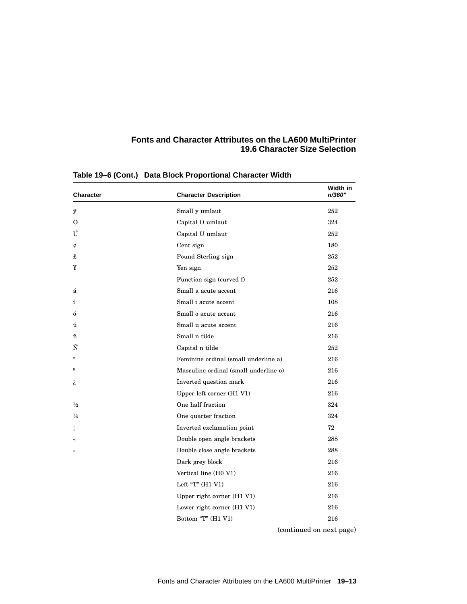| <b>Character</b> | <b>Character Description</b>          | Width in<br>n/360"       |
|------------------|---------------------------------------|--------------------------|
| ÿ                | Small y umlaut                        | 252                      |
| Ő                | Capital O umlaut                      | 324                      |
| Ü                | Capital U umlaut                      | 252                      |
| ¢                | Cent sign                             | 180                      |
| £                | Pound Sterling sign                   | 252                      |
| ¥                | Yen sign                              | 252                      |
|                  | Function sign (curved f)              | 252                      |
| á                | Small a acute accent                  | 216                      |
| í                | Small i acute accent                  | 108                      |
| ó                | Small o acute accent                  | 216                      |
| ú                | Small u acute accent                  | 216                      |
| ñ                | Small n tilde                         | 216                      |
| Ñ                | Capital n tilde                       | 252                      |
| a                | Feminine ordinal (small underline a)  | 216                      |
| $\underline{0}$  | Masculine ordinal (small underline o) | 216                      |
| i                | Inverted question mark                | 216                      |
|                  | Upper left corner (H1 V1)             | 216                      |
| $\frac{1}{2}$    | One half fraction                     | 324                      |
| $\frac{1}{4}$    | One quarter fraction                  | 324                      |
| Ť                | Inverted exclamation point            | 72                       |
| $\ll$            | Double open angle brackets            | 288                      |
| $\mathcal{D}$    | Double close angle brackets           | 288                      |
|                  | Dark grey block                       | 216                      |
|                  | Vertical line (H0 V1)                 | 216                      |
|                  | Left "T" $(H1 V1)$                    | 216                      |
|                  | Upper right corner (H1 V1)            | 216                      |
|                  | Lower right corner (H1 V1)            | 216                      |
|                  | Bottom "T" (H1 V1)                    | 216                      |
|                  |                                       | (continued on next page) |

**Table 19–6 (Cont.) Data Block Proportional Character Width**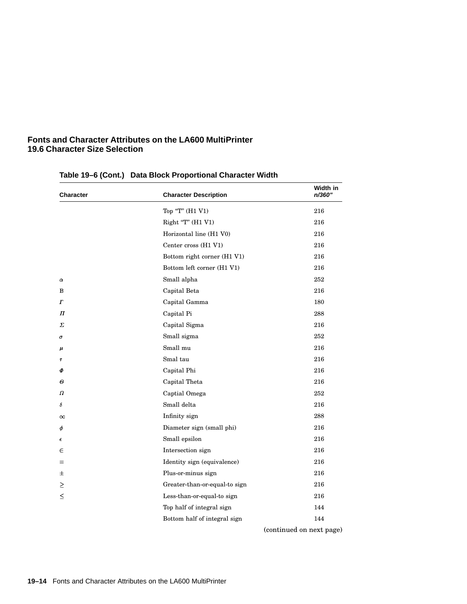| <b>Character</b> | <b>Character Description</b>  | Width in<br>n/360" |  |
|------------------|-------------------------------|--------------------|--|
|                  | Top "T" (H1 V1)               | 216                |  |
|                  | Right "T" (H1 V1)             | 216                |  |
|                  | Horizontal line (H1 V0)       | 216                |  |
|                  | Center cross (H1 V1)          | 216                |  |
|                  | Bottom right corner (H1 V1)   | 216                |  |
|                  | Bottom left corner (H1 V1)    | 216                |  |
| $\pmb{\alpha}$   | Small alpha                   | 252                |  |
| в                | Capital Beta                  | 216                |  |
| Г                | Capital Gamma                 | 180                |  |
| Π                | Capital Pi                    | 288                |  |
| Σ                | Capital Sigma                 | 216                |  |
| σ                | Small sigma                   | 252                |  |
| μ                | Small mu                      | 216                |  |
| T                | Smal tau                      | 216                |  |
| Φ                | Capital Phi                   | 216                |  |
| Θ                | Capital Theta                 | 216                |  |
| Ω                | Captial Omega                 | 252                |  |
| δ                | Small delta                   | 216                |  |
| $\infty$         | Infinity sign                 | 288                |  |
| φ                | Diameter sign (small phi)     | 216                |  |
| $\epsilon$       | Small epsilon                 | 216                |  |
| $\in$            | Intersection sign             | 216                |  |
| Ξ                | Identity sign (equivalence)   | 216                |  |
| 士                | Plus-or-minus sign            | 216                |  |
| ≥                | Greater-than-or-equal-to sign | 216                |  |
| $\leq$           | Less-than-or-equal-to sign    | 216                |  |
|                  | Top half of integral sign     | 144                |  |
|                  | Bottom half of integral sign  | 144                |  |
|                  |                               |                    |  |

#### **Table 19–6 (Cont.) Data Block Proportional Character Width**

(continued on next page)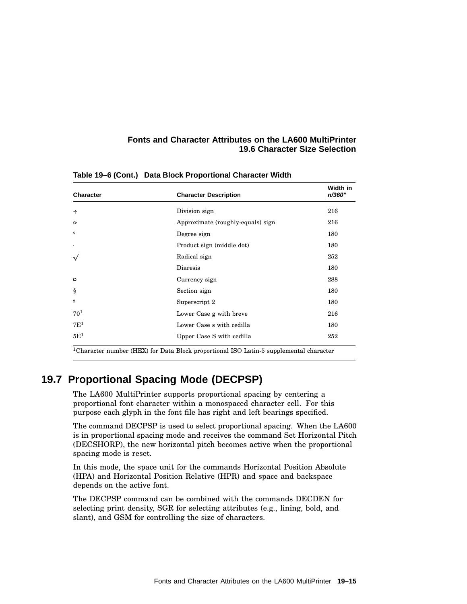| Character    | <b>Character Description</b>      | Width in<br>n/360" |
|--------------|-----------------------------------|--------------------|
| ÷            | Division sign                     | 216                |
| $\approx$    | Approximate (roughly-equals) sign | 216                |
| $\circ$      | Degree sign                       | 180                |
|              | Product sign (middle dot)         | 180                |
|              | Radical sign                      | 252                |
|              | Diaresis                          | 180                |
| $\Omega$     | Currency sign                     | 288                |
| ş            | Section sign                      | 180                |
| $\mathbf{2}$ | Superscript 2                     | 180                |
| $70^{1}$     | Lower Case g with breve           | 216                |
| $7E^1$       | Lower Case s with cedilla         | 180                |
| $5E^1$       | Upper Case S with cedilla         | 252                |

**Table 19–6 (Cont.) Data Block Proportional Character Width**

# **19.7 Proportional Spacing Mode (DECPSP)**

The LA600 MultiPrinter supports proportional spacing by centering a proportional font character within a monospaced character cell. For this purpose each glyph in the font file has right and left bearings specified.

The command DECPSP is used to select proportional spacing. When the LA600 is in proportional spacing mode and receives the command Set Horizontal Pitch (DECSHORP), the new horizontal pitch becomes active when the proportional spacing mode is reset.

In this mode, the space unit for the commands Horizontal Position Absolute (HPA) and Horizontal Position Relative (HPR) and space and backspace depends on the active font.

The DECPSP command can be combined with the commands DECDEN for selecting print density, SGR for selecting attributes (e.g., lining, bold, and slant), and GSM for controlling the size of characters.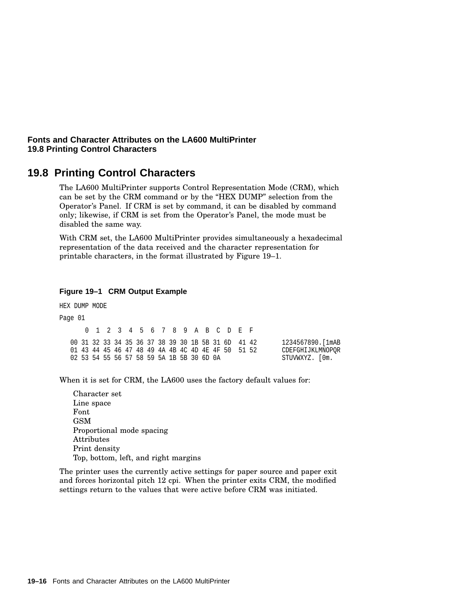#### **Fonts and Character Attributes on the LA600 MultiPrinter 19.8 Printing Control Characters**

# **19.8 Printing Control Characters**

The LA600 MultiPrinter supports Control Representation Mode (CRM), which can be set by the CRM command or by the "HEX DUMP" selection from the Operator's Panel. If CRM is set by command, it can be disabled by command only; likewise, if CRM is set from the Operator's Panel, the mode must be disabled the same way.

With CRM set, the LA600 MultiPrinter provides simultaneously a hexadecimal representation of the data received and the character representation for printable characters, in the format illustrated by Figure 19–1.

#### **Figure 19–1 CRM Output Example**

HEX DUMP MODE Page 01

| aqe Ul |                                                    |  |  |  |  |  |  |                                 |                  |
|--------|----------------------------------------------------|--|--|--|--|--|--|---------------------------------|------------------|
|        |                                                    |  |  |  |  |  |  | 0 1 2 3 4 5 6 7 8 9 A B C D E F |                  |
|        | 00 31 32 33 34 35 36 37 38 39 30 1B 5B 31 6D 41 42 |  |  |  |  |  |  |                                 | 1234567890.[1mAB |
|        | 01 43 44 45 46 47 48 49 4A 4B 4C 4D 4E 4F 50 51 52 |  |  |  |  |  |  |                                 | CDEFGHIJKLMNOPOR |
|        | 02 53 54 55 56 57 58 59 5A 1B 5B 30 6D 0A          |  |  |  |  |  |  |                                 | STUVWXYZ. [Om.   |

When it is set for CRM, the LA600 uses the factory default values for:

Character set Line space Font GSM Proportional mode spacing Attributes Print density Top, bottom, left, and right margins

The printer uses the currently active settings for paper source and paper exit and forces horizontal pitch 12 cpi. When the printer exits CRM, the modified settings return to the values that were active before CRM was initiated.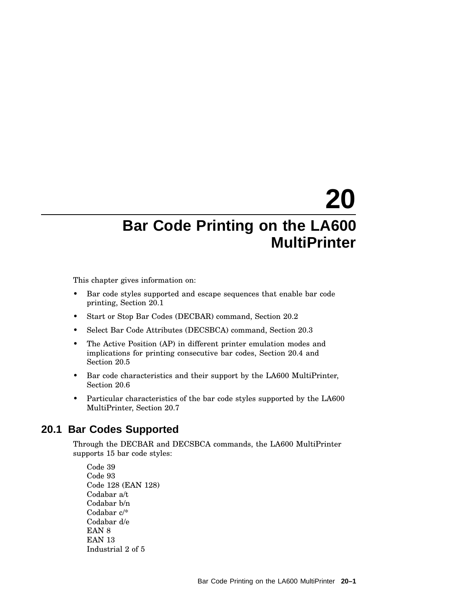# **20 Bar Code Printing on the LA600 MultiPrinter**

This chapter gives information on:

- Bar code styles supported and escape sequences that enable bar code printing, Section 20.1
- Start or Stop Bar Codes (DECBAR) command, Section 20.2
- Select Bar Code Attributes (DECSBCA) command, Section 20.3
- The Active Position (AP) in different printer emulation modes and implications for printing consecutive bar codes, Section 20.4 and Section 20.5
- Bar code characteristics and their support by the LA600 MultiPrinter, Section 20.6
- Particular characteristics of the bar code styles supported by the LA600 MultiPrinter, Section 20.7

# **20.1 Bar Codes Supported**

Through the DECBAR and DECSBCA commands, the LA600 MultiPrinter supports 15 bar code styles:

Code 39 Code 93 Code 128 (EAN 128) Codabar a/t Codabar b/n Codabar c/\* Codabar d/e EAN 8 EAN 13 Industrial 2 of 5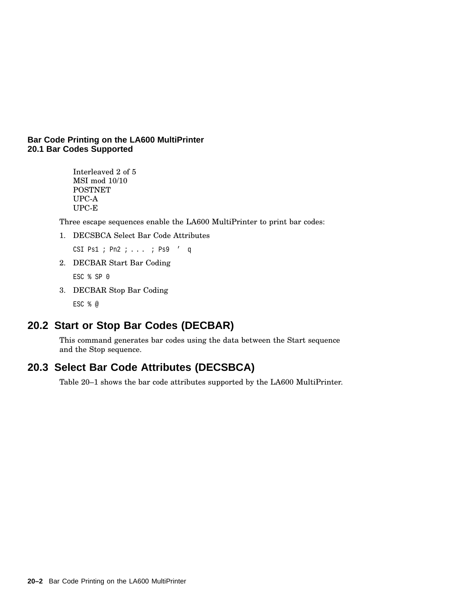#### **Bar Code Printing on the LA600 MultiPrinter 20.1 Bar Codes Supported**

Interleaved 2 of 5 MSI mod 10/10 POSTNET UPC-A UPC-E

Three escape sequences enable the LA600 MultiPrinter to print bar codes:

1. DECSBCA Select Bar Code Attributes

CSI Ps1 ; Pn2 ; . . . ; Ps9 ' q

2. DECBAR Start Bar Coding

ESC % SP 0

3. DECBAR Stop Bar Coding

ESC % @

# **20.2 Start or Stop Bar Codes (DECBAR)**

This command generates bar codes using the data between the Start sequence and the Stop sequence.

# **20.3 Select Bar Code Attributes (DECSBCA)**

Table 20–1 shows the bar code attributes supported by the LA600 MultiPrinter.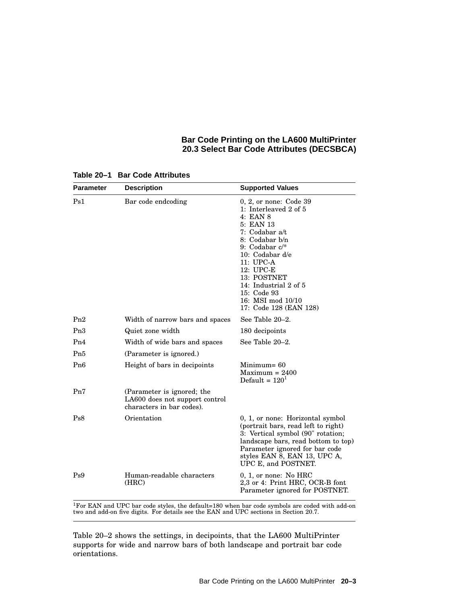#### **Bar Code Printing on the LA600 MultiPrinter 20.3 Select Bar Code Attributes (DECSBCA)**

| <b>Parameter</b> | <b>Description</b>                                                                        | <b>Supported Values</b>                                                                                                                                                                                                                                                                          |
|------------------|-------------------------------------------------------------------------------------------|--------------------------------------------------------------------------------------------------------------------------------------------------------------------------------------------------------------------------------------------------------------------------------------------------|
| Ps1              | Bar code endcoding                                                                        | 0, 2, or none: Code 39<br>1: Interleaved 2 of 5<br>4: EAN 8<br>5: EAN 13<br>7: Codabar a/t<br>8: Codabar b/n<br>9: Codabar $c$ <sup>*</sup><br>10: Codabar $d/e$<br>11: UPC-A<br>12: UPC-E<br>13: POSTNET<br>14: Industrial 2 of 5<br>15: Code 93<br>16: MSI mod 10/10<br>17: Code 128 (EAN 128) |
| Pn2              | Width of narrow bars and spaces                                                           | See Table 20-2.                                                                                                                                                                                                                                                                                  |
| Pn3              | Quiet zone width                                                                          | 180 decipoints                                                                                                                                                                                                                                                                                   |
| Pn4              | Width of wide bars and spaces                                                             | See Table 20-2.                                                                                                                                                                                                                                                                                  |
| P <sub>n</sub> 5 | (Parameter is ignored.)                                                                   |                                                                                                                                                                                                                                                                                                  |
| P <sub>n6</sub>  | Height of bars in decipoints                                                              | $Minimum = 60$<br>$Maximum = 2400$<br>Default = $1201$                                                                                                                                                                                                                                           |
| Pn7              | (Parameter is ignored; the<br>LA600 does not support control<br>characters in bar codes). |                                                                                                                                                                                                                                                                                                  |
| Ps8              | Orientation                                                                               | 0, 1, or none: Horizontal symbol<br>(portrait bars, read left to right)<br>3: Vertical symbol (90" rotation;<br>landscape bars, read bottom to top)<br>Parameter ignored for bar code<br>styles EAN 8, EAN 13, UPC A,<br>UPC E, and POSTNET.                                                     |
| Ps9              | Human-readable characters<br>(HRC)                                                        | $0, 1$ , or none: No HRC<br>2,3 or 4: Print HRC, OCR-B font<br>Parameter ignored for POSTNET.                                                                                                                                                                                                    |

#### **Table 20–1 Bar Code Attributes**

 ${}^{1}$ For EAN and UPC bar code styles, the default=180 when bar code symbols are coded with add-on two and add-on five digits. For details see the EAN and UPC sections in Section 20.7.

Table 20–2 shows the settings, in decipoints, that the LA600 MultiPrinter supports for wide and narrow bars of both landscape and portrait bar code orientations.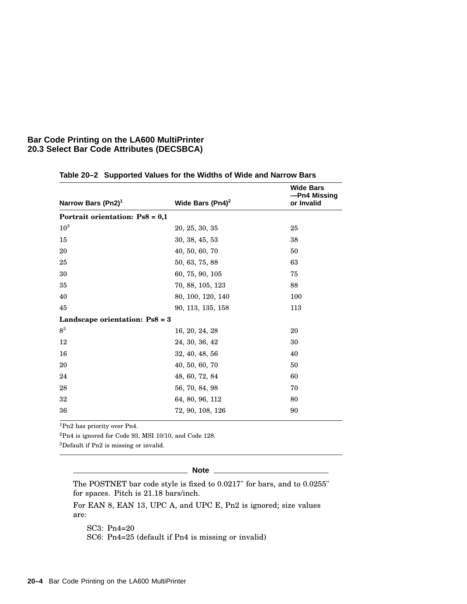#### **Bar Code Printing on the LA600 MultiPrinter 20.3 Select Bar Code Attributes (DECSBCA)**

| Narrow Bars (Pn2) <sup>1</sup>    | Wide Bars $(Ph4)^2$ | <b>Wide Bars</b><br>-Pn4 Missing<br>or Invalid |
|-----------------------------------|---------------------|------------------------------------------------|
| Portrait orientation: $Ps8 = 0,1$ |                     |                                                |
|                                   |                     |                                                |
| $10^3$                            | 20, 25, 30, 35      | 25                                             |
| 15                                | 30, 38, 45, 53      | 38                                             |
| 20                                | 40, 50, 60, 70      | 50                                             |
| 25                                | 50, 63, 75, 88      | 63                                             |
| 30                                | 60, 75, 90, 105     | 75                                             |
| 35                                | 70, 88, 105, 123    | 88                                             |
| 40                                | 80, 100, 120, 140   | 100                                            |
| 45                                | 90, 113, 135, 158   | 113                                            |
| Landscape orientation: Ps8 = 3    |                     |                                                |
| $8^3$                             | 16, 20, 24, 28      | 20                                             |
| 12                                | 24, 30, 36, 42      | 30                                             |
| 16                                | 32, 40, 48, 56      | 40                                             |
| 20                                | 40, 50, 60, 70      | 50                                             |
| 24                                | 48, 60, 72, 84      | 60                                             |
| 28                                | 56, 70, 84, 98      | 70                                             |
| 32                                | 64, 80, 96, 112     | 80                                             |
| 36                                | 72, 90, 108, 126    | 90                                             |

#### **Table 20–2 Supported Values for the Widths of Wide and Narrow Bars**

<sup>1</sup>Pn2 has priority over Pn4.

<sup>2</sup>Pn4 is ignored for Code 93, MSI 10/10, and Code 128.

<sup>3</sup>Default if Pn2 is missing or invalid.

**Note** 2008

The POSTNET bar code style is fixed to 0.0217" for bars, and to 0.0255" for spaces. Pitch is 21.18 bars/inch.

For EAN 8, EAN 13, UPC A, and UPC E, Pn2 is ignored; size values are:

SC3: Pn4=20 SC6: Pn4=25 (default if Pn4 is missing or invalid)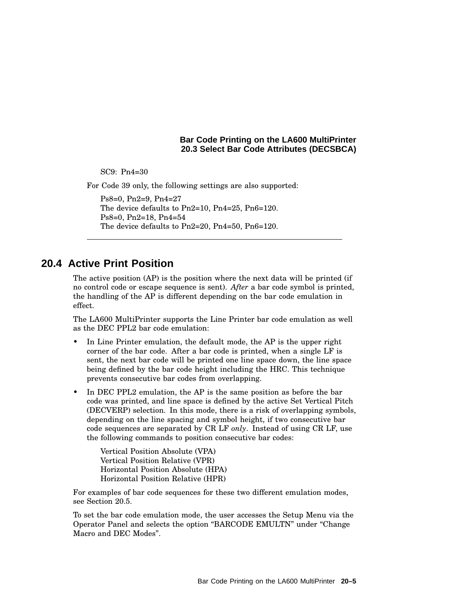#### **Bar Code Printing on the LA600 MultiPrinter 20.3 Select Bar Code Attributes (DECSBCA)**

SC9: Pn4=30

For Code 39 only, the following settings are also supported:

Ps8=0, Pn2=9, Pn4=27 The device defaults to Pn2=10, Pn4=25, Pn6=120. Ps8=0, Pn2=18, Pn4=54 The device defaults to Pn2=20, Pn4=50, Pn6=120.

# **20.4 Active Print Position**

The active position (AP) is the position where the next data will be printed (if no control code or escape sequence is sent). *After* a bar code symbol is printed, the handling of the AP is different depending on the bar code emulation in effect.

The LA600 MultiPrinter supports the Line Printer bar code emulation as well as the DEC PPL2 bar code emulation:

- In Line Printer emulation, the default mode, the AP is the upper right corner of the bar code. After a bar code is printed, when a single LF is sent, the next bar code will be printed one line space down, the line space being defined by the bar code height including the HRC. This technique prevents consecutive bar codes from overlapping.
- In DEC PPL2 emulation, the AP is the same position as before the bar code was printed, and line space is defined by the active Set Vertical Pitch (DECVERP) selection. In this mode, there is a risk of overlapping symbols, depending on the line spacing and symbol height, if two consecutive bar code sequences are separated by CR LF *only*. Instead of using CR LF, use the following commands to position consecutive bar codes:

Vertical Position Absolute (VPA) Vertical Position Relative (VPR) Horizontal Position Absolute (HPA) Horizontal Position Relative (HPR)

For examples of bar code sequences for these two different emulation modes, see Section 20.5.

To set the bar code emulation mode, the user accesses the Setup Menu via the Operator Panel and selects the option ''BARCODE EMULTN'' under ''Change Macro and DEC Modes''.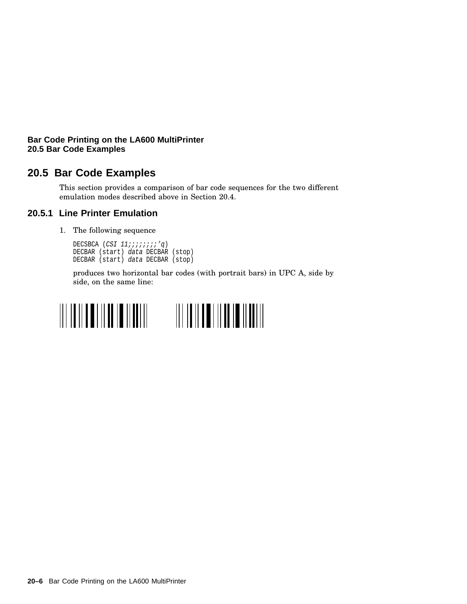# **20.5 Bar Code Examples**

This section provides a comparison of bar code sequences for the two different emulation modes described above in Section 20.4.

#### **20.5.1 Line Printer Emulation**

1. The following sequence

DECSBCA  $(CSI 11; ; ; ; ; ; ;';'q)$ DECBAR (start) data DECBAR (stop) DECBAR (start) data DECBAR (stop)

produces two horizontal bar codes (with portrait bars) in UPC A, side by side, on the same line:

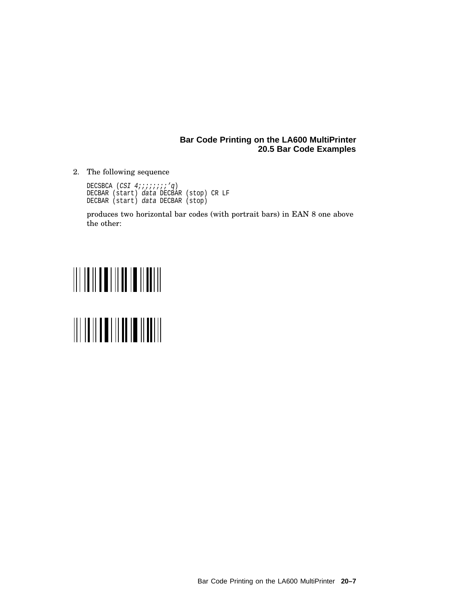2. The following sequence

DECSBCA  $(CSI 4; j; j; j; j'q)$ DECBAR (start) data DECBAR (stop) CR LF DECBAR (start) data DECBAR (stop)

produces two horizontal bar codes (with portrait bars) in EAN 8 one above the other:

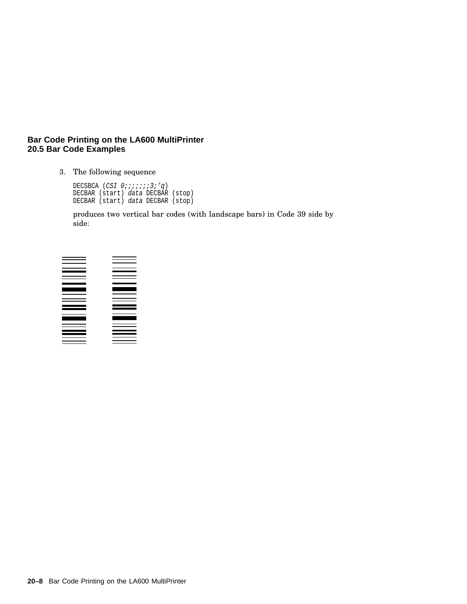3. The following sequence

DECSBCA (CSI 0;;;;;;;3;'q) DECBAR (start) data DECBAR (stop) DECBAR (start) data DECBAR (stop)

produces two vertical bar codes (with landscape bars) in Code 39 side by side:

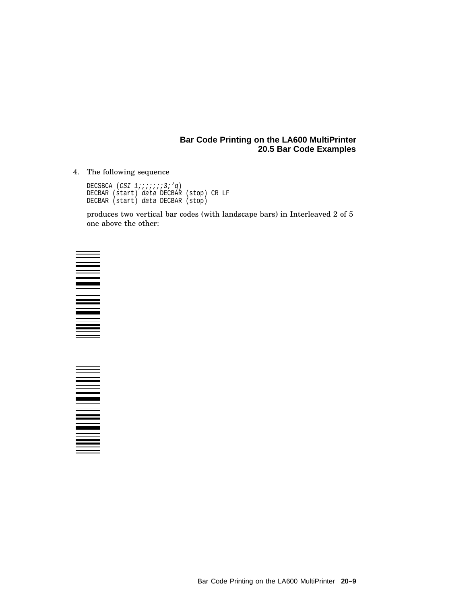4. The following sequence

DECSBCA  $(CSI 1; j; j; j; 3; 'q)$ DECBAR (start) data DECBAR (stop) CR LF DECBAR (start) data DECBAR (stop)

produces two vertical bar codes (with landscape bars) in Interleaved 2 of 5 one above the other:



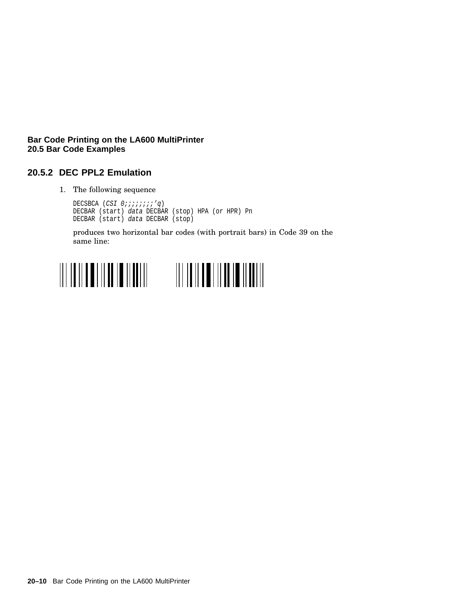#### **20.5.2 DEC PPL2 Emulation**

1. The following sequence

```
DECSBCA (CSI 0; ; ; ; ; ; ; ; 'q)DECBAR (start) data DECBAR (stop) HPA (or HPR) Pn
DECBAR (start) data DECBAR (stop)
```
produces two horizontal bar codes (with portrait bars) in Code 39 on the same line:

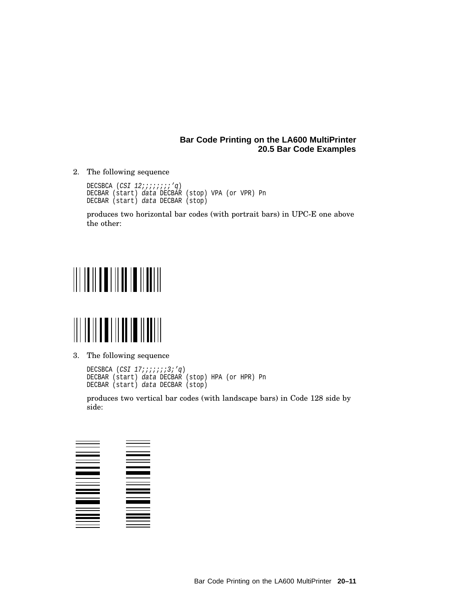2. The following sequence

DECSBCA  $(CSI 12; ; ; ; ; ; ; ; 'q)$ DECBAR (start) data DECBAR (stop) VPA (or VPR) Pn DECBAR (start) data DECBAR (stop)

produces two horizontal bar codes (with portrait bars) in UPC-E one above the other:





3. The following sequence

DECSBCA  $(CSI 17; j; j; j; 3; 'q)$ DECBAR (start) data DECBAR (stop) HPA (or HPR) Pn DECBAR (start) data DECBAR (stop)

produces two vertical bar codes (with landscape bars) in Code 128 side by side:

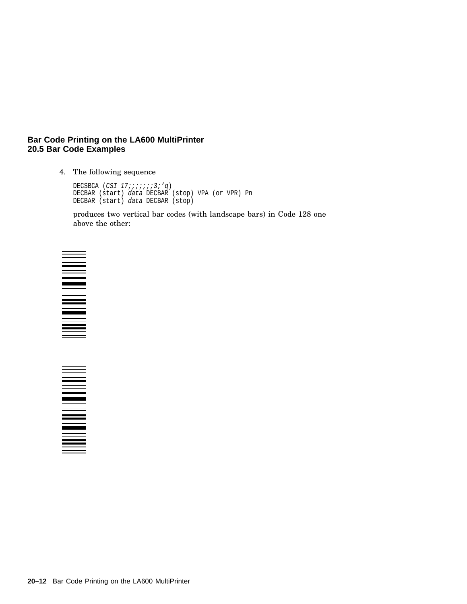4. The following sequence

```
DECSBCA (CSI 17; j; j; j; 3; 'q)DECBAR (start) data DECBAR (stop) VPA (or VPR) Pn
DECBAR (start) data DECBAR (stop)
```
produces two vertical bar codes (with landscape bars) in Code 128 one above the other:



**20–12** Bar Code Printing on the LA600 MultiPrinter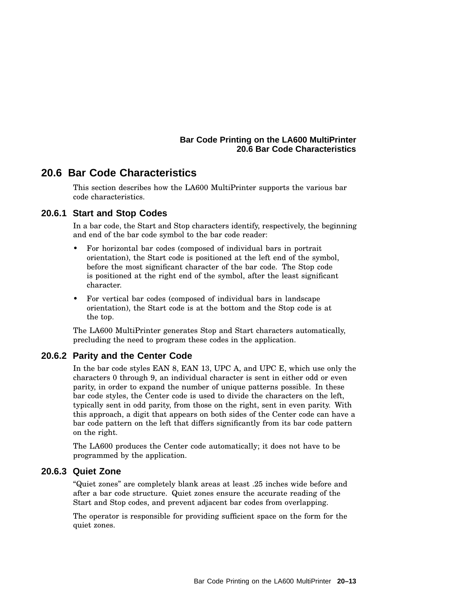#### **Bar Code Printing on the LA600 MultiPrinter 20.6 Bar Code Characteristics**

# **20.6 Bar Code Characteristics**

This section describes how the LA600 MultiPrinter supports the various bar code characteristics.

#### **20.6.1 Start and Stop Codes**

In a bar code, the Start and Stop characters identify, respectively, the beginning and end of the bar code symbol to the bar code reader:

- For horizontal bar codes (composed of individual bars in portrait orientation), the Start code is positioned at the left end of the symbol, before the most significant character of the bar code. The Stop code is positioned at the right end of the symbol, after the least significant character.
- For vertical bar codes (composed of individual bars in landscape orientation), the Start code is at the bottom and the Stop code is at the top.

The LA600 MultiPrinter generates Stop and Start characters automatically, precluding the need to program these codes in the application.

#### **20.6.2 Parity and the Center Code**

In the bar code styles EAN 8, EAN 13, UPC A, and UPC E, which use only the characters 0 through 9, an individual character is sent in either odd or even parity, in order to expand the number of unique patterns possible. In these bar code styles, the Center code is used to divide the characters on the left, typically sent in odd parity, from those on the right, sent in even parity. With this approach, a digit that appears on both sides of the Center code can have a bar code pattern on the left that differs significantly from its bar code pattern on the right.

The LA600 produces the Center code automatically; it does not have to be programmed by the application.

#### **20.6.3 Quiet Zone**

''Quiet zones'' are completely blank areas at least .25 inches wide before and after a bar code structure. Quiet zones ensure the accurate reading of the Start and Stop codes, and prevent adjacent bar codes from overlapping.

The operator is responsible for providing sufficient space on the form for the quiet zones.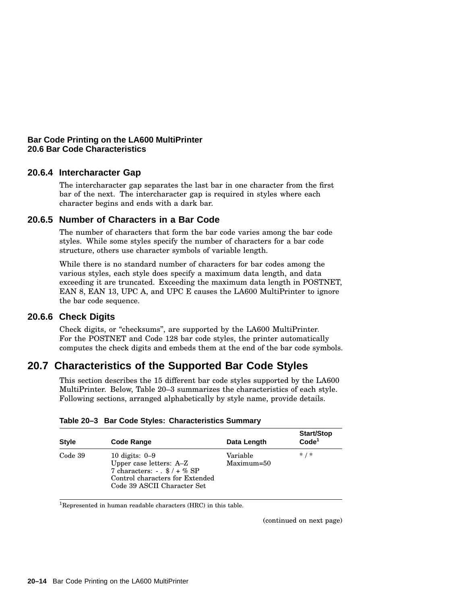#### **Bar Code Printing on the LA600 MultiPrinter 20.6 Bar Code Characteristics**

#### **20.6.4 Intercharacter Gap**

The intercharacter gap separates the last bar in one character from the first bar of the next. The intercharacter gap is required in styles where each character begins and ends with a dark bar.

#### **20.6.5 Number of Characters in a Bar Code**

The number of characters that form the bar code varies among the bar code styles. While some styles specify the number of characters for a bar code structure, others use character symbols of variable length.

While there is no standard number of characters for bar codes among the various styles, each style does specify a maximum data length, and data exceeding it are truncated. Exceeding the maximum data length in POSTNET, EAN 8, EAN 13, UPC A, and UPC E causes the LA600 MultiPrinter to ignore the bar code sequence.

#### **20.6.6 Check Digits**

Check digits, or ''checksums'', are supported by the LA600 MultiPrinter. For the POSTNET and Code 128 bar code styles, the printer automatically computes the check digits and embeds them at the end of the bar code symbols.

# **20.7 Characteristics of the Supported Bar Code Styles**

This section describes the 15 different bar code styles supported by the LA600 MultiPrinter. Below, Table 20–3 summarizes the characteristics of each style. Following sections, arranged alphabetically by style name, provide details.

| <b>Style</b> | Code Range                                                                                                                                                  | Data Length                | <b>Start/Stop</b><br>Code <sup>1</sup> |
|--------------|-------------------------------------------------------------------------------------------------------------------------------------------------------------|----------------------------|----------------------------------------|
| Code 39      | 10 digits: $0-9$<br>Upper case letters: A-Z<br>7 characters: $-$ . $\frac{6}{7}$ / + % SP<br>Control characters for Extended<br>Code 39 ASCII Character Set | Variable<br>$Maximum = 50$ | $*$ / $*$                              |

#### **Table 20–3 Bar Code Styles: Characteristics Summary**

<sup>1</sup>Represented in human readable characters (HRC) in this table.

(continued on next page)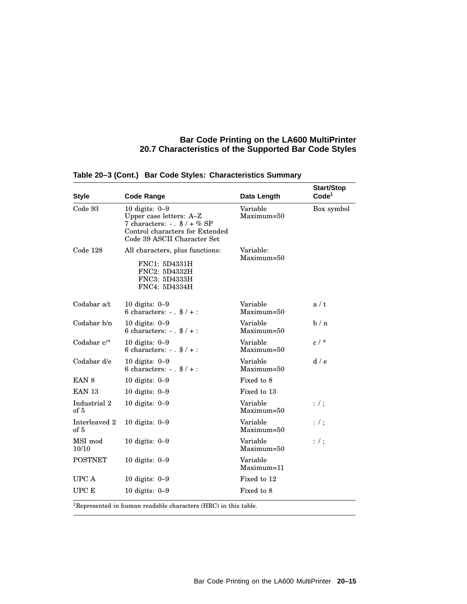| <b>Style</b>             | <b>Code Range</b>                                                                                                                                 | Data Length                 | <b>Start/Stop</b><br>Code <sup>1</sup> |
|--------------------------|---------------------------------------------------------------------------------------------------------------------------------------------------|-----------------------------|----------------------------------------|
| Code 93                  | 10 digits: $0-9$<br>Upper case letters: A-Z<br>7 characters: $-$ . $*/ + \%$ SP<br>Control characters for Extended<br>Code 39 ASCII Character Set | Variable<br>Maximum=50      | Box symbol                             |
| Code 128                 | All characters, plus functions:<br><b>FNC1: 5D4331H</b><br>FNC2: 5D4332H<br>FNC3: 5D4333H<br><b>FNC4: 5D4334H</b>                                 | Variable:<br>$Maximum = 50$ |                                        |
| Codabar a/t              | 10 digits: $0-9$<br>6 characters: $-$ . $\frac{4}{5}$ / + :                                                                                       | Variable<br>$Maximum = 50$  | a/t                                    |
| Codabar b/n              | 10 digits: $0-9$<br>6 characters: $-$ . $\frac{4}{5}$ / + :                                                                                       | Variable<br>Maximum=50      | h / n                                  |
| Codabar $c$ <sup>*</sup> | 10 digits: $0-9$<br>6 characters: $-$ . $\frac{6}{7}$ / + :                                                                                       | Variable<br>Maximum=50      | $c$ / $*$                              |
| Codabar d/e              | 10 digits: $0-9$<br>6 characters: $-$ . $\frac{6}{7}$ / + :                                                                                       | Variable<br>Maximum=50      | d / e                                  |
| EAN 8                    | 10 digits: $0-9$                                                                                                                                  | Fixed to 8                  |                                        |
| EAN <sub>13</sub>        | 10 digits: $0-9$                                                                                                                                  | Fixed to 13                 |                                        |
| Industrial 2<br>of 5     | 10 digits: $0-9$                                                                                                                                  | Variable<br>$Maximum=50$    | $: \mathbin{/}$                        |
| Interleaved 2<br>of 5    | 10 digits: $0-9$                                                                                                                                  | Variable<br>Maximum=50      | $: \mathbin{/}$                        |
| MSI mod<br>10/10         | 10 digits: $0-9$                                                                                                                                  | Variable<br>Maximum=50      | $: \mathbin{/}$                        |
| <b>POSTNET</b>           | 10 digits: $0-9$                                                                                                                                  | Variable<br>$Maximum=11$    |                                        |
| <b>UPC A</b>             | 10 digits: $0-9$                                                                                                                                  | Fixed to 12                 |                                        |
| <b>UPC E</b>             | 10 digits: $0-9$                                                                                                                                  | Fixed to 8                  |                                        |

# **Table 20–3 (Cont.) Bar Code Styles: Characteristics Summary**

Bar Code Printing on the LA600 MultiPrinter **20–15**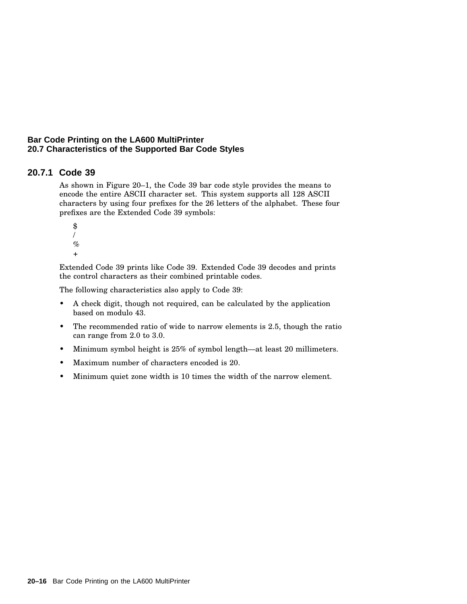#### **20.7.1 Code 39**

As shown in Figure 20–1, the Code 39 bar code style provides the means to encode the entire ASCII character set. This system supports all 128 ASCII characters by using four prefixes for the 26 letters of the alphabet. These four prefixes are the Extended Code 39 symbols:

\$ / % +

Extended Code 39 prints like Code 39. Extended Code 39 decodes and prints the control characters as their combined printable codes.

The following characteristics also apply to Code 39:

- A check digit, though not required, can be calculated by the application based on modulo 43.
- The recommended ratio of wide to narrow elements is 2.5, though the ratio can range from 2.0 to 3.0.
- Minimum symbol height is 25% of symbol length—at least 20 millimeters.
- Maximum number of characters encoded is 20.
- Minimum quiet zone width is 10 times the width of the narrow element.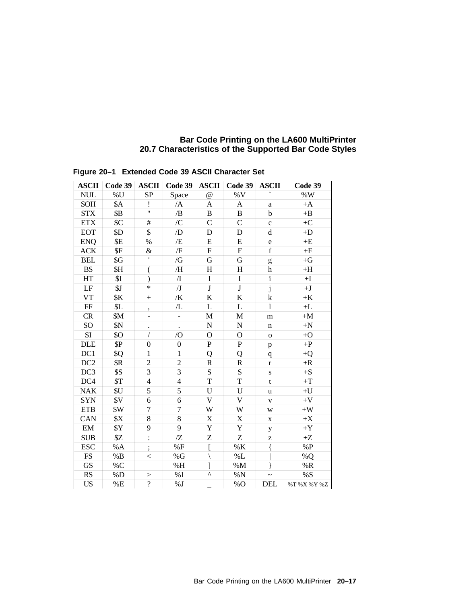| <b>ASCII</b>    | Code 39    | <b>ASCII</b>             | Code 39          | <b>ASCII</b>                    | Code 39            | <b>ASCII</b>             | Code 39                        |
|-----------------|------------|--------------------------|------------------|---------------------------------|--------------------|--------------------------|--------------------------------|
| <b>NUL</b>      | %U         | <b>SP</b>                | Space            | $^{\scriptsize\textregistered}$ | $\%$ V             | $\overline{\phantom{0}}$ | $\%W$                          |
| SOH             | \$A        | ï                        | /A               | A                               | A                  | a                        | $+A$                           |
| <b>STX</b>      | \$B        | 11                       | /B               | $\, {\bf B}$                    | $\, {\bf B}$       | $\mathbf b$              | $+B$                           |
| <b>ETX</b>      | \$C        | #                        | $\overline{C}$   | $\mathcal{C}$                   | $\overline{\rm C}$ | $\mathbf c$              | $+C$                           |
| <b>EOT</b>      | \$D        | $\overline{\mathcal{S}}$ | $\sqrt{D}$       | D                               | $\mathbf D$        | $\mathbf d$              | $+{\bf D}$                     |
| <b>ENQ</b>      | \$Ε        | %                        | /E               | E                               | E                  | $\rm e$                  | $+E$                           |
| <b>ACK</b>      | \$F        | &                        | /F               | ${\bf F}$                       | ${\bf F}$          | $\mathbf f$              | $+F$                           |
| <b>BEL</b>      | \$G        | $\mathbf{r}$             | $\sqrt{G}$       | G                               | G                  | g                        | $+G$                           |
| <b>BS</b>       | \$H        | (                        | /H               | $H_{\rm}$                       | Η                  | $\boldsymbol{\text{h}}$  | $+H$                           |
| HT              | <b>\$I</b> | ∖                        | $\sqrt{1}$       | $\rm I$                         | $\mathbf I$        | $\overline{i}$           | $+{\rm I}$                     |
| $\rm LF$        | \$J        | $\ast$                   | $\sqrt{J}$       | $\bf J$                         | $\bf J$            | $\overline{\mathbf{j}}$  | $\!+\!J$                       |
| <b>VT</b>       | \$Κ        | $^{+}$                   | /K               | K                               | $\bf K$            | $\bf k$                  | $+K$                           |
| FF              | \$L        | $\bullet$                | L                | L                               | L                  | $\mathbf{l}$             | $+L$                           |
| CR              | \$M        | ÷,                       | $\blacksquare$   | M                               | M                  | m                        | $+M$                           |
| SO <sub>1</sub> | \$N        | $\bullet$                |                  | ${\bf N}$                       | ${\bf N}$          | n                        | $\boldsymbol{+N}$              |
| SI              | \$Ο        | $\overline{1}$           | $\overline{O}$   | $\overline{O}$                  | $\mathbf{O}$       | $\mathbf O$              | $+\mathbf{O}$                  |
| <b>DLE</b>      | \$Ρ        | $\boldsymbol{0}$         | $\boldsymbol{0}$ | ${\bf P}$                       | ${\bf P}$          | p                        | $\boldsymbol{+}\boldsymbol{P}$ |
| DC1             | \$Q        | $\mathbf{1}$             | $\mathbf{1}$     | Q                               | Q                  | q                        | $+Q$                           |
| DC <sub>2</sub> | \$R        | $\overline{c}$           | $\overline{2}$   | $\mathbb{R}$                    | $\mathbb{R}$       | $\mathbf{r}$             | $+R$                           |
| DC3             | <b>\$S</b> | 3                        | 3                | S                               | S                  | ${\bf S}$                | $+S$                           |
| DC4             | <b>\$T</b> | $\overline{4}$           | $\overline{4}$   | $\overline{T}$                  | T                  | $\mathbf t$              | $+\mathbf{T}$                  |
| <b>NAK</b>      | \$U        | 5                        | 5                | U                               | U                  | u                        | $+ \mathbf{U}$                 |
| <b>SYN</b>      | \$V        | 6                        | 6                | $\mathbf V$                     | V                  | $\mathbf{V}$             | $+\mathbf{V}$                  |
| <b>ETB</b>      | \$W        | $\overline{7}$           | $\overline{7}$   | W                               | W                  | W                        | $\boldsymbol{+}\mathbf{W}$     |
| CAN             | \$X        | 8                        | 8                | X                               | X                  | $\mathbf X$              | $+{\bf X}$                     |
| EM              | \$Y        | 9                        | 9                | Y                               | Y                  | y                        | $+Y$                           |
| <b>SUB</b>      | \$Ζ        | $\vdots$                 | /Z               | Z                               | Z                  | $\mathbf Z$              | $+{\bf Z}$                     |
| <b>ESC</b>      | %A         | $\vdots$                 | %F               |                                 | $\% K$             |                          | %P                             |
| ${\rm FS}$      | $\% B$     | $\,<\,$                  | %G               |                                 | $\%L$              |                          | %Q                             |
| <b>GS</b>       | $\%C$      |                          | %H               |                                 | $\% M$             |                          | $\%R$                          |
| <b>RS</b>       | %D         | $\geq$                   | %I               | Λ                               | $\%N$              |                          | $\%S$                          |
| <b>US</b>       | $\%E$      | $\overline{?}$           | $\% J$           |                                 | %O                 | <b>DEL</b>               | %T%X%Y%Z                       |

## **Figure 20–1 Extended Code 39 ASCII Character Set**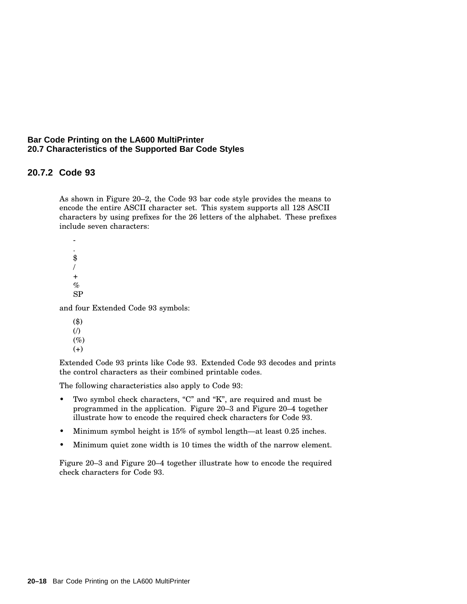#### **20.7.2 Code 93**

As shown in Figure 20–2, the Code 93 bar code style provides the means to encode the entire ASCII character set. This system supports all 128 ASCII characters by using prefixes for the 26 letters of the alphabet. These prefixes include seven characters:

- . \$ / +  $\%$ SP

and four Extended Code 93 symbols:

(\$) (/)  $(\% )$ (+)

Extended Code 93 prints like Code 93. Extended Code 93 decodes and prints the control characters as their combined printable codes.

The following characteristics also apply to Code 93:

- Two symbol check characters, "C" and "K", are required and must be programmed in the application. Figure 20–3 and Figure 20–4 together illustrate how to encode the required check characters for Code 93.
- Minimum symbol height is 15% of symbol length—at least 0.25 inches.
- Minimum quiet zone width is 10 times the width of the narrow element.

Figure 20–3 and Figure 20–4 together illustrate how to encode the required check characters for Code 93.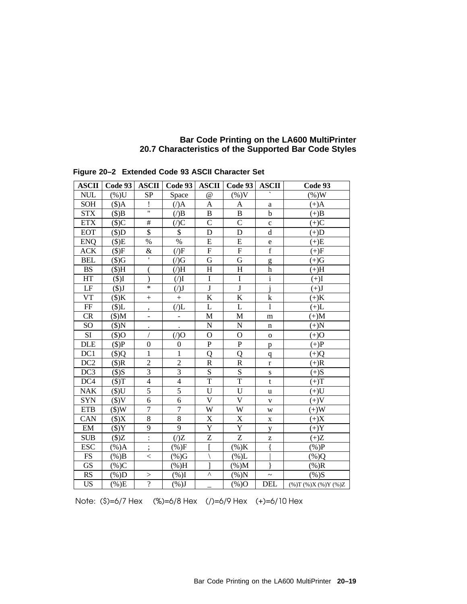| <b>ASCII</b>               | Code 93        | <b>ASCII</b>             | Code 93                      | <b>ASCII</b>   | Code 93        | <b>ASCII</b>              | Code 93                       |
|----------------------------|----------------|--------------------------|------------------------------|----------------|----------------|---------------------------|-------------------------------|
| <b>NUL</b>                 | $(\%)$ U       | SP                       | Space                        | $\omega$       | $(\%)V$        |                           | $(\%)$ W                      |
| <b>SOH</b>                 | $(\$)$ A       | Ţ                        | $($ / $)$ A                  | A              | A              | a                         | $(+)$ A                       |
| <b>STX</b>                 | $(\$)B$        | $\pmb{\mathsf{H}}$       | $($ / $)$ B                  | B              | $\, {\bf B}$   | b                         | $(+)B$                        |
| <b>ETX</b>                 | \$C\$          | #                        | $($ / $)C$                   | $\overline{C}$ | $\overline{C}$ | $\mathbf c$               | $(+)C$                        |
| $_{\rm EOT}$               | $(\$)D$        | \$                       | \$                           | D              | D              | $\rm d$                   | $(+)D$                        |
| <b>ENQ</b>                 | \$E\$          | $\%$                     | $\%$                         | E              | E              | $\mathbf e$               | $(+)E$                        |
| <b>ACK</b>                 | $($ \$)F       | &                        | $($ /)F                      | ${\bf F}$      | ${\bf F}$      | $\mathbf f$               | $(+)F$                        |
| <b>BEL</b>                 | \$)G           | $\bar{1}$                | $($ / $)$ G                  | G              | G              | g                         | $(+)G$                        |
| $\mathbf{B}\mathbf{S}$     | $($ \$)H       | $\overline{(}$           | $(V)$ H                      | H              | H              | $\boldsymbol{\mathrm{h}}$ | $H(+)$                        |
| HT                         | (S)I           | $\mathcal{E}$            | $I(\wedge)$                  | $\mathbf I$    | $\mathbf I$    | $\mathbf i$               | $(I(+)$                       |
| LF                         | $(\$)$ J       | $\ast$                   | $($ / $)$ J                  | $\bf J$        | $\bf J$        |                           | $(+)$ J                       |
| <b>VT</b>                  | $(\text{S})$ K | $^{+}$                   |                              | K              | K              | $\bf k$                   | $(+)K$                        |
| FF                         | $(S)$ L        | $\overline{\phantom{a}}$ | $($ /)L                      | L              | L              | $\mathbf{1}$              | $(+)$ L                       |
| CR                         | $(\$)$ M       | $\overline{\phantom{0}}$ | $\qquad \qquad \blacksquare$ | M              | M              | m                         | $(+)$ M                       |
| SO <sub>1</sub>            | $(\$)N$        |                          |                              | ${\bf N}$      | ${\bf N}$      | n                         | $(+)N$                        |
| <b>SI</b>                  | (S)O           | $\sqrt{2}$               | $(1)$ O                      | O              | $\mathcal{O}$  | $\mathbf{o}$              | $O(+)$                        |
| <b>DLE</b>                 | $(\$)P$        | $\boldsymbol{0}$         | $\boldsymbol{0}$             | ${\bf P}$      | $\mathbf P$    | p                         | $(+)P$                        |
| DC1                        | $($ \$)Q       | $\mathbf{1}$             | $\mathbf{1}$                 | Q              | Q              | q                         | $Q(+)$                        |
| DC <sub>2</sub>            | $(\$)R$        | $\overline{c}$           | $\overline{2}$               | $\mathbb R$    | $\mathbb{R}$   | $\bf r$                   | $(+)R$                        |
| DC <sub>3</sub>            | $(\$)$ S       | 3                        | 3                            | ${\bf S}$      | S              | ${\bf S}$                 | $(+)S$                        |
| DC4                        | (T(3))         | $\overline{\mathcal{L}}$ | $\overline{\mathbf{4}}$      | $\overline{T}$ | $\overline{T}$ | $\mathbf t$               | $T(+)$                        |
| <b>NAK</b>                 | $($ \$)U       | $\overline{5}$           | $\overline{5}$               | U              | U              | u                         | $U(+)$                        |
| <b>SYN</b>                 | $($ \$)V       | 6                        | 6                            | V              | V              | $\mathbf{V}$              | $(+)$ V                       |
| <b>ETB</b>                 | $(\text{\$})W$ | $\overline{7}$           | $\overline{7}$               | W              | W              | W                         | $(+)W$                        |
| CAN                        | $(\$)X$        | 8                        | 8                            | X              | X              | $\mathbf X$               | $(+)X$                        |
| $\boldsymbol{\mathrm{EM}}$ | $(\$)Y$        | 9                        | 9                            | Y              | Y              | y                         | $(+)Y$                        |
| <b>SUB</b>                 | (S)Z           | $\vdots$                 | $($ / $)Z$                   | Z              | Z              | Z                         | $(+)Z$                        |
| <b>ESC</b>                 | $(\%)A$        | $\vdots$                 | $(\%)F$                      | ſ              | $(\%)K$        | ſ                         | $(\%)P$                       |
| <b>FS</b>                  | $(\%)B$        | $\,<$                    | $(\% )G$                     |                | $(\%)$ L       |                           | $(\%)Q$                       |
| GS                         | $(\%)C$        |                          | $(\%)H$                      |                | $(\%)M$        | ∤                         | $(\%)R$                       |
| <b>RS</b>                  | $(\%)$ D       | >                        | $(\% )I$                     | Λ              | $(\%)N$        | $\tilde{\phantom{a}}$     | $(\% )S$                      |
| <b>US</b>                  | $(\%)E$        | $\overline{?}$           | $(\% )J$                     |                | (%)O           | <b>DEL</b>                | $(\% )T (\% )X (\% )Y (\% )Z$ |

#### **Figure 20–2 Extended Code 93 ASCII Character Set**

Note: (\$)=6/7 Hex (%)=6/8 Hex (/)=6/9 Hex (+)=6/10 Hex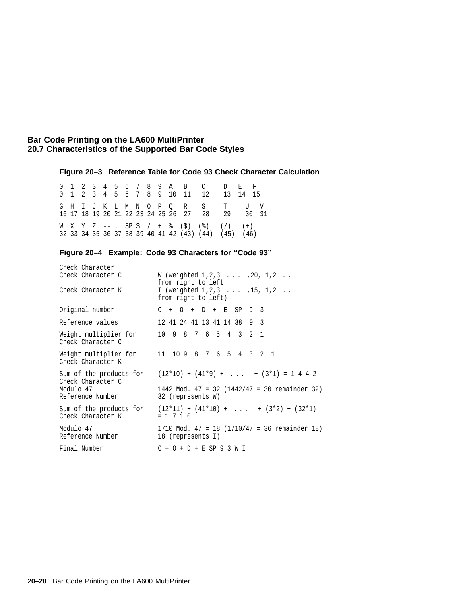**Figure 20–3 Reference Table for Code 93 Check Character Calculation**

 1 2 3 4 5 6 7 8 9 A B C D E F 1 2 3 4 5 6 7 8 9 10 11 12 13 14 15 G H I J K L M N O P Q R S T U V 17 18 19 20 21 22 23 24 25 26 27 28 29 30 31 W X Y Z -- . SP \$ / + % (\$) (%) (/) (+) 33 34 35 36 37 38 39 40 41 42 (43) (44) (45) (46)

| Figure 20-4 Example: Code 93 Characters for "Code 93" |  |  |  |  |  |  |
|-------------------------------------------------------|--|--|--|--|--|--|
|-------------------------------------------------------|--|--|--|--|--|--|

| Check Character<br>Check Character C       | W (weighted $1, 2, 3$ $, 20, 1, 2$<br>from right to left                                |  |  |  |  |
|--------------------------------------------|-----------------------------------------------------------------------------------------|--|--|--|--|
| Check Character K                          | I (weighted $1,2,3$ , $15, 1,2$<br>from right to left)                                  |  |  |  |  |
| Original number                            | $C + O + D + E SP 9 3$                                                                  |  |  |  |  |
| Reference values                           | 12 41 24 41 13 41 14 38 9 3                                                             |  |  |  |  |
| Weight multiplier for<br>Check Character C | 10 9 8 7 6 5 4 3 2 1                                                                    |  |  |  |  |
| Weight multiplier for<br>Check Character K | 11 10 9 8 7 6 5 4 3 2 1                                                                 |  |  |  |  |
| Check Character C                          | Sum of the products for $(12*10) + (41*9) +  + (3*1) = 1442$                            |  |  |  |  |
| Modulo 47<br>Reference Number              | 1442 Mod. 47 = 32 $(1442/47 = 30$ remainder 32)<br>32 (represents W)                    |  |  |  |  |
| Check Character K                          | Sum of the products for $(12*11) + (41*10) +  + (3*2) + (32*1)$<br>$= 1 \, 7 \, 1 \, 0$ |  |  |  |  |
| Modulo 47<br>Reference Number              | 1710 Mod. $47 = 18$ (1710/47 = 36 remainder 18)<br>18 (represents I)                    |  |  |  |  |
| Final Number                               | $C + O + D + E$ SP 9 3 W I                                                              |  |  |  |  |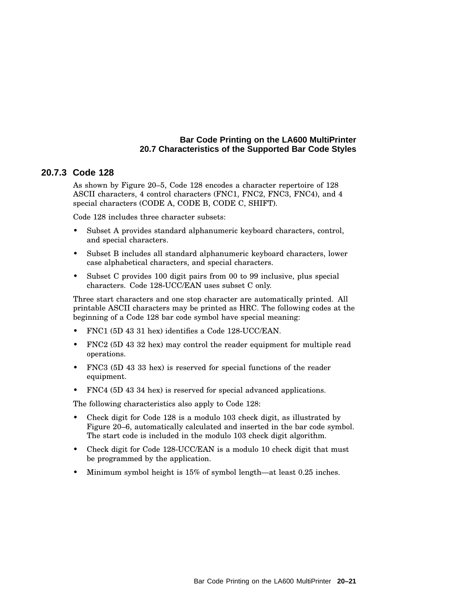#### **20.7.3 Code 128**

As shown by Figure 20–5, Code 128 encodes a character repertoire of 128 ASCII characters, 4 control characters (FNC1, FNC2, FNC3, FNC4), and 4 special characters (CODE A, CODE B, CODE C, SHIFT).

Code 128 includes three character subsets:

- Subset A provides standard alphanumeric keyboard characters, control, and special characters.
- Subset B includes all standard alphanumeric keyboard characters, lower case alphabetical characters, and special characters.
- Subset C provides 100 digit pairs from 00 to 99 inclusive, plus special characters. Code 128-UCC/EAN uses subset C only.

Three start characters and one stop character are automatically printed. All printable ASCII characters may be printed as HRC. The following codes at the beginning of a Code 128 bar code symbol have special meaning:

- FNC1 (5D 43 31 hex) identifies a Code 128-UCC/EAN.
- FNC2 (5D 43 32 hex) may control the reader equipment for multiple read operations.
- FNC3 (5D 43 33 hex) is reserved for special functions of the reader equipment.
- FNC4 (5D 43 34 hex) is reserved for special advanced applications.

The following characteristics also apply to Code 128:

- Check digit for Code 128 is a modulo 103 check digit, as illustrated by Figure 20–6, automatically calculated and inserted in the bar code symbol. The start code is included in the modulo 103 check digit algorithm.
- Check digit for Code 128-UCC/EAN is a modulo 10 check digit that must be programmed by the application.
- Minimum symbol height is 15% of symbol length—at least 0.25 inches.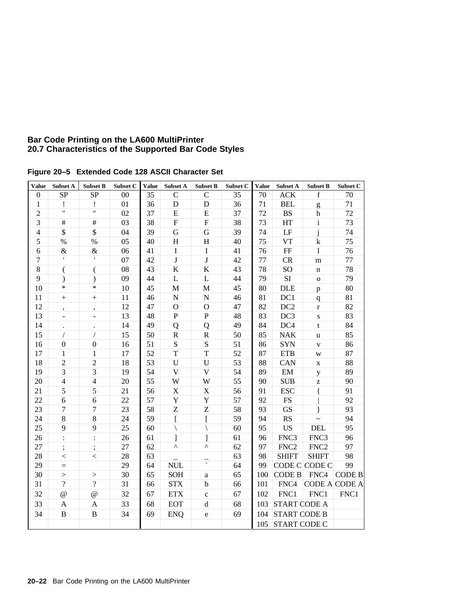#### **Value Subset A Subset B Subset C Value Subset A Subset B Subset C Value Subset A Subset B Subset C** 0 SP SP 00 35 C C 35 70 ACK f 70 1 | ! | 01 | 36 | D | 26 | 71 | BEL | g | 71 2 | " | " | 02 | 37 | E | E | 37 | 72 | BS | h | 72 3 # # 03 38 F F 38 73 HT i 73 4 \$ \$ 04 39 G G 39 74 LF j 74 5 % % 05 40 H H 40 75 VT k 75 6 & & 06 41 I I 41 76 FF l 76 7 | ' | ' | 07 | 42 | J | J | 42 | 77 | CR | m | 77 8 ( ( 08 43 K K 43 78 SO n 78 9 ) ) 09 44 L L 44 79 SI o 79 10 \* \* 10 45 M M 45 80 DLE p 80  $11 + | + | 11 | 46 | N | N | 46 | 81 | DCl | q | 81$ 12 , , 12 47 0 0 47 82 DC2 r 82 13 - | - | 13 | 48 | P | 7 | 48 | 83 | DC3 | s | 83 14 . . 14 49 Q Q 49 84 DC4 t 84 15 / / | 15 | 50 | R | R | 50 | 85 | NAK | u | 85 16 0 0 16 51 S S 51 86 SYN v 86 17 | 1 | 1 | 17 | 52 | T | T | 52 | 87 | ETB | w | 87 18 2 2 18 53 U U 53 88 CAN x 88 19 3 3 19 54 V V 54 89 EM y 89 20 4 4 20 55 W W 55 90 SUB z 90 21 | 5 | 5 | 21 | 56 | X | X | 56 | 91 | ESC | { | 91 22 | 6 | 6 | 22 | 57 | Y | Y | 57 | 92 | FS | | | 92 23 | 7 | 7 | 23 | 58 | Z | Z | 58 | 93 | GS | } | 93 24 | 8 | 8 | 24 | 59 | [ | | | | 59 | 94 | RS | ~ | 94 25 9 9 25 60 \ \ \ 60 95 US DEL 95 26 : : 26 61 ] ] 61 96 FNC3 FNC3 96 27 ; ; ; 27 62 ^ 62 97 FNC2 FNC2 97  $28$   $\vert$   $<$   $\vert$   $<$   $\vert$   $28$   $\vert$   $63$   $\vert$   $\vert$   $\vert$   $\vert$   $\vert$   $63$   $\vert$   $98$   $\vert$   $\rm SHIFT$   $\vert$   $\rm SHIFT$   $\vert$   $98$  $\begin{array}{|c|c|c|c|c|c|c|c|c|}\n\hline\n 29 & = & 29 & 64 & \text{NUL} & ^ & 64 & 99 & \text{CODE C (CODE C} & 99 \\
\hline\n 30 & > & > & 30 & 65 & \text{SOH} & a & 65 & \text{100 (CODE B FNC4 (COD) } \\\hline\n\end{array}$  $30$  >  $>$  30 65 SOH a 65 100 CODE B FNC4 CODE B  $31 \mid ? \mid ? \mid 31 \mid 66 \mid 5TX \mid b \mid 66 \mid 101 \mid FNC4 \mid CODE A|CODE A$  $32 \mid \text{ } @ \mid \text{ } @ \mid 32 \mid 67 \mid \text{ } \text{FTX} \mid \text{ } c \mid 67 \mid 102 \mid \text{FNC1} \mid \text{FNC1} \mid \text{FNC1}$ 33 A A 33 68 EOT d 68 103 START CODE A 34 B B 34 69 ENQ e 69 104 START CODE B 105 START CODE C

#### **Figure 20–5 Extended Code 128 ASCII Character Set**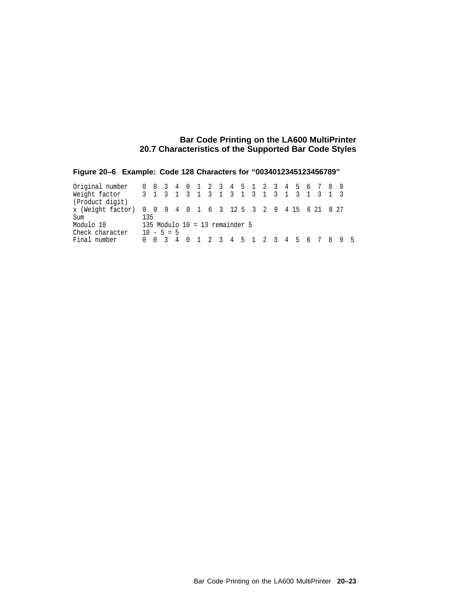**Figure 20–6 Example: Code 128 Characters for ''0034012345123456789''**

| Original number                                             |     |              |  |                                |  |  |  |  |  | 0 0 3 4 0 1 2 3 4 5 1 2 3 4 5 6 7 8 9   |  |  |
|-------------------------------------------------------------|-----|--------------|--|--------------------------------|--|--|--|--|--|-----------------------------------------|--|--|
| Weight factor 3 1 3 1 3 1 3 1 3 1 3 1 3 1 3 1 3 1 3         |     |              |  |                                |  |  |  |  |  |                                         |  |  |
| (Product digit)                                             |     |              |  |                                |  |  |  |  |  |                                         |  |  |
| x (Weight factor) 0 0 9 4 0 1 6 3 12 5 3 2 9 4 15 6 21 8 27 |     |              |  |                                |  |  |  |  |  |                                         |  |  |
| Sum                                                         | 135 |              |  |                                |  |  |  |  |  |                                         |  |  |
| Modulo 10                                                   |     |              |  | 135 Modulo 10 = 13 remainder 5 |  |  |  |  |  |                                         |  |  |
| Check character                                             |     | $10 - 5 = 5$ |  |                                |  |  |  |  |  |                                         |  |  |
| Final number                                                |     |              |  |                                |  |  |  |  |  | 0 0 3 4 0 1 2 3 4 5 1 2 3 4 5 6 7 8 9 5 |  |  |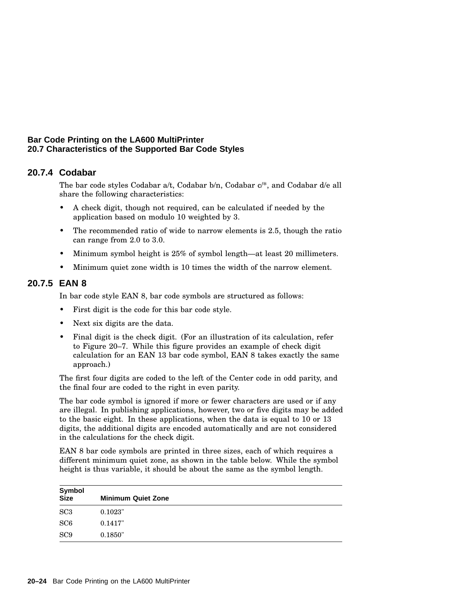#### **20.7.4 Codabar**

The bar code styles Codabar a/t, Codabar b/n, Codabar c/\*, and Codabar d/e all share the following characteristics:

- A check digit, though not required, can be calculated if needed by the application based on modulo 10 weighted by 3.
- The recommended ratio of wide to narrow elements is 2.5, though the ratio can range from 2.0 to 3.0.
- Minimum symbol height is 25% of symbol length—at least 20 millimeters.
- Minimum quiet zone width is 10 times the width of the narrow element.

#### **20.7.5 EAN 8**

In bar code style EAN 8, bar code symbols are structured as follows:

- First digit is the code for this bar code style.
- Next six digits are the data.
- Final digit is the check digit. (For an illustration of its calculation, refer to Figure 20–7. While this figure provides an example of check digit calculation for an EAN 13 bar code symbol, EAN 8 takes exactly the same approach.)

The first four digits are coded to the left of the Center code in odd parity, and the final four are coded to the right in even parity.

The bar code symbol is ignored if more or fewer characters are used or if any are illegal. In publishing applications, however, two or five digits may be added to the basic eight. In these applications, when the data is equal to 10 or 13 digits, the additional digits are encoded automatically and are not considered in the calculations for the check digit.

EAN 8 bar code symbols are printed in three sizes, each of which requires a different minimum quiet zone, as shown in the table below. While the symbol height is thus variable, it should be about the same as the symbol length.

| Symbol<br><b>Size</b> | <b>Minimum Quiet Zone</b> |  |
|-----------------------|---------------------------|--|
| SC3                   | 0.1023"                   |  |
| SC <sub>6</sub>       | 0.1417"                   |  |
| SC <sub>9</sub>       | 0.1850"                   |  |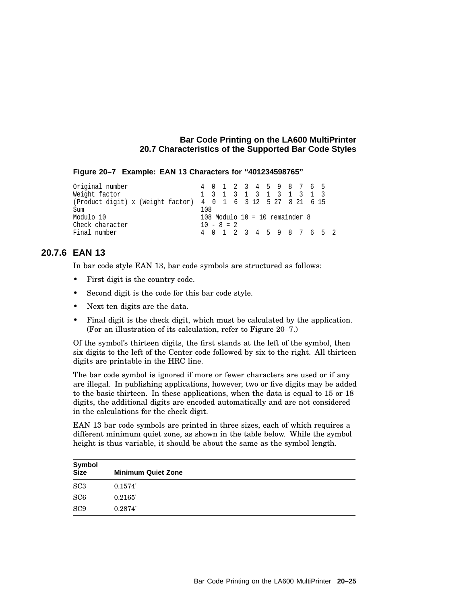#### **Figure 20–7 Example: EAN 13 Characters for ''401234598765''**

| Original number                                               |     |              |  | 4 0 1 2 3 4 5 9 8 7 6 5        |  |  |  |  |
|---------------------------------------------------------------|-----|--------------|--|--------------------------------|--|--|--|--|
| Weight factor                                                 |     |              |  | 1 3 1 3 1 3 1 3 1 3 1 3        |  |  |  |  |
| (Product digit) x (Weight factor) 4 0 1 6 3 12 5 27 8 21 6 15 |     |              |  |                                |  |  |  |  |
| Sum                                                           | 108 |              |  |                                |  |  |  |  |
| Modulo 10                                                     |     |              |  | 108 Modulo 10 = 10 remainder 8 |  |  |  |  |
| Check character                                               |     | $10 - 8 = 2$ |  |                                |  |  |  |  |
| Final number                                                  |     |              |  | 4 0 1 2 3 4 5 9 8 7 6 5 2      |  |  |  |  |

#### **20.7.6 EAN 13**

In bar code style EAN 13, bar code symbols are structured as follows:

- First digit is the country code.
- Second digit is the code for this bar code style.
- Next ten digits are the data.
- Final digit is the check digit, which must be calculated by the application. (For an illustration of its calculation, refer to Figure 20–7.)

Of the symbol's thirteen digits, the first stands at the left of the symbol, then six digits to the left of the Center code followed by six to the right. All thirteen digits are printable in the HRC line.

The bar code symbol is ignored if more or fewer characters are used or if any are illegal. In publishing applications, however, two or five digits may be added to the basic thirteen. In these applications, when the data is equal to 15 or 18 digits, the additional digits are encoded automatically and are not considered in the calculations for the check digit.

EAN 13 bar code symbols are printed in three sizes, each of which requires a different minimum quiet zone, as shown in the table below. While the symbol height is thus variable, it should be about the same as the symbol length.

| Symbol<br><b>Size</b> | <b>Minimum Quiet Zone</b> |  |
|-----------------------|---------------------------|--|
| SC <sub>3</sub>       | 0.1574"                   |  |
| SC <sub>6</sub>       | 0.2165"                   |  |
| SC <sub>9</sub>       | 0.2874"                   |  |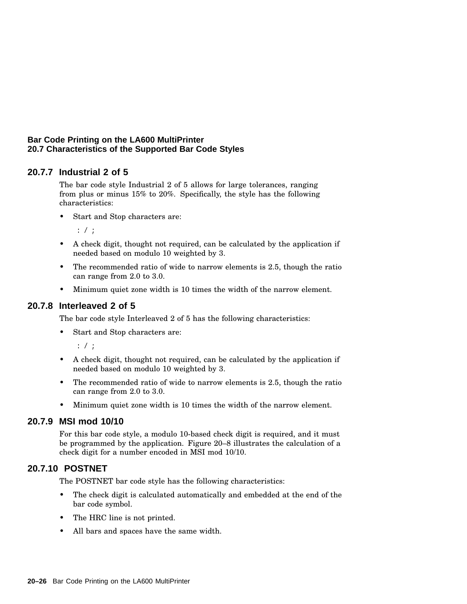#### **20.7.7 Industrial 2 of 5**

The bar code style Industrial 2 of 5 allows for large tolerances, ranging from plus or minus 15% to 20%. Specifically, the style has the following characteristics:

Start and Stop characters are:

: / ;

- A check digit, thought not required, can be calculated by the application if needed based on modulo 10 weighted by 3.
- The recommended ratio of wide to narrow elements is 2.5, though the ratio can range from 2.0 to 3.0.
- Minimum quiet zone width is 10 times the width of the narrow element.

#### **20.7.8 Interleaved 2 of 5**

The bar code style Interleaved 2 of 5 has the following characteristics:

Start and Stop characters are:

: / ;

- A check digit, thought not required, can be calculated by the application if needed based on modulo 10 weighted by 3.
- The recommended ratio of wide to narrow elements is 2.5, though the ratio can range from 2.0 to 3.0.
- Minimum quiet zone width is 10 times the width of the narrow element.

#### **20.7.9 MSI mod 10/10**

For this bar code style, a modulo 10-based check digit is required, and it must be programmed by the application. Figure 20–8 illustrates the calculation of a check digit for a number encoded in MSI mod 10/10.

#### **20.7.10 POSTNET**

The POSTNET bar code style has the following characteristics:

- The check digit is calculated automatically and embedded at the end of the bar code symbol.
- The HRC line is not printed.
- All bars and spaces have the same width.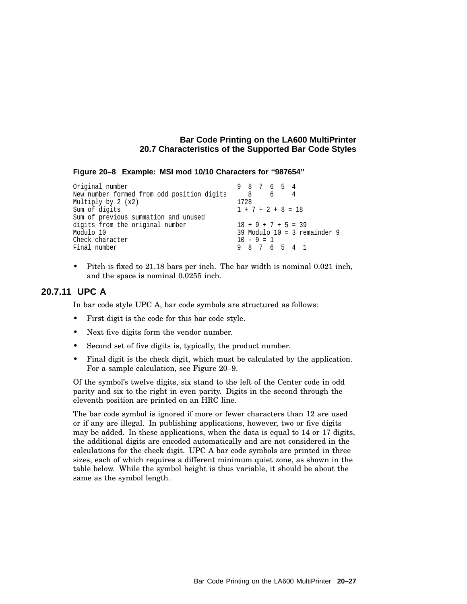#### **Figure 20–8 Example: MSI mod 10/10 Characters for ''987654''**

| 9 8 7 6 5 4                      |
|----------------------------------|
| 8 6 4                            |
| 1728                             |
| $1 + 7 + 2 + 8 = 18$             |
|                                  |
| $18 + 9 + 7 + 5 = 39$            |
| $39$ Modulo $10 = 3$ remainder 9 |
| $10 - 9 = 1$                     |
| 9 8 7 6 5 4 1                    |
|                                  |

• Pitch is fixed to 21.18 bars per inch. The bar width is nominal 0.021 inch, and the space is nominal 0.0255 inch.

#### **20.7.11 UPC A**

In bar code style UPC A, bar code symbols are structured as follows:

- First digit is the code for this bar code style.
- Next five digits form the vendor number.
- Second set of five digits is, typically, the product number.
- Final digit is the check digit, which must be calculated by the application. For a sample calculation, see Figure 20–9.

Of the symbol's twelve digits, six stand to the left of the Center code in odd parity and six to the right in even parity. Digits in the second through the eleventh position are printed on an HRC line.

The bar code symbol is ignored if more or fewer characters than 12 are used or if any are illegal. In publishing applications, however, two or five digits may be added. In these applications, when the data is equal to 14 or 17 digits, the additional digits are encoded automatically and are not considered in the calculations for the check digit. UPC A bar code symbols are printed in three sizes, each of which requires a different minimum quiet zone, as shown in the table below. While the symbol height is thus variable, it should be about the same as the symbol length.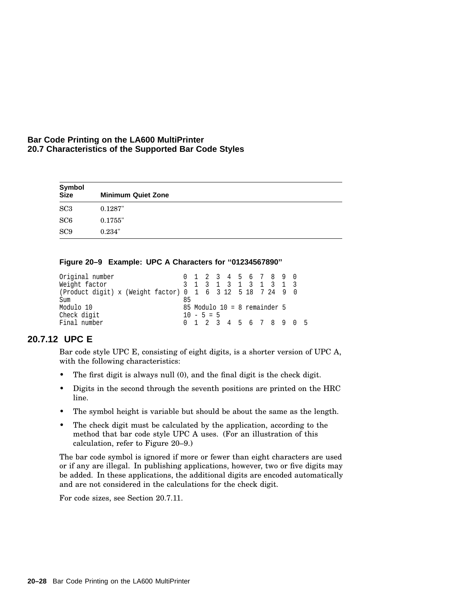| Symbol<br><b>Size</b> | <b>Minimum Quiet Zone</b> |  |
|-----------------------|---------------------------|--|
| SC3                   | 0.1287"                   |  |
| SC <sub>6</sub>       | 0.1755"                   |  |
| SC <sub>9</sub>       | 0.234"                    |  |

#### **Figure 20–9 Example: UPC A Characters for ''01234567890''**

| 85 |  |              |  |  |                              |                                                                                                                                         |
|----|--|--------------|--|--|------------------------------|-----------------------------------------------------------------------------------------------------------------------------------------|
|    |  |              |  |  |                              |                                                                                                                                         |
|    |  |              |  |  |                              |                                                                                                                                         |
|    |  |              |  |  |                              |                                                                                                                                         |
|    |  | $10 - 5 = 5$ |  |  | 85 Modulo 10 = 8 remainder 5 | 0 1 2 3 4 5 6 7 8 9 0<br>3 1 3 1 3 1 3 1 3 1 3<br>(Product digit) x (Weight factor) 0 1 6 3 12 5 18 7 24 9 0<br>0 1 2 3 4 5 6 7 8 9 0 5 |

#### **20.7.12 UPC E**

Bar code style UPC E, consisting of eight digits, is a shorter version of UPC A, with the following characteristics:

- The first digit is always null (0), and the final digit is the check digit.
- Digits in the second through the seventh positions are printed on the HRC line.
- The symbol height is variable but should be about the same as the length.
- The check digit must be calculated by the application, according to the method that bar code style UPC A uses. (For an illustration of this calculation, refer to Figure 20–9.)

The bar code symbol is ignored if more or fewer than eight characters are used or if any are illegal. In publishing applications, however, two or five digits may be added. In these applications, the additional digits are encoded automatically and are not considered in the calculations for the check digit.

For code sizes, see Section 20.7.11.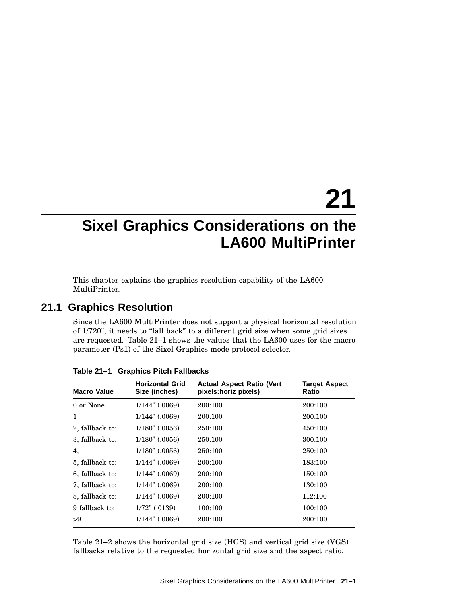# **21**

# **Sixel Graphics Considerations on the LA600 MultiPrinter**

This chapter explains the graphics resolution capability of the LA600 MultiPrinter.

# **21.1 Graphics Resolution**

Since the LA600 MultiPrinter does not support a physical horizontal resolution of 1/720", it needs to ''fall back'' to a different grid size when some grid sizes are requested. Table 21–1 shows the values that the LA600 uses for the macro parameter (Ps1) of the Sixel Graphics mode protocol selector.

| <b>Macro Value</b> | <b>Horizontal Grid</b><br>Size (inches) | <b>Actual Aspect Ratio (Vert</b><br>pixels:horiz pixels) | <b>Target Aspect</b><br>Ratio |
|--------------------|-----------------------------------------|----------------------------------------------------------|-------------------------------|
| 0 or None          | $1/144$ " $(.0069)$                     | 200:100                                                  | 200:100                       |
| 1                  | $1/144$ " $(.0069)$                     | 200:100                                                  | 200:100                       |
| 2, fallback to:    | $1/180$ " (.0056)                       | 250:100                                                  | 450:100                       |
| 3, fallback to:    | $1/180$ " (.0056)                       | 250:100                                                  | 300:100                       |
| 4,                 | $1/180$ " (.0056)                       | 250:100                                                  | 250:100                       |
| 5, fallback to:    | $1/144$ " $(.0069)$                     | 200:100                                                  | 183:100                       |
| 6, fallback to:    | $1/144$ " $(.0069)$                     | 200:100                                                  | 150:100                       |
| 7, fallback to:    | $1/144$ " $(.0069)$                     | 200:100                                                  | 130:100                       |
| 8, fallback to:    | $1/144$ " $(.0069)$                     | 200:100                                                  | 112:100                       |
| 9 fallback to:     | $1/72$ " (.0139)                        | 100:100                                                  | 100:100                       |
| >9                 | $1/144$ " (.0069)                       | 200:100                                                  | 200:100                       |

**Table 21–1 Graphics Pitch Fallbacks**

Table 21–2 shows the horizontal grid size (HGS) and vertical grid size (VGS) fallbacks relative to the requested horizontal grid size and the aspect ratio.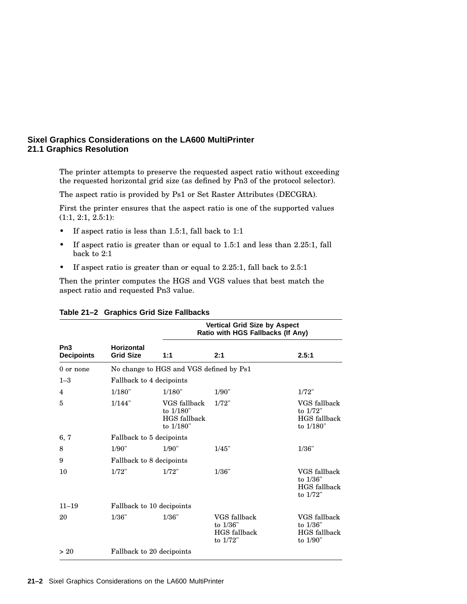#### **Sixel Graphics Considerations on the LA600 MultiPrinter 21.1 Graphics Resolution**

The printer attempts to preserve the requested aspect ratio without exceeding the requested horizontal grid size (as defined by Pn3 of the protocol selector).

The aspect ratio is provided by Ps1 or Set Raster Attributes (DECGRA).

First the printer ensures that the aspect ratio is one of the supported values (1:1, 2:1, 2.5:1):

- If aspect ratio is less than 1.5:1, fall back to 1:1
- If aspect ratio is greater than or equal to 1.5:1 and less than 2.25:1, fall back to 2:1
- If aspect ratio is greater than or equal to 2.25:1, fall back to 2.5:1

Then the printer computes the HGS and VGS values that best match the aspect ratio and requested Pn3 value.

|                                      |                                       |                                                             | <b>Vertical Grid Size by Aspect</b><br>Ratio with HGS Fallbacks (If Any) |                                                          |  |  |  |  |  |  |  |
|--------------------------------------|---------------------------------------|-------------------------------------------------------------|--------------------------------------------------------------------------|----------------------------------------------------------|--|--|--|--|--|--|--|
| Pn <sub>3</sub><br><b>Decipoints</b> | <b>Horizontal</b><br><b>Grid Size</b> | 1:1                                                         | 2:1                                                                      |                                                          |  |  |  |  |  |  |  |
| 0 or none                            |                                       | No change to HGS and VGS defined by Ps1                     |                                                                          |                                                          |  |  |  |  |  |  |  |
| $1 - 3$                              | Fallback to 4 decipoints              |                                                             |                                                                          |                                                          |  |  |  |  |  |  |  |
| $\overline{4}$                       | 1/180"                                | 1/180"                                                      | 1/90"                                                                    | 1/72"                                                    |  |  |  |  |  |  |  |
| 5                                    | 1/144"                                | VGS fallback<br>to $1/180"$<br>HGS fallback<br>to $1/180$ " | 1/72"                                                                    | VGS fallback<br>to 1/72"<br>HGS fallback<br>to $1/180$ " |  |  |  |  |  |  |  |
| 6, 7                                 | Fallback to 5 decipoints              |                                                             |                                                                          |                                                          |  |  |  |  |  |  |  |
| 8                                    | 1/90"                                 | 1/90"                                                       | 1/45"                                                                    | 1/36"                                                    |  |  |  |  |  |  |  |
| 9                                    | Fallback to 8 decipoints              |                                                             |                                                                          |                                                          |  |  |  |  |  |  |  |
| 10                                   | 1/72"                                 | 1/72"                                                       | 1/36"                                                                    | VGS fallback<br>to 1/36"<br>HGS fallback<br>to 1/72"     |  |  |  |  |  |  |  |
| $11 - 19$                            | Fallback to 10 decipoints             |                                                             |                                                                          |                                                          |  |  |  |  |  |  |  |
| 20                                   | 1/36"                                 | 1/36"                                                       | VGS fallback<br>to 1/36"<br>HGS fallback<br>to 1/72"                     | VGS fallback<br>to 1/36"<br>HGS fallback<br>to 1/90"     |  |  |  |  |  |  |  |
| >20                                  | Fallback to 20 decipoints             |                                                             |                                                                          |                                                          |  |  |  |  |  |  |  |

#### **Table 21–2 Graphics Grid Size Fallbacks**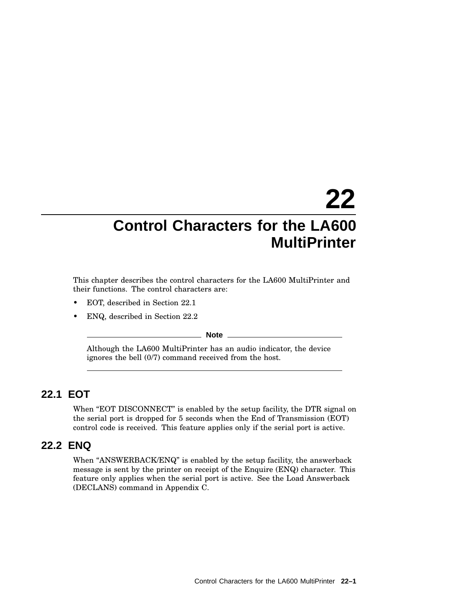# **22 Control Characters for the LA600 MultiPrinter**

This chapter describes the control characters for the LA600 MultiPrinter and their functions. The control characters are:

- EOT, described in Section 22.1
- ENQ, described in Section 22.2

**Note**

Although the LA600 MultiPrinter has an audio indicator, the device ignores the bell (0/7) command received from the host.

### **22.1 EOT**

When "EOT DISCONNECT" is enabled by the setup facility, the DTR signal on the serial port is dropped for 5 seconds when the End of Transmission (EOT) control code is received. This feature applies only if the serial port is active.

#### **22.2 ENQ**

When "ANSWERBACK/ENQ" is enabled by the setup facility, the answerback message is sent by the printer on receipt of the Enquire (ENQ) character. This feature only applies when the serial port is active. See the Load Answerback (DECLANS) command in Appendix C.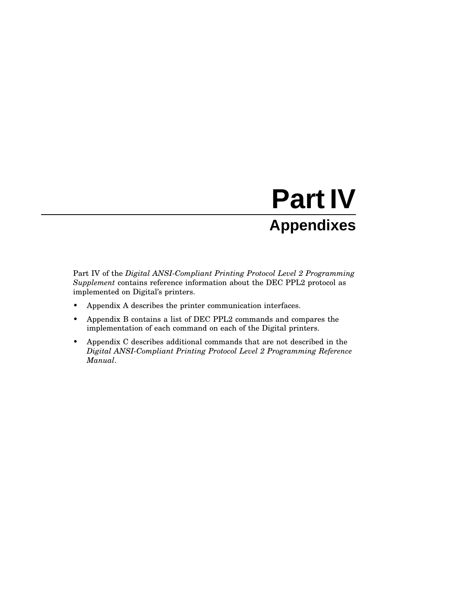# **Part IV Appendixes**

Part IV of the *Digital ANSI-Compliant Printing Protocol Level 2 Programming Supplement* contains reference information about the DEC PPL2 protocol as implemented on Digital's printers.

- Appendix A describes the printer communication interfaces.
- Appendix B contains a list of DEC PPL2 commands and compares the implementation of each command on each of the Digital printers.
- Appendix C describes additional commands that are not described in the *Digital ANSI-Compliant Printing Protocol Level 2 Programming Reference Manual*.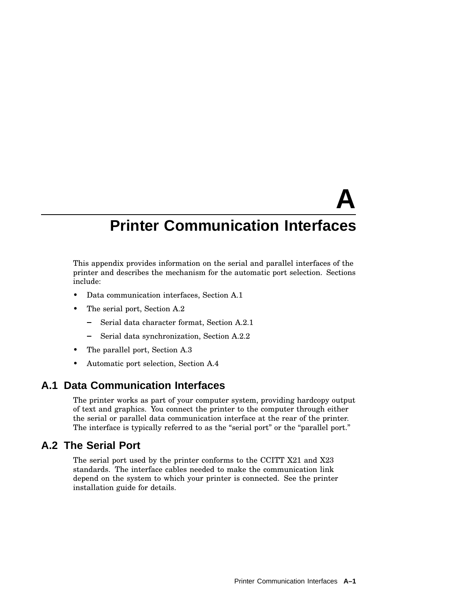# **A Printer Communication Interfaces**

This appendix provides information on the serial and parallel interfaces of the printer and describes the mechanism for the automatic port selection. Sections include:

- Data communication interfaces, Section A.1
- The serial port, Section A.2
	- $\equiv$ Serial data character format, Section A.2.1
	- $\blacksquare$ Serial data synchronization, Section A.2.2
- The parallel port, Section A.3
- Automatic port selection, Section A.4

### **A.1 Data Communication Interfaces**

The printer works as part of your computer system, providing hardcopy output of text and graphics. You connect the printer to the computer through either the serial or parallel data communication interface at the rear of the printer. The interface is typically referred to as the "serial port" or the "parallel port."

# **A.2 The Serial Port**

The serial port used by the printer conforms to the CCITT X21 and X23 standards. The interface cables needed to make the communication link depend on the system to which your printer is connected. See the printer installation guide for details.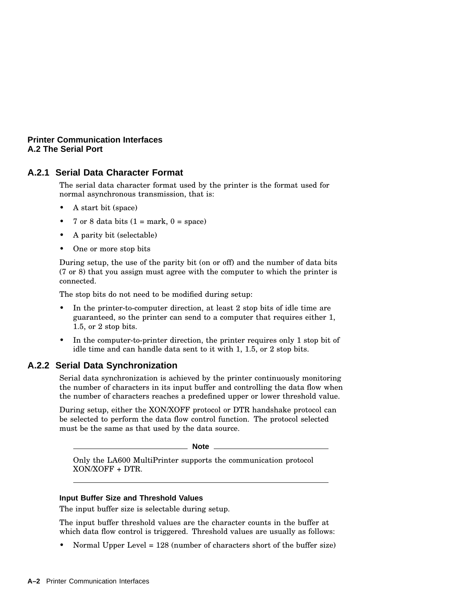#### **Printer Communication Interfaces A.2 The Serial Port**

#### **A.2.1 Serial Data Character Format**

The serial data character format used by the printer is the format used for normal asynchronous transmission, that is:

- A start bit (space)
- 7 or 8 data bits  $(1 = mark, 0 = space)$
- A parity bit (selectable)
- One or more stop bits

During setup, the use of the parity bit (on or off) and the number of data bits (7 or 8) that you assign must agree with the computer to which the printer is connected.

The stop bits do not need to be modified during setup:

- In the printer-to-computer direction, at least 2 stop bits of idle time are guaranteed, so the printer can send to a computer that requires either 1, 1.5, or 2 stop bits.
- In the computer-to-printer direction, the printer requires only 1 stop bit of idle time and can handle data sent to it with 1, 1.5, or 2 stop bits.

#### **A.2.2 Serial Data Synchronization**

Serial data synchronization is achieved by the printer continuously monitoring the number of characters in its input buffer and controlling the data flow when the number of characters reaches a predefined upper or lower threshold value.

During setup, either the XON/XOFF protocol or DTR handshake protocol can be selected to perform the data flow control function. The protocol selected must be the same as that used by the data source.

**Note**

Only the LA600 MultiPrinter supports the communication protocol XON/XOFF + DTR.

#### **Input Buffer Size and Threshold Values**

The input buffer size is selectable during setup.

The input buffer threshold values are the character counts in the buffer at which data flow control is triggered. Threshold values are usually as follows:

• Normal Upper Level = 128 (number of characters short of the buffer size)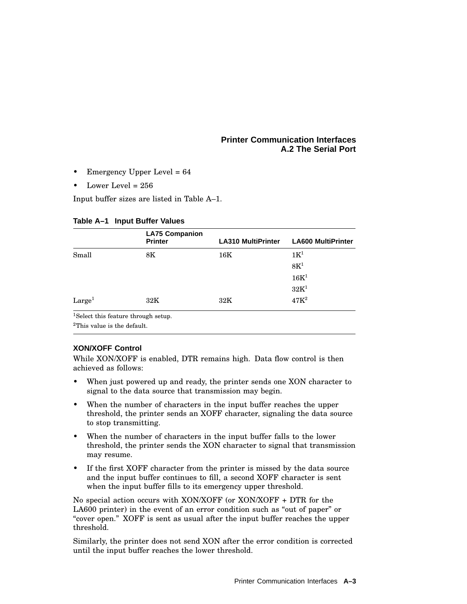#### **Printer Communication Interfaces A.2 The Serial Port**

- Emergency Upper Level = 64
- Lower Level  $= 256$

Input buffer sizes are listed in Table A–1.

| <b>LA75 Companion</b><br><b>Printer</b> | <b>LA310 MultiPrinter</b> | <b>LA600 MultiPrinter</b> |
|-----------------------------------------|---------------------------|---------------------------|
| 8K                                      | 16K                       | $1K^1$                    |
|                                         |                           | $8K^1$                    |
|                                         |                           | $16K^1$                   |
|                                         |                           | $32K^1$                   |
| 32K                                     | 32K                       | $47K^2$                   |
|                                         |                           |                           |

#### **Table A–1 Input Buffer Values**

<sup>1</sup>Select this feature through setup.

<sup>2</sup>This value is the default.

#### **XON/XOFF Control**

While XON/XOFF is enabled, DTR remains high. Data flow control is then achieved as follows:

- When just powered up and ready, the printer sends one XON character to signal to the data source that transmission may begin.
- When the number of characters in the input buffer reaches the upper threshold, the printer sends an XOFF character, signaling the data source to stop transmitting.
- When the number of characters in the input buffer falls to the lower threshold, the printer sends the XON character to signal that transmission may resume.
- If the first XOFF character from the printer is missed by the data source and the input buffer continues to fill, a second XOFF character is sent when the input buffer fills to its emergency upper threshold.

No special action occurs with XON/XOFF (or XON/XOFF + DTR for the LA600 printer) in the event of an error condition such as "out of paper" or "cover open." XOFF is sent as usual after the input buffer reaches the upper threshold.

Similarly, the printer does not send XON after the error condition is corrected until the input buffer reaches the lower threshold.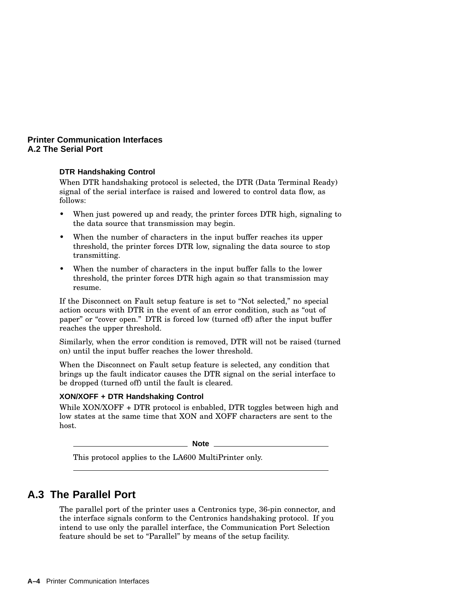#### **Printer Communication Interfaces A.2 The Serial Port**

#### **DTR Handshaking Control**

When DTR handshaking protocol is selected, the DTR (Data Terminal Ready) signal of the serial interface is raised and lowered to control data flow, as follows:

- When just powered up and ready, the printer forces DTR high, signaling to the data source that transmission may begin.
- When the number of characters in the input buffer reaches its upper threshold, the printer forces DTR low, signaling the data source to stop transmitting.
- When the number of characters in the input buffer falls to the lower threshold, the printer forces DTR high again so that transmission may resume.

If the Disconnect on Fault setup feature is set to ''Not selected,'' no special action occurs with DTR in the event of an error condition, such as ''out of paper'' or ''cover open.'' DTR is forced low (turned off) after the input buffer reaches the upper threshold.

Similarly, when the error condition is removed, DTR will not be raised (turned on) until the input buffer reaches the lower threshold.

When the Disconnect on Fault setup feature is selected, any condition that brings up the fault indicator causes the DTR signal on the serial interface to be dropped (turned off) until the fault is cleared.

#### **XON/XOFF + DTR Handshaking Control**

While XON/XOFF + DTR protocol is enbabled, DTR toggles between high and low states at the same time that XON and XOFF characters are sent to the host.

**Note** \_\_

This protocol applies to the LA600 MultiPrinter only.

# **A.3 The Parallel Port**

The parallel port of the printer uses a Centronics type, 36-pin connector, and the interface signals conform to the Centronics handshaking protocol. If you intend to use only the parallel interface, the Communication Port Selection feature should be set to "Parallel" by means of the setup facility.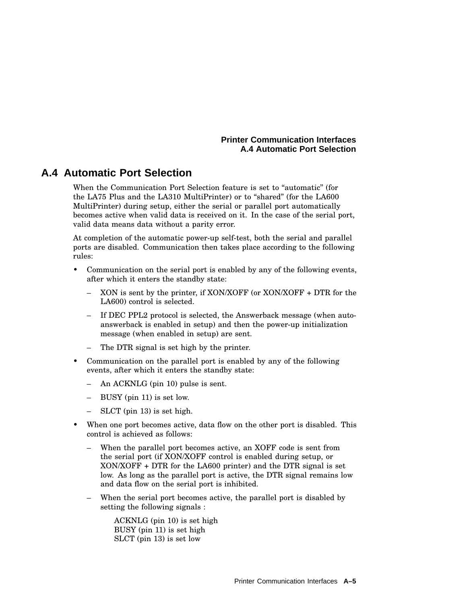#### **Printer Communication Interfaces A.4 Automatic Port Selection**

# **A.4 Automatic Port Selection**

When the Communication Port Selection feature is set to "automatic" (for the LA75 Plus and the LA310 MultiPrinter) or to "shared" (for the LA600 MultiPrinter) during setup, either the serial or parallel port automatically becomes active when valid data is received on it. In the case of the serial port, valid data means data without a parity error.

At completion of the automatic power-up self-test, both the serial and parallel ports are disabled. Communication then takes place according to the following rules:

- Communication on the serial port is enabled by any of the following events, after which it enters the standby state:
	- XON is sent by the printer, if XON/XOFF (or XON/XOFF + DTR for the LA600) control is selected.
	- If DEC PPL2 protocol is selected, the Answerback message (when autoanswerback is enabled in setup) and then the power-up initialization message (when enabled in setup) are sent.
	- The DTR signal is set high by the printer.
- Communication on the parallel port is enabled by any of the following events, after which it enters the standby state:
	- An ACKNLG (pin 10) pulse is sent.
	- BUSY (pin 11) is set low.
	- SLCT (pin 13) is set high.
- When one port becomes active, data flow on the other port is disabled. This control is achieved as follows:
	- When the parallel port becomes active, an XOFF code is sent from the serial port (if XON/XOFF control is enabled during setup, or XON/XOFF + DTR for the LA600 printer) and the DTR signal is set low. As long as the parallel port is active, the DTR signal remains low and data flow on the serial port is inhibited.
	- When the serial port becomes active, the parallel port is disabled by setting the following signals :

ACKNLG (pin 10) is set high BUSY (pin 11) is set high SLCT (pin 13) is set low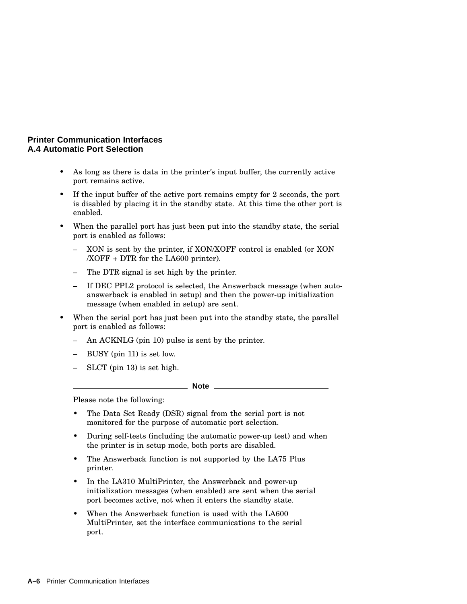#### **Printer Communication Interfaces A.4 Automatic Port Selection**

- As long as there is data in the printer's input buffer, the currently active port remains active.
- If the input buffer of the active port remains empty for 2 seconds, the port is disabled by placing it in the standby state. At this time the other port is enabled.
- When the parallel port has just been put into the standby state, the serial port is enabled as follows:
	- XON is sent by the printer, if XON/XOFF control is enabled (or XON /XOFF + DTR for the LA600 printer).
	- The DTR signal is set high by the printer.
	- If DEC PPL2 protocol is selected, the Answerback message (when autoanswerback is enabled in setup) and then the power-up initialization message (when enabled in setup) are sent.
- When the serial port has just been put into the standby state, the parallel port is enabled as follows:
	- An ACKNLG (pin 10) pulse is sent by the printer.
	- BUSY (pin 11) is set low.
	- SLCT (pin 13) is set high.

**Note** \_\_\_\_\_\_\_

Please note the following:

- The Data Set Ready (DSR) signal from the serial port is not monitored for the purpose of automatic port selection.
- During self-tests (including the automatic power-up test) and when the printer is in setup mode, both ports are disabled.
- The Answerback function is not supported by the LA75 Plus printer.
- In the LA310 MultiPrinter, the Answerback and power-up initialization messages (when enabled) are sent when the serial port becomes active, not when it enters the standby state.
- When the Answerback function is used with the LA600 MultiPrinter, set the interface communications to the serial port.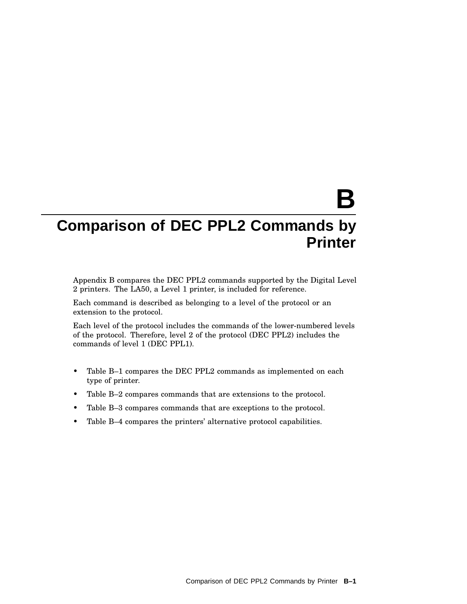# **B**

# **Comparison of DEC PPL2 Commands by Printer**

Appendix B compares the DEC PPL2 commands supported by the Digital Level 2 printers. The LA50, a Level 1 printer, is included for reference.

Each command is described as belonging to a level of the protocol or an extension to the protocol.

Each level of the protocol includes the commands of the lower-numbered levels of the protocol. Therefore, level 2 of the protocol (DEC PPL2) includes the commands of level 1 (DEC PPL1).

- Table B–1 compares the DEC PPL2 commands as implemented on each type of printer.
- Table B–2 compares commands that are extensions to the protocol.
- Table B–3 compares commands that are exceptions to the protocol.
- Table B-4 compares the printers' alternative protocol capabilities.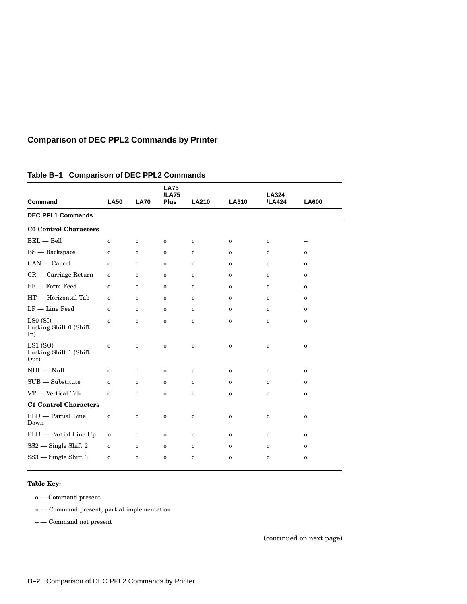|                                               |              |              | <b>LA75</b>          |              |              |                 |              |
|-----------------------------------------------|--------------|--------------|----------------------|--------------|--------------|-----------------|--------------|
| Command                                       | <b>LA50</b>  | <b>LA70</b>  | /LA75<br><b>Plus</b> | <b>LA210</b> | LA310        | LA324<br>/LA424 | <b>LA600</b> |
| <b>DEC PPL1 Commands</b>                      |              |              |                      |              |              |                 |              |
| <b>C0 Control Characters</b>                  |              |              |                      |              |              |                 |              |
| $BEL - Bell$                                  | $\bf{0}$     | $\mathbf 0$  | $\mathbf 0$          | $\bf{0}$     | 0            | $\mathbf 0$     |              |
| $BS - Backspace$                              | $\mathbf 0$  | $\bf{0}$     | $\mathbf 0$          | $\mathbf 0$  | 0            | 0               | $\mathbf 0$  |
| $CAN - C$                                     | $\mathbf 0$  | $\bf{0}$     | $\mathbf{o}$         | $\mathbf 0$  | 0            | $\mathbf 0$     | $\mathbf 0$  |
| $CR$ — Carriage Return                        | $\mathbf 0$  | $\mathbf{o}$ | $\mathbf 0$          | $\bf{0}$     | 0            | $\mathbf 0$     | $\mathbf 0$  |
| FF - Form Feed                                | $\mathbf 0$  | $\bf{0}$     | $\mathbf{o}$         | $\mathbf 0$  | $\mathbf{o}$ | $\mathbf 0$     | $\mathbf 0$  |
| HT - Horizontal Tab                           | $\mathbf 0$  | $\bf{0}$     | $\mathbf{o}$         | $\mathbf 0$  | $\mathbf{o}$ | $\mathbf{o}$    | $\mathbf 0$  |
| $LF - Line$ Feed                              | $\mathbf 0$  | $\bf{0}$     | $\mathbf 0$          | $\bf{0}$     | $\mathbf 0$  | $\mathbf 0$     | $\mathbf 0$  |
| $LS0(SI)$ —<br>Locking Shift 0 (Shift<br>In)  | $\mathbf{o}$ | $\bf{0}$     | $\mathbf{o}$         | $\mathbf 0$  | $\bf{0}$     | $\mathbf{o}$    | $\mathbf 0$  |
| $LS1(SO)$ —<br>Locking Shift 1 (Shift<br>Out) | $\mathbf{o}$ | $\mathbf{o}$ | $\mathbf{o}$         | $\mathbf 0$  | $\mathbf{o}$ | $\mathbf{o}$    | $\mathbf{o}$ |
| $NUL - Null$                                  | $\mathbf 0$  | $\mathbf{o}$ | $\mathbf{o}$         | $\mathbf{o}$ | $\mathbf 0$  | $\mathbf 0$     | $\mathbf 0$  |
| $SUB - Substitute$                            | $\mathbf 0$  | $\mathbf{o}$ | $\mathbf 0$          | $\bf{0}$     | $\mathbf 0$  | $\mathbf 0$     | $\mathbf 0$  |
| VT - Vertical Tab                             | $\mathbf{o}$ | $\mathbf{o}$ | $\mathbf{o}$         | $\mathbf 0$  | $\mathbf 0$  | $\mathbf 0$     | $\mathbf 0$  |
| <b>C1 Control Characters</b>                  |              |              |                      |              |              |                 |              |
| PLD - Partial Line<br>Down                    | $\mathbf{o}$ | $\bf{0}$     | $\mathbf{o}$         | $\mathbf{o}$ | $\mathbf{o}$ | $\mathbf 0$     | $\mathbf 0$  |
| PLU - Partial Line Up                         | $\bf{0}$     | 0            | $\mathbf 0$          | $\bf{0}$     | 0            | $\mathbf 0$     | $\mathbf 0$  |
| $SS2$ - Single Shift 2                        | $\mathbf 0$  | $\bf{0}$     | $\mathbf 0$          | $\bf{0}$     | 0            | 0               | $\mathbf 0$  |
| $SS3$ - Single Shift 3                        | $\mathbf{o}$ | $\mathbf{o}$ | $\mathbf 0$          | $\mathbf 0$  | $\mathbf 0$  | $\mathbf 0$     | $\mathbf 0$  |

#### **Table B–1 Comparison of DEC PPL2 Commands**

#### **Table Key:**

 $\text{o}$  — Command present

 ${\bf n}$  — Command present, partial implementation

 $--$  Command not present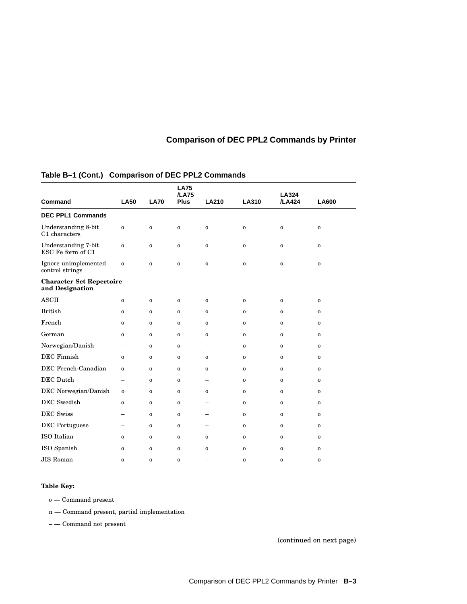|                                                    |                          |              | <b>LA75</b>          |                          |              |                        |              |  |  |  |
|----------------------------------------------------|--------------------------|--------------|----------------------|--------------------------|--------------|------------------------|--------------|--|--|--|
| Command                                            | <b>LA50</b>              | <b>LA70</b>  | /LA75<br><b>Plus</b> | <b>LA210</b>             | LA310        | <b>LA324</b><br>/LA424 | <b>LA600</b> |  |  |  |
| <b>DEC PPL1 Commands</b>                           |                          |              |                      |                          |              |                        |              |  |  |  |
| Understanding 8-bit<br>C1 characters               | $\mathbf{o}$             | $\mathbf{o}$ | $\mathbf{o}$         | $\mathbf 0$              | $\mathbf{0}$ | $\mathbf{o}$           | $\mathbf{o}$ |  |  |  |
| Understanding 7-bit<br>ESC Fe form of C1           | $\mathbf{o}$             | $\mathbf 0$  | $\mathbf{o}$         | $\mathbf{o}$             | $\mathbf{o}$ | $\mathbf 0$            | $\mathbf 0$  |  |  |  |
| Ignore unimplemented<br>control strings            | $\mathbf{o}$             | $\mathbf 0$  | $\mathbf{o}$         | $\mathbf 0$              | $\mathbf{o}$ | $\mathbf 0$            | $\mathbf 0$  |  |  |  |
| <b>Character Set Repertoire</b><br>and Designation |                          |              |                      |                          |              |                        |              |  |  |  |
| <b>ASCII</b>                                       | $\mathbf 0$              | $\mathbf 0$  | $\mathbf{o}$         | $\mathbf 0$              | $\mathbf 0$  | $\mathbf 0$            | $\mathbf 0$  |  |  |  |
| <b>British</b>                                     | $\mathbf{o}$             | $\mathbf 0$  | $\mathbf{o}$         | $\mathbf 0$              | $\mathbf{o}$ | $\mathbf 0$            | $\mathbf 0$  |  |  |  |
| French                                             | $\mathbf{o}$             | $\mathbf 0$  | $\mathbf{o}$         | $\mathbf{o}$             | $\mathbf 0$  | $\mathbf 0$            | $\mathbf 0$  |  |  |  |
| German                                             | $\mathbf{o}$             | $\mathbf 0$  | $\mathbf{o}$         | $\mathbf{o}$             | $\mathbf 0$  | $\mathbf 0$            | $\mathbf 0$  |  |  |  |
| Norwegian/Danish                                   | $\overline{\phantom{0}}$ | $\mathbf{o}$ | $\mathbf{o}$         | $\overline{\phantom{0}}$ | $\mathbf 0$  | $\mathbf 0$            | $\mathbf 0$  |  |  |  |
| DEC Finnish                                        | $\Omega$                 | $\mathbf 0$  | $\mathbf{o}$         | $\mathbf 0$              | $\mathbf 0$  | $\mathbf 0$            | $\Omega$     |  |  |  |
| DEC French-Canadian                                | $\mathbf{o}$             | $\mathbf 0$  | $\mathbf{o}$         | $\mathbf 0$              | $\mathbf{o}$ | $\mathbf 0$            | $\mathbf{o}$ |  |  |  |
| DEC Dutch                                          | $\overline{\phantom{0}}$ | $\mathbf 0$  | $\mathbf 0$          | -                        | $\mathbf 0$  | $\mathbf 0$            | $\mathbf 0$  |  |  |  |
| DEC Norwegian/Danish                               | $\mathbf{o}$             | $\mathbf 0$  | $\mathbf{o}$         | $\mathbf{o}$             | $\mathbf{o}$ | $\mathbf 0$            | $\mathbf 0$  |  |  |  |
| DEC Swedish                                        | $\Omega$                 | $\mathbf 0$  | $\mathbf 0$          | -                        | $\mathbf 0$  | $\mathbf 0$            | $\Omega$     |  |  |  |
| <b>DEC Swiss</b>                                   | -                        | $\mathbf{o}$ | $\mathbf{o}$         | $\qquad \qquad -$        | $\mathbf{o}$ | $\mathbf{o}$           | $\mathbf 0$  |  |  |  |
| DEC Portuguese                                     | -                        | $\mathbf 0$  | $\mathbf{o}$         | -                        | $\mathbf 0$  | $\mathbf 0$            | $\mathbf 0$  |  |  |  |
| ISO Italian                                        | $\mathbf{o}$             | $\mathbf{0}$ | $\mathbf{o}$         | $\mathbf 0$              | $\mathbf{0}$ | $\mathbf 0$            | $\mathbf 0$  |  |  |  |
| ISO Spanish                                        | $\mathbf 0$              | $\mathbf 0$  | $\mathbf{o}$         | $\mathbf{o}$             | $\mathbf 0$  | $\mathbf 0$            | $\mathbf 0$  |  |  |  |
| JIS Roman                                          | $\mathbf 0$              | $\mathbf 0$  | $\mathbf 0$          |                          | $\mathbf 0$  | $\mathbf 0$            | $\mathbf 0$  |  |  |  |

#### **Table B–1 (Cont.) Comparison of DEC PPL2 Commands**

#### **Table Key:**

o — Command present

 $\mathbf{n}-\mathbf{Command}$  present, partial implementation

 $--$  Command not present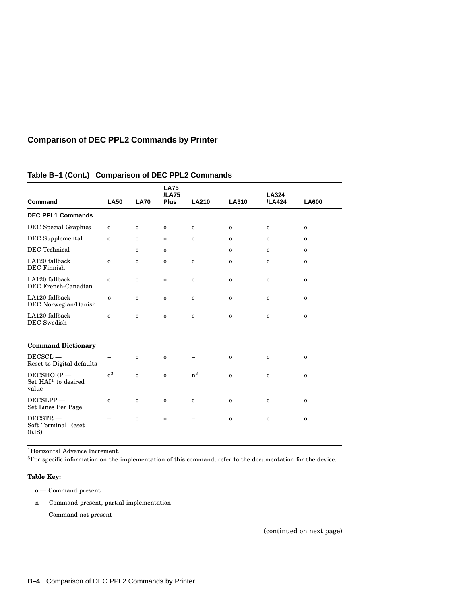| Command                                          | <b>LA50</b>    | <b>LA70</b>  | <b>LA75</b><br>/LA75<br><b>Plus</b> | <b>LA210</b> | LA310       | <b>LA324</b><br>/LA424 | <b>LA600</b> |
|--------------------------------------------------|----------------|--------------|-------------------------------------|--------------|-------------|------------------------|--------------|
| <b>DEC PPL1 Commands</b>                         |                |              |                                     |              |             |                        |              |
| DEC Special Graphics                             | $\mathbf 0$    | $\mathbf{0}$ | $\mathbf{o}$                        | $\mathbf{o}$ | $\mathbf 0$ | $\mathbf 0$            | $\mathbf{o}$ |
| DEC Supplemental                                 | $\mathbf 0$    | $\mathbf 0$  | $\mathbf{o}$                        | $\mathbf{o}$ | $\mathbf 0$ | $\mathbf 0$            | $\mathbf 0$  |
| DEC Technical                                    | -              | $\mathbf{o}$ | $\mathbf 0$                         | -            | $\mathbf 0$ | $\mathbf 0$            | $\mathbf 0$  |
| LA120 fallback<br>DEC Finnish                    | $\mathbf{o}$   | $\mathbf 0$  | $\mathbf 0$                         | $\bf{0}$     | $\mathbf 0$ | $\mathbf{o}$           | $\mathbf 0$  |
| LA120 fallback<br>DEC French-Canadian            | $\mathbf{o}$   | $\mathbf{o}$ | $\mathbf 0$                         | $\mathbf{o}$ | $\mathbf 0$ | $\mathbf{o}$           | $\mathbf{o}$ |
| LA120 fallback<br>DEC Norwegian/Danish           | $\mathbf{o}$   | $\mathbf 0$  | $\mathbf{o}$                        | $\bf{0}$     | $\mathbf 0$ | $\mathbf{o}$           | 0            |
| LA120 fallback<br>DEC Swedish                    | $\mathbf{o}$   | $\mathbf 0$  | $\mathbf 0$                         | $\bf{0}$     | $\mathbf 0$ | $\mathbf{o}$           | $\mathbf 0$  |
| <b>Command Dictionary</b>                        |                |              |                                     |              |             |                        |              |
| $DECSCL -$<br>Reset to Digital defaults          |                | $\mathbf 0$  | $\mathbf 0$                         |              | $\mathbf 0$ | $\mathbf{o}$           | $\mathbf 0$  |
| $DECSHORP$ $-$<br>Set $HAI1$ to desired<br>value | 0 <sup>3</sup> | $\mathbf{o}$ | $\mathbf{o}$                        | $n^3$        | $\mathbf 0$ | $\mathbf{o}$           | $\mathbf 0$  |
| DECSLPP<br>Set Lines Per Page                    | $\mathbf{o}$   | $\mathbf 0$  | $\mathbf{o}$                        | $\bf{0}$     | $\mathbf 0$ | $\mathbf{o}$           | $\mathbf 0$  |
| $DECSTR -$<br>Soft Terminal Reset<br>(RIS)       |                | $\mathbf{o}$ | $\mathbf 0$                         |              | $\mathbf 0$ | $\mathbf{o}$           | $\mathbf 0$  |

#### **Table B–1 (Cont.) Comparison of DEC PPL2 Commands**

 $\overline{\hbox{1}$  Horizontal Advance Increment.

 ${}^{3}$ For specific information on the implementation of this command, refer to the documentation for the device.

#### **Table Key:**

- o Command present
- n Command present, partial implementation
- — Command not present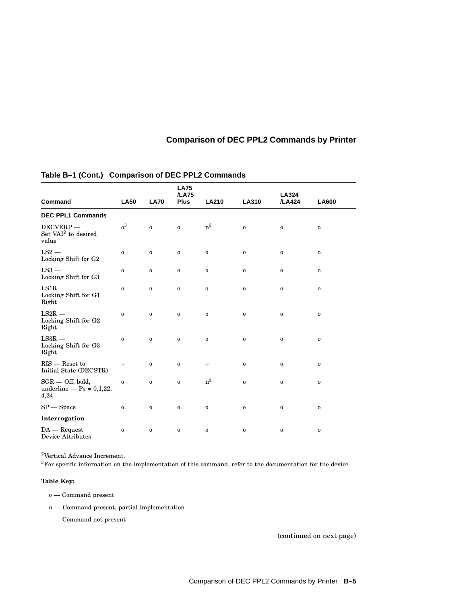|                                                           |              |              | <b>LA75</b>          |              |              |                 |              |
|-----------------------------------------------------------|--------------|--------------|----------------------|--------------|--------------|-----------------|--------------|
| Command                                                   | <b>LA50</b>  | <b>LA70</b>  | /LA75<br><b>Plus</b> | <b>LA210</b> | LA310        | LA324<br>/LA424 | <b>LA600</b> |
| <b>DEC PPL1 Commands</b>                                  |              |              |                      |              |              |                 |              |
| $DECVERP -$<br>Set $\mathrm{VAI}^{2}$ to desired<br>value | $0^3$        | $\mathbf{o}$ | $\mathbf{o}$         | $\rm n^3$    | $\mathbf{o}$ | $\mathbf{o}$    | $\mathbf 0$  |
| $LS2 -$<br>Locking Shift for G2                           | $\mathbf{o}$ | $\mathbf 0$  | $\mathbf 0$          | $\mathbf 0$  | $\mathbf{o}$ | $\bf{0}$        | $\mathbf 0$  |
| $LS3 -$<br>Locking Shift for G3                           | $\mathbf{o}$ | $\mathbf 0$  | $\mathbf{o}$         | $\mathbf 0$  | $\bf{0}$     | 0               | $\mathbf 0$  |
| $LS1R -$<br>Locking Shift for G1<br>Right                 | $\mathbf{o}$ | $\mathbf 0$  | $\mathbf 0$          | $\mathbf 0$  | $\mathbf{o}$ | $\mathbf{o}$    | $\mathbf 0$  |
| $LS2R -$<br>Locking Shift for G2<br>Right                 | $\mathbf 0$  | $\mathbf 0$  | $\mathbf{o}$         | $\mathbf 0$  | $\mathbf 0$  | $\mathbf{o}$    | $\mathbf 0$  |
| $LS3R -$<br>Locking Shift for G3<br>Right                 | $\mathbf{o}$ | $\mathbf 0$  | $\mathbf{o}$         | $\mathbf 0$  | $\mathbf{o}$ | $\mathbf{o}$    | $\mathbf 0$  |
| $RIS -$ Reset to<br>Initial State (DECSTR)                |              | $\mathbf 0$  | $\mathbf 0$          |              | $\mathbf 0$  | $\mathbf{o}$    | $\mathbf 0$  |
| SGR - Off, bold,<br>underline $-$ Ps = 0,1,22,<br>4,24    | $\mathbf{o}$ | $\mathbf 0$  | $\mathbf 0$          | $n^3$        | $\mathbf{o}$ | $\mathbf{o}$    | $\mathbf 0$  |
| $SP - Space$                                              | $\mathbf{o}$ | $\mathbf 0$  | $\mathbf{o}$         | $\mathbf 0$  | $\mathbf{o}$ | $\bf{0}$        | $\mathbf 0$  |
| Interrogation                                             |              |              |                      |              |              |                 |              |
| $DA - Request$<br><b>Device Attributes</b>                | $\mathbf 0$  | $\mathbf 0$  | $\mathbf 0$          | $\mathbf 0$  | $\mathbf 0$  | $\mathbf 0$     | $\mathbf 0$  |

#### **Table B–1 (Cont.) Comparison of DEC PPL2 Commands**

<sup>2</sup>Vertical Advance Increment.

<sup>3</sup>For specific information on the implementation of this command, refer to the documentation for the device.

#### **Table Key:**

- o Command present
- $\mathbf{n}-\mathbf{Command}$  present, partial implementation

– — Command not present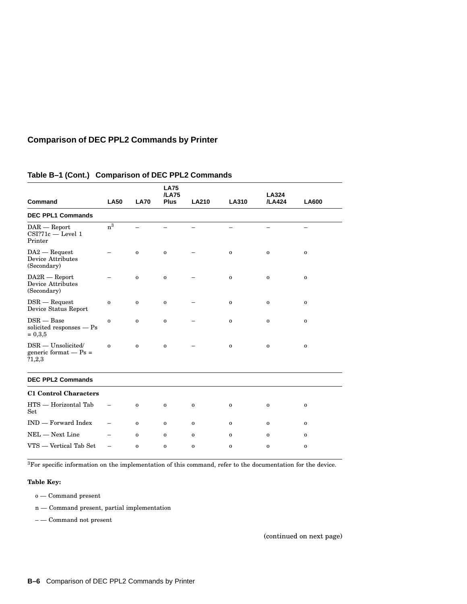#### **Command LA50 LA70 LA75 /LA75 Plus LA210 LA310 LA324 /LA424 LA600 DEC PPL1 Commands** DAR — Report CSI?71c — Level 1 Printer n<sup>3</sup> 3 – – – – – – – – – DA2 — Request Device Attributes (Secondary)  $-$  0 0 0  $-$  0 0 0 0 DA2R — Report Device Attributes (Secondary)  $-$  0 0 0  $-$  0 0 0 0 DSR — Request Device Status Report o o o – o o o DSR — Base solicited responses — Ps  $= 0,3,5$ o o o – o o o DSR — Unsolicited/ generic format — Ps = ?1,2,3  $0$   $0$   $0$   $0$   $0$   $0$ **DEC PPL2 Commands C1 Control Characters** HTS — Horizontal Tab Set  $-$  0 0 0 0 0 0 0 0 IND — Forward Index – o o o o o o NEL — Next Line  $\qquad \qquad - \qquad \qquad$  0 0 0 0 0 0 0 0 VTS — Vertical Tab Set – o o o o o o o o

#### **Table B–1 (Cont.) Comparison of DEC PPL2 Commands**

<sup>3</sup>For specific information on the implementation of this command, refer to the documentation for the device.

#### **Table Key:**

o — Command present

n — Command present, partial implementation

– — Command not present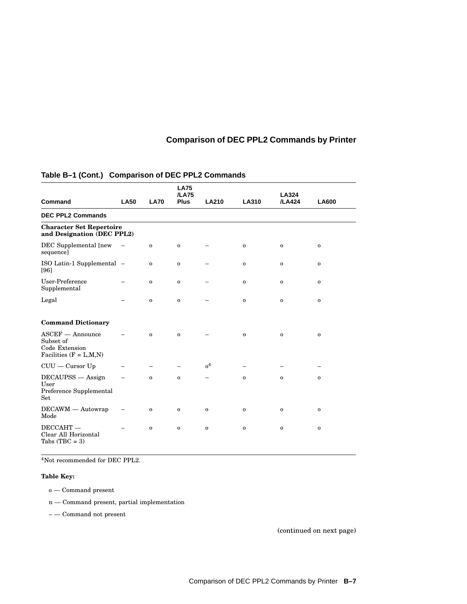|                                                                                 |             |              | <b>LA75</b>          |                          |              |                 |              |
|---------------------------------------------------------------------------------|-------------|--------------|----------------------|--------------------------|--------------|-----------------|--------------|
| Command                                                                         | <b>LA50</b> | <b>LA70</b>  | /LA75<br><b>Plus</b> | <b>LA210</b>             | LA310        | LA324<br>/LA424 | <b>LA600</b> |
| <b>DEC PPL2 Commands</b>                                                        |             |              |                      |                          |              |                 |              |
| <b>Character Set Repertoire</b><br>and Designation (DEC PPL2)                   |             |              |                      |                          |              |                 |              |
| DEC Supplemental [new<br>sequence]                                              |             | $\mathbf 0$  | $\mathbf 0$          |                          | $\mathbf 0$  | $\mathbf 0$     | $\mathbf 0$  |
| ISO Latin-1 Supplemental -<br>$[96]$                                            |             | $\mathbf 0$  | $\mathbf{o}$         |                          | $\mathbf{o}$ | $\mathbf{o}$    | $\mathbf 0$  |
| User-Preference<br>Supplemental                                                 |             | $\mathbf 0$  | $\mathbf 0$          |                          | $\mathbf{o}$ | 0               | $\mathbf 0$  |
| Legal                                                                           |             | $\mathbf 0$  | $\mathbf{o}$         |                          | $\mathbf{o}$ | $\mathbf{o}$    | $\mathbf 0$  |
| <b>Command Dictionary</b>                                                       |             |              |                      |                          |              |                 |              |
| $ASCEF - Announce$<br>Subset of<br>Code Extension<br>Facilities $(F = L, M, N)$ |             | $\mathbf{o}$ | $\mathbf{o}$         |                          | $\mathbf 0$  | $\mathbf{o}$    | $\mathbf 0$  |
| $CUU - Cursor Up$                                                               |             |              |                      | 0 <sup>4</sup>           |              |                 |              |
| $DECAUPSS - Assign$<br>User<br>Preference Supplemental<br>Set                   |             | $\mathbf 0$  | $\mathbf{o}$         | $\overline{\phantom{0}}$ | $\mathbf{o}$ | $\mathbf 0$     | $\mathbf 0$  |
| $DECAWM - Autowrap$<br>Mode                                                     |             | $\mathbf 0$  | $\mathbf{o}$         | $\mathbf 0$              | $\mathbf 0$  | 0               | $\mathbf 0$  |
| $DECCAHT$ -<br>Clear All Horizontal<br>Tabs $(TBC = 3)$                         |             | $\mathbf 0$  | $\mathbf{o}$         | $\mathbf 0$              | $\mathbf{o}$ | 0               | $\mathbf 0$  |

# **Table B–1 (Cont.) Comparison of DEC PPL2 Commands**

<sup>4</sup>Not recommended for DEC PPL2.

#### **Table Key:**

- o Command present
- $\mathbf{n}-\mathbf{Command}$  present, partial implementation
- $--$  Command not present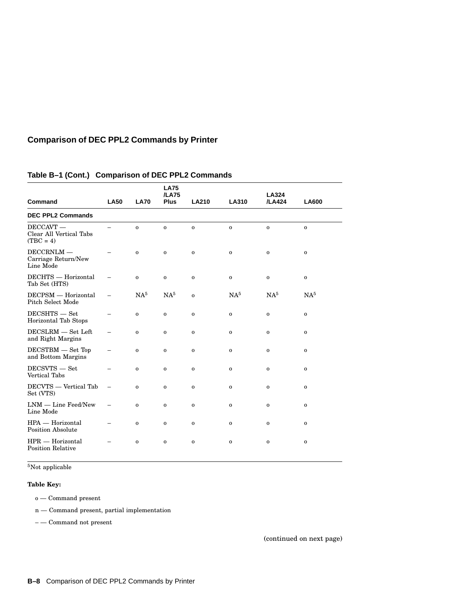#### **Table B–1 (Cont.) Comparison of DEC PPL2 Commands**

| Command                                               | <b>LA50</b>              | <b>LA70</b>     | <b>LA75</b><br>/LA75<br><b>Plus</b> | <b>LA210</b> | LA310           | LA324<br>/LA424 | <b>LA600</b>    |
|-------------------------------------------------------|--------------------------|-----------------|-------------------------------------|--------------|-----------------|-----------------|-----------------|
| <b>DEC PPL2 Commands</b>                              |                          |                 |                                     |              |                 |                 |                 |
| $DECCAVT$ –<br>Clear All Vertical Tabs<br>$(TBC = 4)$ | $\equiv$                 | $\mathbf{o}$    | $\mathbf{o}$                        | $\mathbf 0$  | $\mathbf{o}$    | $\mathbf{0}$    | $\mathbf{o}$    |
| $DECCRNLM -$<br>Carriage Return/New<br>Line Mode      |                          | $\mathbf 0$     | $\mathbf{o}$                        | $\mathbf 0$  | $\mathbf{o}$    | $\mathbf 0$     | $\mathbf{o}$    |
| $DECHTS - Horizontal$<br>Tab Set (HTS)                |                          | $\mathbf 0$     | $\mathbf 0$                         | $\mathbf 0$  | $\mathbf 0$     | $\mathbf 0$     | $\mathbf{o}$    |
| DECPSM - Horizontal<br><b>Pitch Select Mode</b>       |                          | NA <sup>5</sup> | NA <sup>5</sup>                     | $\mathbf 0$  | NA <sup>5</sup> | NA <sup>5</sup> | NA <sup>5</sup> |
| $DECSHTS - Set$<br>Horizontal Tab Stops               |                          | $\mathbf 0$     | $\mathbf{o}$                        | $\mathbf 0$  | $\mathbf{o}$    | $\mathbf 0$     | $\mathbf{o}$    |
| DECSLRM - Set Left<br>and Right Margins               | $\overline{\phantom{0}}$ | $\mathbf 0$     | $\mathbf{o}$                        | $\mathbf 0$  | $\mathbf{o}$    | $\mathbf 0$     | $\mathbf 0$     |
| $DECSTBM - Set Top$<br>and Bottom Margins             | $\overline{\phantom{0}}$ | $\mathbf 0$     | $\mathbf{o}$                        | $\mathbf 0$  | $\mathbf{o}$    | $\mathbf{O}$    | $\mathbf{o}$    |
| $DECSVTS$ $-$ Set<br>Vertical Tabs                    |                          | $\mathbf 0$     | $\mathbf{o}$                        | $\mathbf 0$  | $\mathbf{o}$    | $\mathbf 0$     | $\mathbf{o}$    |
| DECVTS - Vertical Tab<br>Set (VTS)                    | -                        | $\mathbf 0$     | $\mathbf{o}$                        | $\mathbf 0$  | $\mathbf 0$     | $\mathbf 0$     | $\mathbf 0$     |
| $LMM$ — Line Feed/New<br>Line Mode                    |                          | $\mathbf 0$     | $\mathbf{o}$                        | $\mathbf 0$  | $\mathbf 0$     | $\mathbf 0$     | $\mathbf 0$     |
| HPA - Horizontal<br><b>Position Absolute</b>          | ÷,                       | $\mathbf 0$     | $\mathbf{o}$                        | $\mathbf 0$  | $\mathbf{o}$    | $\mathbf{O}$    | $\mathbf{o}$    |
| $HPR - Horizontal$<br><b>Position Relative</b>        |                          | $\mathbf{o}$    | $\mathbf{o}$                        | $\mathbf{o}$ | $\mathbf{o}$    | $\mathbf{o}$    | $\mathbf{o}$    |

<sup>5</sup>Not applicable

#### **Table Key:**

o — Command present

 $\mathbf{n}-\mathbf{Command}$  present, partial implementation

 $--$  Command not present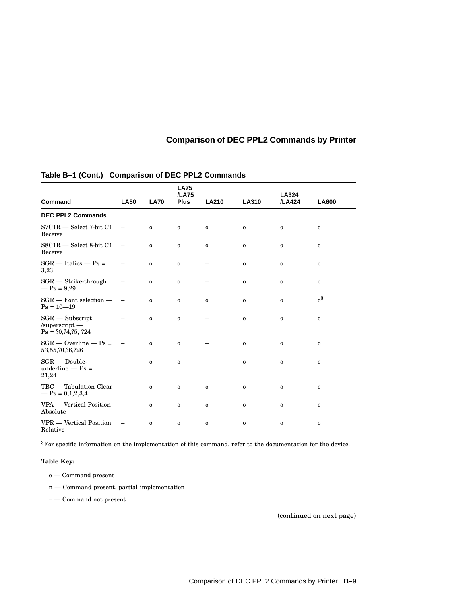| Command                                                       | <b>LA50</b>              | <b>LA70</b>  | <b>LA75</b><br>/LA75<br><b>Plus</b> | <b>LA210</b> | LA310        | LA324<br>/LA424 | <b>LA600</b> |  |  |
|---------------------------------------------------------------|--------------------------|--------------|-------------------------------------|--------------|--------------|-----------------|--------------|--|--|
| <b>DEC PPL2 Commands</b>                                      |                          |              |                                     |              |              |                 |              |  |  |
| $STC1R$ - Select 7-bit $C1$<br>Receive                        | $\overline{\phantom{0}}$ | $\mathbf{o}$ | $\mathbf{o}$                        | $\mathbf 0$  | $\mathbf 0$  | $\mathbf 0$     | $\mathbf{o}$ |  |  |
| $S8C1R$ - Select 8-bit $C1$<br>Receive                        |                          | $\mathbf{o}$ | $\mathbf 0$                         | $\mathbf 0$  | $\mathbf 0$  | $\mathbf 0$     | $\mathbf 0$  |  |  |
| $SGR$ — Italics — Ps =<br>3,23                                |                          | $\mathbf{o}$ | $\mathbf 0$                         |              | $\mathbf{o}$ | $\mathbf 0$     | $\mathbf 0$  |  |  |
| $SGR = Strike-throught$<br>$-$ Ps = 9,29                      |                          | $\mathbf{o}$ | $\mathbf 0$                         |              | $\mathbf 0$  | $\mathbf 0$     | $\mathbf 0$  |  |  |
| $SGR$ – Font selection –<br>$Ps = 10 - 19$                    |                          | $\mathbf 0$  | $\mathbf 0$                         | $\mathbf 0$  | $\mathbf 0$  | $\mathbf 0$     | $0^3$        |  |  |
| $SGR$ $-$ Subscript<br>/superscript<br>$Ps = ?0, ?4, ?5, ?24$ |                          | $\mathbf{o}$ | $\mathbf 0$                         |              | $\mathbf 0$  | $\mathbf 0$     | $\mathbf 0$  |  |  |
| $SGR$ — Overline — Ps =<br>53, 55, ?0, ?6, ?26                | $\overline{\phantom{m}}$ | $\mathbf{o}$ | $\mathbf 0$                         |              | $\mathbf 0$  | $\mathbf 0$     | $\mathbf 0$  |  |  |
| $SGR$ - Double-<br>underline $-$ Ps =<br>21,24                |                          | $\mathbf{o}$ | $\mathbf 0$                         |              | $\mathbf 0$  | $\mathbf 0$     | $\mathbf 0$  |  |  |
| TBC — Tabulation Clear<br>$-Ps = 0,1,2,3,4$                   |                          | $\mathbf 0$  | $\mathbf 0$                         | $\mathbf 0$  | $\mathbf 0$  | $\mathbf 0$     | $\mathbf 0$  |  |  |
| VPA — Vertical Position<br>Absolute                           |                          | $\mathbf{o}$ | $\mathbf 0$                         | $\mathbf 0$  | $\mathbf 0$  | $\mathbf 0$     | $\mathbf 0$  |  |  |
| VPR — Vertical Position<br>Relative                           |                          | $\mathbf{o}$ | $\mathbf 0$                         | $\mathbf 0$  | $\mathbf{o}$ | $\mathbf 0$     | $\mathbf 0$  |  |  |

#### **Table B–1 (Cont.) Comparison of DEC PPL2 Commands**

<sup>3</sup>For specific information on the implementation of this command, refer to the documentation for the device.

#### **Table Key:**

- o Command present
- $\mathbf{n}-\mathbf{Command}$  present, partial implementation
- $--$  Command not present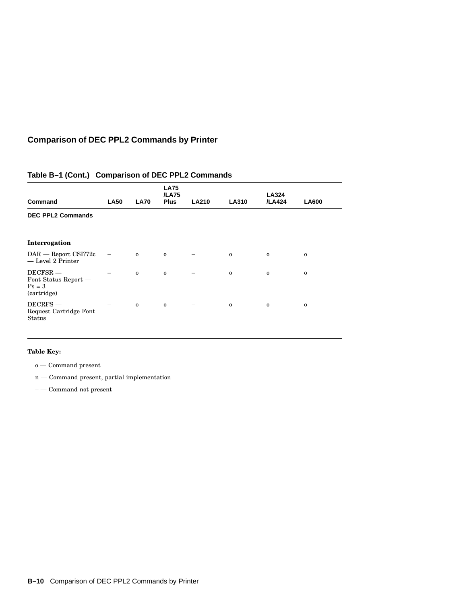#### **Command LA50 LA70 LA75 /LA75 Plus LA210 LA310 LA324 /LA424 LA600 DEC PPL2 Commands Interrogation** DAR — Report CSI?72c — Level 2 Printer  $-$  0 0 0  $-$  0 0 0 0 DECFSR — Font Status Report —  $Ps = 3$ (cartridge)  $-$  0 0 0  $-$  0 0 0 0 DECRFS — Request Cartridge Font Status  $-$  0 0 0  $-$  0 0 0 0

#### **Table B–1 (Cont.) Comparison of DEC PPL2 Commands**

#### **Table Key:**

o — Command present

n — Command present, partial implementation

 $--$  Command not present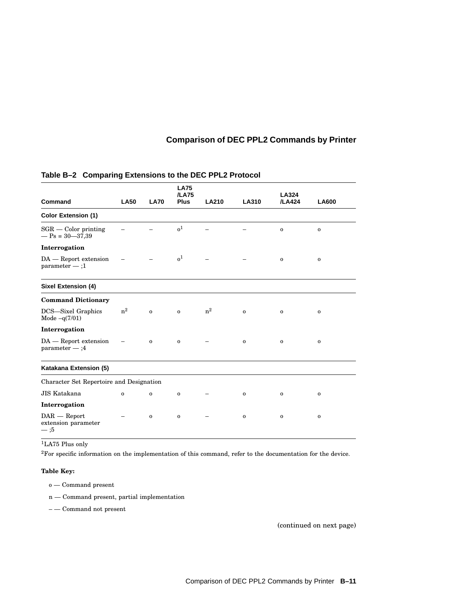|                                                 |              |              | <b>LA75</b>          |              |             |                 |              |
|-------------------------------------------------|--------------|--------------|----------------------|--------------|-------------|-----------------|--------------|
| Command                                         | <b>LA50</b>  | <b>LA70</b>  | /LA75<br><b>Plus</b> | <b>LA210</b> | LA310       | LA324<br>/LA424 | <b>LA600</b> |
| <b>Color Extension (1)</b>                      |              |              |                      |              |             |                 |              |
| $SGR$ — Color printing<br>$-Ps = 30 - 37,39$    |              |              | 0 <sup>1</sup>       |              |             | $\mathbf{o}$    | $\mathbf 0$  |
| Interrogation                                   |              |              |                      |              |             |                 |              |
| $DA$ - Report extension<br>$parameter - 1$      |              |              | 0 <sup>1</sup>       |              |             | $\mathbf 0$     | $\mathbf 0$  |
| Sixel Extension (4)                             |              |              |                      |              |             |                 |              |
| <b>Command Dictionary</b>                       |              |              |                      |              |             |                 |              |
| DCS-Sixel Graphics<br>Mode $-q(7/01)$           | $n^2$        | $\mathbf{o}$ | $\mathbf{o}$         | $n^2$        | $\mathbf 0$ | $\mathbf 0$     | $\mathbf 0$  |
| Interrogation                                   |              |              |                      |              |             |                 |              |
| DA - Report extension<br>$parameter - 34$       |              | $\mathbf 0$  | $\mathbf{o}$         |              | $\mathbf 0$ | $\mathbf 0$     | $\mathbf 0$  |
| Katakana Extension (5)                          |              |              |                      |              |             |                 |              |
| Character Set Repertoire and Designation        |              |              |                      |              |             |                 |              |
| JIS Katakana                                    | $\mathbf{o}$ | $\mathbf 0$  | $\mathbf 0$          |              | $\mathbf 0$ | $\mathbf 0$     | $\mathbf 0$  |
| Interrogation                                   |              |              |                      |              |             |                 |              |
| $DAR$ - Report<br>extension parameter<br>$-$ ;5 |              | $\mathbf 0$  | $\mathbf{o}$         |              | $\mathbf 0$ | $\mathbf 0$     | $\mathbf 0$  |

#### **Table B–2 Comparing Extensions to the DEC PPL2 Protocol**

 $^1\rm{LA}75$  Plus only

 ${}^{2}$ For specific information on the implementation of this command, refer to the documentation for the device.

#### **Table Key:**

- o Command present
- $\mathbf{n}-\mathbf{Command}$  present, partial implementation
- — Command not present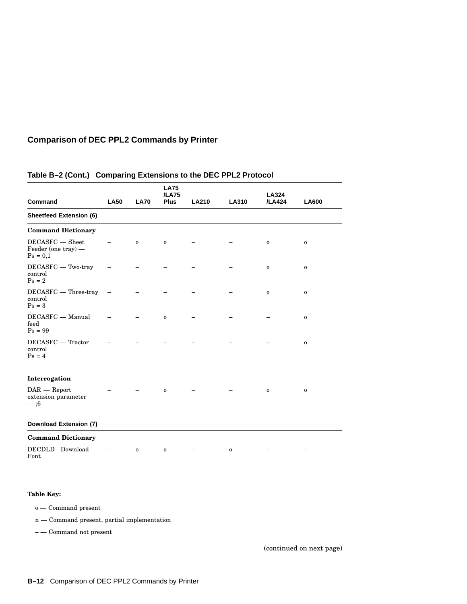|                                                            |             |              | <b>LA75</b>          |              |              |                        |              |
|------------------------------------------------------------|-------------|--------------|----------------------|--------------|--------------|------------------------|--------------|
| Command                                                    | <b>LA50</b> | <b>LA70</b>  | /LA75<br><b>Plus</b> | <b>LA210</b> | <b>LA310</b> | <b>LA324</b><br>/LA424 | <b>LA600</b> |
| <b>Sheetfeed Extension (6)</b>                             |             |              |                      |              |              |                        |              |
| <b>Command Dictionary</b>                                  |             |              |                      |              |              |                        |              |
| $DECASTC$ $-$ Sheet<br>Feeder (one tray) $-$<br>$Ps = 0.1$ |             | $\mathbf 0$  | $\mathbf{o}$         |              |              | $\mathbf 0$            | $\mathbf 0$  |
| $DECASTC - Two-tray$<br>control<br>$Ps = 2$                |             |              |                      |              |              | $\mathbf 0$            | $\mathbf 0$  |
| $DECASTC - Three-tray$<br>control<br>$Ps = 3$              |             |              |                      |              |              | $\mathbf 0$            | $\mathbf 0$  |
| DECASFC - Manual<br>feed<br>$Ps = 99$                      |             |              | $\mathbf{o}$         |              |              |                        | $\mathbf 0$  |
| $DECASTC - Tractor$<br>control<br>$Ps = 4$                 |             |              |                      |              |              |                        | $\mathbf 0$  |
| Interrogation                                              |             |              |                      |              |              |                        |              |
| $DAR$ - Report<br>extension parameter<br>$-;6$             |             |              | $\mathbf{o}$         |              |              | $\mathbf 0$            | $\mathbf 0$  |
| <b>Download Extension (7)</b>                              |             |              |                      |              |              |                        |              |
| <b>Command Dictionary</b>                                  |             |              |                      |              |              |                        |              |
| DECDLD-Download<br>Font                                    |             | $\mathbf{o}$ | $\mathbf 0$          |              | $\mathbf 0$  |                        |              |

#### **Table B–2 (Cont.) Comparing Extensions to the DEC PPL2 Protocol**

#### **Table Key:**

 $\text{o}$  — Command present

 $\mathbf{n}-\mathbf{Command}$  present, partial implementation

 $--$  Command not present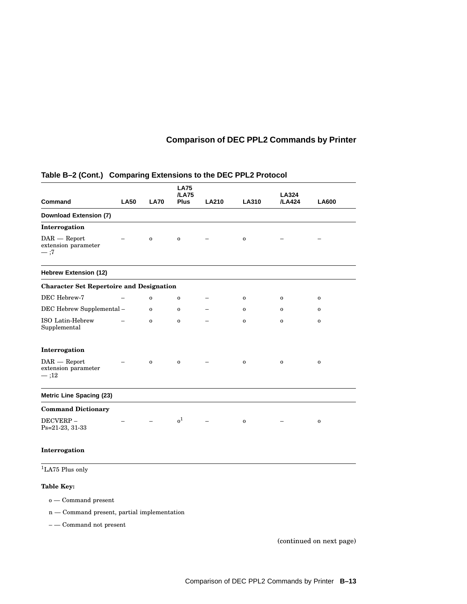| Command                                         | <b>LA50</b> | <b>LA70</b>  | <b>LA75</b><br>/LA75<br><b>Plus</b> | <b>LA210</b> | <b>LA310</b> | LA324<br>/LA424 | <b>LA600</b> |
|-------------------------------------------------|-------------|--------------|-------------------------------------|--------------|--------------|-----------------|--------------|
| <b>Download Extension (7)</b>                   |             |              |                                     |              |              |                 |              |
| Interrogation                                   |             |              |                                     |              |              |                 |              |
| $DAR$ - Report<br>extension parameter<br>$-$ ;7 |             | $\mathbf{O}$ | $\mathbf 0$                         |              | $\mathbf 0$  |                 |              |
| <b>Hebrew Extension (12)</b>                    |             |              |                                     |              |              |                 |              |
| <b>Character Set Repertoire and Designation</b> |             |              |                                     |              |              |                 |              |
| DEC Hebrew-7                                    |             | $\mathbf{0}$ | $\mathbf 0$                         |              | $\mathbf{o}$ | $\mathbf 0$     | $\mathbf{o}$ |
| DEC Hebrew Supplemental -                       |             | $\mathbf{O}$ | $\mathbf{O}$                        |              | $\mathbf{o}$ | $\mathbf{O}$    | $\mathbf 0$  |
| ISO Latin-Hebrew<br>Supplemental                |             | $\mathbf{0}$ | $\mathbf{o}$                        |              | $\mathbf 0$  | $\mathbf 0$     | $\mathbf 0$  |
| Interrogation                                   |             |              |                                     |              |              |                 |              |
| $DAR$ - Report<br>extension parameter<br>$-;12$ |             | $\mathbf{0}$ | $\mathbf 0$                         |              | $\mathbf 0$  | $\mathbf 0$     | $\mathbf 0$  |
| <b>Metric Line Spacing (23)</b>                 |             |              |                                     |              |              |                 |              |
| <b>Command Dictionary</b>                       |             |              |                                     |              |              |                 |              |
| DECVERP-<br>Ps=21-23, 31-33                     |             |              | 0 <sup>1</sup>                      |              | $\mathbf{o}$ |                 | $\mathbf 0$  |
| Interrogation                                   |             |              |                                     |              |              |                 |              |

# **Table B–2 (Cont.) Comparing Extensions to the DEC PPL2 Protocol**

<sup>1</sup>LA75 Plus only

#### **Table Key:**

- o Command present
- n Command present, partial implementation

 $--$  Command not present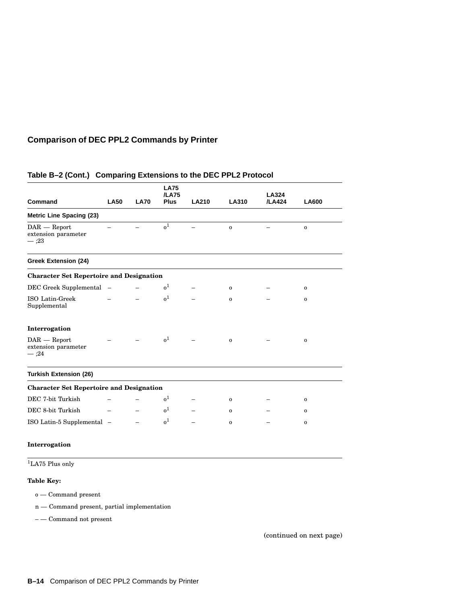|                                                  |             |             | <b>LA75</b>          |              |              |                        |              |
|--------------------------------------------------|-------------|-------------|----------------------|--------------|--------------|------------------------|--------------|
| Command                                          | <b>LA50</b> | <b>LA70</b> | /LA75<br><b>Plus</b> | <b>LA210</b> | LA310        | <b>LA324</b><br>/LA424 | <b>LA600</b> |
| <b>Metric Line Spacing (23)</b>                  |             |             |                      |              |              |                        |              |
| $DAR$ - Report<br>extension parameter<br>$-$ ;23 |             |             | 0 <sup>1</sup>       |              | $\mathbf{o}$ |                        | $\mathbf{o}$ |
| <b>Greek Extension (24)</b>                      |             |             |                      |              |              |                        |              |
| <b>Character Set Repertoire and Designation</b>  |             |             |                      |              |              |                        |              |
| DEC Greek Supplemental –                         |             |             | 0 <sup>1</sup>       |              | $\mathbf 0$  |                        | $\mathbf 0$  |
| ISO Latin-Greek<br>Supplemental                  |             |             | 0 <sup>1</sup>       |              | $\mathbf 0$  |                        | $\mathbf 0$  |
| Interrogation                                    |             |             |                      |              |              |                        |              |
| $DAR$ - Report<br>extension parameter<br>$-$ ;24 |             |             | 0 <sup>1</sup>       |              | $\mathbf 0$  |                        | $\mathbf 0$  |
| <b>Turkish Extension (26)</b>                    |             |             |                      |              |              |                        |              |
| <b>Character Set Repertoire and Designation</b>  |             |             |                      |              |              |                        |              |
| DEC 7-bit Turkish                                |             |             | 0 <sup>1</sup>       |              | $\mathbf 0$  |                        | $\mathbf 0$  |
| DEC 8-bit Turkish                                |             |             | 0 <sup>1</sup>       |              | $\mathbf 0$  |                        | $\Omega$     |
| ISO Latin-5 Supplemental -                       |             |             | 0 <sup>1</sup>       |              | $\mathbf 0$  |                        | $\mathbf 0$  |

#### **Table B–2 (Cont.) Comparing Extensions to the DEC PPL2 Protocol**

#### **Interrogation**

 $1$ LA75 Plus only

#### **Table Key:**

- $\text{o}$  Command present
- n Command present, partial implementation

– — Command not present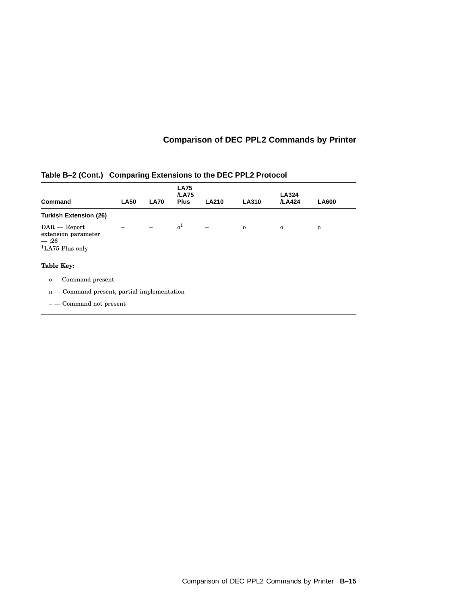| Command                                                       | <b>LA50</b> | <b>LA70</b> | <b>LA75</b><br>/LA75<br><b>Plus</b> | <b>LA210</b> | <b>LA310</b> | <b>LA324</b><br>/LA424 | <b>LA600</b> |
|---------------------------------------------------------------|-------------|-------------|-------------------------------------|--------------|--------------|------------------------|--------------|
| <b>Turkish Extension (26)</b>                                 |             |             |                                     |              |              |                        |              |
| $\text{DAR} - \text{Report}$<br>extension parameter<br>$=:26$ |             |             | 0 <sup>1</sup>                      |              | $\mathbf 0$  | $\mathbf{o}$           | $\mathbf 0$  |
| $1$ LA75 Plus only                                            |             |             |                                     |              |              |                        |              |
| <b>Table Key:</b>                                             |             |             |                                     |              |              |                        |              |

#### **Table B–2 (Cont.) Comparing Extensions to the DEC PPL2 Protocol**

 $\text{o}$  — Command present

 $\mathbf{n}-\mathbf{Command}$  present, partial implementation

– — Command not present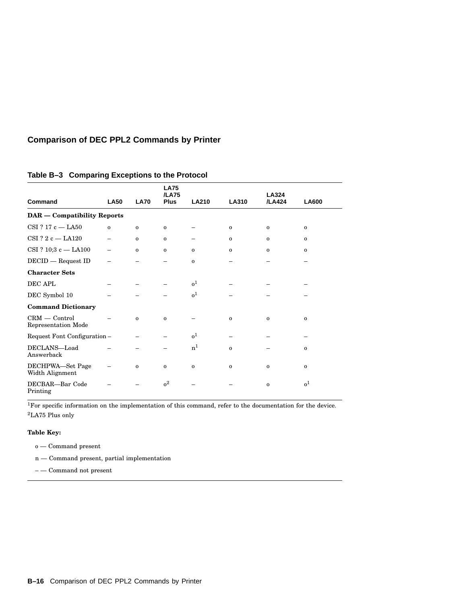| Command                                | <b>LA50</b>              | <b>LA70</b>  | <b>LA75</b><br>/LA75<br><b>Plus</b> | <b>LA210</b>   | LA310        | <b>LA324</b><br>/LA424 | <b>LA600</b>   |
|----------------------------------------|--------------------------|--------------|-------------------------------------|----------------|--------------|------------------------|----------------|
| <b>DAR</b> - Compatibility Reports     |                          |              |                                     |                |              |                        |                |
| $CSI$ ? 17 c $-$ LA50                  | $\mathbf{o}$             | $\mathbf{o}$ | $\mathbf 0$                         |                | $\bf{0}$     | $\mathbf 0$            | $\mathbf 0$    |
| $CSI$ ? 2 c — LA120                    | -                        | $\mathbf 0$  | $\mathbf 0$                         |                | $\mathbf 0$  | $\mathbf 0$            | $\mathbf 0$    |
| $CSI$ ? 10;3 c - LA100                 | $\overline{\phantom{0}}$ | $\mathbf 0$  | $\mathbf 0$                         | $\mathbf 0$    | $\mathbf{o}$ | $\mathbf 0$            | $\mathbf 0$    |
| DECID — Request ID                     |                          |              |                                     | $\mathbf 0$    |              |                        |                |
| <b>Character Sets</b>                  |                          |              |                                     |                |              |                        |                |
| DEC APL                                |                          |              |                                     | 0 <sup>1</sup> |              |                        |                |
| DEC Symbol 10                          |                          |              |                                     | 0 <sup>1</sup> |              |                        |                |
| <b>Command Dictionary</b>              |                          |              |                                     |                |              |                        |                |
| $CRM = Control$<br>Representation Mode |                          | $\mathbf{o}$ | $\Omega$                            |                | $\mathbf{o}$ | $\mathbf 0$            | $\mathbf 0$    |
| Request Font Configuration -           |                          |              |                                     | 0 <sup>1</sup> |              |                        |                |
| DECLANS-Load<br>Answerback             |                          |              |                                     | n <sup>1</sup> | $\mathbf{o}$ |                        | $\mathbf 0$    |
| DECHPWA-Set Page<br>Width Alignment    |                          | $\mathbf{o}$ | $\mathbf 0$                         | $\mathbf 0$    | $\mathbf{o}$ | $\mathbf 0$            | $\mathbf 0$    |
| DECBAR-Bar Code<br>Printing            |                          |              | o <sup>2</sup>                      |                |              | $\mathbf 0$            | 0 <sup>1</sup> |

#### **Table B–3 Comparing Exceptions to the Protocol**

<sup>1</sup>For specific information on the implementation of this command, refer to the documentation for the device.  $^2\rm{LA}75$  Plus only

#### **Table Key:**

- o Command present
- n Command present, partial implementation
- — Command not present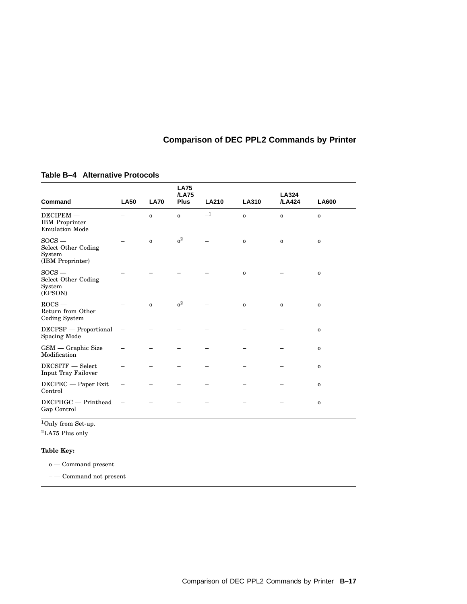# **Comparison of DEC PPL2 Commands by Printer**

|                                                               |             |              | <b>LA75</b><br>/LA75 |               |              | LA324        |              |
|---------------------------------------------------------------|-------------|--------------|----------------------|---------------|--------------|--------------|--------------|
| Command                                                       | <b>LA50</b> | <b>LA70</b>  | <b>Plus</b>          | <b>LA210</b>  | <b>LA310</b> | /LA424       | <b>LA600</b> |
| $DECIPEM$ -<br><b>IBM</b> Proprinter<br><b>Emulation Mode</b> |             | $\mathbf{o}$ | $\mathbf{o}$         | $\mathbf{-1}$ | $\mathbf{o}$ | $\bf{0}$     | $\mathbf 0$  |
| $SOCS -$<br>Select Other Coding<br>System<br>(IBM Proprinter) |             | $\mathbf{o}$ | $0^2$                |               | $\mathbf 0$  | $\mathbf{o}$ | $\mathbf 0$  |
| $SOCS -$<br>Select Other Coding<br>System<br>(EPSON)          |             |              |                      |               | $\mathbf 0$  |              | $\mathbf 0$  |
| $ROCS -$<br>Return from Other<br>Coding System                |             | $\mathbf{o}$ | $\rm o^2$            |               | $\mathbf 0$  | $\mathbf 0$  | $\mathbf 0$  |
| DECPSP — Proportional<br>Spacing Mode                         |             |              |                      |               |              |              | $\mathbf 0$  |
| $GSM$ - Graphic Size<br>Modification                          |             |              |                      |               |              |              | $\mathbf 0$  |
| $DECSITF - Select$<br><b>Input Tray Failover</b>              |             |              |                      |               |              |              | $\mathbf 0$  |
| DECPEC — Paper Exit<br>Control                                |             |              |                      |               |              |              | $\mathbf 0$  |
| $DECPHGC$ — Printhead<br>Gap Control                          |             |              |                      |               |              |              | $\mathbf 0$  |
|                                                               |             |              |                      |               |              |              |              |

#### **Table B–4 Alternative Protocols**

 $\rm ^1Only$  from Set-up.

 $^2\rm{LA}75$  Plus only

#### **Table Key:**

 $\text{o}$  — Command present

 $--$  Command not present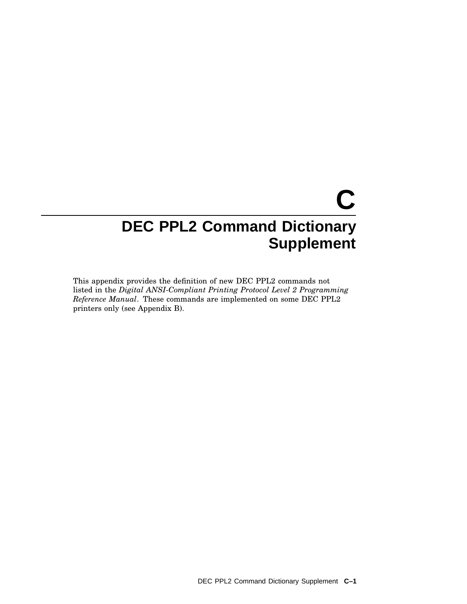# **C DEC PPL2 Command Dictionary Supplement**

This appendix provides the definition of new DEC PPL2 commands not listed in the *Digital ANSI-Compliant Printing Protocol Level 2 Programming Reference Manual*. These commands are implemented on some DEC PPL2 printers only (see Appendix B).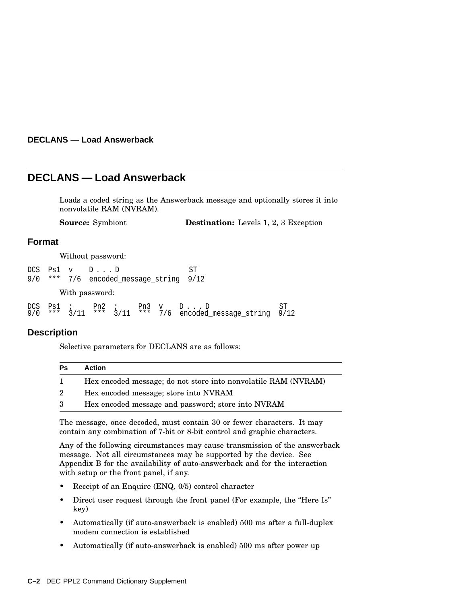**DECLANS — Load Answerback**

### **DECLANS — Load Answerback**

Loads a coded string as the Answerback message and optionally stores it into nonvolatile RAM (NVRAM).

**Source:** Symbiont **Destination:** Levels 1, 2, 3 Exception

#### **Format**

Without password:

```
DCS Ps1 v D \ldots D ST
9/0 *** 7/6 encoded message string 9/12
```
With password:

DCS Ps1 ; Pn2 ; Pn3 v  $D \ldots D$  ST 9/0 \*\*\* 3/11 \*\*\* 3/11 \*\*\* 7/6 encoded\_message\_string 9/12

#### **Description**

Selective parameters for DECLANS are as follows:

| Ps | <b>Action</b>                                                  |
|----|----------------------------------------------------------------|
| 1  | Hex encoded message; do not store into nonvolatile RAM (NVRAM) |
| 2  | Hex encoded message; store into NVRAM                          |
| 3  | Hex encoded message and password; store into NVRAM             |

The message, once decoded, must contain 30 or fewer characters. It may contain any combination of 7-bit or 8-bit control and graphic characters.

Any of the following circumstances may cause transmission of the answerback message. Not all circumstances may be supported by the device. See Appendix B for the availability of auto-answerback and for the interaction with setup or the front panel, if any.

- Receipt of an Enquire (ENQ, 0/5) control character
- Direct user request through the front panel (For example, the "Here Is" key)
- Automatically (if auto-answerback is enabled) 500 ms after a full-duplex modem connection is established
- Automatically (if auto-answerback is enabled) 500 ms after power up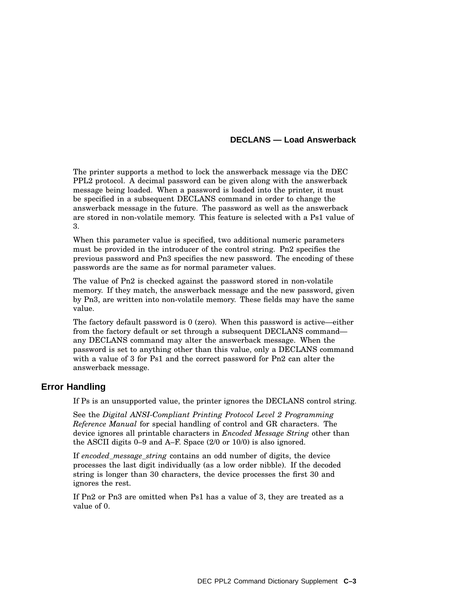#### **DECLANS — Load Answerback**

The printer supports a method to lock the answerback message via the DEC PPL2 protocol. A decimal password can be given along with the answerback message being loaded. When a password is loaded into the printer, it must be specified in a subsequent DECLANS command in order to change the answerback message in the future. The password as well as the answerback are stored in non-volatile memory. This feature is selected with a Ps1 value of 3.

When this parameter value is specified, two additional numeric parameters must be provided in the introducer of the control string. Pn2 specifies the previous password and Pn3 specifies the new password. The encoding of these passwords are the same as for normal parameter values.

The value of Pn2 is checked against the password stored in non-volatile memory. If they match, the answerback message and the new password, given by Pn3, are written into non-volatile memory. These fields may have the same value.

The factory default password is 0 (zero). When this password is active—either from the factory default or set through a subsequent DECLANS command any DECLANS command may alter the answerback message. When the password is set to anything other than this value, only a DECLANS command with a value of 3 for Ps1 and the correct password for Pn2 can alter the answerback message.

#### **Error Handling**

If Ps is an unsupported value, the printer ignores the DECLANS control string.

See the *Digital ANSI-Compliant Printing Protocol Level 2 Programming Reference Manual* for special handling of control and GR characters. The device ignores all printable characters in *Encoded Message String* other than the ASCII digits 0–9 and A–F. Space (2/0 or 10/0) is also ignored.

If *encoded\_message\_string* contains an odd number of digits, the device processes the last digit individually (as a low order nibble). If the decoded string is longer than 30 characters, the device processes the first 30 and ignores the rest.

If Pn2 or Pn3 are omitted when Ps1 has a value of 3, they are treated as a value of 0.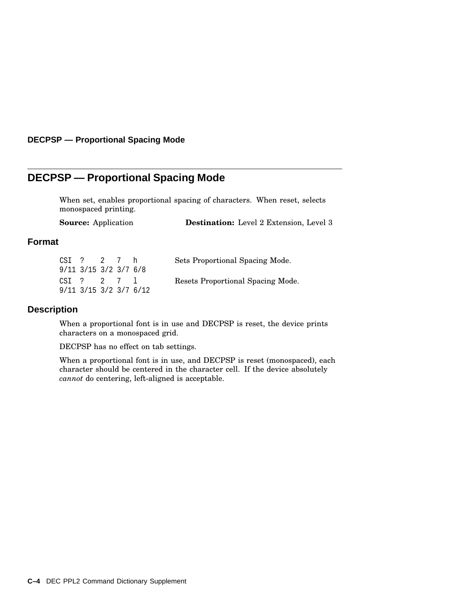#### **DECPSP — Proportional Spacing Mode**

# **DECPSP — Proportional Spacing Mode**

When set, enables proportional spacing of characters. When reset, selects monospaced printing.

| <b>Source:</b> Application<br><b>Destination:</b> Level 2 Extension, Level 3 |  |
|------------------------------------------------------------------------------|--|
|------------------------------------------------------------------------------|--|

#### **Format**

| $CST$ ? 2 7                   |  |  | Sets Proportional Spacing Mode.   |
|-------------------------------|--|--|-----------------------------------|
| $9/11$ $3/15$ $3/2$ $3/7$ 6/8 |  |  |                                   |
| $CST$ ? 2 7 1                 |  |  | Resets Proportional Spacing Mode. |
|                               |  |  |                                   |

#### **Description**

When a proportional font is in use and DECPSP is reset, the device prints characters on a monospaced grid.

DECPSP has no effect on tab settings.

When a proportional font is in use, and DECPSP is reset (monospaced), each character should be centered in the character cell. If the device absolutely *cannot* do centering, left-aligned is acceptable.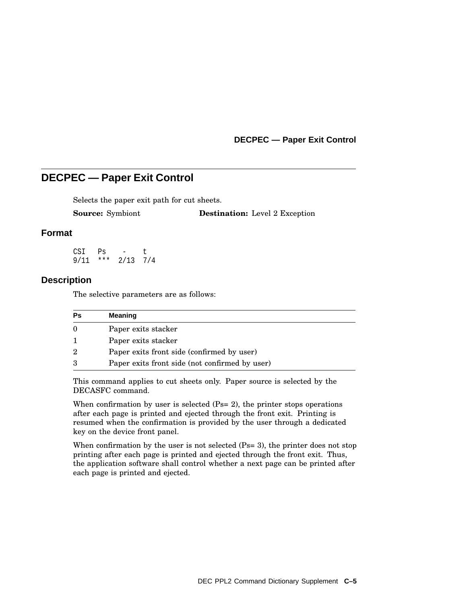#### **DECPEC — Paper Exit Control**

# **DECPEC — Paper Exit Control**

Selects the paper exit path for cut sheets.

**Source:** Symbiont **Destination:** Level 2 Exception

#### **Format**

CSI Ps - t 9/11 \*\*\* 2/13 7/4

#### **Description**

The selective parameters are as follows:

| Ps | <b>Meaning</b>                                 |
|----|------------------------------------------------|
|    | Paper exits stacker                            |
|    | Paper exits stacker                            |
| 2  | Paper exits front side (confirmed by user)     |
|    | Paper exits front side (not confirmed by user) |

This command applies to cut sheets only. Paper source is selected by the DECASFC command.

When confirmation by user is selected  $(Ps= 2)$ , the printer stops operations after each page is printed and ejected through the front exit. Printing is resumed when the confirmation is provided by the user through a dedicated key on the device front panel.

When confirmation by the user is not selected  $(Ps=3)$ , the printer does not stop printing after each page is printed and ejected through the front exit. Thus, the application software shall control whether a next page can be printed after each page is printed and ejected.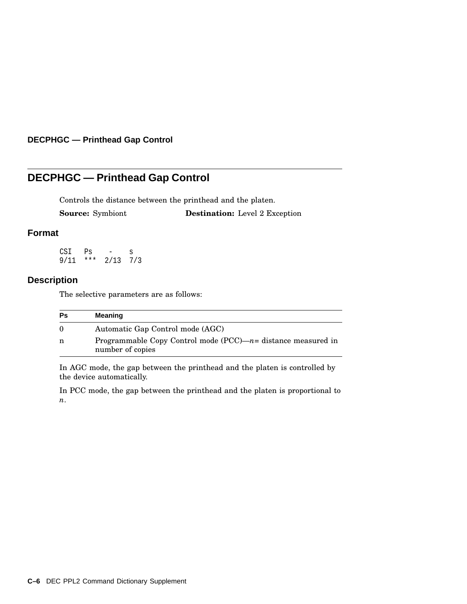**DECPHGC — Printhead Gap Control**

# **DECPHGC — Printhead Gap Control**

Controls the distance between the printhead and the platen.

| <b>Source:</b> Symbiont | <b>Destination:</b> Level 2 Exception |
|-------------------------|---------------------------------------|
|-------------------------|---------------------------------------|

#### **Format**

CSI Ps - s 9/11 \*\*\* 2/13 7/3

### **Description**

The selective parameters are as follows:

| Ps       | <b>Meaning</b>                                                                      |
|----------|-------------------------------------------------------------------------------------|
| $\Omega$ | Automatic Gap Control mode (AGC)                                                    |
| n        | Programmable Copy Control mode (PCC)— $n=$ distance measured in<br>number of copies |

In AGC mode, the gap between the printhead and the platen is controlled by the device automatically.

In PCC mode, the gap between the printhead and the platen is proportional to *n*.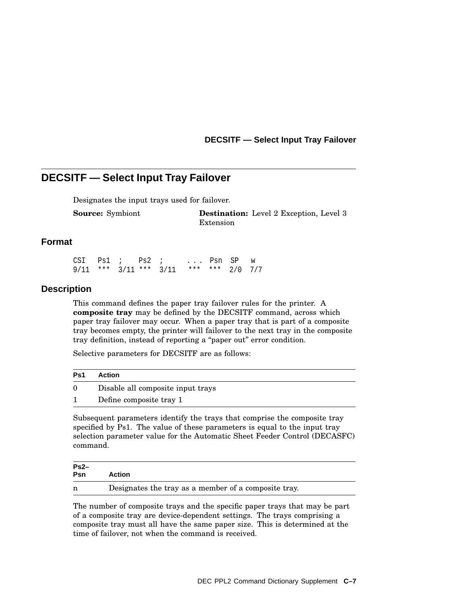**DECSITF — Select Input Tray Failover**

# **DECSITF — Select Input Tray Failover**

Designates the input trays used for failover.

**Source:** Symbiont **Destination:** Level 2 Exception, Level 3 Extension

#### **Format**

CSI Ps1 ; Ps2 ; ... Psn SP w 9/11 \*\*\* 3/11 \*\*\* 3/11 \*\*\* \*\*\* 2/0 7/7

#### **Description**

This command defines the paper tray failover rules for the printer. A **composite tray** may be defined by the DECSITF command, across which paper tray failover may occur. When a paper tray that is part of a composite tray becomes empty, the printer will failover to the next tray in the composite tray definition, instead of reporting a "paper out" error condition.

Selective parameters for DECSITF are as follows:

| Ps1      | <b>Action</b>                     |
|----------|-----------------------------------|
| $\Omega$ | Disable all composite input trays |
|          | Define composite tray 1           |

Subsequent parameters identify the trays that comprise the composite tray specified by Ps1. The value of these parameters is equal to the input tray selection parameter value for the Automatic Sheet Feeder Control (DECASFC) command.

| $Ps2-$<br>Psn | <b>Action</b>                                        |
|---------------|------------------------------------------------------|
| n             | Designates the tray as a member of a composite tray. |

The number of composite trays and the specific paper trays that may be part of a composite tray are device-dependent settings. The trays comprising a composite tray must all have the same paper size. This is determined at the time of failover, not when the command is received.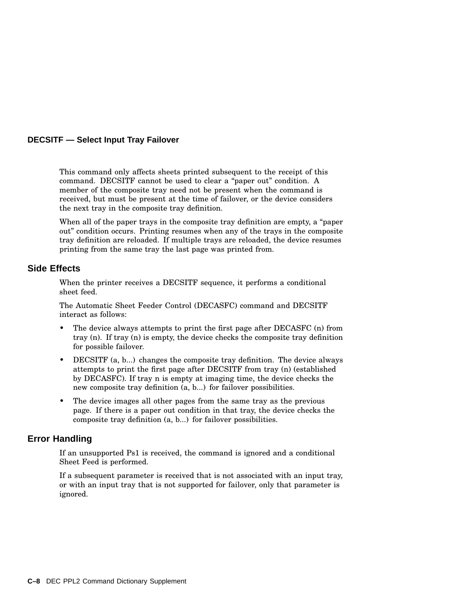

This command only affects sheets printed subsequent to the receipt of this command. DECSITF cannot be used to clear a ''paper out'' condition. A member of the composite tray need not be present when the command is received, but must be present at the time of failover, or the device considers the next tray in the composite tray definition.

When all of the paper trays in the composite tray definition are empty, a "paper out'' condition occurs. Printing resumes when any of the trays in the composite tray definition are reloaded. If multiple trays are reloaded, the device resumes printing from the same tray the last page was printed from.

#### **Side Effects**

When the printer receives a DECSITF sequence, it performs a conditional sheet feed.

The Automatic Sheet Feeder Control (DECASFC) command and DECSITF interact as follows:

- The device always attempts to print the first page after DECASFC (n) from tray (n). If tray (n) is empty, the device checks the composite tray definition for possible failover.
- DECSITF (a, b...) changes the composite tray definition. The device always attempts to print the first page after DECSITF from tray (n) (established by DECASFC). If tray n is empty at imaging time, the device checks the new composite tray definition (a, b...) for failover possibilities.
- The device images all other pages from the same tray as the previous page. If there is a paper out condition in that tray, the device checks the composite tray definition (a, b...) for failover possibilities.

#### **Error Handling**

If an unsupported Ps1 is received, the command is ignored and a conditional Sheet Feed is performed.

If a subsequent parameter is received that is not associated with an input tray, or with an input tray that is not supported for failover, only that parameter is ignored.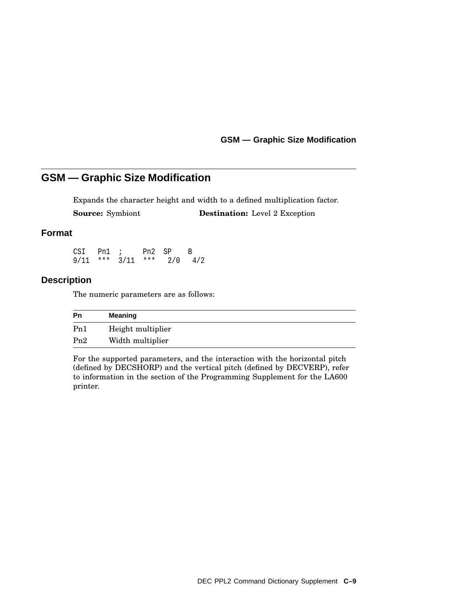#### **GSM — Graphic Size Modification**

# **GSM — Graphic Size Modification**

Expands the character height and width to a defined multiplication factor. **Source:** Symbiont **Destination:** Level 2 Exception

#### **Format**

CSI Pn1 ; Pn2 SP B<br> $9/11$  \*\*\*  $3/11$  \*\*\*  $2/0$   $4/2$  $9/11$  \*\*\*  $3/11$  \*\*\*

#### **Description**

The numeric parameters are as follows:

| <b>Pn</b> | Meaning           |
|-----------|-------------------|
| Pn1       | Height multiplier |
| Pn2       | Width multiplier  |

For the supported parameters, and the interaction with the horizontal pitch (defined by DECSHORP) and the vertical pitch (defined by DECVERP), refer to information in the section of the Programming Supplement for the LA600 printer.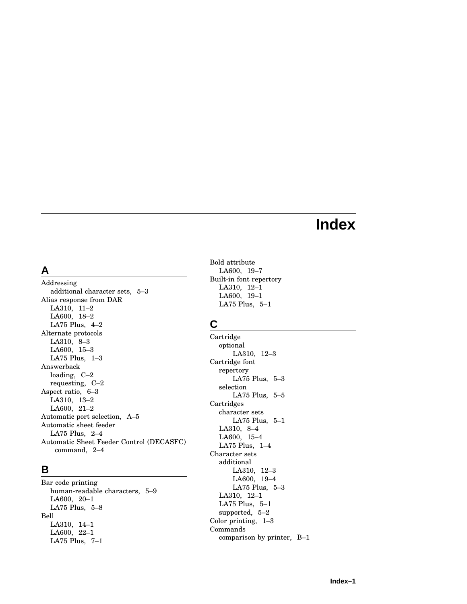# **Index**

# **A**

Addressing additional character sets, 5–3 Alias response from DAR LA310, 11–2 LA600, 18–2 LA75 Plus, 4–2 Alternate protocols LA310, 8–3 LA600, 15–3 LA75 Plus, 1–3 Answerback loading, C–2 requesting, C–2 Aspect ratio, 6–3 LA310, 13–2 LA600, 21–2 Automatic port selection, A–5 Automatic sheet feeder LA75 Plus, 2–4 Automatic Sheet Feeder Control (DECASFC) command, 2–4

# **B**

Bar code printing human-readable characters, 5–9 LA600, 20–1 LA75 Plus, 5–8 Bell LA310, 14–1 LA600, 22–1 LA75 Plus, 7–1

Bold attribute LA600, 19–7 Built-in font repertory LA310, 12–1 LA600, 19–1 LA75 Plus, 5–1

# **C**

Cartridge optional LA310, 12–3 Cartridge font repertory LA75 Plus, 5–3 selection LA75 Plus, 5–5 Cartridges character sets LA75 Plus, 5–1 LA310, 8–4 LA600, 15–4 LA75 Plus, 1–4 Character sets additional LA310, 12–3 LA600, 19–4 LA75 Plus, 5–3 LA310, 12–1 LA75 Plus, 5–1 supported, 5–2 Color printing, 1–3 Commands comparison by printer, B–1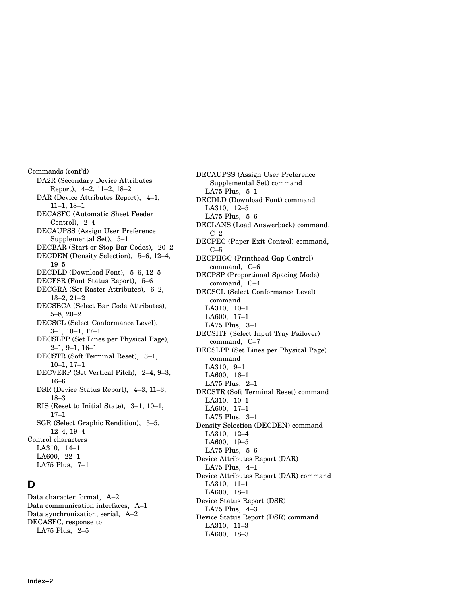Commands (cont'd) DA2R (Secondary Device Attributes Report), 4–2, 11–2, 18–2 DAR (Device Attributes Report), 4–1, 11–1, 18–1 DECASFC (Automatic Sheet Feeder Control), 2–4 DECAUPSS (Assign User Preference Supplemental Set), 5–1 DECBAR (Start or Stop Bar Codes), 20–2 DECDEN (Density Selection), 5–6, 12–4, 19–5 DECDLD (Download Font), 5–6, 12–5 DECFSR (Font Status Report), 5–6 DECGRA (Set Raster Attributes), 6–2, 13–2, 21–2 DECSBCA (Select Bar Code Attributes), 5–8, 20–2 DECSCL (Select Conformance Level), 3–1, 10–1, 17–1 DECSLPP (Set Lines per Physical Page), 2–1, 9–1, 16–1 DECSTR (Soft Terminal Reset), 3–1, 10–1, 17–1 DECVERP (Set Vertical Pitch), 2–4, 9–3, 16–6 DSR (Device Status Report), 4–3, 11–3, 18–3 RIS (Reset to Initial State), 3–1, 10–1, 17–1 SGR (Select Graphic Rendition), 5–5, 12–4, 19–4 Control characters LA310, 14–1 LA600, 22–1 LA75 Plus, 7–1

# **D**

Data character format, A–2 Data communication interfaces, A–1 Data synchronization, serial, A–2 DECASFC, response to LA75 Plus, 2–5

DECAUPSS (Assign User Preference Supplemental Set) command LA75 Plus, 5–1 DECDLD (Download Font) command LA310, 12–5 LA75 Plus, 5–6 DECLANS (Load Answerback) command,  $C-2$ DECPEC (Paper Exit Control) command,  $C-5$ DECPHGC (Printhead Gap Control) command, C–6 DECPSP (Proportional Spacing Mode) command, C–4 DECSCL (Select Conformance Level) command LA310, 10–1 LA600, 17–1 LA75 Plus, 3–1 DECSITF (Select Input Tray Failover) command, C–7 DECSLPP (Set Lines per Physical Page) command LA310, 9–1 LA600, 16–1 LA75 Plus, 2–1 DECSTR (Soft Terminal Reset) command LA310, 10–1 LA600, 17–1 LA75 Plus, 3–1 Density Selection (DECDEN) command LA310, 12–4 LA600, 19–5 LA75 Plus, 5–6 Device Attributes Report (DAR) LA75 Plus, 4–1 Device Attributes Report (DAR) command LA310, 11–1 LA600, 18–1 Device Status Report (DSR) LA75 Plus, 4–3 Device Status Report (DSR) command LA310, 11–3 LA600, 18–3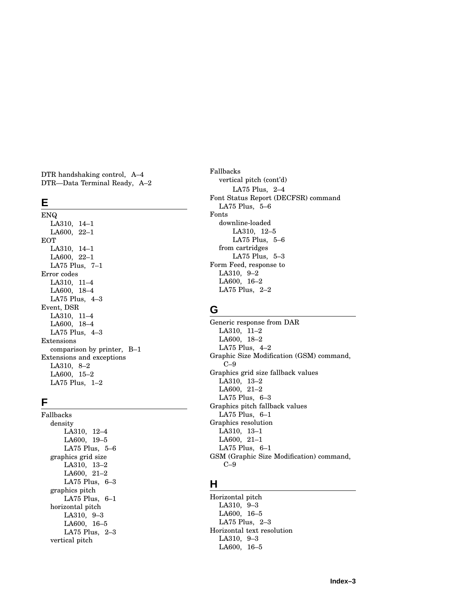DTR handshaking control, A–4 DTR—Data Terminal Ready, A–2

#### **E**

ENQ LA310, 14–1 LA600, 22–1 EOT LA310, 14–1 LA600, 22–1 LA75 Plus, 7–1 Error codes LA310, 11–4 LA600, 18–4 LA75 Plus, 4–3 Event, DSR LA310, 11–4 LA600, 18–4 LA75 Plus, 4–3 Extensions comparison by printer, B–1 Extensions and exceptions LA310, 8–2 LA600, 15–2 LA75 Plus, 1–2

#### **F**

Fallbacks density LA310, 12–4 LA600, 19–5 LA75 Plus, 5–6 graphics grid size LA310, 13–2 LA600, 21–2 LA75 Plus, 6–3 graphics pitch LA75 Plus, 6–1 horizontal pitch LA310, 9–3 LA600, 16–5 LA75 Plus, 2–3 vertical pitch

Fallbacks vertical pitch (cont'd) LA75 Plus, 2–4 Font Status Report (DECFSR) command LA75 Plus, 5–6 Fonts downline-loaded LA310, 12–5 LA75 Plus, 5–6 from cartridges LA75 Plus, 5–3 Form Feed, response to LA310, 9–2 LA600, 16–2 LA75 Plus, 2–2

# **G**

Generic response from DAR LA310, 11–2 LA600, 18–2 LA75 Plus, 4–2 Graphic Size Modification (GSM) command, C–9 Graphics grid size fallback values LA310, 13–2 LA600, 21–2 LA75 Plus, 6–3 Graphics pitch fallback values LA75 Plus, 6–1 Graphics resolution LA310, 13–1 LA600, 21–1 LA75 Plus, 6–1 GSM (Graphic Size Modification) command, C–9

# **H**

Horizontal pitch LA310, 9–3 LA600, 16–5 LA75 Plus, 2–3 Horizontal text resolution LA310, 9–3 LA600, 16–5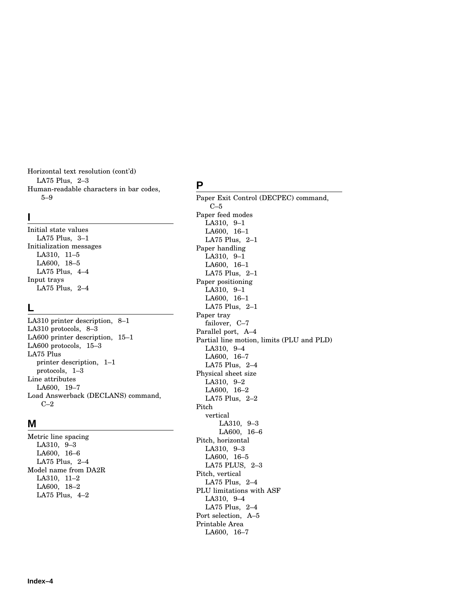Horizontal text resolution (cont'd) LA75 Plus, 2–3 Human-readable characters in bar codes, 5–9

### **I**

Initial state values LA75 Plus, 3–1 Initialization messages LA310, 11–5 LA600, 18–5 LA75 Plus, 4–4 Input trays LA75 Plus, 2–4

#### **L**

LA310 printer description, 8–1 LA310 protocols, 8–3 LA600 printer description, 15–1 LA600 protocols, 15–3 LA75 Plus printer description, 1–1 protocols, 1–3 Line attributes LA600, 19–7 Load Answerback (DECLANS) command,  $C-2$ 

#### **M**

Metric line spacing LA310, 9–3 LA600, 16–6 LA75 Plus, 2–4 Model name from DA2R LA310, 11–2 LA600, 18–2 LA75 Plus, 4–2

# **P**

Paper Exit Control (DECPEC) command, C–5 Paper feed modes LA310, 9–1 LA600, 16–1 LA75 Plus, 2–1 Paper handling LA310, 9–1 LA600, 16–1 LA75 Plus, 2–1 Paper positioning LA310, 9–1 LA600, 16–1 LA75 Plus, 2–1 Paper tray failover, C–7 Parallel port, A–4 Partial line motion, limits (PLU and PLD) LA310, 9–4 LA600, 16–7 LA75 Plus, 2–4 Physical sheet size LA310, 9–2 LA600, 16–2 LA75 Plus, 2–2 Pitch vertical LA310, 9–3 LA600, 16–6 Pitch, horizontal LA310, 9–3 LA600, 16–5 LA75 PLUS, 2–3 Pitch, vertical LA75 Plus, 2–4 PLU limitations with ASF LA310, 9–4 LA75 Plus, 2–4 Port selection, A–5 Printable Area LA600, 16–7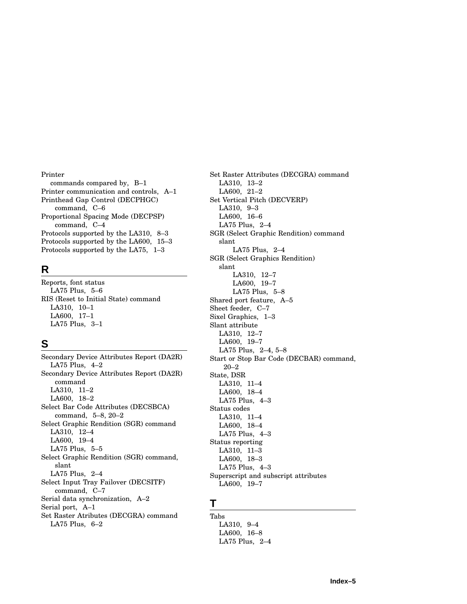Printer commands compared by, B–1 Printer communication and controls, A–1 Printhead Gap Control (DECPHGC) command, C–6 Proportional Spacing Mode (DECPSP) command, C–4 Protocols supported by the LA310, 8–3 Protocols supported by the LA600, 15–3 Protocols supported by the LA75, 1–3

# **R**

Reports, font status LA75 Plus, 5–6 RIS (Reset to Initial State) command LA310, 10–1 LA600, 17–1 LA75 Plus, 3–1

# **S**

Secondary Device Attributes Report (DA2R) LA75 Plus, 4–2 Secondary Device Attributes Report (DA2R) command LA310, 11–2 LA600, 18–2 Select Bar Code Attributes (DECSBCA) command, 5–8, 20–2 Select Graphic Rendition (SGR) command LA310, 12–4 LA600, 19–4 LA75 Plus, 5–5 Select Graphic Rendition (SGR) command, slant LA75 Plus, 2–4 Select Input Tray Failover (DECSITF) command, C–7 Serial data synchronization, A–2 Serial port, A–1 Set Raster Atributes (DECGRA) command LA75 Plus, 6–2

Set Raster Attributes (DECGRA) command LA310, 13–2 LA600, 21–2 Set Vertical Pitch (DECVERP) LA310, 9–3 LA600, 16–6 LA75 Plus, 2–4 SGR (Select Graphic Rendition) command slant LA75 Plus, 2–4 SGR (Select Graphics Rendition) slant LA310, 12–7 LA600, 19–7 LA75 Plus, 5–8 Shared port feature, A–5 Sheet feeder, C–7 Sixel Graphics, 1–3 Slant attribute LA310, 12–7 LA600, 19–7 LA75 Plus, 2–4, 5–8 Start or Stop Bar Code (DECBAR) command, 20–2 State, DSR LA310, 11–4 LA600, 18–4 LA75 Plus, 4–3 Status codes LA310, 11–4 LA600, 18–4 LA75 Plus, 4–3 Status reporting LA310, 11–3 LA600, 18–3 LA75 Plus, 4–3 Superscript and subscript attributes LA600, 19–7

#### **T**

Tabs LA310, 9–4 LA600, 16–8 LA75 Plus, 2–4